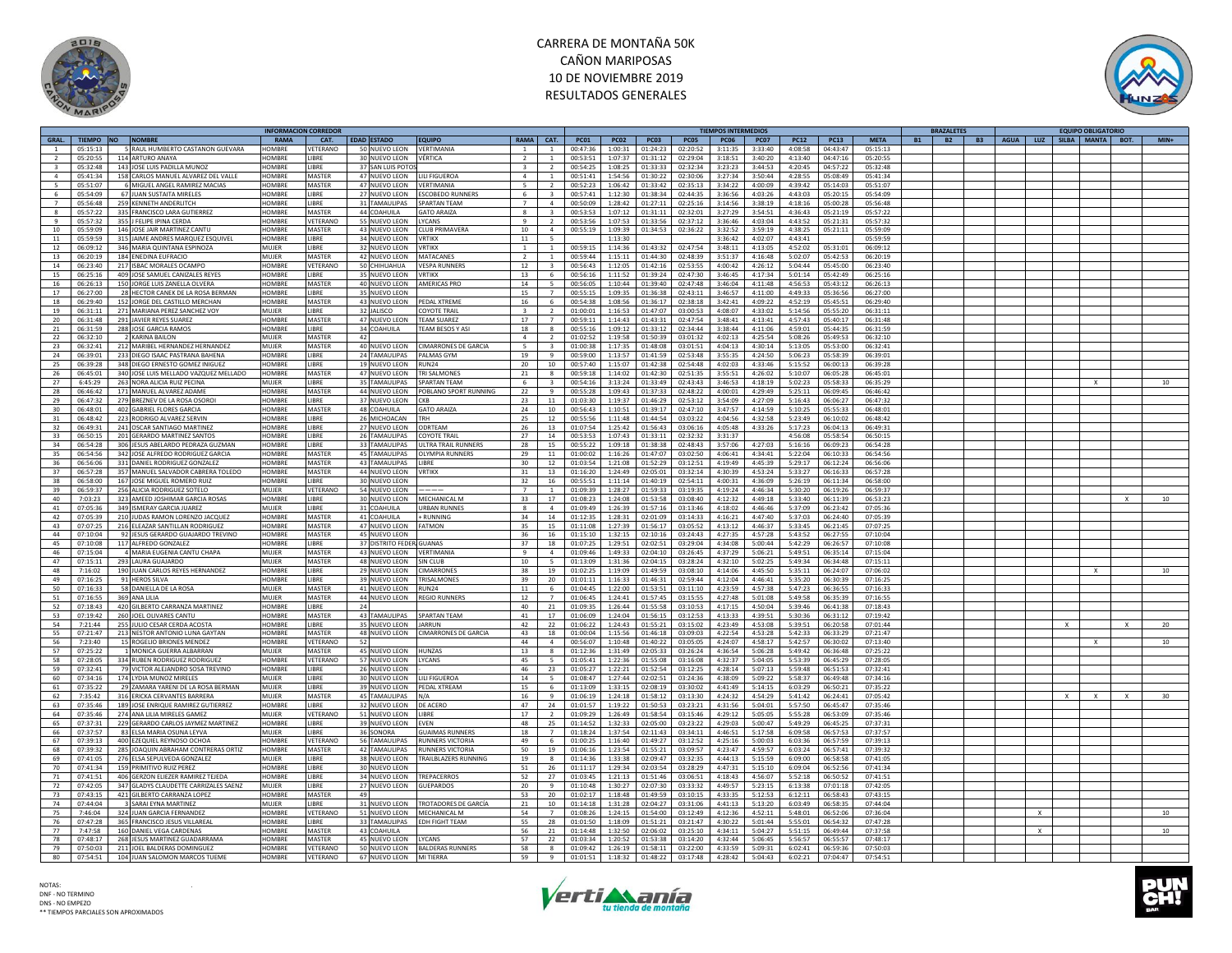



|                          |                 |                                       | <b>NFORMACION CORREDOR</b> |                 |                             |                                |                          |                          |              |             |                  |              | TIEMPOS INTERMEDIOS |                    |             |             |             | <b>BRAZALETES</b>      |                                        |              |   | <b>EQUIPO OBLIGATORIO</b> |              |        |
|--------------------------|-----------------|---------------------------------------|----------------------------|-----------------|-----------------------------|--------------------------------|--------------------------|--------------------------|--------------|-------------|------------------|--------------|---------------------|--------------------|-------------|-------------|-------------|------------------------|----------------------------------------|--------------|---|---------------------------|--------------|--------|
|                          | GRAL. TIEMPO NO | <b>NOMBRE</b>                         | RAMA                       | CAT.            | <b>EDAD ESTADO</b>          | <b>EQUIPO</b>                  | RAMA CAT.                |                          | <b>PC01</b>  | <b>PC02</b> | <b>PC03</b>      | <b>PC05</b>  | <b>PC06</b>         | <b>PC07</b>        | <b>PC12</b> | <b>PC13</b> | <b>META</b> | <b>B2</b><br><b>B1</b> | B3   AGUA   LUZ   SILBA   MANTA   BOT. |              |   |                           |              | $MIN+$ |
| $\mathbf{1}$             | 05:15:13        | 5 RAUL HUMBERTO CASTANON GUEVARA      | <b>HOMBRE</b>              | VETERANO        | 50 NUEVO LEON               | VFRTIMANIA                     | $\overline{1}$           | $\overline{1}$           | 00:47:36     | 1:00:31     | 01:24:23         | 02:20:52     | 3:11:35             | 3:33:40            | 4:08:58     | 04:43:47    | 05:15:13    |                        |                                        |              |   |                           |              |        |
|                          | 05:20:55        | 114 ARTURO ANAYA                      | <b>HOMBRE</b>              | <b>IBRF</b>     | 30 NUEVO LEON               | <b>VÉRTICA</b>                 |                          |                          | 00:53:51     | 1:07:37     | 01:31:12         | 02:29:04     | 3:18:51             | 3:40:20            | 4:13:40     | 04:47:16    | 05:20:55    |                        |                                        |              |   |                           |              |        |
| $\mathbf{a}$             | 05:32:48        | 143 JOSE LUIS PADILLA MUNOZ           | <b>HOMBRF</b>              | <b>IBRF</b>     | 37 SAN LUIS POTC            |                                | $\overline{3}$           | $\overline{\phantom{a}}$ | 00:54:25     | 1:08:25     | 01:33:33         | 02:32:34     | 3:23:23             | 3:44:53            | 4:20:45     | 04:57:22    | 05:32:48    |                        |                                        |              |   |                           |              |        |
| $\overline{a}$           |                 | 158 CARLOS MANUEL ALVAREZ DEL VALLE   | <b>HOMBRE</b>              | MASTER          | 47 NUEVO LEON               |                                |                          |                          |              |             |                  |              |                     |                    |             |             | 05:41:34    |                        |                                        |              |   |                           |              |        |
|                          | 05:41:34        |                                       |                            |                 |                             | <b>I II I FIGUEROA</b>         | $\overline{a}$           | $\overline{1}$           | 00:51:41     | 1:54:56     | 01:30:22         | 02:30:06     | 3:27:34             | 3:50:44            | 4:28:55     | 05:08:49    |             |                        |                                        |              |   |                           |              |        |
| $\overline{\phantom{a}}$ | 05:51:07        | 6 MIGUEL ANGEL RAMIREZ MACIAS         | <b>HOMBRE</b>              | MASTER          | 47 NUEVO LEON               | VERTIMANIA                     | $\overline{\phantom{a}}$ | $\mathcal{L}$            | 00:52:23     | 1:06:42     | 01:33:42         | 02:35:13     | 3:34:22             | 4:00:09            | 4:39:42     | 05:14:03    | 05:51:07    |                        |                                        |              |   |                           |              |        |
| 6                        | 05:54:09        | 67 JUAN SUSTAITA MIRELES              | <b>HOMBRE</b>              | <b>IBRF</b>     | 27 NUEVO LEON               | <b>ESCOBEDO RUNNERS</b>        | 6                        | 3                        | 00:57:41     | 1:12:30     | 01:38:34         | 02:44:35     | 3:36:56             | 4:03:26            | 4:43:03     | 05:20:15    | 05:54:09    |                        |                                        |              |   |                           |              |        |
| $\overline{7}$           | 05:56:48        | 259 KENNETH ANDERLITCH                | <b>HOMBRE</b>              | <b>IBRF</b>     | 31 TAMAULIPAS               | <b>SPARTAN TFAM</b>            | $\overline{z}$           | $\overline{a}$           | 00:50:09     | 1:28:42     | 01:27:11         | 02:25:16     | 3:14:56             | 3:38:19            | 4:18:16     | 05:00:28    | 05:56:48    |                        |                                        |              |   |                           |              |        |
| 8                        | 05:57:22        | 335 FRANCISCO LARA GUTIERREZ          | <b>HOMBRE</b>              | MASTER          | 44 COAHUILA                 | <b>GATO ARAIZA</b>             | $\mathbf{R}$             | 3                        | 00:53:53     | 1:07:12     | 01:31:11         | 02:32:01     | 3:27:29             | 3:54:51            | 4:36:43     | 05:21:19    | 05:57:22    |                        |                                        |              |   |                           |              |        |
| $\alpha$                 | 05:57:32        | 355 J FELIPE IPINA CERDA              | HOMBRE                     | VETERANO        | 55 NUEVO LEON               | LYCANS                         | $\mathbf{q}$             | $\mathcal{P}$            | 00:53:56     | 1:07:53     | 01:33:56         | 02:37:12     | 3:36:46             | 4:03:04            | 4:43:52     | 05:21:31    | 05:57:32    |                        |                                        |              |   |                           |              |        |
| 10 <sup>1</sup>          | 05:59:09        | 146 JOSE JAIR MARTINEZ CANTL          | <b>HOMBRE</b>              | <b>MASTER</b>   | 43 NUEVO LEON               | <b>CLUB PRIMAVERA</b>          | 10                       | $\Delta$                 | 00:55:19     | 1:09:39     | 01:34:53         | 02:36:22     | 3:32:52             | 3:59:19            | 4:38:25     | 05:21:11    | 05:59:09    |                        |                                        |              |   |                           |              |        |
|                          |                 |                                       |                            |                 |                             |                                |                          |                          |              |             |                  |              |                     |                    |             |             |             |                        |                                        |              |   |                           |              |        |
| 11                       | 05:59:59        | 315 JAIME ANDRES MARQUEZ ESQUIVEL     | HOMBRI                     | <b>IBRF</b>     | 34 NUEVO LEON               | <b>VRTIKX</b>                  | 11                       | 5                        |              | 1:13:30     |                  |              | 3:36:42             | 4:02:07            | 4:43:41     |             | 05:59:59    |                        |                                        |              |   |                           |              |        |
| 12                       |                 | 06:09:12 346 MARIA QUINTANA ESPINOZA  | MUJER                      | LIBRE           | 32 NUEVO LEON               | <b>VRTIKX</b>                  | $\overline{1}$           | 1                        | 00:59:15     | 1:14:36     | 01:43:32         | 02:47:54     | 3:48:11             | 4:13:05            | 4:52:02     | 05:31:01    | 06:09:12    |                        |                                        |              |   |                           |              |        |
| 13                       | 06:20:19        | 184 ENEDINA EUFRACIO                  | MULFR                      | <b>MASTER</b>   | 42 NUEVO LEON               | <b>MATACANES</b>               | $\mathcal{L}$            | $\overline{1}$           | $00.59 - 44$ | 1.15.11     | 01:44:30         | 02.48.39     | 3:51:37             | $4.16 - 48$        | 5:02:07     | 05.42.53    | 06:20:19    |                        |                                        |              |   |                           |              |        |
| 14                       | 06:23:40        | 217 ISBAC MORALES OCAMPO              | HOMBRE                     | VETERANO        | 50 CHIHUAHUA                | <b>VESPA RUNNERS</b>           | 12                       | 3                        | 00:56:43     | 1:12:05     | 01:42:16         | 02:53:55     | 4:00:42             | 4:26:12            | 5:04:44     | 05:45:00    | 06:23:40    |                        |                                        |              |   |                           |              |        |
| 15                       | 06:25:16        | 409 JOSE SAMUEL CANIZALES REYES       | <b>HOMBRE</b>              | <b>I IBRE</b>   | 35 NUEVO LEON               | <b>VRTIKX</b>                  | 13                       | 6                        | 00:56:16     | 1:11:52     | 01:39:24         | 02:47:30     | 3:46:45             | 4:17:34            | 5:01:14     | 05:42:49    | 06:25:16    |                        |                                        |              |   |                           |              |        |
| 16                       | 06:26:13        | 150 JORGE LUIS ZANELLA OLVERA         | HOMRRE                     | <b>MASTER</b>   | 40 NUEVO LEON               | AMERICAS PRO                   | 14                       | $\overline{\phantom{a}}$ | 00:56:05     | 1:10:44     | 01:39:40         | $02.47 - 48$ | 3:46:04             | $4.11 - 48$        | 4:56:53     | 05:43:12    | 06:26:13    |                        |                                        |              |   |                           |              |        |
| 17                       | 06:27:00        |                                       | <b>HOMBRE</b>              | <b>IBRF</b>     |                             |                                | 15                       |                          | 00:55:15     | 1:09:35     | 01:36:38         | 02:43:11     |                     | 4:11:00            | 4:49:33     |             |             |                        |                                        |              |   |                           |              |        |
|                          |                 | 28 HECTOR CANEK DE LA ROSA BERMAN     |                            |                 | 35 NUEVO LEON               |                                |                          |                          |              |             |                  |              | 3:46:57             |                    |             | 05:36:56    | 06:27:00    |                        |                                        |              |   |                           |              |        |
| 18                       | 06:29:40        | 152 JORGE DEL CASTILLO MERCHAN        | <b>HOMBRE</b>              | MASTER          | 43 NUEVO LEON               | PEDAL XTREME                   | 16                       | -6                       | 00:54:38     | 1:08:56     | 01:36:17         | 02:38:18     | 3:42:41             | 4:09:22            | 4:52:19     | 05:45:51    | 06:29:40    |                        |                                        |              |   |                           |              |        |
| 19                       | 06:31:11        | 271 MARIANA PEREZ SANCHEZ VOY         | <b>MUJER</b>               | LIBRE           | 32 JALISCO                  | <b>COYOTE TRAIL</b>            | $\overline{\mathbf{3}}$  | $\overline{2}$           | 01:00:01     | 1:16:53     | 01:47:07         | 03:00:53     | 4:08:07             | 4:33:02            | 5:14:56     | 05:55:20    | 06:31:11    |                        |                                        |              |   |                           |              |        |
| 20                       | 06:31:48        | 291 JAVIER REYES SUAREZ               | HOMBRE                     | MASTER          | 47 NUEVO LEON               | <b>TEAM SUAREZ</b>             | 17                       |                          | 00:59:11     | 1:14:43     | 01:43:31         | 02:47:54     | 3:48:41             | 4:13:41            | 4:57:43     | 05:40:17    | 06:31:48    |                        |                                        |              |   |                           |              |        |
| 21                       | 06:31:59        | 288 JOSE GARCIA RAMOS                 | <b>HOMBRI</b>              | LIBRE           | 34 COAHUILA                 | <b>TEAM BESOS Y AS</b>         | 18                       | 8                        | 00:55:16     | 1:09:12     | 01:33:12         | 02:34:44     | 3:38:44             | 4:11:06            | 4:59:01     | 05:44:35    | 06:31:59    |                        |                                        |              |   |                           |              |        |
| 22                       | 06:32:10        | 2 KARINA BAILON                       | MUJFR                      | MASTER          | 42                          |                                | $\overline{a}$           | $\mathcal{P}$            | 01:02:52     | 1:19:58     | 01:50:39         | 03:01:32     | 4:02:13             | 4:25:54            | 5:08:26     | 05:49:53    | 06:32:10    |                        |                                        |              |   |                           |              |        |
| 23                       | 06:32:41        | 212 MARIBEL HERNANDEZ HERNANDEZ       | MUIFF                      | MASTER          | 40 NUEVO LEON               | <b>CIMARRONES DE GARCIA</b>    | 5                        | $\overline{3}$           | 01:00:38     | 1:17:35     | 01:48:08         | 03:01:51     | 4:04:13             | 4:30:14            | 5:13:05     | 05:53:00    | 06:32:41    |                        |                                        |              |   |                           |              |        |
|                          |                 |                                       |                            |                 |                             |                                |                          |                          |              |             |                  |              |                     |                    |             |             |             |                        |                                        |              |   |                           |              |        |
| 24                       | 06:39:01        | 233 DIEGO ISAAC PASTRANA BAHENA       | HOMBRI                     | LIBRE           | 24 TAMAULIPAS               | <b>PALMAS GYM</b>              | 19                       | 9                        | 00:59:00     | 1:13:57     | 01:41:59         | 02:53:48     | 3:55:35             | 4:24:50            | 5:06:23     | 05:58:39    | 06:39:01    |                        |                                        |              |   |                           |              |        |
| 25                       | 06:39:28        | 348 DIEGO ERNESTO GOMEZ INIGUEZ       | <b>HOMBRE</b>              | <b>IBRF</b>     | 19 NUEVO LEON               | RUN <sub>24</sub>              | 20                       | 10                       | 00:57:40     | 1:15:07     | 01:42:38         | 02:54:48     | 4:02:03             | 4:33:46            | 5:15:52     | 06:00:13    | 06:39:28    |                        |                                        |              |   |                           |              |        |
| 26                       | 06:45:01        | 340 JOSE LUIS MELLADO VAZQUEZ MELLADO | <b>HOMBRE</b>              | MASTER          | 47 NUEVO LEON               | <b>TRI SALMONES</b>            | 21                       | $\mathbf{R}$             | 00:59:18     | 1:14:02     | 01:42:30         | 02:51:35     | 3:55:51             | 4:26:02            | 5:10:07     | 06:05:28    | 06:45:01    |                        |                                        |              |   |                           |              |        |
| 27                       | 6:45:29         | 263 NORA ALICIA RUIZ PECINA           | MUIFR                      | <b>IBRF</b>     | 35 TAMAULIPAS               | <b>SPARTAN TEAN</b>            | 6                        |                          | 00:54:16     | 3:13:24     | 01:33:49         | 02:43:43     | 3:46:53             | 4:18:19            | 5:02:23     | 05:58:33    | 06:35:29    |                        |                                        |              |   |                           |              | 10     |
| 28                       | 06:46:42        | 171 MANUEL ALVAREZ ADAME              | <b>HOMBRE</b>              | MASTER          | 44 NUEVO LEON               | POBLANO SPORT RUNNING          | 22                       | $\mathbf{q}$             | 00:55:28     | 1:09:43     | 01:37:33         | 02:48:22     | 4:00:01             | 4:29:49            | 5:25:11     | 06:09:45    | 06:46:42    |                        |                                        |              |   |                           |              |        |
| 29                       | 06:47:32        | 279 BREZNEV DE LA ROSA OSORO          | <b>HOMBRE</b>              | <b>IBRF</b>     | 37 NUEVO LEON               | <b>CKB</b>                     | 23                       | 11                       | 01:03:30     | 1:19:37     | 01:46:29         | 02:53:12     | 3:54:09             | 4:27:09            | 5:16:43     | 06:06:27    | 06:47:32    |                        |                                        |              |   |                           |              |        |
| 30                       | 06:48:01        | 402 GABRIEL FLORES GARCIA             | <b>HOMBRE</b>              | MASTER          | 48 COAHUILA                 | <b>GATO ARAIZA</b>             | 24                       | 10                       | 00:56:43     | 1:10:51     | 01:39:17         | 02:47:10     | 3:47:57             | 4:14:59            | 5:10:25     | 05:55:33    | 06:48:01    |                        |                                        |              |   |                           |              |        |
|                          |                 |                                       | <b>HOMBRE</b>              |                 |                             |                                |                          |                          |              |             |                  |              |                     |                    |             |             |             |                        |                                        |              |   |                           |              |        |
| 31                       | 06:48:42        | 223 RODRIGO ALVAREZ SERVIN            |                            | <b>IIBRF</b>    | 26 MICHOACAN                | <b>TRH</b>                     | 25                       | 12                       | 00:55:56     | 1:11:48     | 01:44:54         | 03:03:22     | 4:04:56             | 4:32:58            | 5:23:49     | 06:10:02    | 06:48:42    |                        |                                        |              |   |                           |              |        |
| 32                       | 06:49:31        | 241 OSCAR SANTIAGO MARTINEZ           | HOMBRE                     | <b>IBRE</b>     | 27 NUEVO LEON               | ODRTFAM                        | 26                       | 13                       | 01:07:54     | 1:25:42     | 01:56:43         | 03:06:16     | 4:05:48             | 4:33:26            | 5:17:23     | 06:04:13    | 06:49:31    |                        |                                        |              |   |                           |              |        |
| 33                       | 06:50:15        | 201 GERARDO MARTINEZ SANTOS           | HOMBRI                     | LIBRE           | 26 TAMAULIPAS               | <b>COYOTE TRAI</b>             | 27                       | 14                       | 00:53:53     | 1:07:43     | 01:33:11         | 02:32:32     | 3:31:37             |                    | 4:56:08     | 05:58:54    | 06:50:15    |                        |                                        |              |   |                           |              |        |
| 34                       | 06:54:28        | 306 JESUS ABELARDO PEDRAZA GUZMAN     | <b>HOMBRE</b>              | <b>IBRF</b>     | 33 TAMAULIPAS               | <b>ULTRA TRAIL RUNNERS</b>     | 28                       | 15                       | 00:55:22     | 1:09:18     | 01:38:38         | 02:48:43     | 3:57:06             | 4:27:03            | 5:16:16     | 06:09:23    | 06:54:28    |                        |                                        |              |   |                           |              |        |
| 35                       | 06:54:56        | 342 JOSE ALFREDO RODRIGUEZ GARCIA     | HOMBRE                     | MASTER          | 45 TAMAULIPAS               | <b>OLYMPIA RUNNERS</b>         | 29                       | 11                       | 01:00:02     | 1:16:26     | 01:47:07         | 03:02:50     | 4:06:41             | 4:34:41            | 5:22:04     | 06:10:33    | 06:54:56    |                        |                                        |              |   |                           |              |        |
| 36                       | 06:56:06        | 331 DANIEL RODRIGUEZ GONZALEZ         | <b>HOMBRE</b>              | MASTER          | 43 TAMAULIPAS               | LIBRE                          | 30                       | 12                       | 01:03:54     | 1:21:08     | 01:52:29         | 03:12:51     | 4:19:49             | 4:45:39            | 5:29:17     | 06:12:24    | 06:56:06    |                        |                                        |              |   |                           |              |        |
| 37                       | 06:57:28        | 357 MANUEL SALVADOR CABRERA TOLEDO    | <b>HOMBRE</b>              | <b>MASTER</b>   | 44 NUEVO LEON               | <b>VRTIKX</b>                  | 31                       | 13                       | 01:16:20     | 1:24:49     | 02:05:01         | 03:32:14     | 4:30:39             | 4:53:24            | 5:33:27     | 06:16:33    | 06:57:28    |                        |                                        |              |   |                           |              |        |
| 38                       | 06:58:00        | 167 JOSE MIGUEL ROMERO RUI            | HOMBRE                     | <b>IBRE</b>     | 30 NUEVO LEON               |                                | 32                       | 16                       | 00:55:51     | 1:11:14     | 01:40:19         | 02:54:11     | 4:00:31             | 4:36:09            | 5:26:19     | 06:11:34    | 06:58:00    |                        |                                        |              |   |                           |              |        |
| 39                       | 06:59:37        | 256 ALICIA RODRIGUEZ SOTELC           | MUIFR                      | <b>/ETERANC</b> | 54 NUEVO LEON               |                                | $\overline{z}$           | $\mathbf{1}$             | 01:09:39     | 1:28:27     | 01:59:33         | 03:19:35     | 4:19:24             | 4:46:34            | 5:30:20     | 06:19:26    | 06:59:37    |                        |                                        |              |   |                           |              |        |
|                          |                 |                                       |                            |                 |                             |                                |                          |                          |              |             |                  |              |                     |                    |             |             |             |                        |                                        |              |   |                           |              |        |
| 40                       | 7:03:23         | 323 AMEED JOSHIMAR GARCIA ROSAS       | <b>HOMBRE</b>              | <b>I IBRF</b>   | 30 NUEVO LEON               | MECHANICAL M                   | -33                      | 17                       | 01:08:23     | 1:24:08     | 01:53:58         | 03:08:40     | 4:12:32             | 4:49:18            | 5:33:40     | 06:11:39    | 06:53:23    |                        |                                        |              |   |                           | $\mathbf{x}$ | 10     |
| 41                       | 07:05:36        | 349 ISMERAY GARCIA JUAREZ             | MUIFR                      | <b>IBRE</b>     | 31 COAHUILA                 | <b>URBAN RUNNES</b>            | $\mathbf{R}$             | $\overline{a}$           | 01:09:49     | 1:26:39     | 01:57:16         | 03:13:46     | 4:18:02             | 4:46:46            | 5:37:09     | 06:23:42    | 07:05:36    |                        |                                        |              |   |                           |              |        |
| 42                       | 07:05:39        | 210 JUDAS RAMON LORENZO JACQUEZ       | <b>HOMBRE</b>              | MASTER          | 41 COAHUILA                 | + RUNNING                      | 34                       | 14                       | 01:12:35     | 1:28:31     | 02:01:09         | 03:14:33     | 4:16:21             | 4:47:40            | 5:37:03     | 06:24:40    | 07:05:39    |                        |                                        |              |   |                           |              |        |
| 43                       | 07:07:25        | 216 ELEAZAR SANTILLAN RODRIGUEZ       | <b>HOMBRE</b>              | <b>MASTER</b>   | 47 NUEVO LEON               | <b>FATMON</b>                  | 35                       | 15                       | 01:11:08     | 1:27:39     | 01:56:17         | 03:05:52     | 4:13:12             | 4:46:37            | 5:33:45     | 06:21:45    | 07:07:25    |                        |                                        |              |   |                           |              |        |
| 44                       | 07:10:04        | 92 JESUS GERARDO GUAJARDO TREVINO     | HOMBRE                     | MASTER          | 45 NUEVO LEON               |                                | 36                       | 16                       | 01:15:10     | 1:32:15     | 02:10:16         | 03:24:43     | 4:27:35             | 4:57:28            | 5:43:52     | 06:27:55    | 07:10:04    |                        |                                        |              |   |                           |              |        |
| 45                       | 07:10:08        | 117 ALFREDO GONZALEZ                  | <b>HOMBRE</b>              | LIBRE           | 37 DISTRITO FEDERI GUANAS   |                                | 37                       | 18                       | 01:07:25     | 1:29:51     | 02:02:51         | 03:29:04     | 4:34:08             | 5:00:44            | 5:42:29     | 06:26:57    | 07:10:08    |                        |                                        |              |   |                           |              |        |
| 46                       | 07:15:04        | 4 MARIA EUGENIA CANTU CHAPA           | MUIFR                      | MASTER          | 43 NUEVO LEON VERTIMANIA    |                                | $\alpha$                 | $\Delta$                 | 01:09:46     | 1:49:33     | 02:04:10         | 03:26:45     | 4:37:29             | 5:06:21            | 5:49:51     | 06:35:14    | 07:15:04    |                        |                                        |              |   |                           |              |        |
| 47                       | 07:15:11        | 293 LAURA GUAJARDO                    | MUIFF                      | MASTER          | 48 NUEVO LEON               | SIN CLUB                       | 10 <sup>10</sup>         | $\overline{\phantom{a}}$ | 01:13:09     | 1:31:36     | 02:04:15         | 03:28:24     | 4:32:10             | 5:02:25            | 5:49:34     | 06:34:48    | 07:15:11    |                        |                                        |              |   |                           |              |        |
| 48                       | 7:16:02         | 190 JUAN CARLOS REYES HERNANDEZ       | HOMBRI                     | LIBRE           | 29 NUEVO LEON               | <b>CIMARRONES</b>              | 38                       | 19                       | 01:02:25     | 1:19:09     | 01:49:59         | 03:08:10     | 4:14:06             | 4:45:50            | 5:35:11     | 06:24:07    | 07:06:02    |                        |                                        |              |   |                           |              | 10     |
| 49                       |                 |                                       | HOMBRI                     |                 |                             |                                |                          |                          |              |             |                  |              |                     |                    |             |             |             |                        |                                        |              |   |                           |              |        |
| 50                       | 07:16:25        | 91 HEROS SILVA                        | MUIFF                      | LIBRE           | 39 NUEVO LEON               | <b>TRISALMONES</b>             | 39                       | 20                       | 01:01:11     | 1:16:33     | 01:46:31         | 02:59:44     | 4:12:04             | 4:46:41<br>4:57:38 | 5:35:20     | 06:30:39    | 07:16:25    |                        |                                        |              |   |                           |              |        |
|                          | 07:16:33        | 58 DANIELLA DE LA ROSA                |                            | MASTER          | 41 NUEVO LEON               | RUN24                          | 11                       | 6                        | 01:04:45     | 1:22:00     | 01:53:51         | 03:11:10     | 4:23:59             |                    | 5:47:23     | 06:36:55    | 07:16:33    |                        |                                        |              |   |                           |              |        |
| 51                       | 07:16:55        | 369 ANA LILIA                         | MUJER                      | MASTER          | 44 NUEVO LEON               | <b>REGIO RUNNERS</b>           | 12                       | $\overline{7}$           | 01:06:45     | 1:24:41     | 01:57:45         | 03:15:55     | 4:27:48             | 5:01:08            | 5:49:58     | 06:35:39    | 07:16:55    |                        |                                        |              |   |                           |              |        |
| 52                       | 07:18:43        | 420 GILBERTO CARRANZA MARTINEZ        | <b>HOMBRE</b>              | <b>IBRF</b>     | 24                          |                                | 40                       | 21                       | 01:09:35     | 1:26:44     | 01:55:58         | 03:10:53     | 4:17:15             | 4:50:04            | 5:39:46     | 06:41:38    | 07:18:43    |                        |                                        |              |   |                           |              |        |
| 53                       | 07:19:42        | 260 JOEL OLIVARES CANTU               | <b>HOMBRE</b>              | MASTER          | 43 TAMAULIPAS               | <b>SPARTAN TEAM</b>            | 41                       | 17                       | 01:06:09     | 1:24:04     | 01:56:15         | 03:12:53     | 4:13:33             | 4:39:51            | 5:30:36     | 06:31:12    | 07:19:42    |                        |                                        |              |   |                           |              |        |
| 54                       | 7:21:44         | 255 JULIO CESAR CERDA ACOST/          | HOMBRE                     | LIBRE           | 35 NUEVO LEON               | <b>JARRUN</b>                  | 42                       | 22                       | 01:06:22     |             | 1:24:43 01:55:21 | 03:15:02     | 4:23:49             | 4:53:08            | 5:39:51     | 06:20:58    | 07:01:44    |                        |                                        |              |   |                           |              | 20     |
| 55                       | 07:21:47        | 213 NESTOR ANTONIO LUNA GAYTAN        | <b>HOMBRE</b>              | MASTER          | 48 NUEVO LEON               | <b>CIMARRONES DE GARCIA</b>    | 43                       | 18                       | 01:00:04     | 1:15:56     | 01:46:18         | 03:09:03     | 4:22:54             | 4:53:28            | 5:42:33     | 06:33:29    | 07:21:47    |                        |                                        |              |   |                           |              |        |
| 56                       | 7:23:40         | 15 ROGELIO BRIONES MENDEZ             | HOMBRE                     | VETERANC        | -52                         |                                | 44                       | 4                        | 00:56:07     | 1:10:48     | 01:40:22         | 03:05:05     | 4:24:07             | 4:58:17            | 5:42:57     | 06:30:02    | 07:13:40    |                        |                                        |              |   |                           |              | 10     |
| 57                       | 07:25:22        | 1 MONICA GUERRA ALBARRAN              | MUJER                      | MASTER          | 45 NUEVO LEON               | <b>HUNZAS</b>                  | 13                       |                          | 01:12:36     | 1:31:49     | 02:05:33         | 03:26:24     | 4:36:54             | 5:06:28            | 5:49:42     | 06:36:48    | 07:25:22    |                        |                                        |              |   |                           |              |        |
| 58                       | 07:28:05        | 334 RUBEN RODRIGUEZ RODRIGUEZ         | <b>HOMBRI</b>              | VETERANO        | 57 NUEVO LEON               | LYCANS                         | 45                       | $\overline{\phantom{a}}$ | 01:05:41     | 1:22:36     | 01:55:08         | 03:16:08     | 4:32:37             | 5:04:05            | 5:53:39     | 06:45:29    | 07:28:05    |                        |                                        |              |   |                           |              |        |
|                          |                 |                                       |                            |                 |                             |                                |                          |                          |              |             |                  |              |                     |                    |             |             |             |                        |                                        |              |   |                           |              |        |
| 59                       | 07:32:41        | 79 VICTOR ALEJANDRO SOSA TREVINO      | HOMBRE                     | LIBRE           | 26 NUEVO LEON               |                                | 46                       | 23                       | 01:05:27     | 1:22:21     | 01:52:54         | 03:12:25     | 4:28:14             | 5:07:13            | 5:59:48     | 06:51:53    | 07:32:41    |                        |                                        |              |   |                           |              |        |
| 60                       | 07:34:16        | 174 LYDIA MUNOZ MIRELES               | MUJEF                      | LIBRE           | 30 NUEVO LEON LILI FIGUEROA |                                | 14                       | 5                        | 01:08:47     |             | 1:27:44 02:02:51 | 03:24:36     | 4:38:09             | 5:09:22            | 5:58:37     | 06:49:48    | 07:34:16    |                        |                                        |              |   |                           |              |        |
| 61                       | 07:35:22        | 29 ZAMARA YARENI DE LA ROSA BERMAN    | MUIFR                      | <b>IRRF</b>     | 39 NUEVO LEON PEDAL XTREAM  |                                | 15                       | 6                        | 01:13:09     | 1:33:15     | 02:08:19         | 03:30:02     | 4:41:49             | 5:14:15            | 6:03:29     | 06:50:21    | 07:35:22    |                        |                                        |              |   |                           |              |        |
| 62                       | 7:35:42         | 316 ERICKA CERVANTES BARRERA          | MUIFF                      | MASTER          | 45 TAMAULIPAS               | N/A                            | 16                       | 9                        | 01:06:19     | 1:24:18     | 01:58:12         | 03:13:30     | 4:24:32             | 4:54:29            | 5:41:42     | 06:24:41    | 07:05:42    |                        |                                        |              | x | x                         |              | 30     |
| 63                       | 07:35:46        | 189 JOSE ENRIQUE RAMIREZ GUTIERREZ    | HOMBRI                     | <b>IBRE</b>     | 32 NUEVO LEON               | DE ACERO                       | 47                       | 24                       | 01:01:57     | 1:19:22     | 01:50:53         | 03:23:21     | 4:31:56             | 5:04:01            | 5:57:50     | 06:45:47    | 07:35:46    |                        |                                        |              |   |                           |              |        |
| 64                       | 07:35:46        | 274 ANA LILIA MIRELES GAMEZ           | MUIFR                      | VETERANO        | 51 NUEVO LEON               | <b>IIBRF</b>                   | 17                       | $\overline{2}$           | 01:09:29     | 1:26:49     | 01:58:54         | 03:15:46     | 4:29:12             | 5:05:05            | 5:55:28     | 06:53:09    | 07:35:46    |                        |                                        |              |   |                           |              |        |
| 65                       | 07:37:31        | 229 GERARDO CARLOS JAYMEZ MARTINEZ    | <b>HOMBRE</b>              | LIBRE           | 39 NUEVO LEON               | EVEN                           | 48                       | 25                       | 01:14:52     | 1:32:33     | 02:05:00         | 03:23:22     | 4:29:03             | 5:00:47            | 5:49:29     | 06:45:25    | 07:37:31    |                        |                                        |              |   |                           |              |        |
|                          |                 |                                       |                            |                 |                             |                                |                          |                          |              |             |                  |              |                     |                    |             |             |             |                        |                                        |              |   |                           |              |        |
| 66                       | 07:37:57        | 83 ELSA MARIA OSUNA LEYVA             | MUJER                      | <b>IBRE</b>     | 36 SONORA                   | <b>GUAIMAS RUNNER</b>          | 18                       |                          | 01:18:24     | 1:37:54     | 02:11:43         | 03:34:11     | 4:46:51             | 5:17:58            | 6:09:58     | 06:57:53    | 07:37:57    |                        |                                        |              |   |                           |              |        |
| 67                       | 07:39:13        | 400 EZEQUIEL REYNOSO OCHOA            | <b>HOMBRI</b>              | VFTFRANO        | 56 TAMAULIPAS               | <b>RUNNERS VICTORIA</b>        | 49                       | -6                       | 01:00:25     | 1:16:40     | 01:49:27         | 03:12:52     | 4:25:16             | 5:00:03            | 6:03:36     | 06:57:59    | 07:39:13    |                        |                                        |              |   |                           |              |        |
| 68                       | 07:39:32        | 285 JOAQUIN ABRAHAM CONTRERAS ORTIZ   | HOMBRI                     | MASTER          | 42 TAMAULIPAS               | <b>RUNNERS VICTORIA</b>        | 50                       | 19                       | 01:06:16     | 1:23:54     | 01:55:21         | 03:09:57     | 4:23:47             | 4:59:57            | 6:03:24     | 06:57:41    | 07:39:32    |                        |                                        |              |   |                           |              |        |
| 69                       | 07:41:05        | 276 ELSA SEPULVEDA GONZALEZ           | MUJER                      | <b>IBRE</b>     | 38 NUEVO LEON               | <b>TRAILBLAZERS RUNNING</b>    | 19                       | 8                        | 01:14:36     | 1:33:38     | 02:09:47         | 03:32:35     | 4:44:13             | 5:15:59            | 6:09:00     | 06:58:58    | 07:41:05    |                        |                                        |              |   |                           |              |        |
| 70                       | 07:41:34        | 159 PRIMITIVO RUIZ PEREZ              | HOMRRI                     | <b>IRRF</b>     | 30 NUEVO LEON               |                                | 51                       | 26                       | 01:11:17     | 1:29:34     | 02:03:54         | 03:28:29     | 4:47:31             | 5:15:10            | 6:09:04     | 06:52:56    | 07:41:34    |                        |                                        |              |   |                           |              |        |
| 71                       | 07:41:51        | 406 GERZON ELIEZER RAMIREZ TEJEDA     | <b>HOMBRE</b>              | <b>IBRF</b>     | 34 NUEVO LEON               | TREPACERROS                    | 52                       | 27                       | 01:03:45     | 1:21:13     | 01:51:46         | 03:06:51     | 4:18:43             | 4:56:07            | 5:52:18     | 06:50:52    | 07:41:51    |                        |                                        |              |   |                           |              |        |
| 72                       | 07:42:05        | 347 GLADYS CLAUDETTE CARRIZALES SAENZ | MUJER                      | <b>IBRF</b>     | 27 NUEVO LEON               | <b>GUEPARDOS</b>               | 20                       | $\overline{9}$           | 01:10:48     | 1:30:27     | 02:07:30         | 03:33:32     | 4:49:57             | 5:23:15            | 6:13:38     | 07:01:18    | 07:42:05    |                        |                                        |              |   |                           |              |        |
| 73                       | 07:43:15        | 421 GILBERTO CARRANZA LOPEZ           | <b>HOMBRE</b>              | <b>MASTER</b>   | 49                          |                                | 53                       | 20                       | 01:02:17     | 1:18:48     | 01:49:59         | 03:10:15     | 4:33:35             | 5:12:53            | 6:12:11     | 06:58:43    | 07:43:15    |                        |                                        |              |   |                           |              |        |
| 74                       | 07:44:04        | 3 SARAI FYNA MARTINFZ                 | MUIFR                      | <b>IBRF</b>     | 31 NUEVO LEON               | <b>TROTADORES DE GARCÍA</b>    | 21                       | 10                       | 01:14:18     | 1:31:28     | 02:04:27         | 03:31:06     | 4:41:13             | 5:13:20            | 6:03:49     | 06:58:35    | 07:44:04    |                        |                                        |              |   |                           |              |        |
|                          |                 |                                       |                            |                 |                             |                                |                          |                          |              |             |                  |              |                     |                    |             |             |             |                        |                                        |              |   |                           |              |        |
| 75                       | 7:46:04         | 324 JUAN GARCIA FERNANDE              | HOMBRI                     | VETERANC        | 51 NUEVO LEON               | <b>MECHANICAL M</b>            | 54                       |                          | 01:08:26     | 1:24:15     | 01:54:00         | 03:12:49     | 4:12:36             | 4:52:11            | 5:48:01     | 06:52:06    | 07:36:04    |                        |                                        |              |   |                           |              | 10     |
| 76                       | 07:47:28        | 365 FRANCISCO JESUS VILLAREA          | <b>HOMBRE</b>              | <b>IBRF</b>     | 33 TAMAULIPAS               | <b>EDH FIGHT TEAM</b>          | 55                       | 28                       | 01:01:50     | 1:18:09     | 01:51:21         | 03:21:47     | 4:30:22             | 5:01:44            | 5:55:01     | 06:54:32    | 07:47:28    |                        |                                        |              |   |                           |              |        |
| 77                       | 7.47.58         | 160 DANIEL VEGA CARDENAS              | <b>HOMBRE</b>              | MASTER          | 43 COAHUILA                 |                                | 56                       | 21                       | 01:14:48     | 1:32:50     | 02:06:02         | 03:25:10     | 4:34:11             | 5:04:27            | 5:51:15     | 06:49:44    | 07:37:58    |                        |                                        | $\mathsf{x}$ |   |                           |              | $10\,$ |
| 78                       | 07:48:17        | 268 JESUS MARTINEZ GUADARRAMA         | <b>HOMBRE</b>              | MASTER          | 45 NUEVO LEON               | <b>LYCANS</b>                  | 57                       | 22                       | 01:03:34     | 1:20:52     | 01:53:38         | 03:14:20     | 4:32:44             | 5:06:45            | 5:56:57     | 06:55:57    | 07:48:17    |                        |                                        |              |   |                           |              |        |
| 79                       | 07:50:03        | 211 JOEL BALDERAS DOMINGUEZ           | <b>HOMBRE</b>              | VFTFRANO        |                             | 50 NUEVO LEON BALDERAS RUNNERS | 58                       | 8                        | 01:09:42     | 1:26:19     | 01:58:11         | 03:22:00     | 4:33:59             | 5:09:31            | 6:02:41     | 06:59:36    | 07:50:03    |                        |                                        |              |   |                           |              |        |
| 80                       | 07:54:51        | 104 JUAN SALOMON MARCOS TUEME         | <b>HOMBRE</b>              | VETERANO        | 67 NUEVO LEON               | MI TIFRRA                      | 59                       | 9                        | 01:01:51     | 1:18:32     | 01:48:22         | 03:17:48     | 4:28:42             | 5:04:43            | 6:02:21     | 07:04:47    | 07:54:51    |                        |                                        |              |   |                           |              |        |





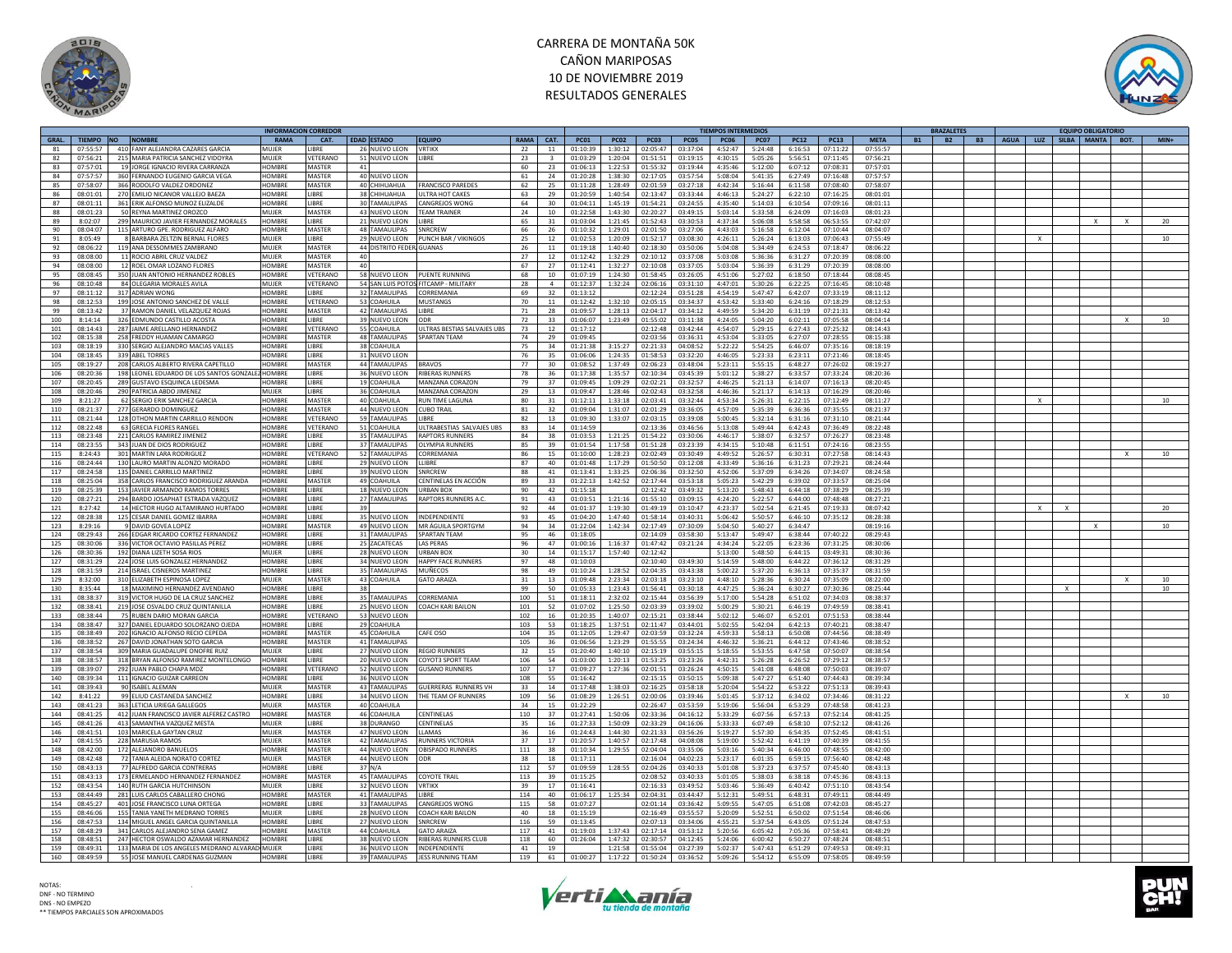



|       |           |                                                 |               | <b>INFORMACION CORREDOR</b> |                           |                             |                 |                 |             |             |                    |             | <b>TIEMPOS INTERMEDIOS</b> |             |             |             |             |           | <b>BRAZALETES</b>      |             |              | <b>FOUIPO OBLIGATORIC</b> |   |        |
|-------|-----------|-------------------------------------------------|---------------|-----------------------------|---------------------------|-----------------------------|-----------------|-----------------|-------------|-------------|--------------------|-------------|----------------------------|-------------|-------------|-------------|-------------|-----------|------------------------|-------------|--------------|---------------------------|---|--------|
| GRAL. | TIEMPO NO | <b>NOMBRE</b>                                   | <b>RAMA</b>   | CAT.                        | <b>EDAD ESTADO</b>        | <b>EQUIPO</b>               | RAMA            | CAT.            | <b>PC01</b> | <b>PC02</b> | <b>PC03</b>        | <b>PC05</b> | <b>PC06</b>                | <b>PC07</b> | <b>PC12</b> | <b>PC13</b> | <b>META</b> | <b>B1</b> | <b>B2</b><br><b>B3</b> | <b>AGUA</b> |              | LUZ SILBA MANTA BOT.      |   | $MIN+$ |
| 81    | 07:55:57  | 410 FANY ALEJANDRA CAZARES GARCIA               | MUIFR         | <b>IBRF</b>                 | 26 NUEVO LEON             | <b>VRTIKX</b>               | 22              | 11              | 01:10:39    | 1:30:12     | 02:05:47           | 03:37:04    | 4:52:47                    | 5:24:48     | 6:16:53     | 07:11:22    | 07:55:57    |           |                        |             |              |                           |   |        |
| 82    | 07:56:21  | 215 MARIA PATRICIA SANCHEZ VIDOYRA              | MUIFR         | /FTFRANO                    | 51 NUEVO LEON             | <b>I IBRF</b>               | 23              | $\mathbf{R}$    | 01:03:29    | 1:20:04     | 01:51:51           | 03:19:15    | 4:30:15                    | 5:05:26     | 5:56:51     | 07:11:45    | 07:56:21    |           |                        |             |              |                           |   |        |
| 83    | 07:57:01  | 19 JORGE IGNACIO RIVERA CARRANZA                | <b>OMBRE</b>  | <b>MASTER</b><br>41         |                           |                             | 60              | 23              | 01:06:13    | 1:22:53     | 01:55:32           | 03:19:44    | 4:35:46                    | 5:12:00     | 6:07:12     | 07:08:31    | 07:57:01    |           |                        |             |              |                           |   |        |
|       |           |                                                 |               |                             |                           |                             |                 |                 |             |             |                    |             |                            |             |             |             |             |           |                        |             |              |                           |   |        |
| 84    | 07:57:57  | 360 FERNANDO EUGENIO GARCIA VEGA                | HOMBRE        | <b>MASTER</b>               | 40 NUEVO LEON             |                             | 61              | 24              | 01:20:28    | 1:38:30     | 02:17:05           | 03:57:54    | 5:08:04                    | 5:41:35     | 6:27:49     | 07:16:48    | 07:57:57    |           |                        |             |              |                           |   |        |
| 85    | 07:58:07  | 366 RODOLEO VALDEZ ORDONEZ                      | <b>HOMBRE</b> | MASTER                      | 40 CHIHUAHUA              | <b>FRANCISCO PAREDES</b>    | 62              | 25              | 01:11:28    | 1:28:49     | 02:01:59           | 03:27:18    | 4:42:34                    | 5:16:44     | 6:11:58     | 07:08:40    | 07:58:07    |           |                        |             |              |                           |   |        |
| 86    | 08:01:01  | 270 EMILIO NICANOR VALLEJO BAEZA                | HOMBRE        | LIBRE                       | 38 CHIHUAHUA              | ULTRA HOT CAKES             | 63              | 29              | 01:20:59    | 1:40:54     | 02:13:47           | 03:33:44    | 4:46:13                    | 5:24:27     | 6:22:10     | 07:16:25    | 08:01:01    |           |                        |             |              |                           |   |        |
| 87    | 08:01:11  | 361 ERIK ALFONSO MUNOZ ELIZALDE                 | HOMRRE        | <b>IRRF</b>                 | 30 TAMAULIPAS             | CANGREJOS WONG              | 64              | 30              | 01:04:11    | 1:45:19     | 01:54:21           | 03:24:55    | 4:35:40                    | 5:14:03     | 6:10:54     | 07:09:16    | 08:01:11    |           |                        |             |              |                           |   |        |
| 88    | 08:01:23  | 50 REYNA MARTINEZ OROZCO                        | MUIFR         | MASTER                      | 43 NUEVO LEON             | <b><i>FEAM TRAINER</i></b>  | 24              | 10 <sup>1</sup> | 01:22:58    | 1:43:30     | 02:20:27           | 03:49:15    | 5:03:14                    | 5:33:58     | 6:24:09     | 07:16:03    | 08:01:23    |           |                        |             |              |                           |   |        |
| 89    | 8:02:07   | 299 MAURICIO JAVIER FERNANDEZ MORALES           | <b>HOMBRI</b> | LIBRE                       | 21 NUEVO LEON             | <b>IBRE</b>                 | 65              | 31              | 01:03:04    | 1:21:45     | 01:52:43           | 03:30:53    | 4:37:34                    | 5:06:08     | 5:58:58     | 06:53:55    | 07:42:07    |           |                        |             |              |                           |   |        |
|       |           |                                                 |               |                             |                           |                             |                 |                 |             |             |                    |             |                            |             |             |             |             |           |                        |             |              |                           |   | 20     |
| 90    | 08:04:07  | 115 ARTURO GPE. RODRIGUEZ ALFARC                | <b>HOMBRE</b> | MASTER                      | 48 TAMAULIPAS             | SNRCREW                     | 66              | 26              | 01:10:32    | 1:29:01     | 02:01:50           | 03:27:06    | 4:43:03                    | 5:16:58     | 6:12:04     | 07:10:44    | 08:04:07    |           |                        |             |              |                           |   |        |
| 91    | 8:05:49   | 8 BARBARA ZELTZIN BERNAL ELORES                 | MUIFR         | <b>IBRF</b>                 | 29 NUEVO LEON             | PUNCH BAR / VIKINGOS        | 25              | 12              | 01:02:53    | 1:20:09     | 01:52:17           | 03:08:30    | 4:26:11                    | 5:26:24     | 6:13:03     | 07:06:43    | 07:55:49    |           |                        |             | $\mathbf{x}$ |                           |   | 10     |
| 92    | 08:06:22  | 119 ANA DESSOMMES ZAMBRANO                      | MUJEF         | MASTER                      | 44 DISTRITO FEDERI GUANAS |                             | 26              | 11              | 01:19:18    | 1:40:40     | 02:18:30           | 03:50:06    | 5:04:08                    | 5:34:49     | 6:24:53     | 07:18:47    | 08:06:22    |           |                        |             |              |                           |   |        |
| 93    | 08:08:00  | 11 ROCIO ABRIL CRUZ VALDEZ                      | MUJER         | MASTER<br>40                |                           |                             | 27              | 12              | 01:12:42    | 1:32:29     | 02:10:12           | 03:37:08    | 5:03:08                    | 5:36:36     | 6:31:27     | 07:20:39    | 08:08:00    |           |                        |             |              |                           |   |        |
| 94    | 08:08:00  | 12 ROEL OMAR LOZANO ELORES                      | <b>COMBRE</b> | MASTER<br>40                |                           |                             | 67              | 27              | 01:12:41    | 1:32:27     | 02:10:08           | 03:37:05    | 5:03:04                    | 5:36:39     | 6:31:29     | 07:20:39    | 08:08:00    |           |                        |             |              |                           |   |        |
|       |           |                                                 |               |                             |                           |                             |                 |                 |             |             |                    |             |                            |             |             |             |             |           |                        |             |              |                           |   |        |
| 95    | 08:08:45  | 350 JUAN ANTONIO HERNANDEZ ROBLES               | <b>OMBRE</b>  | VETERANO                    | 58 NUEVO LEON             | PUENTE RUNNING              | 68              | 10              | 01:07:19    | 1:24:30     | 01:58:45           | 03:26:05    | 4:51:06                    | 5:27:02     | 6:18:50     | 07:18:44    | 08:08:45    |           |                        |             |              |                           |   |        |
| 96    | 08:10:48  | 84 OLEGARIA MORALES AVILA                       | MUIFR         | VETERANO                    | 54 SAN LUIS POTO          | FITCAMP - MILITARY          | 28              | $\Delta$        | 01:12:37    | 1:32:24     | 02:06:16           | 03:31:10    | 4:47:01                    | 5:30:26     | 6:22:25     | 07:16:45    | 08:10:48    |           |                        |             |              |                           |   |        |
| 97    | 08:11:12  | 317 ADRIAN WONG                                 | HOMBRE        | <b>IRRF</b>                 | 32 TAMAULIPAS             | CORREMANIA                  | 69              | 32              | 01:13:12    |             | 02:12:24           | 03:51:28    | 4:54:19                    | 5:47:47     | 6:42:07     | 07:33:19    | 08:11:12    |           |                        |             |              |                           |   |        |
| 98    | 08:12:53  | 199 JOSE ANTONIO SANCHEZ DE VALLE               | HOMBRE        | VETERANO                    | 53 COAHUILA               | <b>MUSTANGS</b>             | 70              | 11              | 01:12:42    | 1:32:10     | 02:05:15           | 03:34:37    | 4:53:42                    | 5:33:40     | 6:24:16     | 07:18:29    | 08:12:53    |           |                        |             |              |                           |   |        |
| 99    | 08:13:42  | 37 RAMON DANIEL VELAZQUEZ ROJAS                 | HOMBRE        | <b>MASTER</b>               | 42 TAMAULIPAS             | LIBRE                       | 71              | 28              | 01:09:57    | 1:28:13     | 02:04:17           | 03:34:12    | 4:49:59                    | 5:34:20     | 6:31:19     | 07:21:31    | 08:13:42    |           |                        |             |              |                           |   |        |
| 100   | 8:14:14   | 326 EDMUNDO CASTILLO ACOSTA                     | HOMBRE        | LIBRE                       | 39 NUEVO LEON             | ODR                         | 72              | 33              | 01:06:07    | 1:23:49     | 01:55:02           | 03:11:38    | 4:24:05                    | 5:04:20     | 6:02:11     | 07:05:58    | 08:04:14    |           |                        |             |              |                           |   | 10     |
|       |           |                                                 |               |                             |                           |                             |                 |                 |             |             |                    |             |                            |             |             |             |             |           |                        |             |              |                           |   |        |
| 101   | 08:14:43  | 287 JAIME ARELLANO HERNANDEZ                    | HOMBRE        | VETERANO                    | 55 COAHUILA               | ULTRAS BESTIAS SALVAJES UBS | 73              | 12              | 01:17:12    |             | 02:12:48           | 03:42:44    | 4:54:07                    | 5:29:15     | 6:27:43     | 07:25:32    | 08:14:43    |           |                        |             |              |                           |   |        |
| 102   | 08:15:38  | 258 FREDDY HUAMAN CAMARGO                       | <b>HOMBRE</b> | <b>MASTER</b>               | <b>48 TAMAULIPAS</b>      | <b>SPARTAN TFAM</b>         | 74              | 29              | 01:09:45    |             | 02:03:56           | 03:36:31    | 4:53:04                    | 5:33:05     | 6:27:07     | 07:28:55    | 08:15:38    |           |                        |             |              |                           |   |        |
| 103   | 08:18:19  | 330 SERGIO ALEJANDRO MACIAS VALLES              | HOMBRI        | LIBRE                       | 38 COAHUILA               |                             | 75              | 34              | 01:21:38    | 3:15:27     | 02:21:33           | 04:08:52    | 5:22:22                    | 5:54:25     | 6:46:07     | 07:35:16    | 08:18:19    |           |                        |             |              |                           |   |        |
| 104   | 08:18:45  | 339 ABEL TORRES                                 | <b>IOMBR</b>  | <b>IBRF</b>                 | 31 NUEVO LEON             |                             | 76              | 35              | 01:06:06    | 1:24:35     | 01:58:53           | 03:32:20    | 4:46:05                    | 5:23:33     | 6:23:11     | 07:21:46    | 08:18:45    |           |                        |             |              |                           |   |        |
| 105   | 08:19:27  | 208 CARLOS ALBERTO RIVERA CAPETILLO             | HOMBRE        | MASTER                      | 44 TAMAULIPAS             | BRAVOS                      | 77              | 30              | 01:08:52    | 1:37:49     | 02:06:23           | 03:48:04    | 5:23:11                    | 5:55:15     | 6:48:27     | 07:26:02    | 08:19:27    |           |                        |             |              |                           |   |        |
|       |           |                                                 |               |                             |                           |                             |                 |                 |             |             |                    |             |                            |             |             |             |             |           |                        |             |              |                           |   |        |
| 106   | 08:20:36  | 198 LEONEL EDUARDO DE LOS SANTOS GONZALI        | <b>HOMBRE</b> | <b>IBRE</b>                 | 36 NUEVO LEON             | <b>RIBERAS RUNNERS</b>      | 78              | 36              | 01:17:38    | 1:35:57     | 02:10:34           | 03:45:39    | 5:01:12                    | 5:38:27     | 6:33:57     | 07:33:24    | 08:20:36    |           |                        |             |              |                           |   |        |
| 107   | 08:20:45  | 289 GUSTAVO ESQUINCA LEDESMA                    | <b>COMBRE</b> | <b>IBRF</b>                 | 19 COAHUILA               | MANZANA CORAZON             | 79              | 37              | 01:09:45    | 1:09:29     | 02:02:21           | 03:32:57    | 4:46:25                    | 5:21:13     | 6:14:07     | 07:16:13    | 08:20:45    |           |                        |             |              |                           |   |        |
| 108   | 08:20:46  | 290 PATRICIA ABDO JIMENEZ                       | MUIFR         | <b>IRRF</b>                 | 36 COAHUILA               | MANZANA CORAZON             | 29              | 13              | 01:09:47    | 1:28:46     | 02:02:43           | 03:32:58    | 4:46:36                    | 5:21:17     | 6:14:13     | 07:16:29    | 08:20:46    |           |                        |             |              |                           |   |        |
| 109   | 8:21:27   | 62 SERGIO ERIK SANCHEZ GARCIA                   | <b>HOMBRE</b> | <b>MASTER</b>               | 40 COAHUILA               | <b>RUN TIME LAGUNA</b>      | 80              | 31              | 01:12:11    | 1:33:18     | 02:03:41           | 03:32:44    | 4:53:34                    | 5:26:31     | 6:22:15     | 07:12:49    | 08:11:27    |           |                        |             | $\mathsf{x}$ |                           |   | 10     |
| 110   | 08:21:37  | 277 GERARDO DOMINGUEZ                           | HOMBRE        | MASTER                      | 44 NUEVO LEON             | <b>CUBO TRAIL</b>           | 81              | 32              | 01:09:04    | 1:31:07     | 02:01:29           | 03:36:05    | 4:57:09                    | 5:35:39     | 6:36:36     | 07:35:55    | 08:21:37    |           |                        |             |              |                           |   |        |
| 111   | 08:21:44  | 128 OTHON MARTIN CARRILLO RENDON                | HOMRRE        | VETERANO                    | 59 TAMAULIPAS             | LIRRE                       | 82              | 13              | 01:09:30    | 1:33:07     |                    | 03:39:08    | 5:00:45                    | 5:32:14     | 6:31:16     | 07:31:10    | 08:21:44    |           |                        |             |              |                           |   |        |
|       |           |                                                 |               |                             |                           |                             |                 |                 |             |             | 02:03:15           |             |                            |             |             |             |             |           |                        |             |              |                           |   |        |
| 112   | 08:22:48  | 63 GRECIA FLORES RANGEL                         | <b>HOMBRE</b> | <b>/ETERANO</b>             | 51 COAHUILA               | ULTRABESTIAS SALVAJES UBS   | 83              | 14              | 01:14:59    |             | 02:13:36           | 03:46:56    | 5:13:08                    | 5:49:44     | 6:42:43     | 07:36:49    | 08:22:48    |           |                        |             |              |                           |   |        |
| 113   | 08:23:48  | 221 CARLOS RAMIREZ JIMENEZ                      | <b>OMBRE</b>  | <b>IBRE</b>                 | 35 TAMAULIPAS             | RAPTORS RUNNERS             | 84              | 38              | 01:03:53    | 1:21:25     | 01:54:22           | 03:30:06    | 4:46:17                    | 5:38:07     | 6:32:57     | 07:26:27    | 08:23:48    |           |                        |             |              |                           |   |        |
| 114   | 08:23:55  | 343 JUAN DE DIOS RODRIGUEZ                      | HOMBRE        | <b>IRRF</b>                 | 37 TAMAULIPAS             | <b>OLYMPIA RUNNERS</b>      | 85              | 39              | 01:01:54    | 1:17:58     | 01:51:28           | 03:23:39    | 4:34:15                    | 5:10:48     | 6:11:51     | 07:24:16    | 08:23:55    |           |                        |             |              |                           |   |        |
| 115   | 8:24:43   | 301 MARTIN LARA RODRIGUEZ                       | <b>COMBRI</b> | VETERANC                    | 52 TAMAULIPAS             | CORREMANIA                  | 86              | 15              | 01:10:00    | 1:28:23     | 02:02:49           | 03:30:49    | 4:49:52                    | 5:26:57     | 6:30:31     | 07:27:58    | 08:14:43    |           |                        |             |              |                           |   | 10     |
| 116   | 08:24:44  | 130 LAURO MARTIN ALONZO MORADO                  | <b>OMBRI</b>  | <b>IBRE</b>                 | 29 NUEVO LEON             | LLIBRE                      | 87              | 40              | 01:01:48    | 1:17:29     | 01:50:50           | 03:12:08    | 4:33:49                    | 5:36:16     | 6:31:23     | 07:29:21    | 08:24:44    |           |                        |             |              |                           |   |        |
|       |           |                                                 |               |                             |                           |                             |                 |                 |             |             |                    |             |                            |             |             |             |             |           |                        |             |              |                           |   |        |
| 117   | 08:24:58  | 135 DANIEL CARRILLO MARTINEZ                    | <b>IOMBRE</b> | <b>IBRF</b>                 | 39 NUEVO LEON             | SNRCREW                     | 88              | 41              | 01:13:41    | 1:33:25     | 02:06:36           | 03:32:50    | 4:52:06                    | 5:37:09     | 6:34:26     | 07:34:07    | 08:24:58    |           |                        |             |              |                           |   |        |
| 118   | 08:25:04  | 358 CARLOS FRANCISCO RODRIGUEZ ARANDA           | HOMBRI        | MASTER                      | 49 COAHUILA               | CENTINEI AS EN ACCIÓN       | 89              | 33              | 01:22:13    | 1:42:52     | 02:17:44           | 03:53:18    | 5:05:23                    | 5:42:29     | 6:39:02     | 07:33:57    | 08:25:04    |           |                        |             |              |                           |   |        |
| 119   | 08:25:39  | 153 JAVIER ARMANDO RAMOS TORRES                 | <b>OMBRE</b>  | <b>IBRE</b>                 | 18 NUEVO LEON             | <b>URBAN BOX</b>            | 90              | 42              | 01:15:18    |             | 02:12:42           | 03:49:32    | 5:13:20                    | 5:48:43     | 6:44:18     | 07:38:29    | 08:25:39    |           |                        |             |              |                           |   |        |
| 120   | 08:27:21  | 294 BARDO JOSAPHAT ESTRADA VAZQUEZ              | HOMRRE        | <b>IRRF</b>                 | 27 TAMAULIPAS             | <b>RAPTORS RUNNERS A.C.</b> | 91              | 43              | 01:03:51    | 1:21:16     | 01:55:10           | 03:09:15    | 4:24:20                    | 5:22:57     | 6:44:00     | 07:48:48    | 08:27:21    |           |                        |             |              |                           |   |        |
| 121   | 8:27:42   | 14 HECTOR HUGO ALTAMIRANO HURTADO               | <b>OMBRE</b>  | <b>IBRF</b><br>39           |                           |                             | 92              | 44              | 01:01:37    | 1:19:30     | 01:49:19           | 03:10:47    | 4:23:37                    | 5:02:54     | 6:21:45     | 07:19:33    | 08:07:42    |           |                        |             | $\mathbf{x}$ |                           |   | 20     |
| 122   | 08:28:38  | 125 CESAR DANIEL GOMEZ IBARRA                   | <b>OMBRE</b>  | LIBRE                       | 35 NUEVO LEON             | <b>INDEPENDIENTE</b>        | 93              | 45              | 01:04:20    | 1:47:40     | 01:58:14           | 03:40:31    | 5:06:42                    | 5:50:57     | 6:46:10     | 07:35:12    | 08:28:38    |           |                        |             |              |                           |   |        |
|       |           |                                                 | <b>IOMBRE</b> | MASTER                      |                           |                             |                 |                 |             |             |                    |             |                            |             |             |             |             |           |                        |             |              |                           |   |        |
| 123   | 8:29:16   | 9 DAVID GOVEA LOPEZ                             |               |                             | 49 NUEVO LEON             | MR ÁGUILA SPORTGYM          | 94              | 34              | 01:22:04    |             | $1:42:34$ 02:17:49 | 07:30:09    | 5:04:50                    | 5:40:27     | 6:34:47     |             | 08:19:16    |           |                        |             |              | X                         |   | 10     |
| 124   | 08:29:43  | 266 FDGAR RICARDO CORTEZ FERNANDEZ              | <b>OMBRE</b>  | <b>IBRF</b>                 | 31 TAMAULIPAS             | <b>SPARTAN TFAM</b>         | 95              | 46              | 01:18:05    |             | 02:14:09           | 03:58:30    | 5:13:47                    | 5:49:47     | 6:38:44     | 07:40:22    | 08:29:43    |           |                        |             |              |                           |   |        |
| 125   | 08:30:06  | 336 VICTOR OCTAVIO PASILLAS PEREZ               | <b>OMBRE</b>  | LIBRE                       | 25 ZACATECAS              | LAS PERAS                   | 96              | 47              | 01:00:16    | 1:16:37     | 01:47:42           | 03:21:24    | 4:34:24                    | 5:22:05     | 6:23:36     | 07:31:25    | 08:30:06    |           |                        |             |              |                           |   |        |
| 126   | 08:30:36  | 192 DIANA LIZETH SOSA RIOS                      | <b>MUJER</b>  | <b>IBRE</b>                 | 28 NUEVO LEON             | URBAN BOX                   | 30 <sub>o</sub> | 14              | 01:15:17    | 1:57:40     | 02:12:42           |             | 5:13:00                    | 5:48:50     | 6:44:15     | 03:49:31    | 08:30:36    |           |                        |             |              |                           |   |        |
| 127   | 08:31:29  | 224 JOSE LUIS GONZALEZ HERNANDEZ                | HOMBRE        | <b>IBRF</b>                 | 34 NUEVO LEON             | <b>HAPPY FACE RUNNERS</b>   | 97              | 48              | 01:10:03    |             | 02:10:40           | 03:49:30    | 5:14:59                    | 5:48:00     | 6:44:22     | 07:36:12    | 08:31:29    |           |                        |             |              |                           |   |        |
| 128   | 08:31:59  | 214 ISRAEL CISNEROS MARTINEZ                    | HOMBRE        | LIBRE                       | 35 TAMAULIPAS             | MUÑECOS                     | 98              | 49              | 01:10:24    | 1:28:52     | 02:04:35           | 03:43:38    | 5:00:22                    | 5:37:20     | 6:36:13     | 07:35:37    | 08:31:59    |           |                        |             |              |                           |   |        |
|       |           |                                                 |               |                             |                           |                             |                 |                 |             |             |                    |             |                            |             |             |             |             |           |                        |             |              |                           |   |        |
| 129   | 8:32:00   | 310 ELIZABETH ESPINOSA LOPEZ                    | MUJER         | MASTER                      | 43 COAHUILA               | <b>GATO ARAIZA</b>          | 31              | 13              | 01:09:48    | 2:23:34     | 02:03:18           | 03:23:10    | 4:48:10                    | 5:28:36     | 6:30:24     | 07:35:09    | 08:22:00    |           |                        |             |              |                           |   | 10     |
| 130   | 8:35:44   | 18 MAXIMINO HERNANDEZ AVENDANO                  | <b>COMBRE</b> | <b>IBRF</b><br>38           |                           |                             | 99              | 50              | 01:05:33    | 1:23:43     | 01:56:41           | 03:30:18    | 4:47:25                    | 5:36:24     | 6:30:27     | 07:30:36    | 08:25:44    |           |                        |             |              | $\mathbf{x}$              |   | 10     |
| 131   | 08:38:37  | 319 VICTOR HUGO DE LA CRUZ SANCHEZ              | HOMBRE        | LIBRE                       | 35 TAMAULIPAS             | CORREMANIA                  | 100             | 51              | 01:18:11    | 2:32:02     | 02:15:44           | 03:56:39    | 5:17:00                    | 5:54:28     | 6:51:02     | 07:34:03    | 08:38:37    |           |                        |             |              |                           |   |        |
| 132   | 08:38:41  | 219 JOSE OSVALDO CRUZ QUINTANILLA               | <b>HOMBRF</b> | LIBRE                       | 25 NUEVO LEON             | COACH KARI BAILON           | 101             | 52              | 01:07:02    | 1:25:50     | 02:03:39           | 03:39:02    | 5:00:29                    | 5:30:21     | 6:46:19     | 07:49:59    | 08:38:41    |           |                        |             |              |                           |   |        |
| 133   | 08:38:44  | 75 RUBEN DARIO MORAN GARCIA                     | HOMBRE        | VETERANO                    | 53 NUEVO LEON             |                             | 102             | 16              | 01:20:35    | 1:40:07     | 02:15:21           | 03:38:44    | 5:02:12                    | 5:46:07     | 6:52:01     | 07:51:53    | 08:38:44    |           |                        |             |              |                           |   |        |
| 134   | 08:38:47  | 327 DANIEL EDUARDO SOLORZANO OJEDA              | <b>IOMBRE</b> | LIBRE                       | 29 COAHUILA               |                             | 103             | 53              | 01:18:25    | 1:37:51     | 02:11:47           | 03:44:01    | 5:02:55                    | 5:42:04     | 6:42:13     | 07:40:21    | 08:38:47    |           |                        |             |              |                           |   |        |
|       | 08:38:49  |                                                 | <b>IOMBRE</b> | MASTER                      |                           |                             | 104             |                 |             | 1:29:47     | 02:03:59           | 03:32:24    | 4:59:33                    | 5:58:13     | 6:50:08     | 07:44:56    | 08:38:49    |           |                        |             |              |                           |   |        |
| 135   |           | 202 IGNACIO ALFONSO RECIO CEPEDA                |               |                             | 45 COAHUILA               | CAFE OSO                    |                 | 35              | 01:12:05    |             |                    |             |                            |             |             |             |             |           |                        |             |              |                           |   |        |
| 136   | 08:38:52  | 267 DAVID JONATHAN SOTO GARCIA                  | <b>OMBRI</b>  | MASTER                      | 41 TAMAULIPAS             |                             | 105             | 36              | 01:06:56    | 1:23:29     | 01:55:55           | 03:24:34    | 4:46:32                    | 5:36:21     | 6:44:12     | 07:43:46    | 08:38:52    |           |                        |             |              |                           |   |        |
| 137   | 08:38:54  | 309 MARIA GUADALUPE ONOFRE RUIZ                 | MUIFR         | <b>IBRF</b>                 | 27 NUEVO LEON             | <b>REGIO RUNNERS</b>        | 32              | 15              | 01:20:40    | 1:40:10     | 02:15:19           | 03:55:15    | 5:18:55                    | 5:53:55     | 6:47:58     | 07:50:07    | 08:38:54    |           |                        |             |              |                           |   |        |
| 138   | 08:38:57  | 318 BRYAN ALFONSO RAMIREZ MONTELONGO            | <b>HOMBRI</b> | <b>IBRE</b>                 | 20 NUEVO LEON             | COYOT3 SPORT TEAM           | 106             | 54              | 01:03:00    | 1:20:13     | 01:53:25           | 03:23:26    | 4:42:31                    | 5:26:28     | 6:26:52     | 07:29:12    | 08:38:57    |           |                        |             |              |                           |   |        |
| 139   | 08:39:07  | 292 JUAN PABLO CHAPA MDZ                        | <b>HOMBRE</b> | VETERANO                    | 52 NUEVO LEON             | <b>GUSANO RUNNERS</b>       | 107             | 17              | 01:09:27    | 1:27:36     | 02:01:51           | 03:26:24    | 4:50:15                    | 5:41:08     | 6:48:08     | 07:50:03    | 08:39:07    |           |                        |             |              |                           |   |        |
| 140   | 08:39:34  | 111 IGNACIO GUIZAR CARREON                      | HOMBRE        | LIBRE                       | 36 NUEVO LEON             |                             | 108             | 55              | 01:16:42    |             | 02:15:15           | 03:50:15    | 5:09:38                    | 5:47:27     | 6:51:40     | 07:44:43    | 08:39:34    |           |                        |             |              |                           |   |        |
| 141   | 08:39:43  | 90 ISABEL ALEMAN                                | MUIFR         | MASTER                      | 43 TAMAULIPAS             | <b>GUERRERAS RUNNERS VH</b> | 33              | 14              | 01:17:48    | 1:38:03     | 02:16:25           | 03:58:18    | 5:20:04                    | 5:54:22     | 6:53:22     | 07:51:13    | 08:39:43    |           |                        |             |              |                           |   |        |
|       |           | 99 ELIUD CASTANEDA SANCHEZ                      | <b>HOMBR</b>  | <b>IBRE</b>                 | 34 NUEVO LEON             | HE TEAM OF RUNNERS          | 109             |                 | 01:08:29    | 1:26:51     | 02:00:06           | 03:39:46    |                            | 5:37:12     | 6:34:02     | 07:34:46    | 08:31:22    |           |                        |             |              |                           |   |        |
| 142   | 8:41:22   |                                                 |               |                             |                           |                             |                 | 56              |             |             |                    |             | 5:01:45                    |             |             |             |             |           |                        |             |              |                           | x | 10     |
| 143   | 08:41:23  | 363 LETICIA URIEGA GALLEGOS                     | MUJER         | MASTER                      | 40 COAHUILA               |                             | 34              | 15              | 01:22:29    |             | 02:26:47           | 03:53:59    | 5:19:06                    | 5:56:04     | 6:53:29     | 07:48:58    | 08:41:23    |           |                        |             |              |                           |   |        |
| 144   | 08:41:25  | 412 JUAN FRANCISCO JAVIER ALFEREZ CASTRO        | <b>HOMBRE</b> | <b>MASTER</b>               | 46 COAHUILA               | CENTINELAS                  | 110             | 37              | 01:27:41    | 1:50:06     | 02:33:36           | 04:16:12    | 5:33:29                    | 6:07:56     | 6:57:13     | 07:52:14    | 08:41:25    |           |                        |             |              |                           |   |        |
| 145   | 08:41:26  | 413 SAMANTHA VAZQUEZ MESTA                      | MUJER         | <b>IBRE</b>                 | 38 DURANGO                | CENTINELAS                  | 35              | 16              | 01:27:33    | 1:50:09     | 02:33:29           | 04:16:06    | 5:33:33                    | 6:07:49     | 6:58:10     | 07:52:12    | 08:41:26    |           |                        |             |              |                           |   |        |
| 146   | 08:41:51  | 103 MARICELA GAYTAN CRUZ                        | MUJER         | MASTER                      | 47 NUEVO LEON             | LLAMAS                      | 36              | 16              | 01:24:43    | 1:44:30     | 02:21:33           | 03:56:26    | 5:19:27                    | 5:57:30     | 6:54:35     | 07:52:45    | 08:41:51    |           |                        |             |              |                           |   |        |
| 147   | 08:41:55  | 228 MARUSIA RAMOS                               | MUJER         | MASTER                      | 42 TAMAULIPAS             | <b>RUNNERS VICTORIA</b>     | 37              | 17              | 01:20:57    | 1:40:57     | 02:17:48           | 04:08:08    | 5:19:00                    |             | 6:41:19     | 07:40:39    | 08:41:55    |           |                        |             |              |                           |   |        |
|       |           |                                                 |               |                             |                           |                             |                 |                 |             |             |                    |             |                            | 5:52:42     |             |             |             |           |                        |             |              |                           |   |        |
| 148   | 08:42:00  | 172 ALEJANDRO BANUELOS                          | HOMBR         | MASTER                      | 44 NUEVO LEON             | OBISPADO RUNNERS            | 111             | 38              | 01:10:34    | 1:29:55     | 02:04:04           | 03:35:06    | 5:03:16                    | 5:40:34     | 6:46:00     | 07:48:55    | 08:42:00    |           |                        |             |              |                           |   |        |
| 149   | 08:42:48  | 72 TANIA ALEIDA NORATO CORTEZ                   | MUJER         | MASTER                      | 44 NUEVO LEON             | ODR                         | 38              | 18              | 01:17:11    |             | 02:16:04           | 04:02:23    | 5:23:17                    | 6:01:35     | 6:59:15     | 07:56:40    | 08:42:48    |           |                        |             |              |                           |   |        |
| 150   | 08:43:13  | 77 ALFREDO GARCIA CONTRERAS                     | <b>HOMBRI</b> | <b>IRRF</b>                 | $27$ N/ $\Delta$          |                             | 112             | 57              | 01:09:59    |             | 1:28:55 02:04:26   | 03:40:33    | 5:01:08                    | 5:37:23     | 6:37:57     | 07:45:40    | 08:43:13    |           |                        |             |              |                           |   |        |
| 151   | 08:43:13  | 173 FRMFI ANDO HERNANDEZ FERNANDEZ              | <b>HOMBR</b>  | MASTER                      | 45 TAMAULIPAS             | <b>COYOTE TRAIL</b>         | 113             | 39              | 01:15:25    |             | 02:08:52           | 03:40:33    | 5:01:05                    | 5:38:03     | 6:38:18     | 07:45:36    | 08:43:13    |           |                        |             |              |                           |   |        |
| 152   | 08:43:54  | 140 RUTH GARCIA HUTCHINSON                      | MUJER         | <b>IBRE</b>                 | 32 NUEVO LEON             | <b>VRTIKX</b>               | 39              | 17              | 01:16:41    |             | 02:16:33           | 03:49:52    | 5:03:46                    | 5:36:49     | 6:40:42     | 07:51:10    | 08:43:54    |           |                        |             |              |                           |   |        |
|       | 08.44.49  |                                                 | HOMRRE        | <b>MASTER</b>               |                           | LIRRE                       | 114             | 40              | 01:06:17    | 1:25:34     | 02:04:31           | 03.44.47    | 5:12:31                    | 5.49.51     | 6:48:31     | 07:49:11    | 08.44.49    |           |                        |             |              |                           |   |        |
| 153   |           | 281 LUIS CARLOS CABALLERO CHONG                 |               |                             | 41 TAMAULIPAS             |                             |                 |                 |             |             |                    |             |                            |             |             |             |             |           |                        |             |              |                           |   |        |
| 154   | 08:45:27  | 401 JOSE FRANCISCO LUNA ORTEGA                  | <b>OMBRE</b>  | <b>IBRF</b>                 | 33 TAMAULIPAS             | CANGREIOS WONG              | 115             | 58              | 01:07:27    |             | 02:01:14           | 03:36:42    | 5:09:55                    | 5:47:05     | 6:51:08     | 07:42:03    | 08:45:27    |           |                        |             |              |                           |   |        |
| 155   | 08:46:06  | 155 TANIA YANETH MEDRANO TORRES                 | MUJEF         | <b>IBRE</b>                 | 28 NUEVO LEON             | COACH KARI BAILON           | 40              | 18              | 01:15:19    |             | 02:16:49           | 03:55:57    | 5:20:09                    | 5:52:51     | 6:50:02     | 07:51:54    | 08:46:06    |           |                        |             |              |                           |   |        |
| 156   | 08:47:53  | 134 MIGUEL ANGEL GARCIA QUINTANILLA             | <b>HOMBRE</b> | <b>I IRRF</b>               | 27 NUEVO LEON             | SNRCREW                     | 116             | 59              | 01:13:45    |             | 02:07:13           | 03:34:06    | 4:55:21                    | 5:37:54     | 6:43:05     | 07:51:24    | 08:47:53    |           |                        |             |              |                           |   |        |
| 157   | 08:48:29  | 341 CARLOS ALFIANDRO SENA GAMEZ                 | HOMBRE        | MASTER                      | 44 COAHUILA               | <b>GATO ARAIZA</b>          | 117             | 41              | 01:19:03    | 1:37:43     | 02:17:14           | 03:53:12    | 5:20:56                    | 6:05:42     | 7:05:36     | 07:58:41    | 08:48:29    |           |                        |             |              |                           |   |        |
| 158   | 08:48:51  | 247 HECTOR OSWALDO AZAMAR HERNANDEZ             | <b>HOMBRE</b> | LIBRE                       | 38 NUEVO LEON             | <b>RIBERAS RUNNERS CLUB</b> | 118             | 60              | 01:26:04    | 1:47:32     | 02:30:57           | 04:12:45    | 5:24:06                    | 6:00:42     | 6:50:27     | 07:48:24    | 08:48:51    |           |                        |             |              |                           |   |        |
|       | 08:49:31  | 133 MARIA DE LOS ANGELES MEDRANO ALVARADI MUJER |               | <b>IBRE</b>                 | 36 NUEVO LEON             | <b>INDEPENDIENTE</b>        | 41              | 19              |             |             | 01:55:04           | 03:27:39    | 5:02:37                    | 5:47:43     | 6:51:29     | 07:49:53    | 08:49:31    |           |                        |             |              |                           |   |        |
| 159   |           |                                                 |               |                             |                           |                             |                 |                 |             | 1:21:58     |                    |             |                            |             |             |             |             |           |                        |             |              |                           |   |        |
| 160   | 08:49:59  | 55 JOSE MANUEL CARDENAS GUZMAN                  | HOMBRE        | <b>IRRF</b>                 | 39 TAMAULIPAS             | <b>IFSS RUNNING TEAM</b>    | 119             | 61              | 01:00:27    | 1:17:22     | 01:50:24           | 03:36:52    | 5:09:26                    | 5:54:12     | 6:55:09     | 07:58:05    | 08:49:59    |           |                        |             |              |                           |   |        |



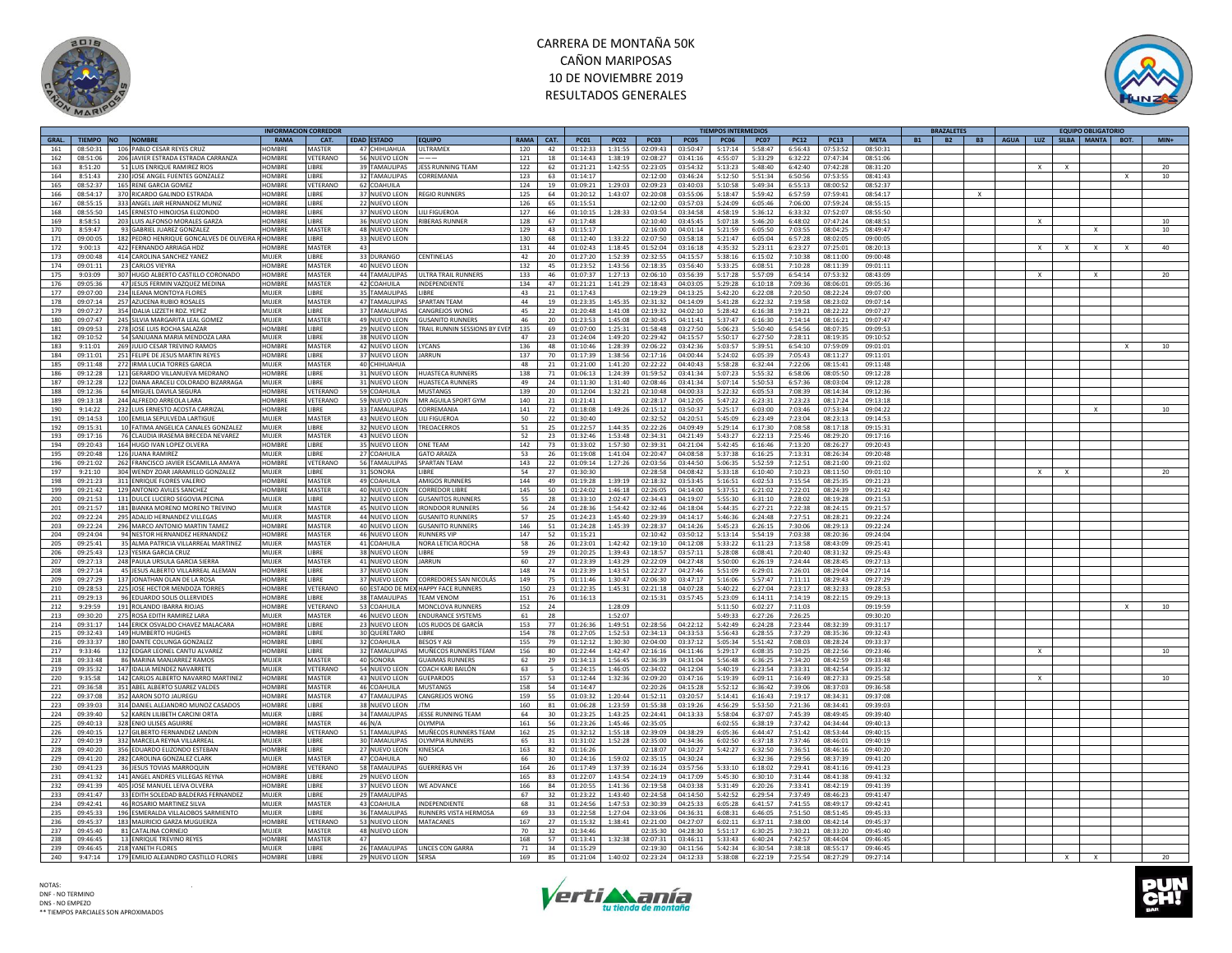



|       |          |                                          |               | INFORMACION CORREDOR |                      |                                     |             |                |             |             |             |             | TIEMPOS INTERMEDIOS |             |             |             |             |           | <b>RAZALETES</b> |                                        |   | <b>EQUIPO OBLIGATORIC</b> |              |                 |
|-------|----------|------------------------------------------|---------------|----------------------|----------------------|-------------------------------------|-------------|----------------|-------------|-------------|-------------|-------------|---------------------|-------------|-------------|-------------|-------------|-----------|------------------|----------------------------------------|---|---------------------------|--------------|-----------------|
| GRAL. |          | TIEMPO NO NOMBRE                         | RAMA          | CAT.                 | <b>EDAD ESTADO</b>   | <b>EQUIPO</b>                       | <b>RAMA</b> | CAT.           | <b>PC01</b> | <b>PC02</b> | <b>PC03</b> | <b>PC05</b> | <b>PC06</b>         | <b>PC07</b> | <b>PC12</b> | <b>PC13</b> | <b>META</b> | <b>B1</b> | <b>B2</b>        | B3   AGUA   LUZ   SILBA   MANTA   BOT. |   |                           |              | $MIN+$          |
| 161   | 08:50:31 | 106 PABLO CESAR REYES CRUZ               | HOMRRE        | MASTER               | 47 CHIHUAHUA         | <b>UITRAMEX</b>                     | 120         | 42             | 01:12:33    | 1:31:55     | 02:09:43    | 03:50:47    | 5:17:14             | 5:58:47     | 6:56:43     | 07:53:52    | 08:50:31    |           |                  |                                        |   |                           |              |                 |
| 162   | 08:51:06 | 206 JAVIER ESTRADA ESTRADA CARRANZA      | HOMBRE        | VETERANO             | 56 NUEVO LEON        |                                     | 121         | 18             | 01:14:43    | l:38:19     | 02:08:27    | 03:41:16    | 4:55:07             | 5:33:29     | 6:32:22     | 07:47:34    | 08:51:06    |           |                  |                                        |   |                           |              |                 |
| 163   | 8:51:20  | 51 LUIS ENRIQUE RAMIREZ RIOS             | <b>HOMBRF</b> | LIBRE                | 39 TAMAULIPAS        | <b>JESS RUNNING TEAM</b>            | 122         | 62             | 01:21:21    | 1:42:55     | 02:23:05    | 03:54:32    | 5:13:23             | 5:48:40     | 6:42:40     | 07:42:28    | 08:31:20    |           |                  | $\mathsf{x}$                           |   |                           |              | 20              |
| 164   | 8:51:43  | 230 JOSE ANGEL EUENTES GONZALEZ          | <b>HOMBRF</b> | <b>I IRRF</b>        | 32 TAMAULIPAS        | CORREMANIA                          | 123         | 63             | 01:14:17    |             | 02:12:00    | 03:46:24    | 5:12:50             | 5:51:34     | 6:50:56     | 07:53:55    | 08:41:43    |           |                  |                                        |   |                           | $\mathbf{x}$ | 10 <sup>1</sup> |
| 165   | 08:52:37 | 165 RENE GARCIA GOMEZ                    | HOMBRE        | VETERANO             | 62 COAHUILA          |                                     | 124         | 19             | 01:09:21    | 1:29:03     | 02:09:23    | 03:40:03    | 5:10:58             | 5:49:34     | 6:55:13     | 08:00:52    | 08:52:37    |           |                  |                                        |   |                           |              |                 |
| 166   | 08:54:17 | 370 RICARDO GALINDO ESTRADA              | <b>HOMRRF</b> | <b>I IRRF</b>        | 37 NUEVO LEON        | REGIO RUNNERS                       | 125         | 64             | 01:20:12    | 1:43:07     | 02:20:08    | 03:55:06    | 5:18:47             | 5:59:42     | 6:57:59     | 07:59:41    | 08:54:17    |           |                  |                                        |   |                           |              |                 |
| 167   | 08:55:15 | 333 ANGEL JAIR HERNANDEZ MUNIZ           | HOMBRE        | <b>IIBRF</b>         | 22 NUEVO LEON        |                                     | 126         | 65             | 01:15:51    |             | 02:12:00    | 03:57:03    | 5:24:09             | 6:05:46     | 7:06:00     | 07:59:24    | 08:55:15    |           |                  |                                        |   |                           |              |                 |
|       | 08:55:50 |                                          | HOMBRE        |                      |                      |                                     |             |                | 01:10:15    |             |             | 03:34:58    |                     | 5:36:12     | 6:33:32     |             |             |           |                  |                                        |   |                           |              |                 |
| 168   |          | 145 ERNESTO HINOJOSA ELIZONDO            |               | LIBRE                | 37 NUEVO LEON        | <b>ILI FIGUEROA</b>                 | 127         | 66             |             | 1:28:33     | 02:03:54    |             | 4:58:19             |             |             | 07:52:07    | 08:55:50    |           |                  |                                        |   |                           |              |                 |
| 169   | 8:58:51  | 203 LUIS ALFONSO MORALES GARZA           | HOMBRE        | LIBRE                | 36 NUEVO LEON        | <b>RIBERAS RUNNEI</b>               | 128         | 67             | 01:17:48    |             | 02:10:40    | 03:45:45    | 5:07:18             | 5:46:20     | 6:48:02     | 07:47:24    | 08:48:51    |           |                  | $\times$                               |   |                           |              | 10              |
| 170   | 8:59:47  | 93 GABRIEL IUAREZ GONZALEZ               | HOMBRE        | MASTER               | 48 NUEVO LEON        |                                     | 129         | 43             | 01:15:17    |             | 02:16:00    | 04:01:14    | 5:21:59             | 6:05:50     | 7:03:55     | 08:04:25    | 08:49:47    |           |                  |                                        |   | $\mathbf{x}$              |              | 10              |
| 171   | 09:00:05 | 182 PEDRO HENRIQUE GONCALVES DE OLIVEIRA | HOMBRE        | <b>IBRF</b>          | 33 NUEVO LEON        |                                     | 130         | 68             | 01:12:40    | 1:33:22     | 02:07:50    | 03:58:18    | 5:21:47             | 6:05:04     | 6:57:28     | 08:02:05    | 09:00:05    |           |                  |                                        |   |                           |              |                 |
| 172   | 9:00:13  | 422 FERNANDO ARRIAGA HDZ                 | HOMBRE        | MASTER               | 43                   |                                     | 131         | 44             | 01:02:43    | 1:18:45     | 01:52:04    | 03:16:18    | 4:35:32             | 5:23:11     | 6:23:27     | 07:25:01    | 08:20:13    |           |                  | X                                      |   | $\times$                  | $\times$     | 40              |
| 173   | 09:00:48 | 414 CAROLINA SANCHEZ YANEZ               | MUIFR         | <b>IRRE</b>          | 33 DURANGO           | <b>CENTINELAS</b>                   | 42          | 20             | 01:27:20    | 1:52:39     | 02:32:55    | 04:15:57    | 5:38:16             | 6:15:02     | 7:10:38     | 08:11:00    | 09:00:48    |           |                  |                                        |   |                           |              |                 |
| 174   | 09:01:11 | 23 CARLOS VIEYRA                         | HOMBRE        | MASTER               | 40 NUEVO LEON        |                                     | 132         | 45             | 01:23:52    | 1:43:56     | 02:18:35    | 03:56:40    | 5:33:25             | 6:08:51     | 7:10:28     | 08:11:39    | 09:01:11    |           |                  |                                        |   |                           |              |                 |
| 175   | 9:03:09  | 307 HUGO ALBERTO CASTILLO CORONADO       | <b>HOMBRE</b> | <b>MASTER</b>        | 44 TAMAULIPAS        | ULTRA TRAIL RUNNERS                 | 133         | 46             | 01:07:37    | 1:27:13     | 02:06:10    | 03:56:39    | 5:17:28             | 5:57:09     | 6:54:14     | 07:53:32    | 08:43:09    |           |                  | $\mathsf{x}$                           |   |                           |              | 20              |
| 176   | 09:05:36 | 47 JESUS FERMIN VAZQUEZ MEDINA           | HOMRRE        | <b>MASTER</b>        | $42$ COAHIIII A      | <b>INDEPENDIENTE</b>                | 134         | $\Delta$ 7     | 01:21:21    | 1.41.29     | 02.18.43    | 04:03:05    | 5:29:28             | 6:10:18     | 7.09.36     | 08:06:01    | 09:05:36    |           |                  |                                        |   |                           |              |                 |
| 177   | 09:07:00 |                                          | MUIFR         | <b>IBRF</b>          | 35 TAMAULIPAS        | <b>IRRF</b>                         | 43          | 21             | 01:17:43    |             | 02:19:29    | 04:13:25    |                     |             | 7:20:50     |             | 09:07:00    |           |                  |                                        |   |                           |              |                 |
|       |          | 234 ILEANA MONTOYA FLORES                |               |                      |                      |                                     |             |                |             |             |             |             | 5:42:20             | 6:22:08     |             | 08:22:24    |             |           |                  |                                        |   |                           |              |                 |
| 178   | 09:07:14 | 257 AZUCENA RUBIO ROSALES                | <b>MUJER</b>  | <b>MASTER</b>        | 47 TAMAULIPAS        | <b>SPARTAN TFAM</b>                 | 44          | 19             | 01:23:35    | 1:45:35     | 02:31:32    | 04:14:09    | 5:41:28             | 6:22:32     | 7:19:58     | 08:23:02    | 09:07:14    |           |                  |                                        |   |                           |              |                 |
| 179   | 09:07:27 | 354 IDALIA LIZZETH RDZ. YEPEZ            | MUJER         | <b>LIBRE</b>         | 37 TAMAULIPAS        | CANGREJOS WONG                      | 45          | 22             | 01:20:48    | 1:41:08     | 02:19:32    | 04:02:10    | 5:28:42             | 6:16:38     | 7:19:21     | 08:22:22    | 09:07:27    |           |                  |                                        |   |                           |              |                 |
| 180   | 09:07:47 | 245 SILVIA MARGARITA LEAL GOMEZ          | MUJER         | MASTER               | 49 NUEVO LEON        | <b>GUSANITO RUNNERS</b>             | 46          | 20             | 01:23:53    | 1:45:08     | 02:30:45    | 04:11:41    | 5:37:47             | 6:16:30     | 7:14:14     | 08:16:21    | 09:07:47    |           |                  |                                        |   |                           |              |                 |
| 181   | 09:09:53 | 278 JOSE LUIS ROCHA SALAZAR              | <b>HOMBRE</b> | LIBRE                | 29 NUEVO LEON        | TRAIL RUNNIN SESSIONS BY EVEN       | 135         | 69             | 01:07:00    | 1:25:31     | 01:58:48    | 03:27:50    | 5:06:23             | 5:50:40     | 6:54:56     | 08:07:35    | 09:09:53    |           |                  |                                        |   |                           |              |                 |
| 182   | 09:10:52 | 54 SANJUANA MARIA MENDOZA LARA           | MUIFR         | <b>IIBRF</b>         | 38 NUEVO LEON        |                                     | 47          | 23             | 01:24:04    | 1:49:20     | 02:29:42    | 04:15:57    | 5:50:17             | 6:27:50     | 7:28:11     | 08:19:35    | 09:10:52    |           |                  |                                        |   |                           |              |                 |
| 183   | 9:11:01  | 269 JULIO CESAR TREVINO RAMOS            | HOMBRE        | MASTER               | 42 NUEVO LEON        | LYCANS                              | 136         | 48             | 01:10:46    | 1:28:39     | 02:06:22    | 03:42:36    | 5:03:57             | 5:39:51     | 6:54:10     | 07:59:09    | 09:01:01    |           |                  |                                        |   |                           | $\mathsf{x}$ | 10              |
| 184   | 09:11:01 | 251 FELIPE DE JESUS MARTIN REYES         | <b>HOMBRI</b> | LIBRE                | 37 NUEVO LEON        | <b>JARRUN</b>                       | 137         | 70             | 01:17:39    | 1:38:56     | 02:17:16    | 04:00:44    | 5:24:02             | 6:05:39     | 7:05:43     | 08:11:27    | 09:11:01    |           |                  |                                        |   |                           |              |                 |
| 185   | 09:11:48 | 272 IRMA LUCIA TORRES GARCIA             | <b>MUJER</b>  | MASTER               | 40 CHIHUAHUA         |                                     | 48          | 21             | 01:21:00    | 1:41:20     | 02:22:22    | 04:40:43    | 5:58:28             | 6:32:44     | 7:22:06     | 08:15:41    | 09:11:48    |           |                  |                                        |   |                           |              |                 |
| 186   | 09:12:28 | 121 GERARDO VILLANUEVA MEDRANO           | HOMBRE        | LIBRE                | 31 NUEVO LEON        | <b>HUASTECA RUNNERS</b>             | 138         | 71             | 01:06:13    | 1:24:39     | 01:59:52    | 03:41:34    | 5:07:23             | 5:55:32     | 6:58:06     | 08:05:50    | 09:12:28    |           |                  |                                        |   |                           |              |                 |
|       |          |                                          |               |                      |                      |                                     |             |                |             |             |             |             |                     |             |             |             |             |           |                  |                                        |   |                           |              |                 |
| 187   | 09:12:28 | 122 DIANA ARACELI COLORADO BIZARRAGA     | MUJER         | LIBRE                | 31 NUEVO LEON        | <b>HUASTECA RUNNERS</b>             | 49          | 24             | 01:11:30    | 1:31:40     | 02:08:46    | 03:41:34    | 5:07:14             | 5:50:53     | 6:57:36     | 08:03:04    | 09:12:28    |           |                  |                                        |   |                           |              |                 |
| 188   | 09:12:36 | 64 MIGUEL DAVILA SEGURA                  | <b>HOMBRE</b> | VFTFRANO             | 59 COAHUILA          | <b>MUSTANGS</b>                     | 139         | 20             | 01:12:04    | 1:32:21     | 02:10:48    | 04:00:33    | 5:22:32             | 6:05:53     | 7:08:39     | 08:14:34    | 09:12:36    |           |                  |                                        |   |                           |              |                 |
| 189   | 09:13:18 | 244 ALFREDO ARREOLA LARA                 | HOMBRE        | VETERANO             | 59 NUEVO LEON        | MR AGUILA SPORT GYM                 | 140         | 21             | 01:21:41    |             | 02:28:17    | 04:12:05    | 5:47:22             | 6:23:31     | 7:23:23     | 08:17:24    | 09:13:18    |           |                  |                                        |   |                           |              |                 |
| 190   | 9:14:22  | 232 LUIS ERNESTO ACOSTA CARRIZAL         | <b>HOMBRF</b> | LIBRE                | 33 TAMAULIPAS        | CORREMANIA                          | 141         | 72             | 01:18:08    | 1:49:26     | 02:15:12    | 03:50:37    | 5:25:17             | 6:03:00     | 7:03:46     | 07:53:34    | 09:04:22    |           |                  |                                        |   |                           |              | 10              |
| 191   | 09:14:53 | 100 EMILIA SEPULVEDA LARTIGUE            | MUIFR         | <b>MASTER</b>        | 43 NUEVO LEON        | <b>I II I FIGUEROA</b>              | 50          | 22             | 01:30:40    |             | 02:32:52    | 04:20:51    | 5:45:09             | 6:23:49     | 7:23:04     | 08:23:13    | 09:14:53    |           |                  |                                        |   |                           |              |                 |
| 192   | 09:15:31 | 10 FATIMA ANGELICA CANALES GONZALEZ      | MUIFR         | LIBRE                | 32 NUEVO LEON        | <b>TREOACERROS</b>                  | 51          | 25             | 01:22:57    | 1:44:35     | 02:22:26    | 04:09:49    | 5:29:14             | 6:17:30     | 7:08:58     | 08:17:18    | 09:15:31    |           |                  |                                        |   |                           |              |                 |
| 193   | 09:17:16 | 76 CLAUDIA IRASEMA BRECEDA NEVAREZ       | MUJER         | <b>MASTER</b>        | 43 NUEVO LEON        |                                     | 52          | 23             | 01:32:46    | 1:53:48     | 02:34:31    | 04:21:49    | 5:43:27             | 6:22:13     | 7:25:46     | 08:29:20    | 09:17:16    |           |                  |                                        |   |                           |              |                 |
| 194   | 09:20:43 | 164 HUGO IVAN LOPEZ OLVERA               | <b>HOMBRE</b> | LIBRE                | 35 NUEVO LEON        | <b>ONF TFAM</b>                     | 142         | 73             | 01:33:02    | 1:57:30     | 02:39:31    | 04:21:04    | 5:42:45             | 6:16:46     | 7:13:20     | 08:26:27    | 09:20:43    |           |                  |                                        |   |                           |              |                 |
|       |          |                                          |               |                      |                      |                                     |             |                |             |             |             |             |                     |             |             |             |             |           |                  |                                        |   |                           |              |                 |
| 195   | 09:20:48 | 126 JUANA RAMIREZ                        | MUJER         | LIBRE                | 27 COAHUILA          | <b>GATO ARAIZA</b>                  | 53          | 26             | 01:19:08    | 1:41:04     | 02:20:47    | 04:08:58    | 5:37:38             | 6:16:25     | 7:13:31     | 08:26:34    | 09:20:48    |           |                  |                                        |   |                           |              |                 |
| 196   | 09:21:02 | 262 FRANCISCO JAVIER ESCAMILLA AMAYA     | <b>HOMBRE</b> | VETERANO             | 56 TAMAULIPAS        | <b>SPARTAN TEAM</b>                 | 143         | 22             | 01:09:14    | 1:27:26     | 02:03:56    | 03:44:50    | 5:06:35             | 5:52:59     | 7:12:51     | 08:21:00    | 09:21:02    |           |                  |                                        |   |                           |              |                 |
| 197   | 9:21:10  | 304 WENDY ZOAR JARAMILLO GONZALEZ        | MUIFR         | <b>IBRF</b>          | 31 SONORA            | <b>IIBRF</b>                        | 54          | 27             | 01:30:30    |             | 02:28:58    | 04:08:42    | 5:33:18             | 6:10:40     | 7:10:23     | 08:11:50    | 09:01:10    |           |                  | X                                      | x |                           |              | 20              |
| 198   | 09:21:23 | 311 ENRIQUE FLORES VALERIO               | HOMBRE        | <b>MASTER</b>        | 49 COAHUILA          | <b>AMIGOS RUNNERS</b>               | 144         | 49             | 01:19:28    | :39:19      | 02:18:32    | 03:53:45    | 5:16:51             | 6:02:53     | 7:15:54     | 08:25:35    | 09:21:23    |           |                  |                                        |   |                           |              |                 |
| 199   | 09:21:42 | 129 ANTONIO AVILES SANCHEZ               | HOMBRE        | <b>MASTER</b>        | 40 NUEVO LEON        | CORREDOR LIBRI                      | 145         | 50             | 01:24:02    | 1:46:18     | 02:26:05    | 04:14:00    | 5:37:51             | 6:21:02     | 7:22:01     | 08:24:39    | 09:21:42    |           |                  |                                        |   |                           |              |                 |
| 200   | 09:21:53 | 131 DULCE LUCERO SEGOVIA PECINA          | MUIFR         | <b>LIBRE</b>         | 32 NUEVO LEON        | <b>GUSANITOS RUNNERS</b>            | 55          | 28             | 01:33:10    | 2:02:47     | 02:34:43    | 04:19:07    | 5:55:30             | 6:31:10     | 7:28:02     | 08:19:28    | 09:21:53    |           |                  |                                        |   |                           |              |                 |
| 201   | 09:21:57 | 181 BIANKA MORENO MORENO TREVINO         | <b>MUJER</b>  | MASTER               | 45 NUEVO LEON        | <b>IRONDOOR RUNNERS</b>             | 56          | 24             | 01:28:36    | 1:54:42     | 02:32:46    | 04:18:04    | 5:44:35             | 6:27:21     | 7:22:38     | 08:24:15    | 09:21:57    |           |                  |                                        |   |                           |              |                 |
| 202   | 09:22:24 | 295 ADALID HERNANDEZ VILLEGAS            | <b>MUJER</b>  | <b>MASTER</b>        | 44 NUEVO LEON        | <b>GUSANITO RUNNERS</b>             | 57          | 25             | 01:24:23    | 1:45:40     | 02:29:39    | 04:14:17    | 5:46:36             | 6:24:48     | 7:27:51     | 08:28:21    | 09:22:24    |           |                  |                                        |   |                           |              |                 |
| 203   | 09:22:24 | 296 MARCO ANTONIO MARTIN TAMEZ           | <b>HOMBRE</b> | <b>MASTER</b>        | 40 NUEVO LEON        | <b>GUSANITO RUNNERS</b>             | 146         | 51             | 01:24:28    | 1:45:39     | 02:28:37    | 04:14:26    | 5:45:23             | 6:26:15     | 7:30:06     | 08:29:13    | 09:22:24    |           |                  |                                        |   |                           |              |                 |
|       |          |                                          |               |                      |                      |                                     |             |                |             |             |             |             |                     |             |             |             |             |           |                  |                                        |   |                           |              |                 |
| 204   | 09:24:04 | 94 NESTOR HERNANDEZ HERNANDEZ            | HOMBRE        | MASTER               | 46 NUEVO LEON        | <b>RUNNERS VIP</b>                  | 147         | 52             | 01:15:21    |             | 02:10:42    | 03:50:12    | 5:13:14             | 5:54:19     | 7:03:38     | 08:20:36    | 09:24:04    |           |                  |                                        |   |                           |              |                 |
| 205   | 09:25:41 | 35 ALMA PATRICIA VILLARREAL MARTINEZ     | <b>MUJER</b>  | <b>MASTER</b>        | 41 COAHUILA          | NORA LETICIA ROCHA                  | 58          | 26             | 01:23:01    | 1:42:42     | 02:19:10    | 04:12:08    | 5:33:22             | 6:11:23     | 7:13:58     | 08:43:09    | 09:25:41    |           |                  |                                        |   |                           |              |                 |
| 206   | 09:25:43 | 123 YESIKA GARCIA CRUZ                   | MUIFR         | LIBRE                | 38 NUEVO LEON        | <b>IBRF</b>                         | 59          | 29             | 01:20:25    | 1:39:43     | 02:18:57    | 03:57:11    | 5:28:08             | 6:08:41     | 7:20:40     | 08:31:32    | 09:25:43    |           |                  |                                        |   |                           |              |                 |
| 207   | 09:27:13 | 248 PAULA URSULA GARCIA SIERRA           | <b>MUJER</b>  | <b>MASTER</b>        | 41 NUEVO LEON        | <b>JARRUN</b>                       | 60          | 27             | 01:23:39    | 1:43:29     | 02:22:09    | 04:27:48    | 5:50:00             | 6:26:19     | 7:24:44     | 08:28:45    | 09:27:13    |           |                  |                                        |   |                           |              |                 |
| 208   | 09:27:14 | 45 JESUS ALBERTO VILLARREAL ALEMAN       | HOMBRE        | <b>I IRRF</b>        | 37 NUEVO LEON        |                                     | 148         | 74             | 01:23:39    | 1:43:51     | 02:22:27    | 04:27:46    | 5:51:09             | 6:29:01     | 7:26:01     | 08:29:04    | 09:27:14    |           |                  |                                        |   |                           |              |                 |
| 209   | 09:27:29 | 137 JONATHAN OLAN DE LA ROSA             | HOMBRE        | LIBRE                | 37 NUEVO LEON        | CORREDORES SAN NICOLÁS              | 149         | 75             | 01:11:46    | :30:47      | 02:06:30    | 03:47:17    | 5:16:06             | 5:57:47     | 7:11:11     | 08:29:43    | 09:27:29    |           |                  |                                        |   |                           |              |                 |
| 210   | 09:28:53 | 225 JOSE HECTOR MENDOZA TORRES           | HOMBRE        | VETERANO             |                      | 60 ESTADO DE MEX HAPPY FACE RUNNERS | 150         | 23             | 01:22:35    | 1:45:31     | 02:21:18    | 04:07:28    | 5:40:22             | 6:27:04     | 7:23:17     | 08:32:33    | 09:28:53    |           |                  |                                        |   |                           |              |                 |
| 211   | 09:29:13 | 96 EDUARDO SOLIS OLLERVIDES              | HOMBRE        | <b>I IRRF</b>        | 38 TAMAULIPAS        | <b>TFAM VFNON</b>                   | 151         | 76             | 01:16:13    |             | 02:15:31    | 03:57:45    | 5:23:09             | 6:14:11     | 7:14:19     | 08:22:15    | 09:29:13    |           |                  |                                        |   |                           |              |                 |
|       |          |                                          | <b>HOMBRE</b> |                      | 53 COAHUILA          | MONCLOVA RUNNERS                    |             |                |             |             |             |             |                     |             |             |             |             |           |                  |                                        |   |                           |              |                 |
| 212   | 9:29:59  | 191 ROLANDO IBARRA RIOJAS                |               | VETERANO             |                      |                                     | 152         | 24             |             | 1:28:09     |             |             | 5:11:50             | 6:02:27     | 7:11:03     |             | 09:19:59    |           |                  |                                        |   |                           |              | 10              |
| 213   | 09:30:20 | 275 ROSA EDITH RAMIREZ LARA              | <b>MUJER</b>  | <b>MASTER</b>        | 46 NUEVO LEON        | <b>ENDURANCE SYSTEMS</b>            | 61          | 28             |             | 1:52:07     |             |             | 5:49:33             | 6:27:26     | 7:26:25     |             | 09:30:20    |           |                  |                                        |   |                           |              |                 |
| 214   | 09:31:17 | 144 ERICK OSVALDO CHAVEZ MALACARA        | <b>HOMBRE</b> | LIBRE                | 23 NUEVO LEON        | LOS RUDOS DE GARCÍA                 | 153         | 77             | 01:26:36    | 1:49:51     | 02:28:56    | 04:22:12    | 5:42:49             | 6:24:28     | 7:23:44     | 08:32:39    | 09:31:17    |           |                  |                                        |   |                           |              |                 |
| 215   | 09:32:43 | 149 HUMBERTO HUGHES                      | <b>HOMBRE</b> | <b>I IRRF</b>        | 30 QUERETARO         | <b>I IRRF</b>                       | 154         | 78             | 01:27:05    | 1:52:53     | 02:34:13    | 04:33:53    | 5:56:43             | 6:28:55     | 7:37:29     | 08:35:36    | 09:32:43    |           |                  |                                        |   |                           |              |                 |
| 216   | 09:33:37 | 180 DANTE COLUNGA GONZALEZ               | HOMBRE        | LIBRE                | 32 COAHUILA          | <b>BESOS Y AS</b>                   | 155         | 79             | 01:12:12    | 1:30:30     | 02:04:00    | 03:37:12    | 5:05:34             | 5:51:42     | 7:08:03     | 08:28:24    | 09:33:37    |           |                  |                                        |   |                           |              |                 |
| 217   | 9:33:46  | 132 EDGAR LEONEL CANTU ALVAREZ           | HOMBRE        | LIBRE                | 32 TAMAULIPAS        | MUÑECOS RUNNERS TEAM                | 156         | 80             | 01:22:44    | :42:47      | 02:16:16    | 04:11:46    | 5:29:17             | 6:08:35     | 7:10:25     | 08:22:56    | 09:23:46    |           |                  |                                        |   |                           |              | 10              |
| 218   | 09:33:48 | 86 MARINA MANJARREZ RAMOS                | MUIFR         | <b>MASTER</b>        | 40 SONORA            | <b>GUAIMAS RUNNERS</b>              | 62          | 29             | 01.34.13    | 1:56:45     | 02:36:39    | 04:31:04    | 5:56:48             | 6:36:25     | 7:34:20     | 08:42:59    | 09:33:48    |           |                  |                                        |   |                           |              |                 |
| 219   | 09:35:32 | 147 IDALIA MENDEZ NAVARRETE              | MUJER         | VETERANO             | 54 NUEVO LEON        | COACH KARI BAILÓN                   | 63          | $\overline{5}$ | 01:24:15    | 1:46:05     | 02:34:02    | 04:12:04    | 5:40:19             | 6:23:54     | 7:33:31     | 08:42:54    | 09:35:32    |           |                  |                                        |   |                           |              |                 |
| 220   | 9:35:58  | 142 CARLOS ALBERTO NAVARRO MARTINEZ      | <b>HOMBR</b>  | MASTER               | 43 NUEVO LEON        | GUEPARDO                            | 157         | 53             | 01:12:44    | :32:36      | 02:09:20    | 03:47:16    | 5:19:39             | 6:09:11     | 7:16:49     | 08:27:33    | 09:25:58    |           |                  |                                        |   |                           |              | 10              |
| 221   | 09:36:58 | 351 ABEL ALBERTO SUAREZ VALDES           | HOMBRE        | <b>MASTER</b>        | 46 COAHUILA          | <b>MUSTANGS</b>                     | 158         | 54             | 01:14:47    |             | 02:20:26    | 04:15:28    | 5:52:12             | 6:36:42     | 7:39:06     | 08:37:03    | 09:36:58    |           |                  |                                        |   |                           |              |                 |
| 222   | 09:37:08 | 352 AARON SOTO JAUREGU                   | HOMBRE        | MASTER               | 47 TAMAULIPAS        | CANGREJOS WONG                      | 159         | 55             | 01:03:32    | 1:20:44     | 01:52:11    | 03:20:57    | 5:14:41             | 6:16:43     | 7:19:17     | 08:34:31    | 09:37:08    |           |                  |                                        |   |                           |              |                 |
|       |          |                                          |               |                      |                      |                                     |             |                |             |             |             |             |                     |             |             |             |             |           |                  |                                        |   |                           |              |                 |
| 223   | 09:39:03 | 314 DANIEL ALEJANDRO MUNOZ CASADOS       | HOMBRE        | LIBRE                | 38 NUEVO LEON        |                                     | 160         | 81             | 01:06:28    | 1:23:59     | 01:55:38    | 03:19:26    | 4:56:29             | 5:53:50     | 7:21:36     | 08:34:41    | 09:39:03    |           |                  |                                        |   |                           |              |                 |
| 224   | 09:39:40 | 52 KAREN LILIBETH CARCINI ORTA           | MUIFR         | <b>IIBRF</b>         | 34 TAMAULIPAS        | JESSE RUNNING TEAM                  | 64          | 30             | 01:23:25    | 1:43:25     | 02:24:41    | 04:13:33    | 5:58:04             | 6:37:07     | 7:45:39     | 08:49:45    | 09:39:40    |           |                  |                                        |   |                           |              |                 |
| 225   | 09:40:13 | 328 ENIO ULISES AGUIRRE                  | HOMBRE        | MASTER               | 46 N/A               | OI YMPIA                            | 161         | 56             | 01:23:26    | 1:45:46     | 02:35:05    |             | 6:02:55             | 6:38:19     | 7:37:42     | 04:34:44    | 09:40:13    |           |                  |                                        |   |                           |              |                 |
| 226   | 09:40:15 | 127 GILBERTO FERNANDEZ LANDIN            | HOMBRE        | VETERANO             | 51 TAMAULIPAS        | MUÑECOS RUNNERS TEAM                | 162         | 25             | 01:32:12    | 1:55:18     | 02:39:09    | 04:38:29    | 6:05:36             | 6:44:47     | 7:51:42     | 08:53:44    | 09:40:15    |           |                  |                                        |   |                           |              |                 |
| 227   | 09:40:19 | 332 MARCELA REYNA VILLARREAL             | <b>MUJER</b>  | LIBRE                | 30 TAMAULIPAS        | OLYMPIA RUNNERS                     | 65          | 31             | 01:31:02    | 1:52:28     | 02:35:00    | 04:34:36    | 6:02:50             | 6:37:18     | 7:37:46     | 08:46:01    | 09:40:19    |           |                  |                                        |   |                           |              |                 |
| 228   | 09:40:20 | 356 EDUARDO ELIZONDO ESTEBAN             | <b>HOMBRI</b> | <b>IBRF</b>          | 27 NUEVO LEON        | <b>KINESICA</b>                     | 163         | 82             | 01:16:26    |             | 02:18:07    | 04:10:27    | 5:42:27             | 6:32:50     | 7:36:51     | 08:46:16    | 09:40:20    |           |                  |                                        |   |                           |              |                 |
| 229   | 09:41:20 | 282 CAROLINA GONZALEZ CLARK              | MUJER         | MASTER               | 47 COAHUILA          |                                     | 66          | 30             | 01:24:16    | 1:59:02     | 02:35:15    | 04:30:24    |                     | 6:32:36     | 7:29:56     | 08:37:39    | 09:41:20    |           |                  |                                        |   |                           |              |                 |
| 230   | 09:41:23 | 36 JESUS TOVIAS MARROQUIN                | <b>HOMRRE</b> | VETERANO             | 58 TAMAULIPAS        | <b>GUERRERAS VH</b>                 | 164         | 26             | 01:17:49    | 1:37:39     | 02:16:24    | 03:57:56    | 5:33:10             | 6:18:02     | 7:29:41     | 08:41:16    | 09:41:23    |           |                  |                                        |   |                           |              |                 |
| 231   | 09:41:32 | 141 ANGEL ANDRES VILLEGAS REYNA          | <b>HOMBRI</b> | <b>IBRF</b>          | 29 NUEVO LEON        |                                     | 165         | 83             | 01:22:07    | 1:43:54     | 02:24:19    | 04:17:09    | 5:45:30             | 6:30:10     | 7:31:44     | 08:41:38    | 09:41:32    |           |                  |                                        |   |                           |              |                 |
|       |          |                                          |               |                      |                      |                                     |             |                |             |             |             |             |                     |             |             |             |             |           |                  |                                        |   |                           |              |                 |
| 232   | 09:41:39 | 405 JOSE MANUEL LEIVA OLVERA             | HOMBRE        | LIBRE                | 37 NUEVO LEON        | <b>WE ADVANCE</b>                   | 166         | 84             | 01:20:55    | 1:41:36     | 02:19:58    | 04:03:38    | 5:31:49             | 6:20:26     | 7:33:41     | 08:42:19    | 09:41:39    |           |                  |                                        |   |                           |              |                 |
| 233   | 09:41:47 | 33 EDITH SOLEDAD BALDERAS FERNANDEZ      | MUIFR         | <b>IIBRF</b>         | 29 TAMAULIPAS        |                                     | 67          | 32             | 01:23:22    | 1:43:40     | 02:24:58    | 04:14:50    | 5:42:52             | 6:29:54     | 7:37:49     | 08:46:23    | 09:41:47    |           |                  |                                        |   |                           |              |                 |
| 234   | 09:42:41 | 46 ROSARIO MARTINEZ SILVA                | MUIFR         | MASTER               | 43 COAHUILA          | <b>INDEPENDIENTE</b>                | 68          | 31             | 01:24:56    | 1:47:53     | 02:30:39    | 04:25:33    | 6:05:28             | 6:41:57     | 7:41:55     | 08:49:17    | 09:42:41    |           |                  |                                        |   |                           |              |                 |
| 235   | 09:45:33 | 196 ESMERALDA VILLALOBOS SARMIENTO       | MUJER         | LIBRE                | <b>36 TAMAULIPAS</b> | RUNNERS VISTA HERMOSA               | 69          | 33             | 01:22:58    | 1:27:04     | 02:33:06    | 04:36:31    | 6:08:31             | 6:46:05     | 7:51:50     | 08:51:45    | 09:45:33    |           |                  |                                        |   |                           |              |                 |
| 236   | 09:45:37 | 183 MAURICIO GARZA MUGUERZA              | <b>HOMBRE</b> | VETERANO             | 53 NUEVO LEON        | <b>MATACANES</b>                    | 167         | 27             | 01:15:32    | 1:38:41     | 02:21:00    | 04:27:07    | 6:02:11             | 6:37:11     | 7:38:00     | 08:42:14    | 09:45:37    |           |                  |                                        |   |                           |              |                 |
| 237   | 09:45:40 | 81 CATALINA CORNEIO                      | MUIFR         | MASTER               | 48 NUEVO LEON        |                                     | 70          | 32             | 01:34:46    |             | 02:35:30    | 04:28:30    | 5:51:17             | 6:30:25     | 7:30:21     | 08:33:20    | 09:45:40    |           |                  |                                        |   |                           |              |                 |
| 238   | 09:46:45 | 13 ENRIQUE TREVINO REYES                 | <b>HOMBRE</b> | <b>MASTER</b>        | 47                   |                                     | 168         | 57             | 01:13:41    | 1:32:38     | 02:07:31    | 03:46:11    | 5:33:43             | 6:40:24     | 7:42:57     | 08:44:04    | 09:46:45    |           |                  |                                        |   |                           |              |                 |
| 239   | 09:46:45 | 218 YANETH FLORES                        | MUIFR         | LIBRE                | 26 TAMAULIPAS        | <b>LINCES CON GARRA</b>             | 71          | 34             | 01:15:29    |             | 02:19:30    | 04:11:56    | 5:42:34             | 6:30:54     | 7:38:18     | 08:55:17    | 09:46:45    |           |                  |                                        |   |                           |              |                 |
|       | 9:47:14  | 179 FMILIO ALFIANDRO CASTILLO FLORES     | <b>HOMBRE</b> | <b>IBRF</b>          |                      |                                     | 169         |                |             |             |             |             |                     |             | 7:25:54     |             | 09:27:14    |           |                  |                                        |   |                           |              |                 |
| 240   |          |                                          |               |                      | 29 NUEVO LEON        | <b>SERSZ</b>                        |             | 85             | 01:21:04    | 1:40:02     | 02:23:24    | 04:12:33    | 5:38:08             | 6:22:19     |             | 08:27:29    |             |           |                  |                                        |   |                           |              | 20              |





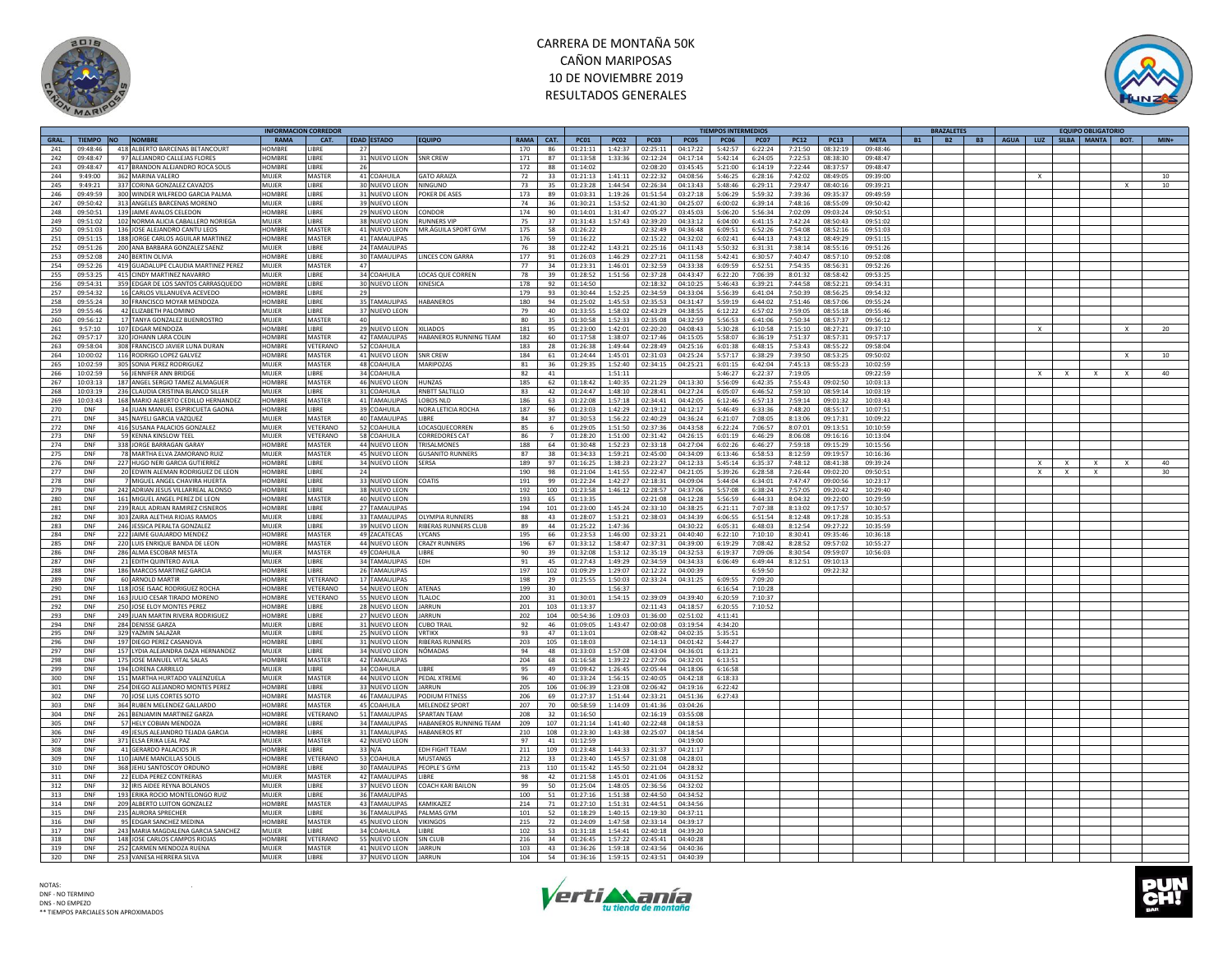



|       |            |                                      |               | <b>NFORMACION CORREDOR</b> |                         |                             |             |                |             |             |             |          | TIEMPOS INTERMEDIOS |             |             |             |             | <b>BRAZALETES</b>      |                                        |              |          | <b>EQUIPO OBLIGATORIO</b> |                 |
|-------|------------|--------------------------------------|---------------|----------------------------|-------------------------|-----------------------------|-------------|----------------|-------------|-------------|-------------|----------|---------------------|-------------|-------------|-------------|-------------|------------------------|----------------------------------------|--------------|----------|---------------------------|-----------------|
| GRAL. |            | TIEMPO NO NOMBRE                     | <b>RAMA</b>   | CAT.                       | EDAD ESTADO             | <b>EQUIPO</b>               | <b>RAMA</b> | CAT.           | <b>PC01</b> | <b>PC02</b> | <b>PC03</b> | PC05     | <b>PC06</b>         | <b>PC07</b> | <b>PC12</b> | <b>PC13</b> | <b>META</b> | <b>B2</b><br><b>B1</b> | B3   AGUA   LUZ   SILBA   MANTA   BOT. |              |          |                           | $MIN+$          |
| 241   | 09:48:46   | 418 ALBERTO BARCENAS BETANCOURT      | <b>HOMBRE</b> | <b>I IBRF</b><br>27        |                         |                             | 170         | 86             | 01:21:11    | 1:42:37     | 02:25:11    | 04:17:22 | 5:42:57             | 6:22:24     | 7:21:50     | 08:32:19    | 09:48:46    |                        |                                        |              |          |                           |                 |
| 242   | 09:48:47   | 97 ALEJANDRO CALLEJAS FLORES         | <b>HOMBRE</b> | LIBRE                      | 31 NUEVO LEON           | <b>SNR CREW</b>             | 171         | 87             | 01:13:58    | 1:33:36     | 02:12:24    | 04:17:14 | 5:42:14             | 6:24:05     | 7:22:53     | 08:38:30    | 09:48:47    |                        |                                        |              |          |                           |                 |
| 243   | 09:48:47   | 417 BRANDON ALEJANDRO ROCA SOLIS     | <b>HOMBRE</b> | <b>LIBRE</b><br>- 26       |                         |                             | 172         | 88             | 01:14:02    |             | 02:08:20    | 03:45:45 | 5:21:00             | 6:14:19     | 7:22:44     | 08:37:57    | 09:48:47    |                        |                                        |              |          |                           |                 |
| 244   | 9:49:00    | 362 MARINA VALERO                    | <b>MUJER</b>  | <b>MASTER</b>              | 41 COAHUILA             | <b>GATO ARAIZA</b>          |             | 33             | 01:21:13    | 1:41:11     | 02:22:32    | 04:08:56 | 5:46:25             | 6:28:16     | 7:42:02     | 08:49:05    | 09:39:00    |                        |                                        |              |          |                           | 10              |
|       |            |                                      |               |                            |                         |                             | 72          |                |             |             |             |          |                     |             |             |             |             |                        |                                        | $\mathbf{x}$ |          |                           |                 |
| 245   | 9:49:21    | 337 CORINA GONZALEZ CAVAZOS          | MUIFR         | LIBRE                      | 30 NUEVO LEON           | NINGUNO                     | 73          | 35             | 01:23:28    | 1:44:54     | 02:26:34    | 04:13:43 | 5:48:46             | 6:29:11     | 7:29:47     | 08:40:16    | 09:39:21    |                        |                                        |              |          |                           | 10 <sup>1</sup> |
| 246   | 09:49:59   | 300 WINDER WILFREDO GARCIA PALMA     | HOMBRE        | LIBRE                      | 31 NUEVO LEON           | POKER DE ASES               | 173         | 89             | 01:03:31    | 1:19:26     | 01:51:54    | 03:27:18 | 5:06:29             | 5:59:32     | 7:39:36     | 09:35:37    | 09:49:59    |                        |                                        |              |          |                           |                 |
| 247   | 09:50:42   | 313 ANGELES BARCENAS MORENO          | MUIFR         | LIBRE                      | 39 NUEVO LEON           |                             | 74          | 36             | 01:30:21    | 1:53:52     | 02:41:30    | 04:25:07 | 6:00:02             | 6:39:14     | 7:48:16     | 08:55:09    | 09:50:42    |                        |                                        |              |          |                           |                 |
| 248   | 09:50:51   | 139 JAIME AVALOS CELEDON             | HOMBRE        | LIBRE                      | 29 NUEVO LEON           | CONDOR                      | 174         | 90             | 01:14:01    | 1:31:47     | 02:05:27    | 03:45:03 | 5:06:20             | 5:56:34     | 7:02:09     | 09:03:24    | 09:50:51    |                        |                                        |              |          |                           |                 |
| 249   | 09:51:02   | 102 NORMA ALICIA CABALLERO NORIEGA   | MUJER         | LIBRE                      | 38 NUEVO LEON           | <b>RUNNERS VIF</b>          | 75          | 37             | 01:31:43    | 1:57:43     | 02:39:20    | 04:33:12 | 6:04:00             | 6:41:15     | 7:42:24     | 08:50:43    | 09:51:02    |                        |                                        |              |          |                           |                 |
| 250   | 09:51:03   | 136 JOSE ALEJANDRO CANTU LEOS        | <b>HOMBRE</b> | MASTER                     |                         | MR ÁGUILA SPORT GYM         | 175         | 58             | 01:26:22    |             | 02:32:49    | 04:36:48 | 6:09:51             | 6:52:26     | 7:54:08     | 08:52:16    | 09:51:03    |                        |                                        |              |          |                           |                 |
|       |            |                                      |               |                            | 41 NUEVO LEON           |                             |             |                |             |             |             |          |                     |             |             |             |             |                        |                                        |              |          |                           |                 |
| 251   | 09:51:15   | 188 JORGE CARLOS AGUILAR MARTINEZ    | <b>HOMBRE</b> | MASTER                     | 41 TAMAULIPAS           |                             | 176         | 59             | 01:16:22    |             | 02:15:22    | 04:32:02 | 6:02:41             | 6:44:13     | 7:43:12     | 08:49:29    | 09:51:15    |                        |                                        |              |          |                           |                 |
| 252   | 09:51:26   | 200 ANA BARBARA GONZALEZ SAENZ       | MUJER         | LIBRE                      | 24 TAMAULIPAS           |                             | 76          | 38             | 01:22:42    | 1:43:21     | 02:25:16    | 04:11:43 | 5:50:32             | 6:31:31     | 7:38:14     | 08:55:16    | 09:51:26    |                        |                                        |              |          |                           |                 |
| 253   | 09.52.08   | 240 BERTIN OLIVIA                    | HOMRRE        | LIBRE                      | 30 TAMAULIPAS           | <b>LINCES CON GARRA</b>     | 177         | 91             | 01.26:03    | 1.46.29     | 02:27:21    | 04:11:58 | 5.42.41             | 6.30.57     | $7.40 - 47$ | 08:57:10    | 09:52:08    |                        |                                        |              |          |                           |                 |
| 254   | 09:52:26   | 419 GUADALUPE CLAUDIA MARTINEZ PEREZ | MUIFR         | MASTER<br>47               |                         |                             | 77          | 34             | 01:23:31    | 1:46:01     | 02:32:59    | 04:33:38 | 6:09:59             | 6:52:51     | 7:54:35     | 08:56:31    | 09:52:26    |                        |                                        |              |          |                           |                 |
| 255   | 09:53:25   | 415 CINDY MARTINEZ NAVARRO           | MUJER         | LIBRE                      | 34 COAHUILA             | <b>LOCAS QUE CORREN</b>     | 78          | 39             | 01:28:52    | 1:51:56     | 02:37:28    | 04:43:47 | 6:22:20             | 7:06:39     | 8:01:32     | 08:58:42    | 09:53:25    |                        |                                        |              |          |                           |                 |
|       |            |                                      |               |                            |                         |                             |             |                |             |             |             |          |                     |             |             |             |             |                        |                                        |              |          |                           |                 |
| 256   | 09:54:31   | 359 EDGAR DE LOS SANTOS CARRASQUEDO  | HOMBRE        | LIBRE                      | 30 NUEVO LEON           | KINESICA                    | 178         | 92             | 01:14:50    |             | 02:18:32    | 04:10:25 | 5:46:43             | 6:39:21     | 7:44:58     | 08:52:21    | 09:54:31    |                        |                                        |              |          |                           |                 |
| 257   | 09:54:32   | 16 CARLOS VILLANUEVA ACEVEDO         | <b>HOMBRE</b> | LIBRE<br>29                |                         |                             | 179         | 93             | 01:30:44    | 1:52:25     | 02:34:59    | 04:33:04 | 5:56:39             | 6:41:04     | 7:50:39     | 08:56:25    | 09:54:32    |                        |                                        |              |          |                           |                 |
| 258   | 09:55:24   | 30 FRANCISCO MOYAR MENDOZA           | HOMBRE        | LIBRE                      | 35 TAMAULIPAS           | <b>HABANEROS</b>            | 180         | 94             | 01:25:02    | 1:45:53     | 02:35:53    | 04:31:47 | 5:59:19             | 6:44:02     | 7:51:46     | 08:57:06    | 09:55:24    |                        |                                        |              |          |                           |                 |
| 259   | 09:55:46   | 42 ELIZABETH PALOMINO                | MUJER         | <b>IIBRF</b>               | 37 NUEVO LEON           |                             | 79          | 40             | 01:33:55    | 1:58:02     | 02:43:29    | 04:38:55 | 6:12:22             | 6:57:02     | 7:59:05     | 08:55:18    | 09:55:46    |                        |                                        |              |          |                           |                 |
| 260   | 09:56:12   | 17 TANYA GONZALEZ BUENROSTRO         | MUIFR         | MASTER<br>40               |                         |                             | 80          | 35             | 01:30:58    | 1:52:33     | 02:35:08    | 04:32:59 | 5:56:53             | 6:41:06     | 7:50:34     | 08:57:37    | 09:56:12    |                        |                                        |              |          |                           |                 |
| 261   | 9:57:10    | 107 EDGAR MENDOZA                    | <b>HOMBRE</b> | <b>I IRRF</b>              | 29 NUEVO LEON           | <b>XILIADOS</b>             | 181         | 95             | 01:23:00    | 1:42:01     | 02:20:20    | 04:08:43 | 5:30:28             | 6:10:58     | 7:15:10     | 08:27:21    | 09:37:10    |                        |                                        | $\mathbf{x}$ |          |                           | 20              |
| 262   | 09:57:17   | 320 JOHANN LARA COLIN                | <b>HOMBRE</b> | MASTER                     | 42 TAMAULIPAS           | HABANEROS RUNNING TEAM      | 182         | 60             | 01:17:58    | 1:38:07     | 02:17:46    | 04:15:05 | 5:58:07             | 6:36:19     | 7:51:37     | 08:57:31    | 09:57:17    |                        |                                        |              |          |                           |                 |
| 263   | 09:58:04   |                                      | <b>HOMBRE</b> | VETERANO                   |                         |                             | 183         | 28             |             |             |             |          |                     | 6:48:15     | 7:53:42     |             |             |                        |                                        |              |          |                           |                 |
|       |            | 308 FRANCISCO JAVIER LUNA DURAN      |               |                            | 52 COAHUILA             |                             |             |                | 01:26:38    | 1:49:44     | 02:28:49    | 04:25:16 | 6:01:38             |             |             | 08:55:22    | 09:58:04    |                        |                                        |              |          |                           |                 |
| 264   | 10:00:02   | 116 RODRIGO LOPEZ GALVEZ             | HOMBRE        | <b>MASTER</b>              | 41 NUEVO LEON           | <b>SNR CREW</b>             | 184         | 61             | 01:24:44    | 1:45:01     | 02:31:03    | 04:25:24 | 5:57:17             | 6:38:29     | 7:39:50     | 08:53:25    | 09:50:02    |                        |                                        |              |          |                           | 10              |
| 265   | 10:02:59   | 305 SONIA PEREZ RODRIGUEZ            | MUIFR         | <b>MASTER</b>              | 48 COAHUILA             | MARIPOZAS                   | 81          | 36             | 01:29:35    | 1:52:40     | 02:34:15    | 04:25:21 | 6:01:15             | 6:42:04     | 7:45:13     | 08:55:23    | 10:02:59    |                        |                                        |              |          |                           |                 |
| 266   | 10:02:59   | 56 JENNIFER ANN BRIDGE               | MUIFR         | LIBRE                      | 34 COAHUILA             |                             | 82          | 41             |             | 1:51:11     |             |          | 5:46:27             | 6:22:37     | 7:19:05     |             | 09:22:59    |                        |                                        | x            |          |                           | 40              |
| 267   | 10:03:13   | 187 ANGEL SERGIO TAMEZ ALMAGUER      | HOMBRE        | MASTER                     | 46 NUEVO LEON           | <b>HUNZAS</b>               | 185         | 62             | 01:18:42    | 1:40:35     | 02:21:29    | 04:13:30 | 5:56:09             | 6:42:35     | 7:55:43     | 09:02:50    | 10:03:13    |                        |                                        |              |          |                           |                 |
| 268   | 10:03:19   | 236 CLAUDIA CRISTINA BLANCO SILLER   | <b>MUIFR</b>  | <b>LIBRE</b>               | 31 COAHUILA             | RNBTT SALTILLO              | 83          | 42             | 01:24:47    | 1:48:10     | 02:28:41    | 04:27:24 | 6:05:07             | 6:46:52     | 7:59:10     | 08:59:14    | 10:03:19    |                        |                                        |              |          |                           |                 |
|       |            |                                      |               |                            | <b>41 TAMAULIPAS</b>    |                             | 186         | 63             |             |             |             |          |                     | 6:57:13     |             |             |             |                        |                                        |              |          |                           |                 |
| 269   | 10:03:43   | 168 MARIO ALBERTO CEDILLO HERNANDEZ  | HOMBRE        | MASTER                     |                         | LOBOS NLD                   |             |                | 01:22:08    | 1:57:18     | 02:34:41    | 04:42:05 | 6:12:46             |             | 7:59:14     | 09:01:32    | 10:03:43    |                        |                                        |              |          |                           |                 |
| 270   | DNF        | 34 JUAN MANUEL ESPIRICUETA GAONA     | HOMBRE        | <b>I IRRF</b>              | 39 COAHUILA             | NORA LETICIA ROCHA          | 187         | 96             | 01:23:03    | 1:42:29     | 02:19:12    | 04:12:17 | 5:46:49             | 6:33:36     | 7:48:20     | 08:55:17    | 10:07:51    |                        |                                        |              |          |                           |                 |
| 271   | DNF        | 345 NAYELI GARCIA VAZQUEZ            | MUIFR         | <b>MASTER</b>              | 40 TAMAULIPAS           | LIBRE                       | 84          | 37             | 01:30:53    | 1:56:22     | 02:40:29    | 04:36:24 | 6:21:07             | 7:08:05     | 8:13:06     | 09:17:31    | 10:09:22    |                        |                                        |              |          |                           |                 |
| 272   | DNF        | 416 SUSANA PALACIOS GONZALEZ         | MUIFR         | VETERANO                   | 52 COAHUILA             | LOCASQUECORREN              | 85          | 6              | 01:29:05    | 1:51:50     | 02:37:36    | 04:43:58 | 6:22:24             | 7:06:57     | 8:07:01     | 09:13:51    | 10:10:59    |                        |                                        |              |          |                           |                 |
| 273   | DNF        | 59 KENNA KINSLOW TEEL                | MUJER         | VETERANO                   | 58 COAHUILA             | <b>CORREDORES CAT</b>       | 86          | $\overline{7}$ | 01:28:20    | 1:51:00     | 02:31:42    | 04:26:15 | 6:01:19             | 6:46:29     | 8:06:08     | 09:16:16    | 10:13:04    |                        |                                        |              |          |                           |                 |
| 274   | DNF        | 338 JORGE BARRAGAN GARAY             | <b>HOMBRE</b> | <b>MASTER</b>              | 44 NUEVO LEON           | TRISALMONES                 | 188         | 64             | 01:30:48    | 1:52:23     | 02:33:18    | 04:27:04 | 6:02:26             | 6:46:27     | 7:59:18     | 09:15:29    | 10:15:56    |                        |                                        |              |          |                           |                 |
| 275   | DNF        | 78 MARTHA ELVA ZAMORANO RUIZ         | MUJER         | MASTER                     | 45 NUEVO LEON           | <b>GUSANITO RUNNERS</b>     | 87          | 38             | 01:34:33    | 1:59:21     | 02:45:00    | 04:34:09 | 6:13:46             | 6:58:53     | 8:12:59     | 09:19:57    | 10:16:36    |                        |                                        |              |          |                           |                 |
|       |            |                                      |               |                            |                         |                             |             |                |             |             |             |          |                     |             |             |             |             |                        |                                        |              |          |                           |                 |
| 276   | DNF        | 227 HUGO NERI GARCIA GUTIERREZ       | <b>HOMBRE</b> | <b>IIBRF</b>               | 34 NUEVO LEON SERSA     |                             | 189         | 97             | 01:16:25    | 1:38:23     | 02:23:27    | 04:12:33 | 5:45:14             | 6:35:37     | 7:48:12     | 08:41:38    | 09:39:24    |                        |                                        | X            | $\times$ |                           | 40              |
| 277   | DNF        | 20 EDWIN ALEMAN RODRIGUEZ DE LEON    | <b>HOMBRE</b> | <b>I IBRF</b><br>24        |                         |                             | 190         | 98             | 01:21:04    | 1:41:55     | 02:22:47    | 04:21:05 | 5:39:26             | 6:28:58     | 7:26:44     | 09:02:20    | 09:50:51    |                        |                                        | X            | $\times$ | $\times$                  | 30              |
| 278   | DNF        | 7 MIGUEL ANGEL CHAVIRA HUERTA        | HOMBRE        | LIBRE                      | 33 NUEVO LEON           | COATIS                      | 191         | 99             | 01:22:24    | 1:42:27     | 02:18:31    | 04:09:04 | 5:44:04             | 6:34:01     | 7:47:47     | 09:00:56    | 10:23:17    |                        |                                        |              |          |                           |                 |
| 279   | <b>DNF</b> | 242 ADRIAN JESUS VILLARREAL ALONSO   | <b>HOMBRE</b> | LIBRE                      | 38 NUEVO LEON           |                             | 192         | 100            | 01:23:58    | 1:46:12     | 02:28:57    | 04:37:06 | 5:57:08             | 6:38:24     | 7:57:05     | 09:20:42    | 10:29:40    |                        |                                        |              |          |                           |                 |
| 280   | DNF        | 161 MIGUEL ANGEL PEREZ DE LEON       | <b>HOMBRE</b> | MASTER                     | 40 NUEVO LEON           |                             | 193         | 65             | 01:13:35    |             | 02:21:08    | 04:12:28 | 5:56:59             | 6:44:33     | 8:04:32     | 09:22:00    | 10:29:59    |                        |                                        |              |          |                           |                 |
| 281   | DNF        | 239 RAUL ADRIAN RAMIREZ CISNEROS     | HOMBRE        | LIBRE                      | 27 TAMAULIPAS           |                             | 194         | 101            | 01:23:00    | 1:45:24     | 02:33:10    | 04:38:25 | 6:21:11             | 7:07:38     | 8:13:02     | 09:17:57    | 10:30:57    |                        |                                        |              |          |                           |                 |
| 282   | DNF        | 303 ZAIRA ALETHIA RIOJAS RAMOS       | MUIFR         | <b>I IRRF</b>              | 33 TAMAULIPAS           | <b>OLYMPIA RUNNERS</b>      | 88          | 43             | 01:28:07    | 1:53:21     | 02:38:03    | 04:34:39 | 6:06:55             | 6:51:54     | 8:12:48     | 09:17:28    | 10:35:53    |                        |                                        |              |          |                           |                 |
|       |            |                                      |               |                            |                         |                             |             |                |             |             |             |          |                     |             |             |             |             |                        |                                        |              |          |                           |                 |
| 283   | DNF        | 246 JESSICA PERALTA GONZALEZ         | MUIFR         | LIBRE                      | 39 NUEVO LEON           | <b>RIBERAS RUNNERS CLUB</b> | 89          | 44             | 01:25:22    | 1:47:36     |             | 04:30:22 | 6:05:31             | 6:48:03     | 8:12:54     | 09:27:22    | 10:35:59    |                        |                                        |              |          |                           |                 |
| 284   | DNF        | 222 JAIME GUAJARDO MENDEZ            | HOMBRE        | MASTER                     | 49 ZACATECAS            | LYCANS                      | 195         | 66             | 01:23:53    | 1:46:00     | 02:33:21    | 04:40:40 | 6:22:10             | 7:10:10     | 8:30:41     | 09:35:46    | 10:36:18    |                        |                                        |              |          |                           |                 |
| 285   | <b>DNF</b> | 220 LUIS ENRIQUE BANDA DE LEON       | <b>HOMBRE</b> | <b>MASTER</b>              | 44 NUEVO LEON           | <b>CRAZY RUNNERS</b>        | 196         | 67             | 01:33:12    | 1:58:47     | 02:37:31    | 04:39:00 | 6:19:29             | 7:08:42     | 8:28:52     | 09:57:02    | 10:55:27    |                        |                                        |              |          |                           |                 |
| 286   | DNF        | 286 ALMA ESCOBAR MESTA               | MUJER         | MASTER                     | 49 COAHUILA             | LIBRE                       | 90          | 39             | 01:32:08    | 1:53:12     | 02:35:19    | 04:32:53 | 6:19:37             | 7:09:06     | 8:30:54     | 09:59:07    | 10:56:03    |                        |                                        |              |          |                           |                 |
| 287   | DNF        | 21 EDITH QUINTERO AVILA              | MUJER         | <b>IBRF</b>                | 34 TAMAULIPAS           | <b>FDH</b>                  | 91          | 45             | 01:27:43    | 1:49:29     | 02:34:59    | 04:34:33 | 6:06:49             | 6:49:44     | 8:12:51     | 09:10:13    |             |                        |                                        |              |          |                           |                 |
| 288   | DNF        | 186 MARCOS MARTINEZ GARCIA           | HOMBRE        | <b>IIBRF</b>               | 26 TAMAULIPAS           |                             | 197         | 102            | 01:09:29    | 1:29:07     | 02:12:22    | 04:00:39 |                     | 6:59:50     |             | 09:22:32    |             |                        |                                        |              |          |                           |                 |
|       | DNE        |                                      | HOMRRE        | VETERANO                   | <b>17 TAMAULIPAS</b>    |                             | 198         | 29             | 01:25:55    | 1:50:03     | 02:33:24    |          | 6:09:55             | 7:09:20     |             |             |             |                        |                                        |              |          |                           |                 |
| 289   |            | 60 ARNOLD MARTIR                     |               |                            |                         |                             |             |                |             |             |             | 04:31:25 |                     |             |             |             |             |                        |                                        |              |          |                           |                 |
| 290   | DNF        | 118 JOSE ISAAC RODRIGUEZ ROCHA       | HOMBRE        | VETERANO                   | 54 NUEVO LEON           | <b>ATENAS</b>               | 199         | 30             |             | 1:56:37     |             |          | 6:16:54             | 7:10:28     |             |             |             |                        |                                        |              |          |                           |                 |
| 291   | DNF        | 163 JULIO CESAR TIRADO MORENO        | <b>HOMBRE</b> | VETERANO                   | 55 NUEVO LEON           | TLALOC                      | 200         | 31             | 01:30:01    | 1:54:15     | 02:39:09    | 04:39:40 | 6:20:59             | 7:10:37     |             |             |             |                        |                                        |              |          |                           |                 |
| 292   | DNF        | 250 JOSE ELOY MONTES PEREZ           | HOMBRE        | LIBRE                      | 28 NUEVO LEON           | <b>IARRUN</b>               | 201         | 103            | 01:13:37    |             | 02:11:43    | 04:18:57 | 6:20:55             | 7:10:52     |             |             |             |                        |                                        |              |          |                           |                 |
| 293   | DNF        | 249 JUAN MARTIN RIVERA RODRIGUEZ     | HOMBRE        | <b>LIBRE</b>               | 27 NUEVO LEON           | <b>IARRUN</b>               | 202         | 104            | 00:54:36    | 1:09:03     | 01:36:00    | 02:51:02 | 4:11:41             |             |             |             |             |                        |                                        |              |          |                           |                 |
| 294   | DNF        | 284 DENISSE GARZA                    | MUJER         | LIBRE                      | 31 NUEVO LEON CUBO TRAI |                             | 92          | 46             | 01:09:05    | 1:43:47     | 02:00:08    | 03:19:54 | 4:34:20             |             |             |             |             |                        |                                        |              |          |                           |                 |
| 295   | <b>DNE</b> | 329 YAZMIN SALAZAR                   | MUIFR         | LIBRE                      | 25 NUEVO LEON           | <b>VRTIKX</b>               | 93.         | 47             | 01:13:01    |             | 02:08:42    | 04:02:35 | 5:35:51             |             |             |             |             |                        |                                        |              |          |                           |                 |
| 296   | <b>DNF</b> | 197 DIEGO PEREZ CASANOVA             | HOMBRE        | LIBRE                      | 31 NUEVO LEON           | <b>RIBERAS RUNNERS</b>      | 203         | 105            | 01:18:03    |             | 02:14:13    | 04:01:42 | 5:44:27             |             |             |             |             |                        |                                        |              |          |                           |                 |
|       |            |                                      |               |                            |                         |                             |             |                |             |             |             |          |                     |             |             |             |             |                        |                                        |              |          |                           |                 |
| 297   | DNF        | 157 LYDIA ALEJANDRA DAZA HERNANDEZ   | MUJER         | LIBRE                      | 34 NUEVO LEON           | NÓMADAS                     | 94          | 48             | 01:33:03    | 1:57:08     | 02:43:04    | 04:36:01 | 6:13:21             |             |             |             |             |                        |                                        |              |          |                           |                 |
| 298   | DNF        | 175 JOSE MANUEL VITAL SALAS          | <b>HOMBRE</b> | <b>MASTER</b>              | <b>42 TAMAULIPAS</b>    |                             | 204         | 68             | 01:16:58    | 1:39:22     | 02:27:06    | 04:32:01 | 6:13:51             |             |             |             |             |                        |                                        |              |          |                           |                 |
| 299   | DNF        | 194 LORENA CARRILLO                  | MUJER         | LIBRE                      | 34 COAHUILA             | LIBRE                       | 95          | 49             | 01:09:42    | 1:26:45     | 02:05:44    | 04:18:06 | 6:16:58             |             |             |             |             |                        |                                        |              |          |                           |                 |
| 300   | DNF        | 151 MARTHA HURTADO VALENZUELA        | MUJER         | MASTER                     | 44 NUEVO LEON           | PEDAL XTREME                | 96          | 40             | 01:33:24    | 1:56:15     | 02:40:05    | 04:42:18 | 6:18:33             |             |             |             |             |                        |                                        |              |          |                           |                 |
| 301   | DNF        | 254 DIEGO ALEJANDRO MONTES PEREZ     | <b>HOMBRE</b> | LIBRE                      | 33 NUEVO LEON           | <b>IARRIIN</b>              | 205         | 106            | 01:06:39    | 1:23:08     | 02:06:42    | 04:19:16 | 6:22:42             |             |             |             |             |                        |                                        |              |          |                           |                 |
| 302   | DNF        | 70 JOSE LUIS CORTES SOTO             | HOMBRE        | MASTER                     | 46 TAMAULIPAS           | PODIUM FITNESS              | 206         | 69             | 01:27:37    | 1:51:44     | 02:33:21    | 04:51:36 | 6:27:43             |             |             |             |             |                        |                                        |              |          |                           |                 |
| 303   | DNF        | 364 RUBEN MELENDEZ GALLARDO          | HOMBRE        | <b>MASTER</b>              | 45 COAHUILA             | MELENDEZ SPORT              | 207         | 70             | 00:58:59    | 1:14:09     | 01:41:36    | 03:04:26 |                     |             |             |             |             |                        |                                        |              |          |                           |                 |
|       |            |                                      | HOMRRE        |                            |                         |                             |             |                |             |             |             |          |                     |             |             |             |             |                        |                                        |              |          |                           |                 |
| 304   | DNF        | 261 BENJAMIN MARTINEZ GARZA          |               | VETERANO                   | 51 TAMAULIPAS           | <b>SPARTAN TFAM</b>         | 208         | 32             | 01:16:50    |             | 02:16:19    | 03:55:08 |                     |             |             |             |             |                        |                                        |              |          |                           |                 |
| 305   | DNF        | 57 HELY COBIAN MENDOZA               | <b>HOMBRE</b> | LIBRE                      | 34 TAMAULIPAS           | HABANEROS RUNNING TEAM      | 209         | 107            | 01:21:14    | 1:41:40     | 02:22:48    | 04:18:53 |                     |             |             |             |             |                        |                                        |              |          |                           |                 |
| 306   | DNF        | 49 JESUS ALEJANDRO TEJADA GARCIA     | HOMBRE        | LIBRE                      | 31 TAMAULIPAS           | <b>HABANEROS RT</b>         | 210         | 108            | 01:23:30    | 1:43:38     | 02:25:07    | 04:18:54 |                     |             |             |             |             |                        |                                        |              |          |                           |                 |
| 307   | <b>DNE</b> | 371 ELSA ERIKA LEAL PAZ              | MUIFR         | MASTER                     | 42 NUEVO LEON           |                             | 97          | 41             | 01:12:59    |             |             | 04:19:00 |                     |             |             |             |             |                        |                                        |              |          |                           |                 |
| 308   | DNF        | 41 GERARDO PALACIOS JR               | <b>HOMBRE</b> | <b>IIBRF</b>               | 33 N/A                  | FDH FIGHT TFAM              | 211         | 109            | 01:23:48    | 1:44:33     | 02:31:37    | 04:21:17 |                     |             |             |             |             |                        |                                        |              |          |                           |                 |
| 309   | DNF        | 110 JAIME MANCILLAS SOLIS            | <b>HOMBRI</b> | VETERANC                   | 53 COAHUILA             | <b>MUSTANGS</b>             | 212         | 33             | 01:23:40    | 1:45:57     | 02:31:08    | 04:28:01 |                     |             |             |             |             |                        |                                        |              |          |                           |                 |
| 310   | DNF        | 368 JEHU SANTOSCOY ORDUNO            | HOMRRE        | LIBRE                      | 30 TAMAULIPAS           | PEOPLE'S GYM                | 213         | 110            | 01:15:42    | 1:45:50     | 02:21:04    | 04:28:32 |                     |             |             |             |             |                        |                                        |              |          |                           |                 |
| 311   | DNF        | 22 FLIDA PEREZ CONTRERAS             | MUIFR         | MASTER                     | 42 TAMAULIPAS           | LIBRE                       |             | 42             | 01:21:58    | 1:45:01     | 02:41:06    | 04:31:52 |                     |             |             |             |             |                        |                                        |              |          |                           |                 |
|       |            |                                      |               |                            |                         |                             | 98          |                |             |             |             |          |                     |             |             |             |             |                        |                                        |              |          |                           |                 |
| 312   | DNF        | 32 IRIS AIDEE REYNA BOLANOS          | MUJER         | LIBRE                      | 37 NUEVO LEON           | <b>COACH KARI BAILON</b>    | 99          | 50             | 01:25:04    | 1:48:05     | 02:36:56    | 04:32:02 |                     |             |             |             |             |                        |                                        |              |          |                           |                 |
| 313   | DNF        | 193 ERIKA ROCIO MONTELONGO RUIZ      | MUIFR         | <b>IIBRF</b>               | 36 TAMAULIPAS           |                             | 100         | 51             | 01:27:16    | 1:51:38     | 02:44:50    | 04:34:52 |                     |             |             |             |             |                        |                                        |              |          |                           |                 |
| 314   | DNF        | 209 ALBERTO LUITON GONZALEZ          | HOMBRE        | MASTER                     | <b>43 TAMAULIPAS</b>    | KAMIKA7F7                   | 214         | 71             | 01:27:10    | 1:51:31     | 02:44:51    | 04:34:56 |                     |             |             |             |             |                        |                                        |              |          |                           |                 |
| 315   | DNF        | 235 AURORA SPRECHER                  | MUJER         | LIBRE                      | 36 TAMAULIPAS           | PALMAS GYN                  | 101         | 52             | 01:18:29    | 1:40:15     | 02:19:30    | 04:37:11 |                     |             |             |             |             |                        |                                        |              |          |                           |                 |
| 316   | DNF        | 95 EDGAR SANCHEZ MEDINA              | <b>HOMBRE</b> | <b>MASTER</b>              | 45 NUEVO LEON           | <b>VIKINGOS</b>             | 215         | 72             | 01:24:09    | 1:47:58     | 02:33:14    | 04:39:17 |                     |             |             |             |             |                        |                                        |              |          |                           |                 |
| 317   | DNF        | 243 MARIA MAGDALENA GARCIA SANCHEZ   | MUIFR         | LIBRE                      | 34 COAHUILA             | LIBRE                       | 102         | 53             | 01:31:18    | 1:54:41     | 02:40:18    | 04:39:20 |                     |             |             |             |             |                        |                                        |              |          |                           |                 |
| 318   | DNF        | 148 JOSE CARLOS CAMPOS RIOJAS        | <b>HOMBRE</b> | VETERANO                   | 55 NUEVO LEON           | <b>SIN CLUE</b>             | 216         | 34             | 01:26:45    | 1:57:22     | 02:45:41    | 04:40:28 |                     |             |             |             |             |                        |                                        |              |          |                           |                 |
|       |            |                                      |               |                            |                         |                             |             |                |             |             |             |          |                     |             |             |             |             |                        |                                        |              |          |                           |                 |
| 319   | DNF        | 252 CARMEN MENDOZA RUENA             | MUIFR         | <b>MASTER</b>              | 41 NUEVO LEON           | <b>IARRUN</b>               | 103         | 43             | 01:36:26    | 1:59:18     | 02:43:56    | 04:40:36 |                     |             |             |             |             |                        |                                        |              |          |                           |                 |
| 320   | DNF        | 253 VANESA HERRERA SILVA             | MUIFR         | LIBRE                      | 37 NUEVO LEON           | <b>IARRIIN</b>              | 104         | 54             | 01:36:16    | 1:59:15     | 02:43:51    | 04:40:39 |                     |             |             |             |             |                        |                                        |              |          |                           |                 |





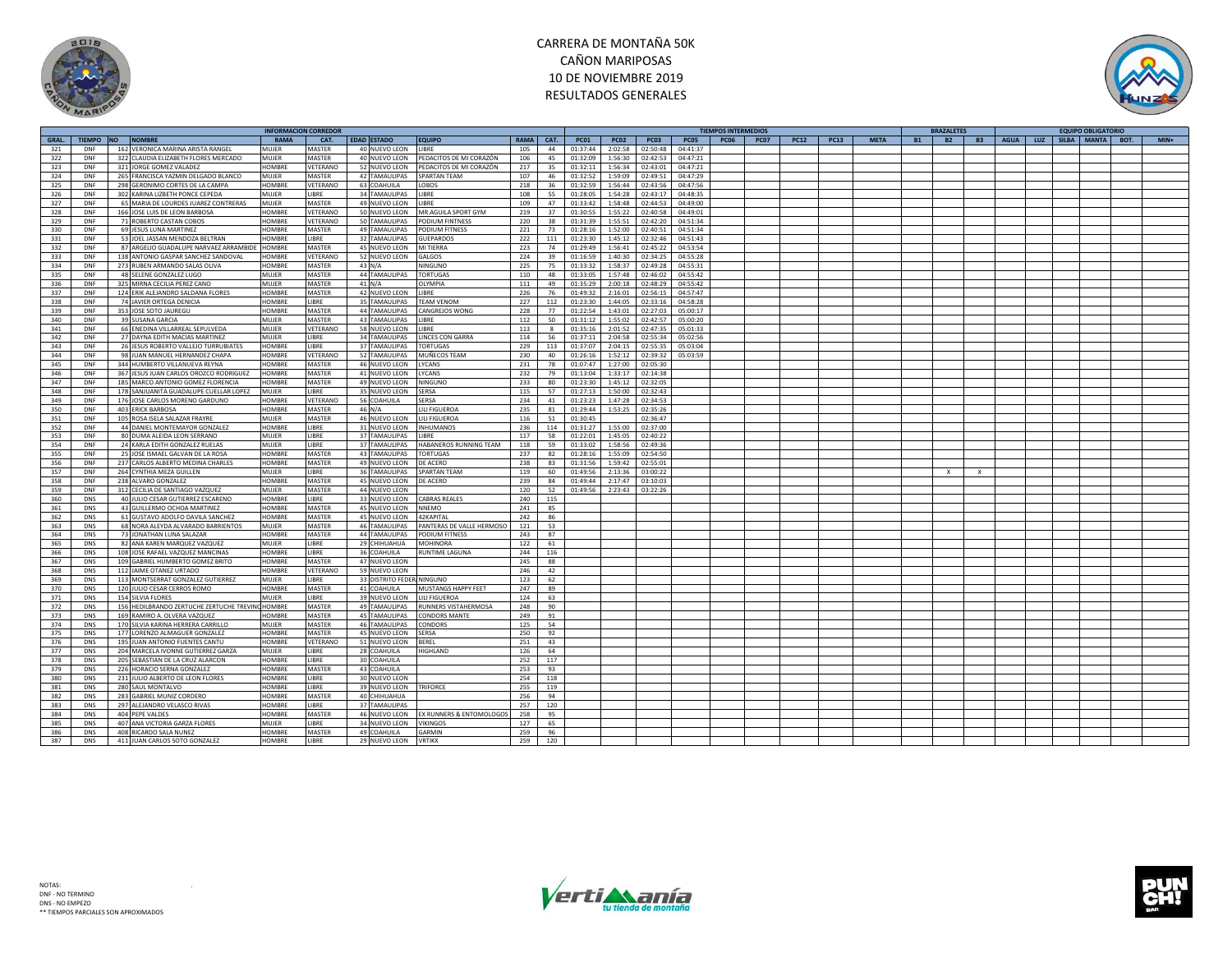



|       |            |                                                  | <b>INFORMACION CORREDOR</b> |                 |                           |                           |             |      |             |             |             |                  | <b>TIEMPOS INTERMEDIOS</b> |             |                                                        | <b>BRAZALETE</b>             |             |     | <b>EQUIPO OBLIGATORIO</b> |                |
|-------|------------|--------------------------------------------------|-----------------------------|-----------------|---------------------------|---------------------------|-------------|------|-------------|-------------|-------------|------------------|----------------------------|-------------|--------------------------------------------------------|------------------------------|-------------|-----|---------------------------|----------------|
| GRAL. | TIEMPO NO  | <b>NOMBRE</b>                                    | <b>RAMA</b>                 | CAT.            | <b>EDAD ESTADO</b>        | <b>EQUIPO</b>             | <b>RAMA</b> | CAT. | <b>PC01</b> | <b>PC02</b> | <b>PC03</b> | PCO <sub>5</sub> | <b>PC06</b>                | <b>PC07</b> | <b>PC13</b><br><b>META</b><br><b>B1</b><br><b>PC12</b> | <b>B2</b><br><b>B3</b>       | <b>AGUA</b> | LUZ | SILBA MANTA               | $MIN+$<br>BOT. |
| 321   | DNF        | 162 VERONICA MARINA ARISTA RANGEL                | MUJER                       | MASTER          | 40 NUEVO LEON             | LIBRE                     | 105         | 44   | 01:37:44    | 2:02:58     | 02:50:48    | 04:41:37         |                            |             |                                                        |                              |             |     |                           |                |
|       |            |                                                  |                             |                 |                           |                           |             |      |             |             |             |                  |                            |             |                                                        |                              |             |     |                           |                |
| 322   | DNF        | 322 CLAUDIA ELIZABETH FLORES MERCADO             | MUJER                       | MASTER          | 40 NUEVO LEON             | PEDACITOS DE MI CORAZÓN   | 106         | 45   | 01:32:09    | 1:56:30     | 02:42:53    | 04:47:21         |                            |             |                                                        |                              |             |     |                           |                |
| 323   | DNF        | 321 JORGE GOMEZ VALADEZ                          | HOMBRE                      | VETERANO        | 52 NUEVO LEON             | PEDACITOS DE MI CORAZÓN   | 217         | 35   | 01:32:11    | 1:56:34     | 02:43:01    | 04:47:21         |                            |             |                                                        |                              |             |     |                           |                |
| 324   | DNF        | 265 FRANCISCA YAZMIN DELGADO BLANCO              | <b>MUJER</b>                | MASTER          | 42 TAMAULIPAS             | SPARTAN TEAM              | 107         | 46   | 01:32:52    | 1:59:09     | 02:49:51    | 04:47:29         |                            |             |                                                        |                              |             |     |                           |                |
| 325   | DNF        | 298 GERONIMO CORTES DE LA CAMPA                  | HOMBRE                      | VETERANO        | 63 COAHUILA               | LOBOS                     | 218         | 36   | 01:32:59    | 1:56:44     | 02:43:56    | 04:47:56         |                            |             |                                                        |                              |             |     |                           |                |
| 326   | DNF        | 302 KARINA LIZBETH PONCE CEPEDA                  | MUIFR                       | <b>IBRE</b>     | 34 TAMAULIPAS             | LIBRE                     | 108         | 55   | 01:28:05    | 1:54:28     | 02:43:17    | 04:48:35         |                            |             |                                                        |                              |             |     |                           |                |
| 327   | DNF        | 65 MARIA DE LOURDES JUAREZ CONTRERAS             | MUJER                       | MASTER          | 49 NUEVO LEON             | <b>IRRF</b>               | 109         | 47   | 01:33:42    | 1:58:48     | 02:44:53    | 04:49:00         |                            |             |                                                        |                              |             |     |                           |                |
|       |            |                                                  |                             |                 |                           |                           |             |      |             |             |             |                  |                            |             |                                                        |                              |             |     |                           |                |
| 328   | <b>DNF</b> | 166 JOSE LUIS DE LEON BARBOSA                    | HOMBRE                      | VETERANO        | 50 NUEVO LEON             | MR.AGUILA SPORT GYM       | 219         | 37   | 01:30:55    | 1:55:22     | 02:40:58    | 04:49:01         |                            |             |                                                        |                              |             |     |                           |                |
| 329   | <b>DNF</b> | 71 ROBERTO CASTAN COBOS                          | HOMBRE                      | VETERANO        | 50 TAMAULIPAS             | <b>PODIUM FINTNESS</b>    | 220         | 38   | 01:31:39    | 1:55:51     | 02:42:20    | 04:51:34         |                            |             |                                                        |                              |             |     |                           |                |
| 330   | DNF        | 69 JESUS LUNA MARTINEZ                           | <b>HOMBRE</b>               | MASTER          | 49 TAMAULIPAS             | PODIUM FITNESS            | 221         | 73   | 01:28:16    | 1:52:00     | 02:40:51    | 04:51:34         |                            |             |                                                        |                              |             |     |                           |                |
| 331   | DNF        | 53 JOEL JASSAN MENDOZA BELTRAN                   | HOMBRE                      | <b>IBRE</b>     | 32 TAMAULIPAS             | <b>GUEPARDOS</b>          | 222         | 111  | 01:23:30    | 1:45:12     | 02:32:46    | 04:51:43         |                            |             |                                                        |                              |             |     |                           |                |
| 332   | DNF        | 87 ARGELIO GUADALUPE NARVAEZ ARRAMBIDE           | HOMBRE                      | MASTER          | 45 NUEVO LEON             | MI TIERRA                 | 223         | 74   | 01:29:49    | 1:56:41     | 02:45:22    | 04:53:54         |                            |             |                                                        |                              |             |     |                           |                |
|       |            |                                                  |                             |                 |                           |                           |             |      |             |             |             |                  |                            |             |                                                        |                              |             |     |                           |                |
| 333   | DNF        | 138 ANTONIO GASPAR SANCHEZ SANDOVAL              | <b>HOMBRE</b>               | VETERANO        | 52 NUEVO LEON             | GALGOS                    | 224         | 39   | 01:16:59    | 1:40:30     | 02:34:25    | 04:55:28         |                            |             |                                                        |                              |             |     |                           |                |
| 334   | DNF        | 273 RUBEN ARMANDO SALAS OLIVA                    | HOMBRE                      | MASTER          | $43$ N/A                  | NINGUNC                   | 225         | 75   | 01:33:32    | 1:58:37     | 02:49:28    | 04:55:31         |                            |             |                                                        |                              |             |     |                           |                |
| 335   | DNF        | 48 SELENE GONZALEZ LUGO                          | <b>MUJER</b>                | <b>MASTER</b>   | 44 TAMAULIPAS             | <b>TORTUGAS</b>           | 110         | 48   | 01:33:05    | 1:57:48     | 02:46:02    | 04:55:42         |                            |             |                                                        |                              |             |     |                           |                |
| 336   | DNF        | 325 MIRNA CECILIA PEREZ CANO                     | MUJER                       | MASTER          | 41 N/A                    | OLYMPIA                   | 111         | 49   | 01:35:29    | 2:00:18     | 02:48:29    | 04:55:42         |                            |             |                                                        |                              |             |     |                           |                |
| 337   | DNF        | 124 ERIK ALEJANDRO SALDANA FLORES                | HOMBRE                      | MASTER          | 42 NUEVO LEON             | LIBRE                     | 226         | 76   | 01:49:32    | 2:16:01     | 02:56:15    | 04:57:47         |                            |             |                                                        |                              |             |     |                           |                |
| 338   | DNF        | 74 JAVIER ORTEGA DENICIA                         | HOMBRE                      | <b>IBRE</b>     | 35 TAMAULIPAS             | <b>TEAM VENOM</b>         | 227         | 112  | 01:23:30    | 1:44:05     | 02:33:16    | 04:58:28         |                            |             |                                                        |                              |             |     |                           |                |
|       |            |                                                  |                             |                 |                           |                           |             |      |             |             |             |                  |                            |             |                                                        |                              |             |     |                           |                |
| 339   | <b>DNF</b> | 353 JOSE SOTO JAUREGU                            | HOMBRE                      | MASTER          | <b>44 TAMAULIPAS</b>      | <b>CANGREJOS WONG</b>     | 228         | 77   | 01:22:54    | 1:43:01     | 02:27:03    | 05:00:17         |                            |             |                                                        |                              |             |     |                           |                |
| 340   | <b>DNF</b> | 39 SUSANA GARCIA                                 | MUJER                       | MASTER          | 43 TAMAULIPAS             | LIBRE                     | 112         | 50   | 01:31:12    | 1:55:02     | 02:42:57    | 05:00:20         |                            |             |                                                        |                              |             |     |                           |                |
| 341   | DNF        | 66 ENEDINA VILLARREAL SEPULVEDA                  | MUJER                       | VETERANO        | 58 NUEVO LEON             | LIBRE                     | 113         | 8    | 01:35:16    | 2:01:52     | 02:47:35    | 05:01:33         |                            |             |                                                        |                              |             |     |                           |                |
| 342   | <b>DNF</b> | 27 DAYNA EDITH MACIAS MARTINEZ                   | MUJER                       | <b>IBRE</b>     | <b>34 TAMAULIPAS</b>      | LINCES CON GARRA          | 114         | 56   | 01:37:11    | 2:04:58     | 02:55:34    | 05:02:56         |                            |             |                                                        |                              |             |     |                           |                |
| 343   | <b>DNF</b> | 26 JESUS ROBERTO VALLEJO TURRUBIATES             | HOMBRE                      | <b>IBRE</b>     | 37 TAMAULIPAS             | <b>TORTUGAS</b>           | 229         | 113  | 01:37:07    | 2:04:15     | 02:55:35    | 05:03:04         |                            |             |                                                        |                              |             |     |                           |                |
|       |            |                                                  |                             |                 |                           |                           |             |      |             |             |             |                  |                            |             |                                                        |                              |             |     |                           |                |
| 344   | DNF        | 98 JUAN MANUEL HERNANDEZ CHAPA                   | HOMBRE                      | VETERANO        | 52 TAMAULIPAS             | MUÑECOS TEAM              | 230         | 40   | 01:26:16    | 1:52:12     | 02:39:32    | 05:03:59         |                            |             |                                                        |                              |             |     |                           |                |
| 345   | DNF        | 344 HUMBERTO VILLANUEVA REYNA                    | HOMBRE                      | MASTER          | 46 NUEVO LEON             | LYCANS                    | 231         | 78   | 01:07:47    | 1:27:00     | 02:05:30    |                  |                            |             |                                                        |                              |             |     |                           |                |
| 346   | DNF        | 367 JESUS JUAN CARLOS OROZCO RODRIGUEZ           | HOMBRE                      | <b>MASTER</b>   | 41 NUEVO LEON             | LYCANS                    | 232         | 79   | 01:13:04    | 1:33:17     | 02:14:38    |                  |                            |             |                                                        |                              |             |     |                           |                |
| 347   | DNF        | 185 MARCO ANTONIO GOMEZ FLORENCIA                | HOMBRE                      | MASTER          | 49 NUEVO LEON             | NINGUNO                   | 233         | 80   | 01:23:30    | 1:45:12     | 02:32:05    |                  |                            |             |                                                        |                              |             |     |                           |                |
| 348   | DNF        | 178 SANJUANITA GUADALUPE CUELLAR LOPEZ           | MUIFR                       | <b>IBRE</b>     | 35 NUEVO LEON             | SERSA                     | 115         | 57   | 01:27:13    | 1:50:00     | 02:32:43    |                  |                            |             |                                                        |                              |             |     |                           |                |
| 349   | DNF        | 176 JOSE CARLOS MORENO GARDUNO                   | HOMBRE                      | VETERANO        | 56 COAHUILA               | SERSA                     | 234         | 41   | 01:23:23    | 1:47:28     | 02:34:53    |                  |                            |             |                                                        |                              |             |     |                           |                |
|       |            |                                                  |                             |                 |                           |                           |             |      |             |             |             |                  |                            |             |                                                        |                              |             |     |                           |                |
| 350   | DNF        | <b>403 ERICK BARBOSA</b>                         | HOMBRE                      | MASTER          | 46 N/A                    | LILI FIGUEROA             | 235         | 81   | 01:29:44    | 1:53:25     | 02:35:26    |                  |                            |             |                                                        |                              |             |     |                           |                |
| 351   | DNF        | 105 ROSA ISELA SALAZAR FRAYRE                    | MUJER                       | MASTER          | 46 NUEVO LEON             | LILI FIGUEROA             | 116         | 51   | 01:30:45    |             | 02:36:47    |                  |                            |             |                                                        |                              |             |     |                           |                |
| 352   | DNF        | 44 DANIEL MONTEMAYOR GONZALEZ                    | HOMBRE                      | LIBRE           | 31 NUEVO LEON             | <b>INHUMANOS</b>          | 236         | 114  | 01:31:27    | 1:55:00     | 02:37:00    |                  |                            |             |                                                        |                              |             |     |                           |                |
| 353   | <b>DNF</b> | 80 DUMA ALEIDA LEON SERRANO                      | MUJER                       | <b>IBRE</b>     | 37 TAMAULIPAS             | LIBRE                     | 117         | 58   | 01:22:01    | 1:45:05     | 02:40:22    |                  |                            |             |                                                        |                              |             |     |                           |                |
| 354   | <b>DNF</b> | 24 KARLA EDITH GONZALEZ RUELAS                   | MUIFR                       | <b>IBRE</b>     | 37 TAMAULIPAS             | HABANEROS RUNNING TEAM    | 118         | 59   | 01:33:02    | 1:58:56     | 02:49:36    |                  |                            |             |                                                        |                              |             |     |                           |                |
|       | DNF        |                                                  |                             |                 |                           |                           | 237         | 82   |             |             |             |                  |                            |             |                                                        |                              |             |     |                           |                |
| 355   |            | 25 JOSE ISMAEL GALVAN DE LA ROSA                 | <b>HOMBRE</b>               | <b>MASTER</b>   | 43 TAMAULIPAS             | <b>TORTUGAS</b>           |             |      | 01:28:16    | 1:55:09     | 02:54:50    |                  |                            |             |                                                        |                              |             |     |                           |                |
| 356   | DNF        | 237 CARLOS ALBERTO MEDINA CHARLES                | HOMBRE                      | <b>MASTER</b>   | 49 NUEVO LEON             | DE ACERO                  | 238         | 83   | 01:31:56    | 1:59:42     | 02:55:01    |                  |                            |             |                                                        |                              |             |     |                           |                |
| 357   | DNF        | 264 CYNTHIA MEZA GUILLEN                         | MUJER                       | <b>IBRE</b>     | 36 TAMAULIPAS             | <b>SPARTAN TEAM</b>       | 119         | 60   | 01:49:56    | 2:13:36     | 03:00:22    |                  |                            |             |                                                        | $\mathbf{x}$<br>$\mathbf{x}$ |             |     |                           |                |
| 358   | DNF        | 238 ALVARO GONZALEZ                              | HOMBRE                      | MASTER          | 45 NUEVO LEON             | DE ACERO                  | 239         | 84   | 01:49:44    | 2:17:47     | 03:10:03    |                  |                            |             |                                                        |                              |             |     |                           |                |
| 359   | DNF        | 312 CECILIA DE SANTIAGO VAZQUEZ                  | <b>MUJER</b>                | MASTER          | 44 NUEVO LEON             |                           | 120         | 52   | 01:49:56    | 2:23:43     | 03:22:26    |                  |                            |             |                                                        |                              |             |     |                           |                |
| 360   | <b>DNS</b> | 40 JULIO CESAR GUTIERREZ ESCARENO                | HOMBRE                      | <b>IBRE</b>     | 33 NUEVO LEON             | <b>CABRAS REALES</b>      | 240         | 115  |             |             |             |                  |                            |             |                                                        |                              |             |     |                           |                |
|       |            |                                                  |                             |                 |                           |                           |             |      |             |             |             |                  |                            |             |                                                        |                              |             |     |                           |                |
| 361   | DNS        | 43 GUILLERMO OCHOA MARTINEZ                      | HOMBRE                      | MASTER          | 45 NUEVO LEON             | NNEMO                     | 241         | 85   |             |             |             |                  |                            |             |                                                        |                              |             |     |                           |                |
| 362   | DNS        | 61 GUSTAVO ADOLFO DAVILA SANCHEZ                 | HOMBRE                      | MASTER          | 45 NUEVO LEON             | 42KAPITAL                 | 242         | 86   |             |             |             |                  |                            |             |                                                        |                              |             |     |                           |                |
| 363   | <b>DNS</b> | 68 NORA ALEYDA ALVARADO BARRIENTOS               | MUJER                       | MASTER          | 46 TAMAULIPAS             | PANTERAS DE VALLE HERMOSO | 121         | 53   |             |             |             |                  |                            |             |                                                        |                              |             |     |                           |                |
| 364   | DNS        | 73 JONATHAN LUNA SALAZAR                         | HOMBRE                      | MASTER          | 44 TAMAULIPAS             | PODIUM FITNESS            | 243         | 87   |             |             |             |                  |                            |             |                                                        |                              |             |     |                           |                |
| 365   | <b>DNS</b> | 82 ANA KAREN MARQUEZ VAZQUEZ                     | <b>MUJER</b>                | <b>IBRE</b>     | 29 CHIHUAHUA              | <b>MOHINORA</b>           | 122         | 61   |             |             |             |                  |                            |             |                                                        |                              |             |     |                           |                |
|       | <b>DNS</b> | 108 JOSE RAFAEL VAZQUEZ MANCINAS                 | <b>HOMBRE</b>               | LIBRE           | 36 COAHUILA               | RUNTIME LAGUNA            | 244         | 116  |             |             |             |                  |                            |             |                                                        |                              |             |     |                           |                |
| 366   |            |                                                  |                             |                 |                           |                           |             |      |             |             |             |                  |                            |             |                                                        |                              |             |     |                           |                |
| 367   | <b>DNS</b> | 109 GABRIEL HUMBERTO GOMEZ BRITO                 | HOMBRE                      | MASTER          | 47 NUEVO LEON             |                           | 245         | 88   |             |             |             |                  |                            |             |                                                        |                              |             |     |                           |                |
| 368   | <b>DNS</b> | 112 JAIME OTANEZ URTADO                          | HOMBRE                      | VETERANO        | 59 NUEVO LEON             |                           | 246         | 42   |             |             |             |                  |                            |             |                                                        |                              |             |     |                           |                |
| 369   | <b>DNS</b> | 113 MONTSERRAT GONZALEZ GUTIERREZ                | MUJER                       | <b>IBRE</b>     | 33 DISTRITO FEDER NINGUNO |                           | 123         | 62   |             |             |             |                  |                            |             |                                                        |                              |             |     |                           |                |
| 370   | <b>DNS</b> | 120 JULIO CESAR CERROS ROMO                      | HOMBRE                      | MASTER          | 41 COAHUILA               | MUSTANGS HAPPY FEET       | 247         | 89   |             |             |             |                  |                            |             |                                                        |                              |             |     |                           |                |
| 371   | <b>DNS</b> | 154 SILVIA FLORES                                | MUIFR                       | <b>IBRE</b>     | 39 NUEVO LEON             | LILI FIGUEROA             | 124         | 63   |             |             |             |                  |                            |             |                                                        |                              |             |     |                           |                |
| 372   | DNS        | 156 HEDILBRANDO ZERTUCHE ZERTUCHE TREVING HOMBRE |                             | MASTER          | 49 TAMAULIPAS             | RUNNERS VISTAHERMOSA      | 248         | 90   |             |             |             |                  |                            |             |                                                        |                              |             |     |                           |                |
|       | DNS        | 169 RAMIRO A. OLVERA VAZQUEZ                     | HOMBRE                      | MASTER          | 45 TAMAULIPAS             | <b>CONDORS MANTE</b>      | 249         | 91   |             |             |             |                  |                            |             |                                                        |                              |             |     |                           |                |
| 373   |            |                                                  |                             |                 |                           |                           |             |      |             |             |             |                  |                            |             |                                                        |                              |             |     |                           |                |
| 374   | <b>DNS</b> | 170 SILVIA KARINA HERRERA CARRILLO               | MUJER                       | MASTER          | 46 TAMAULIPAS             | CONDORS                   | 125         | 54   |             |             |             |                  |                            |             |                                                        |                              |             |     |                           |                |
| 375   | <b>DNS</b> | 177 LORENZO ALMAGUER GONZALEZ                    | HOMBRE                      | MASTER          | 45 NUEVO LEON             | SERSA                     | 250         | 92   |             |             |             |                  |                            |             |                                                        |                              |             |     |                           |                |
| 376   | DNS        | 195 JUAN ANTONIO FUENTES CANTU                   | HOMBRE                      | <b>/ETERANO</b> | 51 NUEVO LEON             | BEREL                     | 251         | 43   |             |             |             |                  |                            |             |                                                        |                              |             |     |                           |                |
| 377   | <b>DNS</b> | 204 MARCELA IVONNE GUTIERREZ GARZA               | MUJER                       | <b>IBRE</b>     | 28 COAHUILA               | HIGHLAND                  | 126         | 64   |             |             |             |                  |                            |             |                                                        |                              |             |     |                           |                |
| 378   | <b>DNS</b> | 205 SEBASTIAN DE LA CRUZ ALARCON                 | <b>HOMBRE</b>               | <b>IBRE</b>     | 30 COAHUILA               |                           | 252         | 117  |             |             |             |                  |                            |             |                                                        |                              |             |     |                           |                |
|       |            |                                                  |                             |                 |                           |                           |             |      |             |             |             |                  |                            |             |                                                        |                              |             |     |                           |                |
| 379   | <b>DNS</b> | 226 HORACIO SERNA GONZALEZ                       | HOMBRE                      | MASTER          | 43 COAHUILA               |                           | 253         | 93   |             |             |             |                  |                            |             |                                                        |                              |             |     |                           |                |
| 380   | <b>DNS</b> | 231 JULIO ALBERTO DE LEON FLORES                 | HOMBRE                      | <b>IBRE</b>     | 30 NUEVO LEON             |                           | 254         | 118  |             |             |             |                  |                            |             |                                                        |                              |             |     |                           |                |
| 381   | <b>DNS</b> | 280 SAUL MONTALVO                                | <b>HOMBRE</b>               | <b>IBRE</b>     | 39 NUEVO LEON             | <b>TRIFORCE</b>           | 255         | 119  |             |             |             |                  |                            |             |                                                        |                              |             |     |                           |                |
| 382   | <b>DNS</b> | 283 GABRIEL MUNIZ CORDERO                        | HOMBRE                      | MASTER          | 40 CHIHUAHUA              |                           | 256         | 94   |             |             |             |                  |                            |             |                                                        |                              |             |     |                           |                |
| 383   | DNS        | 297 ALEJANDRO VELASCO RIVAS                      | HOMRRE                      | <b>IBRE</b>     | 37 TAMAULIPAS             |                           | 257         | 120  |             |             |             |                  |                            |             |                                                        |                              |             |     |                           |                |
| 384   | DNS        | 404 PEPE VALDES                                  | HOMBRE                      | MASTER          | 46 NUEVO LEON             | EX RUNNERS & ENTOMOLOGOS  | 258         | 95   |             |             |             |                  |                            |             |                                                        |                              |             |     |                           |                |
|       |            |                                                  |                             |                 |                           |                           |             |      |             |             |             |                  |                            |             |                                                        |                              |             |     |                           |                |
| 385   | <b>DNS</b> | 407 ANA VICTORIA GARZA FLORES                    | MUJER                       | <b>IBRE</b>     | 34 NUEVO LEON             | <b>VIKINGOS</b>           | 127         | 65   |             |             |             |                  |                            |             |                                                        |                              |             |     |                           |                |
| 386   | <b>DNS</b> | 408 RICARDO SALA NUNEZ                           | HOMBRE                      | MASTER          | 49 COAHUILA               | <b>GARMIN</b>             | 259         | 96   |             |             |             |                  |                            |             |                                                        |                              |             |     |                           |                |
| 387   | <b>DNS</b> | 411 JUAN CARLOS SOTO GONZALEZ                    | HOMBRE                      | LIBRE           | 29 NUEVO LEON             | <b>VRTIKX</b>             | 259         | 120  |             |             |             |                  |                            |             |                                                        |                              |             |     |                           |                |



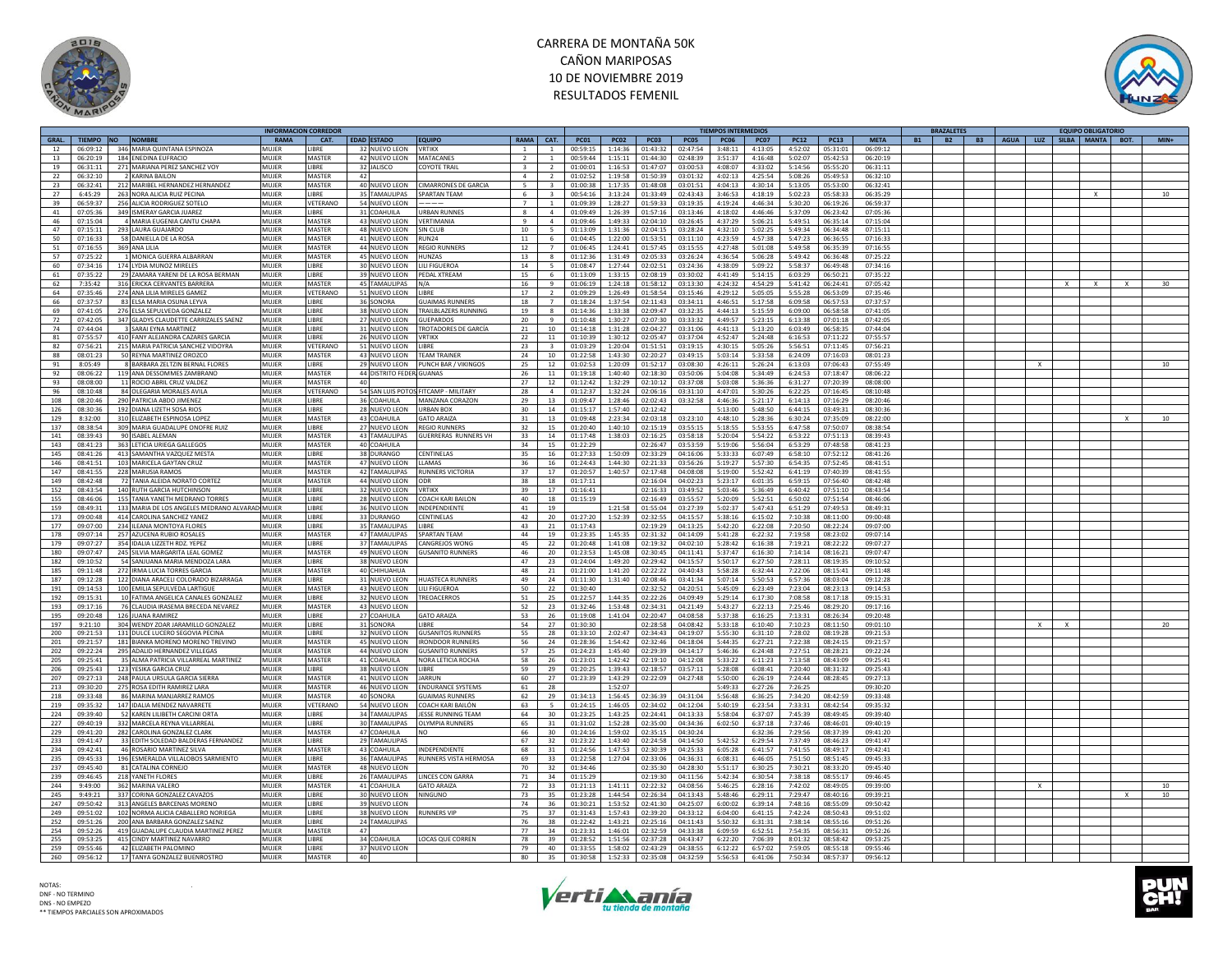



|       |          |                                                 | <b>NFORMACION CORREDOI</b> |                 |                          |                                      |                 |                |             |             |             |             | TIEMPOS INTERMEDIOS |             |             |             |             | <b>BRAZALETES</b>      |           |              |          | <b>EQUIPO OBLIGATORIC</b>         |          |        |
|-------|----------|-------------------------------------------------|----------------------------|-----------------|--------------------------|--------------------------------------|-----------------|----------------|-------------|-------------|-------------|-------------|---------------------|-------------|-------------|-------------|-------------|------------------------|-----------|--------------|----------|-----------------------------------|----------|--------|
| GRAL. |          | TIEMPO NO NOMBRE                                | RAMA                       | CAT.            | EDAD ESTADO              | <b>EQUIPO</b>                        | <b>RAMA</b>     | CAT.           | <b>PC01</b> | <b>PC02</b> | <b>PC03</b> | <b>PC05</b> | <b>PC06</b>         | <b>PC07</b> | <b>PC12</b> | <b>PC13</b> | <b>META</b> | <b>B2</b><br><b>B1</b> | <b>B3</b> |              |          | AGUA   LUZ   SILBA   MANTA   BOT. |          | $MIN+$ |
| 12    | 06:09:12 | 346 MARIA OUINTANA ESPINOZA                     | MUIFR                      | <b>IBRF</b>     | 32 NUEVO LEON            | <b>VRTIKX</b>                        | $\overline{1}$  | $\mathbf{1}$   | 00:59:15    | 1:14:36     | 01:43:32    | 02:47:54    | 3:48:11             | 4:13:05     | 4:52:02     | 05:31:01    | 06:09:12    |                        |           |              |          |                                   |          |        |
| 13    | 06:20:19 | 184 ENEDINA EUFRACIO                            | MUIFF                      | MASTER          | 42 NUEVO LEON            | <b>MATACANE</b>                      |                 |                | 00:59:44    | 1:15:11     | 01:44:30    | 02:48:39    | 3:51:37             | 4:16:48     | 5:02:07     | 05:42:53    | 06:20:19    |                        |           |              |          |                                   |          |        |
|       |          |                                                 |                            |                 |                          |                                      |                 |                |             |             |             |             |                     |             |             |             |             |                        |           |              |          |                                   |          |        |
| 19    | 06:31:11 | 271 MARIANA PEREZ SANCHEZ VOY                   | MUJER                      | LIBRE           | 32 JALISCO               | <b>COYOTE TRAIL</b>                  | $\overline{3}$  | 2              | 01:00:01    | 1:16:53     | 01:47:07    | 03:00:53    | 4:08:07             | 4:33:02     | 5:14:56     | 05:55:20    | 06:31:11    |                        |           |              |          |                                   |          |        |
| 22    | 06:32:10 | 2 KARINA BAILON                                 | MUIFF                      | MASTER          | 42                       |                                      | $\overline{a}$  | $\overline{2}$ | 01:02:52    | 1:19:58     | 01:50:39    | 03:01:32    | 4:02:13             | 4:25:54     | 5:08:26     | 05:49:53    | 06:32:10    |                        |           |              |          |                                   |          |        |
| 23    | 06:32:41 | 212 MARIBEL HERNANDEZ HERNANDEZ                 | MUIFF                      | MASTER          | 40 NUEVO LEON            | <b>CIMARRONES DE GARCIA</b>          | 5               |                | 01:00:38    | 1:17:35     | 01:48:08    | 03:01:51    | 4:04:13             | 4:30:14     | 5:13:05     | 05:53:00    | 06:32:41    |                        |           |              |          |                                   |          |        |
|       |          |                                                 |                            |                 |                          |                                      |                 | $\overline{3}$ |             |             |             |             |                     |             |             |             |             |                        |           |              |          |                                   |          |        |
| 27    | 6:45:29  | 263 NORA ALICIA RUIZ PECINA                     | MUJEF                      | LIBRE           | 35 TAMAULIPAS            | SPARTAN TEAM                         | 6               |                | 00:54:16    | 3:13:24     | 01:33:49    | 02:43:43    | 3:46:53             | 4:18:19     | 5:02:23     | 05:58:33    | 06:35:29    |                        |           |              |          |                                   |          | 10     |
| 39    | 06:59:37 | 256 ALICIA RODRIGUEZ SOTELC                     | MUJFR                      | VETERANO        | 54 NUEVO LEON            |                                      | $\overline{z}$  | $\mathbf{1}$   | 01:09:39    | 1:28:27     | 01:59:33    | 03:19:35    | 4:19:24             | 4:46:34     | 5:30:20     | 06:19:26    | 06:59:37    |                        |           |              |          |                                   |          |        |
| 41    | 07:05:36 | 349 ISMERAY GARCIA JUAREZ                       | MUIFF                      | <b>IBRE</b>     | 31 COAHUILA              | URBAN RUNNES                         | $\mathbf{R}$    | $\overline{a}$ | 01:09:49    | 1:26:39     | 01:57:16    | 03:13:46    | 4:18:02             | 4:46:46     | 5:37:09     | 06:23:42    | 07:05:36    |                        |           |              |          |                                   |          |        |
| 46    | 07:15:04 |                                                 | MUJEF                      | MASTER          |                          | VERTIMANIA                           | $\mathbf{q}$    | $\overline{a}$ |             | 1:49:33     | 02:04:10    |             |                     | 5:06:21     |             |             |             |                        |           |              |          |                                   |          |        |
|       |          | 4 MARIA EUGENIA CANTU CHAPA                     |                            |                 | 43 NUEVO LEON            |                                      |                 |                | 01:09:46    |             |             | 03:26:45    | 4:37:29             |             | 5:49:51     | 06:35:14    | 07:15:04    |                        |           |              |          |                                   |          |        |
| 47    | 07:15:11 | 293 LAURA GUAJARDO                              | MUIFF                      | <b>MASTER</b>   | 48 NUEVO LEON            | SIN CLUB                             | 10 <sup>1</sup> | 5              | 01:13:09    | 1:31:36     | 02:04:15    | 03:28:24    | 4:32:10             | 5:02:25     | 5:49:34     | 06:34:48    | 07:15:11    |                        |           |              |          |                                   |          |        |
| 50    | 07:16:33 | 58 DANIELLA DE LA ROSA                          | MUIFF                      | MASTER          | 41 NUEVO LEON            | RUN <sub>24</sub>                    | 11              | 6              | 01:04:45    | 1:22:00     | 01:53:51    | 03:11:10    | 4:23:59             | 4:57:38     | 5:47:23     | 06:36:55    | 07:16:33    |                        |           |              |          |                                   |          |        |
| 51    | 07:16:55 | 369 ANA LILIA                                   | MUJEF                      | MASTER          | 44 NUEVO LEON            | <b>REGIO RUNNERS</b>                 | 12              | $\overline{7}$ | 01:06:45    | 1:24:41     | 01:57:45    | 03:15:55    | 4:27:48             | 5:01:08     | 5:49:58     | 06:35:39    | 07:16:55    |                        |           |              |          |                                   |          |        |
|       |          |                                                 |                            |                 |                          |                                      |                 |                |             |             |             |             |                     |             |             |             |             |                        |           |              |          |                                   |          |        |
| 57    | 07:25:22 | 1 MONICA GUERRA ALBARRAN                        | MUIFF                      | MASTER          | 45 NUEVO LEON            | <b>HUNZAS</b>                        | 13              | $\mathbf{R}$   | 01:12:36    | 1:31:49     | 02:05:33    | 03:26:24    | 4:36:54             | 5:06:28     | 5:49:42     | 06:36:48    | 07:25:22    |                        |           |              |          |                                   |          |        |
| 60    | 07:34:16 | 174 LYDIA MUNOZ MIRELES                         | MUIFF                      | <b>IBRE</b>     | 30 NUEVO LEON            | LILI FIGUEROA                        | 14              | 5              | 01:08:47    | 1:27:44     | 02:02:51    | 03:24:36    | 4:38:09             | 5:09:22     | 5:58:37     | 06:49:48    | 07:34:16    |                        |           |              |          |                                   |          |        |
| 61    | 07:35:22 | 29 ZAMARA YARENI DE LA ROSA BERMAN              | MUJEF                      | LIBRE           | 39 NUEVO LEON            | PEDAL XTREAM                         | 15              | 6              | 01:13:09    | 1:33:15     | 02:08:19    | 03:30:02    | 4:41:49             | 5:14:15     | 6:03:29     | 06:50:21    | 07:35:22    |                        |           |              |          |                                   |          |        |
|       |          |                                                 |                            |                 |                          |                                      |                 |                |             |             |             |             |                     |             |             |             |             |                        |           |              |          |                                   |          |        |
| 62    | 7:35:42  | 316 ERICKA CERVANTES BARRERA                    | MUJEF                      | <b>MASTER</b>   | 45 TAMALILIPAS           | $N/\Delta$                           | 16              | $\alpha$       | 01:06:19    | 1:24:18     | 01.58.12    | 03:13:30    | 4.24.32             | 4.54.29     | 5.41.42     | 06:24:41    | 07.05.42    |                        |           |              | $\times$ |                                   |          | 30     |
| 64    | 07:35:46 | 274 ANA LILIA MIRELES GAMEZ                     | MUJER                      | VETERANO        | 51 NUEVO LEON            | <b>LIBRE</b>                         | 17              |                | 01:09:29    | 1:26:49     | 01:58:54    | 03:15:46    | 4:29:12             | 5:05:05     | 5:55:28     | 06:53:09    | 07:35:46    |                        |           |              |          |                                   |          |        |
| 66    | 07:37:57 | 83 ELSA MARIA OSUNA LEYVA                       | MUJEF                      | LIBRE           | 36 SONORA                | <b>GUAIMAS RUNNERS</b>               | 18              | $\overline{7}$ | 01:18:24    | 1:37:54     | 02:11:43    | 03:34:11    | 4:46:51             | 5:17:58     | 6:09:58     | 06:57:53    | 07:37:57    |                        |           |              |          |                                   |          |        |
|       |          |                                                 |                            |                 |                          |                                      |                 |                |             |             |             |             |                     |             |             |             |             |                        |           |              |          |                                   |          |        |
| 69    | 07:41:05 | 276 ELSA SEPULVEDA GONZALEZ                     | MUIFF                      | <b>IRRF</b>     | 38 NUEVO LEON            | TRAILBLAZERS RUNNING                 | 19              | 8              | 01:14:36    | 1:33:38     | 02:09:47    | 03:32:35    | 4:44:13             | 5:15:59     | 6:09:00     | 06:58:58    | 07:41:05    |                        |           |              |          |                                   |          |        |
| 72    | 07:42:05 | 347 GLADYS CLAUDETTE CARRIZALES SAENZ           | MUIFF                      | <b>IBRE</b>     | 27 NUEVO LEON            | <b>GUFPARDOS</b>                     | 20              | $\ddot{q}$     | 01:10:48    | 1:30:27     | 02:07:30    | 03:33:32    | 4:49:57             | 5:23:15     | 6:13:38     | 07:01:18    | 07:42:05    |                        |           |              |          |                                   |          |        |
| 74    | 07:44:04 | 3 SARAI EYNA MARTINEZ                           | MUJEF                      | LIBRE           | 31 NUEVO LEON            | TROTADORES DE GARCÍA                 | 21              | 10             | 01:14:18    | 1:31:28     | 02:04:27    | 03:31:06    | 4:41:13             | 5:13:20     | 6:03:49     | 06:58:35    | 07:44:04    |                        |           |              |          |                                   |          |        |
|       |          |                                                 |                            |                 |                          |                                      |                 |                |             |             |             |             |                     |             |             |             |             |                        |           |              |          |                                   |          |        |
| 81    | 07:55:57 | 410 FANY ALEJANDRA CAZARES GARCIA               | MUIFF                      | <b>IRRF</b>     | 26 NUEVO LEON            | <b>VRTIKX</b>                        | 22              | 11             | 01:10:39    | 1:30:12     | 02:05:47    | 03:37:04    | 4:52:47             | 5:24:48     | 6:16:53     | 07:11:22    | 07:55:57    |                        |           |              |          |                                   |          |        |
| 82    | 07:56:21 | 215 MARIA PATRICIA SANCHEZ VIDOYRA              | MUIFF                      | VETERANO        | 51 NUEVO LEON            | <b>LIBRE</b>                         | 23              | $\overline{3}$ | 01:03:29    | 1:20:04     | 01:51:51    | 03:19:15    | 4:30:15             | 5:05:26     | 5:56:51     | 07:11:45    | 07:56:21    |                        |           |              |          |                                   |          |        |
| 88    | 08:01:23 | 50 REYNA MARTINEZ OROZCO                        | MUJEF                      | <b>MASTER</b>   | 43 NUEVO LEON            | <b>TEAM TRAINER</b>                  | 24              | 10             | 01:22:58    | 1:43:30     | 02:20:27    | 03:49:15    | 5:03:14             | 5:33:58     | 6:24:09     | 07:16:03    | 08:01:23    |                        |           |              |          |                                   |          |        |
|       |          |                                                 |                            |                 |                          |                                      |                 |                |             |             |             |             |                     |             |             |             |             |                        |           |              |          |                                   |          |        |
| 91    | 8:05:49  | 8 BARBARA ZELTZIN BERNAL FLORES                 | MUIFR                      | <b>IRRF</b>     |                          | 29 NUEVO LEON PUNCH BAR / VIKINGOS   | 25              | 12             | 01:02:53    | 1:20:09     | 01:52:17    | 03:08:30    | 4:26:11             | 5:26:24     | 6:13:03     | 07:06:43    | 07:55:49    |                        |           | $\mathsf{x}$ |          |                                   |          | $10\,$ |
| 92    | 08:06:22 | 119 ANA DESSOMMES ZAMBRANO                      | MUIFF                      | MASTER          | 44 DISTRITO FEDER GUANAS |                                      | 26              | 11             | 01:19:18    | 1:40:40     | 02:18:30    | 03:50:06    | 5:04:08             | 5:34:49     | 6:24:53     | 07:18:47    | 08:06:22    |                        |           |              |          |                                   |          |        |
| 93    | 08:08:00 | 11 ROCIO ABRIL CRUZ VALDEZ                      | MUJER                      | MASTER          | 40                       |                                      | 27              | 12             | 01:12:42    | 1:32:29     | 02:10:12    | 03:37:08    | 5:03:08             | 5:36:36     | 6:31:27     | 07:20:39    | 08:08:00    |                        |           |              |          |                                   |          |        |
| 96    |          |                                                 | MUIFR                      |                 |                          |                                      |                 | $\overline{a}$ |             |             |             |             | 4:47:01             |             |             |             |             |                        |           |              |          |                                   |          |        |
|       | 08:10:48 | 84 OLEGARIA MORALES AVILA                       |                            | VETERANO        |                          | 54 SAN LUIS POTOS FITCAMP - MILITARY | 28              |                | 01:12:37    | 1:32:24     | 02:06:16    | 03:31:10    |                     | 5:30:26     | 6:22:25     | 07:16:45    | 08:10:48    |                        |           |              |          |                                   |          |        |
| 108   | 08:20:46 | 290 PATRICIA ABDO JIMENEZ                       | MUJER                      | <b>IBRE</b>     | 36 COAHUILA              | MANZANA CORAZON                      | 29              | 13             | 01:09:47    | 1:28:46     | 02:02:43    | 03:32:58    | 4:46:36             | 5:21:17     | 6:14:13     | 07:16:29    | 08:20:46    |                        |           |              |          |                                   |          |        |
| 126   | 08:30:36 | 192 DIANA LIZETH SOSA RIOS                      | MUJER                      | <b>IBRE</b>     | 28 NUEVO LEON            | <b>URBAN BOX</b>                     | 30              | 14             | 01:15:17    | 1:57:40     | 02:12:42    |             | 5:13:00             | 5:48:50     | 6:44:15     | 03:49:31    | 08:30:36    |                        |           |              |          |                                   |          |        |
|       |          |                                                 | MUIFR                      | MASTER          | 43 COAHUILA              | <b>GATO ARAIZA</b>                   |                 |                | 01:09:48    |             | 02:03:18    |             | 4:48:10             |             |             |             |             |                        |           |              |          |                                   |          | 10     |
| 129   | 8:32:00  | 310 ELIZABETH ESPINOSA LOPEZ                    |                            |                 |                          |                                      | 31              | 13             |             | 2:23:34     |             | 03:23:10    |                     | 5:28:36     | 6:30:24     | 07:35:09    | 08:22:00    |                        |           |              |          |                                   | $\times$ |        |
| 137   | 08:38:54 | 309 MARIA GUADALUPE ONOFRE RUIZ                 | MUIFF                      | <b>IBRE</b>     | 27 NUEVO LEON            | <b>REGIO RUNNERS</b>                 | 32              | 15             | 01:20:40    | 1:40:10     | 02:15:19    | 03:55:15    | 5:18:55             | 5:53:55     | 6:47:58     | 07:50:07    | 08:38:54    |                        |           |              |          |                                   |          |        |
| 141   | 08:39:43 | 90 ISABEL ALEMAN                                | MUJER                      | MASTER          | 43 TAMAULIPAS            | <b>GUERRERAS RUNNERS VH</b>          | 33              | 14             | 01:17:48    | 1:38:03     | 02:16:25    | 03:58:18    | 5:20:04             | 5:54:22     | 6:53:22     | 07:51:13    | 08:39:43    |                        |           |              |          |                                   |          |        |
|       |          |                                                 | MUIFR                      | <b>MASTER</b>   | 40 COAHUILA              |                                      | 34              |                |             |             | 02:26:47    |             |                     |             |             |             |             |                        |           |              |          |                                   |          |        |
| 143   | 08:41:23 | 363 LETICIA URIEGA GALLEGOS                     |                            |                 |                          |                                      |                 | 15             | 01:22:29    |             |             | 03:53:59    | 5:19:06             | 5:56:04     | 6:53:29     | 07:48:58    | 08:41:23    |                        |           |              |          |                                   |          |        |
| 145   | 08:41:26 | 413 SAMANTHA VAZQUEZ MESTA                      | MUJER                      | LIBRE           | 38 DURANGO               | CENTINELAS                           | 35              | 16             | 01:27:33    | 1:50:09     | 02:33:29    | 04:16:06    | 5:33:33             | 6:07:49     | 6:58:10     | 07:52:12    | 08:41:26    |                        |           |              |          |                                   |          |        |
| 146   | 08:41:51 | 103 MARICELA GAYTAN CRUZ                        | MUJEF                      | MASTER          | 47 NUEVO LEON            | LLAMAS                               | 36              | 16             | 01:24:43    | 1:44:30     | 02:21:33    | 03:56:26    | 5:19:27             | 5:57:30     | 6:54:35     | 07:52:45    | 08:41:51    |                        |           |              |          |                                   |          |        |
| 147   | 08:41:55 |                                                 | MUJFR                      | <b>MASTER</b>   | 42 TAMAULIPAS            | <b>RUNNERS VICTORIA</b>              | 37              | 17             | 01:20:57    | 1:40:57     | 02:17:48    | 04:08:08    | 5:19:00             | 5:52:42     | 6:41:19     | 07:40:39    |             |                        |           |              |          |                                   |          |        |
|       |          | 228 MARUSIA RAMOS                               |                            |                 |                          |                                      |                 |                |             |             |             |             |                     |             |             |             | 08:41:55    |                        |           |              |          |                                   |          |        |
| 149   | 08:42:48 | 72 TANIA ALEIDA NORATO CORTEZ                   | MUJEF                      | MASTER          | 44 NUEVO LEON            | ODR                                  | 38              | 18             | 01:17:11    |             | 02:16:04    | 04:02:23    | 5:23:17             | 6:01:35     | 6:59:15     | 07:56:40    | 08:42:48    |                        |           |              |          |                                   |          |        |
| 152   | 08:43:54 | 140 RUTH GARCIA HUTCHINSON                      | MUJEF                      | LIBRE           | 32 NUEVO LEON            | <b>VRTIKX</b>                        | 39              | 17             | 01:16:41    |             | 02:16:33    | 03:49:52    | 5:03:46             | 5:36:49     | 6:40:42     | 07:51:10    | 08:43:54    |                        |           |              |          |                                   |          |        |
| 155   | 08:46:06 | 155 TANJA YANFTH MEDRANO TORRES                 | MUIFR                      | <b>IRRF</b>     | 28 NUEVO LEON            | COACH KARLBAILON                     | 40              | 18             | 01:15:19    |             | 02:16:49    | 03:55:57    | 5:20:09             | 5:52:51     | 6:50:02     | 07:51:54    | 08:46:06    |                        |           |              |          |                                   |          |        |
|       |          |                                                 |                            |                 |                          |                                      |                 |                |             |             |             |             |                     |             |             |             |             |                        |           |              |          |                                   |          |        |
| 159   | 08:49:31 | 133 MARIA DE LOS ANGELES MEDRANO ALVARADI MUJER |                            | <b>IBRE</b>     | 36 NUEVO LEON            | INDEPENDIENTE                        | 41              | 19             |             | 1:21:58     | 01:55:04    | 03:27:39    | 5:02:37             | 5:47:43     | 6:51:29     | 07:49:53    | 08:49:31    |                        |           |              |          |                                   |          |        |
| 173   | 09:00:48 | 414 CAROLINA SANCHEZ YANEZ                      | MUJEF                      | <b>IRRF</b>     | 33 DURANGO               | CENTINELAS                           | 42              | 20             | 01:27:20    | 1:52:39     | 02:32:55    | 04:15:57    | 5:38:16             | 6:15:02     | 7:10:38     | 08:11:00    | 09:00:48    |                        |           |              |          |                                   |          |        |
| 177   | 09:07:00 | 234 ILEANA MONTOYA FLORES                       | MUIFR                      | <b>IBRF</b>     | 35 TAMAULIPAS            | <b>IIBRF</b>                         | 43              | 21             | 01:17:43    |             | 02:19:29    | 04:13:25    | 5:42:20             | 6:22:08     | 7:20:50     | 08:22:24    | 09:07:00    |                        |           |              |          |                                   |          |        |
|       |          |                                                 |                            |                 |                          |                                      |                 |                |             |             |             |             |                     |             |             |             |             |                        |           |              |          |                                   |          |        |
| 178   | 09:07:14 | 257 AZUCENA RUBIO ROSALES                       | MUJER                      | MASTER          | 47 TAMAULIPAS            | SPARTAN TEAM                         | 44              | 19             | 01:23:35    | 1:45:35     | 02:31:32    | 04:14:09    | 5:41:28             | 6:22:32     | 7:19:58     | 08:23:02    | 09:07:14    |                        |           |              |          |                                   |          |        |
| 179   | 09:07:27 | 354 IDALIA LIZZETH RDZ, YEPEZ                   | MUJER                      | LIBRE           | 37 TAMAULIPAS            | <b>CANGREJOS WONG</b>                | 45              | 22             | 01:20:48    | 1:41:08     | 02:19:32    | 04:02:10    | 5:28:42             | 6:16:38     | 7:19:21     | 08:22:22    | 09:07:27    |                        |           |              |          |                                   |          |        |
| 180   | 09:07:47 | 245 SILVIA MARGARITA LEAL GOME                  | MUJER                      | <b>MASTER</b>   | 49 NUEVO LEON            | <b>GUSANITO RUNNERS</b>              | 46              | 20             | 01:23:53    | 1:45:08     | 02:30:45    | 04:11:41    | 5:37:47             | 6:16:30     | 7:14:14     | 08:16:21    | 09:07:47    |                        |           |              |          |                                   |          |        |
|       |          |                                                 |                            |                 |                          |                                      |                 |                |             |             |             |             |                     |             |             |             |             |                        |           |              |          |                                   |          |        |
| 182   | 09:10:52 | 54 SANJUANA MARIA MENDOZA LARA                  | MUJE                       | <b>IBRE</b>     | 38 NUEVO LEON            |                                      | 47              | 23             | 01:24:04    | 1:49:20     | 02:29:42    | 04:15:57    | 5:50:17             | 6:27:50     | 7:28:11     | 08:19:35    | 09:10:52    |                        |           |              |          |                                   |          |        |
| 185   | 09:11:48 | 272 IRMA LUCIA TORRES GARCIA                    | MUJEF                      | <b>MASTER</b>   | 40 CHIHUAHUA             |                                      | 48              | 21             | 01:21:00    | 1:41:20     | 02:22:22    | 04:40:43    | 5:58:28             | 6:32:44     | 7:22:06     | 08:15:41    | 09:11:48    |                        |           |              |          |                                   |          |        |
| 187   | 09:12:28 | 122 DIANA ARACELI COLORADO BIZARRAGA            | MUIFR                      | <b>IRRE</b>     |                          | 31 NUEVO LEON HUASTECA RUNNERS       | 49              | 24             | 01:11:30    | 1:31:40     | 02.08.46    | 03:41:34    | 5:07:14             | 5:50:53     | 6:57:36     | 08:03:04    | 09:12:28    |                        |           |              |          |                                   |          |        |
|       |          |                                                 |                            |                 |                          |                                      | 50              |                |             |             |             |             |                     |             |             |             |             |                        |           |              |          |                                   |          |        |
| 191   | 09:14:53 | 100 EMILIA SEPULVEDA LARTIGUE                   | MUJEF                      | MASTER          | 43 NUEVO LEON            | <b>LILI FIGUEROA</b>                 |                 | 22             | 01:30:40    |             | 02:32:52    | 04:20:51    | 5:45:09             | 6:23:49     | 7:23:04     | 08:23:13    | 09:14:53    |                        |           |              |          |                                   |          |        |
| 192   | 09:15:31 | 10 FATIMA ANGELICA CANALES GONZALEZ             | MUJER                      | <b>IRRF</b>     | 32 NUEVO LEON            | TREOACERROS                          | 51              | 25             | 01:22:57    | 1:44:35     | 02:22:26    | 04:09:49    | 5:29:14             | 6:17:30     | 7:08:58     | 08:17:18    | 09:15:31    |                        |           |              |          |                                   |          |        |
| 193   | 09:17:16 | 76 CLAUDIA IRASEMA BRECEDA NEVAREZ              | MUIFF                      | MASTER          | 43 NUEVO LEON            |                                      | 52              | 23             | 01:32:46    | 1:53:48     | 02:34:31    | 04:21:49    | 5:43:27             | 6:22:13     | 7:25:46     | 08:29:20    | 09:17:16    |                        |           |              |          |                                   |          |        |
| 195   | 09:20:48 | 126 JUANA RAMIREZ                               | MUJER                      | LIBRE           | 27 COAHUILA              | GATO ARAIZA                          | 53              | 26             | 01:19:08    | 1:41:04     | 02:20:47    | 04:08:58    | 5:37:38             | 6:16:25     | 7:13:31     | 08:26:34    | 09:20:48    |                        |           |              |          |                                   |          |        |
|       |          |                                                 |                            |                 |                          |                                      |                 |                |             |             |             |             |                     |             |             |             |             |                        |           |              |          |                                   |          |        |
| 197   | 9:21:10  | 304 WENDY ZOAR JARAMILLO GONZALEZ               | MUJEF                      | LIBRE           | 31 SONORA                | LIBRE                                | 54              | 27             | 01:30:30    |             | 02:28:58    | 04:08:42    | 5:33:18             | 6:10:40     | 7:10:23     | 08:11:50    | 09:01:10    |                        |           | $\mathbf{x}$ |          |                                   |          | 20     |
| 200   | 09:21:53 | 131 DULCE LUCERO SEGOVIA PECINA                 | MUIFF                      | <b>IBRF</b>     | 32 NUEVO LEON            | <b>GUSANITOS RUNNERS</b>             | 55              | 28             | 01:33:10    | 2:02:47     | 02:34:43    | 04:19:07    | 5:55:30             | 6:31:10     | 7:28:02     | 08:19:28    | 09:21:53    |                        |           |              |          |                                   |          |        |
| 201   | 09:21:57 | 181 BIANKA MORENO MORENO TREVINC                | MUJEF                      | MASTER          | 45 NUEVO LEON            | <b>IRONDOOR RUNNERS</b>              | 56              | 24             | 01:28:36    | 1:54:42     | 02:32:46    | 04:18:04    | 5:44:35             | 6:27:21     | 7:22:38     | 08:24:15    | 09:21:57    |                        |           |              |          |                                   |          |        |
|       |          |                                                 |                            |                 |                          |                                      |                 |                |             |             |             |             |                     |             |             |             |             |                        |           |              |          |                                   |          |        |
| 202   | 09:22:24 | 295 ADALID HERNANDEZ VILLEGAS                   | MUJER                      | MASTER          | 44 NUEVO LEON            | <b>GUSANITO RUNNERS</b>              | 57              | 25             | 01:24:23    | 1:45:40     | 02:29:39    | 04:14:17    | 5:46:36             | 6:24:48     | 7:27:51     | 08:28:21    | 09:22:24    |                        |           |              |          |                                   |          |        |
| 205   | 09:25:41 | 35 ALMA PATRICIA VILLARREAL MARTINEZ            | MUJER                      | <b>MASTER</b>   | 41 COAHUILA              | NORA LETICIA ROCHA                   | 58              | 26             | 01:23:01    | 1:42:42     | 02:19:10    | 04:12:08    | 5:33:22             | 6:11:23     | 7:13:58     | 08:43:09    | 09:25:41    |                        |           |              |          |                                   |          |        |
| 206   | 09:25:43 | 123 YESIKA GARCIA CRUZ                          | MUJEF                      | <b>IBRE</b>     | 38 NUEVO LEON            | <b>IIBRF</b>                         | 59              | 29             | 01:20:25    | 1:39:43     | 02:18:57    | 03:57:11    | 5:28:08             | 6:08:41     | 7:20:40     | 08:31:32    | 09:25:43    |                        |           |              |          |                                   |          |        |
|       |          |                                                 |                            |                 |                          |                                      |                 |                |             |             |             |             |                     |             |             |             |             |                        |           |              |          |                                   |          |        |
| 207   | 09:27:13 | 248 PAULA URSULA GARCIA SIERRA                  | MUJE                       | MASTER          | 41 NUEVO LEON            | JARRUN                               | 60              | 27             | 01:23:39    | 1:43:29     | 02:22:09    | 04:27:48    | 5:50:00             | 6:26:19     | 7:24:44     | 08:28:45    | 09:27:13    |                        |           |              |          |                                   |          |        |
| 213   | 09:30:20 | 275 ROSA EDITH RAMIREZ LARA                     | MUIFF                      | MASTER          | 46 NUEVO LEON            | <b>ENDURANCE SYSTEMS</b>             | 61              | 28             |             | 1:52:07     |             |             | 5:49:33             | 6:27:26     | 7:26:25     |             | 09:30:20    |                        |           |              |          |                                   |          |        |
| 218   | 09:33:48 | 86 MARINA MANJARREZ RAMOS                       | MUJER                      | MASTER          | 40 SONORA                | <b>GUAIMAS RUNNERS</b>               | 62              | 29             | 01:34:13    | 1:56:45     | 02:36:39    | 04:31:04    | 5:56:48             | 6:36:25     | 7:34:20     | 08:42:59    | 09:33:48    |                        |           |              |          |                                   |          |        |
|       |          |                                                 |                            |                 |                          |                                      |                 |                |             |             |             |             |                     |             |             |             |             |                        |           |              |          |                                   |          |        |
| 219   | 09:35:32 | 147 IDALIA MENDEZ NAVARRETE                     | MUJEF                      | <b>/ETERANC</b> | 54 NUEVO LEON            | COACH KARI BAILÓN                    | 63              |                | 01:24:15    | 1:46:05     | 02:34:02    | 04:12:04    | 5:40:19             | 6:23:54     | 7:33:31     | 08:42:54    | 09:35:32    |                        |           |              |          |                                   |          |        |
| 224   | 09:39:40 | 52 KAREN LILIBETH CARCINI ORTA                  | MUIFF                      | <b>IRRF</b>     | 34 TAMAULIPAS            | <b>IFSSE RUNNING TEAM</b>            | 64              | 30             | 01:23:25    | 1:43:25     | 02:24:41    | 04:13:33    | 5:58:04             | 6:37:07     | 7:45:39     | 08:49:45    | 09:39:40    |                        |           |              |          |                                   |          |        |
| 227   | 09:40:19 | 332 MARCELA REYNA VILLARREAL                    | MUJER                      | <b>IBRF</b>     | 30 TAMAULIPAS            | <b>OLYMPIA RUNNERS</b>               | 65              | 31             | 01:31:02    | 1:52:28     | 02:35:00    | 04:34:36    | 6:02:50             | 6:37:18     | 7:37:46     | 08:46:01    | 09:40:19    |                        |           |              |          |                                   |          |        |
| 229   | 09:41:20 | 282 CAROLINA GONZALEZ CLARK                     | MUJEF                      | MASTER          | 47 COAHUILA              | N <sub>O</sub>                       | 66              | 30             | 01:24:16    | 1:59:02     | 02:35:15    | 04:30:24    |                     | 6:32:36     | 7:29:56     | 08:37:39    | 09:41:20    |                        |           |              |          |                                   |          |        |
|       |          |                                                 |                            |                 |                          |                                      |                 |                |             |             |             |             |                     |             |             |             |             |                        |           |              |          |                                   |          |        |
| 233   | 09:41:47 | 33 EDITH SOLEDAD BALDERAS FERNANDEZ             | MUIFR                      | <b>IRRF</b>     | 29 TAMAULIPAS            |                                      | 67              | 32             | 01:23:22    | $1.43 - 40$ | 02:24:58    | 04:14:50    | 5:42:52             | 6:29:54     | 7:37:49     | 08:46:23    | 09:41:47    |                        |           |              |          |                                   |          |        |
| 234   | 09:42:41 | 46 ROSARIO MARTINEZ SILVA                       | MUIFF                      | MASTER          | 43 COAHUILA              | <b>INDEPENDIENTE</b>                 | 68              | 31             | 01:24:56    | 1:47:53     | 02:30:39    | 04:25:33    | 6:05:28             | 6:41:57     | 7:41:55     | 08:49:17    | 09:42:41    |                        |           |              |          |                                   |          |        |
| 235   | 09:45:33 | 196 ESMERALDA VILLALOBOS SARMIENTO              | MUJEF                      | LIBRE           | 36 TAMAULIPAS            | <b>RUNNERS VISTA HERMOSA</b>         | 69              | 33             | 01:22:58    | 1:27:04     | 02:33:06    | 04:36:31    | 6:08:31             | 6:46:05     | 7:51:50     | 08:51:45    | 09:45:33    |                        |           |              |          |                                   |          |        |
|       |          |                                                 |                            |                 |                          |                                      |                 |                |             |             |             |             |                     |             |             |             |             |                        |           |              |          |                                   |          |        |
| 237   | 09.45.40 | 81 CATALINA CORNEJO                             | MUJER                      | MASTER          | 48 NUEVO LEON            |                                      | 70              | 32             | 01:34:46    |             | 02:35:30    | 04:28:30    | 5:51:17             | 6:30:25     | 7:30:21     | 08:33:20    | 09:45:40    |                        |           |              |          |                                   |          |        |
| 239   | 09:46:45 | 218 YANETH FLORES                               | MUIFF                      | <b>IBRF</b>     | 26 TAMAULIPAS            | <b>LINCES CON GARRA</b>              | 71              | 34             | 01:15:29    |             | 02:19:30    | 04:11:56    | 5:42:34             | 6:30:54     | 7:38:18     | 08:55:17    | 09:46:45    |                        |           |              |          |                                   |          |        |
| 244   | 9:49:00  | 362 MARINA VALERO                               | MUJEF                      | MASTER          | 41 COAHUILA              | <b>GATO ARAIZA</b>                   | 72              | 33             | 01:21:13    | 1:41:11     | 02:22:32    | 04:08:56    | 5:46:25             | 6:28:16     | 7:42:02     | 08:49:05    | 09:39:00    |                        |           |              |          |                                   |          | 10     |
|       |          |                                                 |                            |                 |                          |                                      |                 |                |             |             |             |             |                     |             |             |             |             |                        |           |              |          |                                   |          |        |
| 245   | 9:49:21  | 337 CORINA GONZALEZ CAVAZOS                     | MUIFR                      | <b>IRRF</b>     | 30 NUEVO LEON            | <b>NINGUNO</b>                       | 73              | 35             | 01:23:28    | 1:44:54     | 02:26:34    | 04:13:43    | 5:48:46             | 6:29:11     | 7:29:47     | 08:40:16    | 09:39:21    |                        |           |              |          |                                   | $\times$ | 10     |
| 247   | 09:50:42 | 313 ANGELES BARCENAS MORENO                     | MUIFR                      | <b>IRRF</b>     | 39 NUEVO LEON            |                                      | 74              | 36             | 01:30:21    | 1:53:52     | 02:41:30    | 04:25:07    | 6:00:02             | 6:39:14     | 7:48:16     | 08:55:09    | 09:50:42    |                        |           |              |          |                                   |          |        |
| 249   | 09:51:02 | 102 NORMA ALICIA CABALLERO NORIEGA              | MUJER                      | <b>IBRE</b>     | 38 NUEVO LEON            | <b>RUNNERS VIP</b>                   | 75              | 37             | 01:31:43    | 1:57:43     | 02:39:20    | 04:33:12    | 6:04:00             | 6:41:15     | 7:42:24     | 08:50:43    | 09:51:02    |                        |           |              |          |                                   |          |        |
|       |          |                                                 |                            |                 |                          |                                      |                 |                |             |             |             |             |                     |             |             |             |             |                        |           |              |          |                                   |          |        |
| 252   | 09:51:26 | 200 ANA BARBARA GONZALEZ SAENZ                  | MUJER                      | <b>IRRF</b>     | 24 TAMAULIPAS            |                                      | 76              | 38             | 01:22:42    | 1:43:21     | 02:25:16    | 04:11:43    | 5:50:32             | 6:31:31     | 7:38:14     | 08:55:16    | 09:51:26    |                        |           |              |          |                                   |          |        |
| 254   | 09:52:26 | 419 GUADALUPE CLAUDIA MARTINEZ PEREZ            | MUJER                      | MASTER          | 47                       |                                      | 77              | 34             | 01:23:31    | 1:46:01     | 02:32:59    | 04:33:38    | 6:09:59             | 6:52:51     | 7:54:35     | 08:56:31    | 09:52:26    |                        |           |              |          |                                   |          |        |
| 255   | 09:53:25 | 415 CINDY MARTINEZ NAVARRO                      | MUJER                      | LIBRE           | 34 COAHUILA              | LOCAS QUE CORREN                     | 78              | 39             | 01:28:52    | 1:51:56     | 02:37:28    | 04:43:47    | 6:22:20             | 7:06:39     | 8:01:32     | 08:58:42    | 09:53:25    |                        |           |              |          |                                   |          |        |
|       |          |                                                 | MUIFR                      | <b>IBRF</b>     |                          |                                      |                 |                |             |             |             |             |                     |             |             |             |             |                        |           |              |          |                                   |          |        |
| 259   | 09:55:46 | 42 ELIZABETH PALOMINO                           |                            |                 | 37 NUEVO LEON            |                                      | 79              | 40             | 01:33:55    | 1:58:02     | 02:43:29    | 04:38:55    | 6:12:22             | 6:57:02     | 7:59:05     | 08:55:18    | 09:55:46    |                        |           |              |          |                                   |          |        |
| 260   | 09:56:12 | 17 TANYA GONZALEZ BUENROSTRO                    | MUIFF                      | MASTER          | 40                       |                                      | 80              | 35             | 01:30:58    | 1:52:33     | 02:35:08    | 04:32:59    | 5:56:53             | 6:41:06     | 7:50:34     | 08:57:37    | 09:56:12    |                        |           |              |          |                                   |          |        |





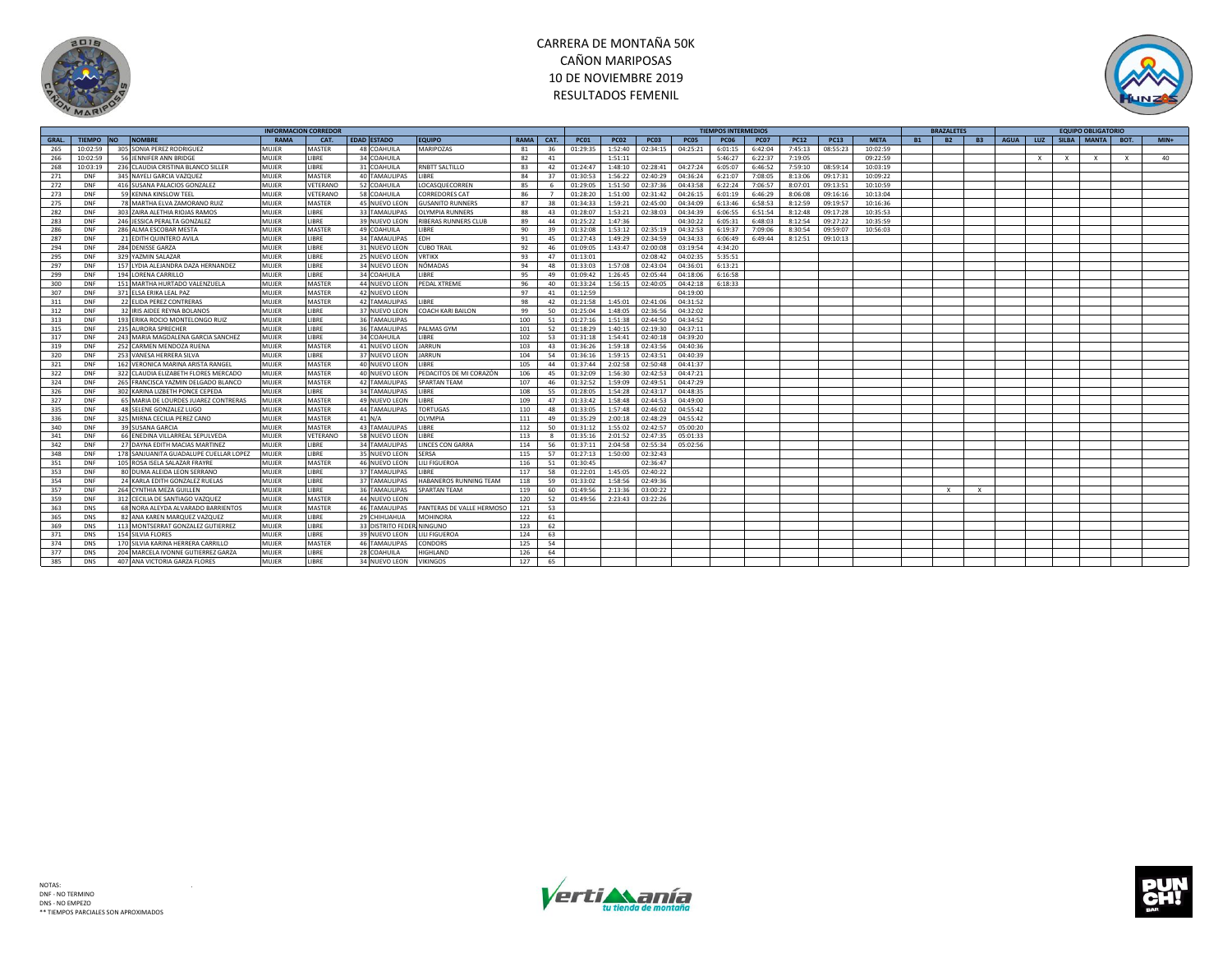



|       |               |           |                                        |       | <b>INFORMACION CORREDOR</b> |                      |                           |             |                |             |             |             |          | <b>TIEMPOS INTERMEDIOS</b> |             |             |             |             |                        | <b>BRAZALETES</b> |           |              |              | <b>EQUIPO OBLIGATORIO</b> |              |        |
|-------|---------------|-----------|----------------------------------------|-------|-----------------------------|----------------------|---------------------------|-------------|----------------|-------------|-------------|-------------|----------|----------------------------|-------------|-------------|-------------|-------------|------------------------|-------------------|-----------|--------------|--------------|---------------------------|--------------|--------|
| GRAL. | <b>TIEMPO</b> | <b>NO</b> | <b>NOMBRE</b>                          | RAMA  | CAT.                        | <b>EDAD ESTADO</b>   | <b>EQUIPO</b>             | <b>RAMA</b> | CAT.           | <b>PC01</b> | <b>PC02</b> | <b>PC03</b> | PC05     | <b>PC06</b>                | <b>PC07</b> | <b>PC12</b> | <b>PC13</b> | <b>META</b> | <b>B2</b><br><b>B1</b> |                   | <b>B3</b> | <b>AGUA</b>  |              | LUZ   SILBA   MANTA       | BOT.         | $MIN+$ |
| 265   | 10:02:59      |           | 305 SONIA PEREZ RODRIGUEZ              | MUJER | MASTER                      | 48 COAHUILA          | MARIPOZAS                 | 81          | 36             | 01:29:35    | 1:52:40     | 02:34:15    | 04:25:21 | 6:01:15                    | 6:42:04     | 7:45:13     | 08:55:23    | 10:02:59    |                        |                   |           |              |              |                           |              |        |
| 266   | 10:02:59      |           | 56 JENNIFER ANN BRIDGE                 | MUJER | <b>IBRE</b>                 | 34 COAHUILA          |                           | 82          | 41             |             | 1:51:11     |             |          | 5:46:27                    | 6:22:37     | 7:19:05     |             | 09:22:59    |                        |                   |           | $\mathbf{x}$ | $\mathbf{x}$ | $\mathbf{x}$              | $\mathbf{x}$ | 40     |
| 268   | 10:03:19      |           | 236 CLAUDIA CRISTINA BLANCO SILLER     | MUJER | <b>IBRF</b>                 | 31 COAHUILA          | RNBTT SALTILLO            | 83          | 42             | 01:24:47    | 1:48:10     | 02:28:41    | 04:27:24 | 6:05:07                    | 6:46:52     | 7:59:10     | 08:59:14    | 10:03:19    |                        |                   |           |              |              |                           |              |        |
| 271   | DNF           |           | 345 NAYELI GARCIA VAZQUEZ              | MUIFR | <b>MASTER</b>               | 40 TAMAULIPAS        | LIBRE                     | 84          | 37             | 01:30:53    | 1:56:22     | 02:40:29    | 04:36:24 | 6:21:07                    | 7:08:05     | 8:13:06     | 09:17:31    | 10:09:22    |                        |                   |           |              |              |                           |              |        |
| 272   | DNF           |           | 416 SUSANA PALACIOS GONZALEZ           | MUJER | VETERANO                    | 52 COAHUILA          | LOCASQUECORREN            | 85          | -6             | 01:29:05    | 1:51:50     | 02:37:36    | 04:43:58 | 6:22:24                    | 7:06:57     | 8:07:01     | 09:13:51    | 10:10:59    |                        |                   |           |              |              |                           |              |        |
| 273   | DNF           |           | 59 KENNA KINSLOW TEEL                  | MUJER | VETERANO                    | 58 COAHUILA          | <b>CORREDORES CAT</b>     | 86          | $\overline{7}$ | 01:28:20    | 1:51:00     | 02:31:42    | 04:26:15 | 6:01:19                    | 6:46:29     | 8:06:08     | 09:16:16    | 10:13:04    |                        |                   |           |              |              |                           |              |        |
| 275   | DNF           |           | 78 MARTHA ELVA ZAMORANO RUIZ           | MUJER | <b>MASTER</b>               | <b>45 NUEVO LEON</b> | <b>GUSANITO RUNNERS</b>   | 87          | 38             | 01:34:33    | 1:59:21     | 02:45:00    | 04:34:09 | 6:13:46                    | 6:58:53     | 8:12:59     | 09:19:57    | 10:16:36    |                        |                   |           |              |              |                           |              |        |
| 282   | DNF           |           | 303 ZAIRA ALETHIA RIOJAS RAMOS         | MUJER | <b>IBRE</b>                 | 33 TAMAULIPAS        | <b>OLYMPIA RUNNERS</b>    | 88          | 43             | 01:28:07    | 1:53:21     | 02:38:03    | 04:34:39 | 6:06:55                    | 6:51:54     | 8:12:48     | 09:17:28    | 10:35:53    |                        |                   |           |              |              |                           |              |        |
| 283   | DNF           |           | 246 JESSICA PERALTA GONZALEZ           | MUJER | LIBRE                       | 39 NUEVO LEON        | RIBERAS RUNNERS CLUB      | 89          | 44             | 01:25:22    | 1:47:36     |             | 04:30:22 | 6:05:31                    | 6:48:03     | 8:12:54     | 09:27:22    | 10:35:59    |                        |                   |           |              |              |                           |              |        |
| 286   | DNF           |           | 286 ALMA ESCOBAR MESTA                 | MUJER | MASTER                      | 49 COAHUILA          | <b>IBRF</b>               | 90          | 39             | 01:32:08    | 1:53:12     | 02:35:19    | 04:32:53 | 6:19:37                    | 7:09:06     | 8:30:54     | 09:59:07    | 10:56:03    |                        |                   |           |              |              |                           |              |        |
| 287   | DNF           |           | 21 EDITH QUINTERO AVILA                | MUJER | <b>IBRE</b>                 | 34 TAMAULIPAS        | EDH                       | 91          | 45             | 01:27:43    | 1:49:29     | 02:34:59    | 04:34:33 | 6:06:49                    | 6:49:44     | 8:12:51     | 09:10:13    |             |                        |                   |           |              |              |                           |              |        |
| 294   | DNF           |           | 284 DENISSE GARZA                      | MUIFR | <b>IBRE</b>                 | 31 NUEVO LEON        | <b>CUBO TRAIL</b>         | 92          | 46             | 01:09:05    | 1:43:47     | 02:00:08    | 03:19:54 | 4:34:20                    |             |             |             |             |                        |                   |           |              |              |                           |              |        |
| 295   | DNF           |           | 329 YAZMIN SALAZAR                     | MUJER | <b>IBRE</b>                 | 25 NUEVO LEON        | <b>VRTIKX</b>             | 93          | 47             | 01:13:01    |             | 02:08:42    | 04:02:35 | 5:35:51                    |             |             |             |             |                        |                   |           |              |              |                           |              |        |
| 297   | DNF           |           | 157 LYDIA ALEJANDRA DAZA HERNANDEZ     | MUJER | <b>IBRE</b>                 | 34 NUEVO LEON        | NÓMADAS                   | 94          | 48             | 01:33:03    | 1:57:08     | 02:43:04    | 04:36:01 | 6:13:21                    |             |             |             |             |                        |                   |           |              |              |                           |              |        |
| 299   | DNF           |           | 194 LORENA CARRILLO                    | MUJER | <b>IBRE</b>                 | 34 COAHUILA          | LIBRE                     | 95          | 49             | 01:09:42    | 1:26:45     | 02:05:44    | 04:18:06 | 6:16:58                    |             |             |             |             |                        |                   |           |              |              |                           |              |        |
| 300   | DNF           |           | 151 MARTHA HURTADO VALENZUELA          | MUJER | MASTER                      | 44 NUEVO LEON        | PEDAL XTREME              | 96          | 40             | 01:33:24    | 1:56:15     | 02:40:05    | 04:42:18 | 6:18:33                    |             |             |             |             |                        |                   |           |              |              |                           |              |        |
| 307   | DNF           |           | 371 ELSA ERIKA LEAL PAZ                | MUJER | MASTER                      | 42 NUEVO LEON        |                           | 97          | 41             | 01:12:59    |             |             | 04:19:00 |                            |             |             |             |             |                        |                   |           |              |              |                           |              |        |
| 311   | DNF           |           | 22 ELIDA PEREZ CONTRERAS               | MUJER | MASTER                      | <b>42 TAMAULIPAS</b> | LIBRE                     | 98          | 42             | 01:21:58    | 1:45:01     | 02:41:06    | 04:31:52 |                            |             |             |             |             |                        |                   |           |              |              |                           |              |        |
|       | DNF           |           | 32 IRIS AIDEE REYNA BOLANOS            | MUJER | <b>IBRE</b>                 | 37 NUEVO LEON        | COACH KARI BAILON         |             | 50             | 01:25:04    | 1:48:05     | 02:36:56    | 04:32:02 |                            |             |             |             |             |                        |                   |           |              |              |                           |              |        |
| 312   | DNF           |           | 193 ERIKA ROCIO MONTELONGO RUIZ        | MUJER | <b>IBRE</b>                 | <b>36 TAMAULIPAS</b> |                           | 99<br>100   | 51             | 01:27:16    | 1:51:38     | 02:44:50    | 04:34:52 |                            |             |             |             |             |                        |                   |           |              |              |                           |              |        |
| 313   |               |           | 235 AURORA SPRECHER                    | MUJER | <b>IBRE</b>                 | 36 TAMAULIPAS        | PALMAS GYM                | 101         |                | 01:18:29    |             |             | 04:37:11 |                            |             |             |             |             |                        |                   |           |              |              |                           |              |        |
| 315   | DNF<br>DNF    |           |                                        |       | <b>IBRF</b>                 | 34 COAHUILA          | <b>IBRF</b>               |             | 52             |             | 1:40:15     | 02:19:30    |          |                            |             |             |             |             |                        |                   |           |              |              |                           |              |        |
| 317   |               |           | 243 MARIA MAGDALENA GARCIA SANCHEZ     | MUJER |                             |                      |                           | 102         | 53             | 01:31:18    | 1:54:41     | 02:40:18    | 04:39:20 |                            |             |             |             |             |                        |                   |           |              |              |                           |              |        |
| 319   | DNF           |           | 252 CARMEN MENDOZA RUENA               | MUJER | MASTER                      | 41 NUEVO LEON        | JARRUN                    | 103         | 43             | 01:36:26    | 1:59:18     | 02:43:56    | 04:40:36 |                            |             |             |             |             |                        |                   |           |              |              |                           |              |        |
| 320   | DNF           |           | 253 VANESA HERRERA SILVA               | MUJER | <b>IBRE</b>                 | 37 NUEVO LEON        | <b>IARRUN</b>             | 104         | 54             | 01:36:16    | 1:59:15     | 02:43:51    | 04:40:39 |                            |             |             |             |             |                        |                   |           |              |              |                           |              |        |
| 321   | DNF           |           | 162 VERONICA MARINA ARISTA RANGEL      | MUJER | MASTER                      | 40 NUEVO LEON        | LIBRE                     | 105         | 44             | 01:37:44    | 2:02:58     | 02:50:48    | 04:41:37 |                            |             |             |             |             |                        |                   |           |              |              |                           |              |        |
| 322   | DNF           |           | 322 CLAUDIA ELIZABETH FLORES MERCADO   | MUJER | <b>MASTER</b>               | 40 NUEVO LEON        | PEDACITOS DE MI CORAZÓN   | 106         | 45             | 01:32:09    | 1:56:30     | 02:42:53    | 04:47:21 |                            |             |             |             |             |                        |                   |           |              |              |                           |              |        |
| 324   | DNF           |           | 265 FRANCISCA YAZMIN DELGADO BLANCO    | MUJER | MASTER                      | 42 TAMAULIPAS        | <b>SPARTAN TEAM</b>       | 107         | 46             | 01:32:52    | 1:59:09     | 02:49:51    | 04:47:29 |                            |             |             |             |             |                        |                   |           |              |              |                           |              |        |
| 326   | DNF           |           | 302 KARINA LIZBETH PONCE CEPEDA        | MUJER | <b>IBRE</b>                 | 34 TAMAULIPAS        | LIBRE                     | 108         | 55             | 01:28:05    | 1:54:28     | 02:43:17    | 04:48:35 |                            |             |             |             |             |                        |                   |           |              |              |                           |              |        |
| 327   | DNF           |           | 65 MARIA DE LOURDES JUAREZ CONTRERAS   | MUJER | MASTER                      | 49 NUEVO LEON        | LIBRE                     | 109         | 47             | 01:33:42    | 1:58:48     | 02:44:53    | 04:49:00 |                            |             |             |             |             |                        |                   |           |              |              |                           |              |        |
| 335   | DNF           |           | 48 SELENE GONZALEZ LUGO                | MUJER | MASTER                      | 44 TAMAULIPAS        | <b>TORTUGAS</b>           | 110         | 48             | 01:33:05    | 1:57:48     | 02:46:02    | 04:55:42 |                            |             |             |             |             |                        |                   |           |              |              |                           |              |        |
| 336   | DNF           |           | 325 MIRNA CECILIA PEREZ CANO           | MUJER | MASTER                      | $41$ N/A             | OLYMPIA                   | 111         | 49             | 01:35:29    | 2:00:18     | 02:48:29    | 04:55:42 |                            |             |             |             |             |                        |                   |           |              |              |                           |              |        |
| 340   | DNF           |           | 39 SUSANA GARCIA                       | MUJER | MASTER                      | 43 TAMAULIPAS        | LIBRE                     | 112         | 50             | 01:31:12    | 1:55:02     | 02:42:57    | 05:00:20 |                            |             |             |             |             |                        |                   |           |              |              |                           |              |        |
| 341   | DNF           |           | 66 ENEDINA VILLARREAL SEPULVEDA        | MUJER | VETERANO                    | 58 NUEVO LEON        | LIBRE                     | 113         | R              | 01:35:16    | 2:01:52     | 02:47:35    | 05:01:33 |                            |             |             |             |             |                        |                   |           |              |              |                           |              |        |
| 342   | DNF           |           | 27 DAYNA EDITH MACIAS MARTINEZ         | MUJER | <b>IBRE</b>                 | <b>34 TAMAULIPAS</b> | <b>LINCES CON GARRA</b>   | 114         | 56             | 01:37:11    | 2:04:58     | 02:55:34    | 05:02:56 |                            |             |             |             |             |                        |                   |           |              |              |                           |              |        |
| 348   | DNF           |           | 178 SANJUANITA GUADALUPE CUELLAR LOPEZ | MUJER | <b>IRRF</b>                 | 35 NUEVO LEON        | SERSA                     | 115         | 57             | 01:27:13    | 1:50:00     | 02:32:43    |          |                            |             |             |             |             |                        |                   |           |              |              |                           |              |        |
| 351   | DNF           |           | 105 ROSA ISELA SALAZAR FRAYRE          | MUJER | MASTER                      | 46 NUEVO LEON        | LILI FIGUEROA             | 116         | 51             | 01:30:45    |             | 02:36:47    |          |                            |             |             |             |             |                        |                   |           |              |              |                           |              |        |
| 353   | DNF           |           | 80 DUMA ALEIDA LEON SERRANO            | MUIFR | <b>IBRF</b>                 | 37 TAMAULIPAS        | <b>IBRF</b>               | 117         | 58             | 01:22:01    | 1:45:05     | 02:40:22    |          |                            |             |             |             |             |                        |                   |           |              |              |                           |              |        |
| 354   | DNF           |           | 24 KARLA EDITH GONZALEZ RUELAS         | MUJER | <b>IBRE</b>                 | 37 TAMAULIPAS        | HABANEROS RUNNING TEAM    | 118         | 59             | 01:33:02    | 1:58:56     | 02:49:36    |          |                            |             |             |             |             |                        |                   |           |              |              |                           |              |        |
| 357   | DNF           |           | 264 CYNTHIA MEZA GUILLEN               | MUJER | <b>IBRE</b>                 | 36 TAMAULIPAS        | <b>SPARTAN TEAM</b>       | 119         | 60             | 01:49:56    | 2:13:36     | 03:00:22    |          |                            |             |             |             |             | $\times$               | $\times$          |           |              |              |                           |              |        |
| 359   | DNF           |           | 312 CECILIA DE SANTIAGO VAZQUEZ        | MUJER | MASTER                      | 44 NUEVO LEON        |                           | 120         | 52             | 01:49:56    | 2:23:43     | 03:22:26    |          |                            |             |             |             |             |                        |                   |           |              |              |                           |              |        |
| 363   | DNS           |           | 68 NORA ALEYDA ALVARADO BARRIENTOS     | MUJER | MASTER                      | <b>46 TAMAULIPAS</b> | PANTERAS DE VALLE HERMOSO | 121         | 53             |             |             |             |          |                            |             |             |             |             |                        |                   |           |              |              |                           |              |        |
| 365   | <b>DNS</b>    |           | 82 ANA KAREN MARQUEZ VAZQUEZ           | MUJER | <b>IBRE</b>                 | 29 CHIHUAHUA         | <b>MOHINORA</b>           | 122         | 61             |             |             |             |          |                            |             |             |             |             |                        |                   |           |              |              |                           |              |        |
| 369   | DNS           |           | 113 MONTSERRAT GONZALEZ GUTIERREZ      | MUJER | LIBRE                       | 33 DISTRITO FEDE     | MINGUNO                   | 123         | 62             |             |             |             |          |                            |             |             |             |             |                        |                   |           |              |              |                           |              |        |
| 371   | DNS           |           | <b>154 SILVIA FLORES</b>               | MUJER | <b>IBRF</b>                 | 39 NUEVO LEON        | LILI FIGUEROA             | 124         | 63             |             |             |             |          |                            |             |             |             |             |                        |                   |           |              |              |                           |              |        |
| 374   | DNS           |           | 170 SILVIA KARINA HERRERA CARRILLO     | MUJER | MASTER                      | <b>46 TAMAULIPAS</b> | CONDORS                   | 125         | 54             |             |             |             |          |                            |             |             |             |             |                        |                   |           |              |              |                           |              |        |
| 377   | DNS           |           | 204 MARCELA IVONNE GUTIERREZ GARZA     | MUJER | <b>IRRF</b>                 | 28 COAHUILA          | <b>HIGHI AND</b>          | 126         | 64             |             |             |             |          |                            |             |             |             |             |                        |                   |           |              |              |                           |              |        |
| 385   | <b>DNS</b>    |           | 407 ANA VICTORIA GARZA FLORES          | MUJER | <b>IRRF</b>                 | 34 NUEVO LEON        | <b>VIKINGOS</b>           | 127         | 65             |             |             |             |          |                            |             |             |             |             |                        |                   |           |              |              |                           |              |        |



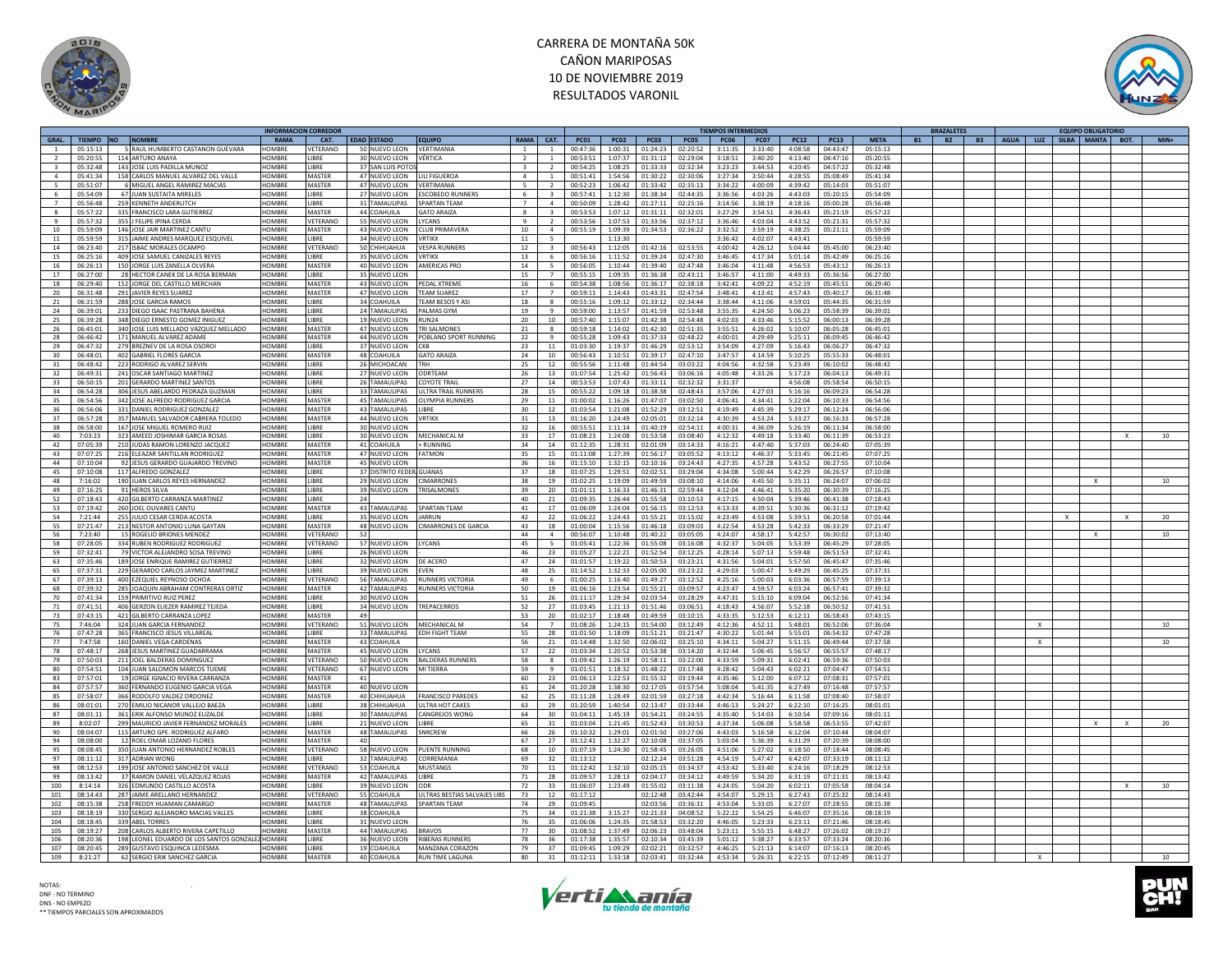



|                 |                 |                                                  | INFORMACION CORREDOI |                 |                            |                                    |                 |                          |             |             |                  |          | TIEMPOS INTERMEDIOS |             |             |              |             |           | <b>BRAZALETES</b> |                                        |   | <b>EQUIPO OBLIGATORIO</b> |              |        |
|-----------------|-----------------|--------------------------------------------------|----------------------|-----------------|----------------------------|------------------------------------|-----------------|--------------------------|-------------|-------------|------------------|----------|---------------------|-------------|-------------|--------------|-------------|-----------|-------------------|----------------------------------------|---|---------------------------|--------------|--------|
|                 | GRAL. TIEMPO NO | <b>NOMBRE</b>                                    | RAMA                 | CAT.            | EDAD ESTADO                | <b>EQUIPO</b>                      | RAMA CAT.       |                          | <b>PC01</b> | <b>PC02</b> | <b>PC03</b>      | PC05     | <b>PC06</b>         | <b>PC07</b> | <b>PC12</b> | <b>PC13</b>  | <b>META</b> | <b>B1</b> | <b>B2</b>         | B3   AGUA   LUZ   SILBA   MANTA   BOT. |   |                           |              | $MIN+$ |
| $\mathbf{1}$    | 05:15:13        | 5 RAUL HUMBERTO CASTANON GUEVARA                 | HOMBRE               | VETERANO        | 50 NUEVO LEON              | VERTIMANIA                         | $\mathbf{1}$    | $\mathbf{1}$             | 00:47:36    | 1:00:31     | 01:24:23         | 02:20:52 | 3:11:35             | 3:33:40     | 4:08:58     | 04:43:47     | 05:15:13    |           |                   |                                        |   |                           |              |        |
|                 | 05:20:55        | 114 ARTURO ANAYA                                 | HOMBRE               | <b>IBRF</b>     | 30 NUEVO LEON              | VÉRTICA                            |                 |                          | 00:53:51    | 1:07:37     | 01:31:12         | 02:29:04 | 3:18:51             | 3:40:20     | 4:13:40     | 04:47:16     | 05:20:55    |           |                   |                                        |   |                           |              |        |
| $\mathbf{a}$    | 05:32:48        | 143 JOSE LUIS PADILLA MUNOZ                      | <b>HOMBRE</b>        | <b>IRRF</b>     | 37 SAN LUIS POTO           |                                    | $\mathbf{3}$    | $\overline{2}$           | 00:54:25    | 1:08:25     | 01:33:33         | 02:32:34 | 3:23:23             | 3:44:53     | 4:20:45     | 04:57:22     | 05:32:48    |           |                   |                                        |   |                           |              |        |
| $\overline{a}$  | 05:41:34        | 158 CARLOS MANUEL ALVAREZ DEL VALLE              | <b>HOMBRE</b>        | MASTER          | 47 NUEVO LEON              | <b>ILLEIGUEROA</b>                 | $\overline{a}$  | $\overline{1}$           | 00:51:41    | 1:54:56     | 01:30:22         | 02:30:06 | 3:27:34             | 3:50:44     | 4:28:55     | 05:08:49     | 05:41:34    |           |                   |                                        |   |                           |              |        |
| $\overline{a}$  | 05:51:07        | 6 MIGUEL ANGEL RAMIREZ MACIAS                    | <b>HOMBRE</b>        | MASTER          | 47 NUEVO LEON              | VERTIMANIA                         | $5 -$           | $\mathcal{L}$            | 00:52:23    | 1:06:42     | 01:33:42         | 02:35:13 | 3:34:22             | 4:00:09     | 4:39:42     | 05:14:03     | 05:51:07    |           |                   |                                        |   |                           |              |        |
| 6               | 05:54:09        | 67 JUAN SUSTAITA MIRELES                         | HOMBRE               | <b>IBRF</b>     |                            | 27 NUEVO LEON ESCOBEDO RUNNERS     | 6               | $\overline{\mathbf{3}}$  | 00:57:41    |             | 1:12:30 01:38:34 | 02:44:35 | 3:36:56             | 4:03:26     | 4:43:03     | 05:20:15     | 05:54:09    |           |                   |                                        |   |                           |              |        |
| $\overline{7}$  | 05:56:48        | 259 KENNETH ANDERLITCH                           | HOMBRE               | <b>IRRF</b>     | 31 TAMAULIPAS              | <b>SPARTAN TFAM</b>                | $\overline{7}$  | $\overline{a}$           | 00:50:09    | 1:28:42     | 01:27:11         | 02:25:16 | 3:14:56             | 3:38:19     | 4:18:16     | 05:00:28     | 05:56:48    |           |                   |                                        |   |                           |              |        |
|                 |                 |                                                  | HOMBRE               |                 |                            |                                    |                 |                          |             |             |                  |          |                     |             |             |              |             |           |                   |                                        |   |                           |              |        |
| 8               | 05:57:22        | 335 FRANCISCO LARA GUTIERREZ                     |                      | MASTER          | 44 COAHUILA                | <b>GATO ARAIZA</b>                 | $\mathbf{R}$    | $\overline{3}$           | 00:53:53    | 1:07:12     | 01:31:11         | 02:32:01 | 3:27:29             | 3:54:51     | 4:36:43     | 05:21:19     | 05:57:22    |           |                   |                                        |   |                           |              |        |
| $\mathbf{q}$    | 05:57:32        | 355 J FELIPE IPINA CERDA                         | HOMBRE               | VETERANO        | 55 NUEVO LEON              | LYCANS                             | $\mathbf{q}$    | $\overline{2}$           | 00:53:56    | 1:07:53     | 01:33:56         | 02:37:12 | 3:36:46             | 4:03:04     | 4:43:52     | 05:21:31     | 05:57:32    |           |                   |                                        |   |                           |              |        |
| 10              | 05:59:09        | 146 JOSE JAIR MARTINEZ CANTL                     | <b>HOMBRE</b>        | <b>MASTER</b>   | 43 NUEVO LEON              | <b>CLUB PRIMAVERA</b>              | 10 <sup>1</sup> | $\overline{a}$           | 00:55:19    | 1:09:39     | 01:34:53         | 02:36:22 | 3:32:52             | 3:59:19     | 4:38:25     | 05:21:11     | 05:59:09    |           |                   |                                        |   |                           |              |        |
| 11              | 05:59:59        | 315 JAIME ANDRES MARQUEZ ESQUIVEL                | HOMBRI               | <b>IBRF</b>     | 34 NUEVO LEON              | <b>VRTIKX</b>                      | 11              | $\overline{\phantom{a}}$ |             | 1:13:30     |                  |          | 3:36:42             | 4:02:07     | 4:43:41     |              | 05:59:59    |           |                   |                                        |   |                           |              |        |
| 14              | 06:23:40        | 217 ISBAC MORALES OCAMPO                         | HOMBRE               | VETERANO        | 50 CHIHUAHUA               | <b>VESPA RUNNERS</b>               | 12              | $\overline{\mathbf{3}}$  | 00:56:43    | 1:12:05     | 01:42:16         | 02:53:55 | 4:00:42             | 4:26:12     | 5:04:44     | 05:45:00     | 06:23:40    |           |                   |                                        |   |                           |              |        |
| 15              | 06.25.16        | 409 JOSE SAMUEL CANIZALES REYES                  | HOMRRE               | <b>IRRE</b>     | 35 NUEVO LEON              | VRTIKX                             | 13              | 6                        | 00.56.16    | 1:11:52     | 01:39:24         | 02.47.30 | 3.46.45             | 4.17.34     | 5:01:14     | $05.42 - 49$ | 06:25:16    |           |                   |                                        |   |                           |              |        |
| 16              | 06:26:13        | 150 JORGE LUIS ZANELLA OLVERA                    | HOMBRE               | MASTER          | 40 NUEVO LEON              | <b>AMERICAS PRO</b>                | 14              | 5                        | 00:56:05    | 1:10:44     | 01:39:40         | 02:47:48 | 3:46:04             | 4:11:48     | 4:56:53     | 05:43:12     | 06:26:13    |           |                   |                                        |   |                           |              |        |
| 17              | 06:27:00        | 28 HECTOR CANEK DE LA ROSA BERMAN                | <b>HOMBRE</b>        | LIBRE           | 35 NUEVO LEON              |                                    | 15              | $\overline{7}$           | 00:55:15    | 1:09:35     | 01:36:38         | 02:43:11 | 3:46:57             | 4:11:00     | 4:49:33     | 05:36:56     | 06:27:00    |           |                   |                                        |   |                           |              |        |
| 18              | 06:29:40        | 152 JORGE DEL CASTILLO MERCHAN                   | HOMRRE               | <b>MASTER</b>   | 43 NUEVO LEON              | PEDAL XTREME                       | 16              | $\mathsf{f}$             | 00:54:38    | 1.08.56     | 01:36:17         | 02:38:18 | 3:42:41             | 4:09:22     | 4:52:19     | 05:45:51     | 06:29:40    |           |                   |                                        |   |                           |              |        |
| 20 <sup>2</sup> | 06:31:48        | 291 IAVIER REYES SUAREZ                          | HOMBRE               | MASTER          | 47 NUEVO LEON              | TFAM SUAREZ                        | 17              |                          | 00:59:11    | 1:14:43     | 01:43:31         | 02:47:54 | 3:48:41             | 4:13:41     | 4:57:43     | 05:40:17     | 06:31:48    |           |                   |                                        |   |                           |              |        |
|                 |                 |                                                  | <b>HOMBRE</b>        | LIBRE           | 34 COAHUILA                | TEAM BESOS Y AS                    |                 |                          |             |             |                  | 02:34:44 | 3:38:44             |             | 4:59:01     | 05:44:35     |             |           |                   |                                        |   |                           |              |        |
| 21              | 06:31:59        | 288 JOSE GARCIA RAMOS                            |                      |                 |                            |                                    | 18              | 8                        | 00:55:16    |             | 1:09:12 01:33:12 |          |                     | 4:11:06     |             |              | 06:31:59    |           |                   |                                        |   |                           |              |        |
| 24              | 06:39:01        | 233 DIEGO ISAAC PASTRANA BAHENA                  | <b>HOMBRE</b>        | LIBRE           | 24 TAMAULIPAS              | PALMAS GYM                         | 19              | 9                        | 00:59:00    | 1:13:57     | 01:41:59         | 02:53:48 | 3:55:35             | 4:24:50     | 5:06:23     | 05:58:39     | 06:39:01    |           |                   |                                        |   |                           |              |        |
| 25              | 06:39:28        | 348 DIEGO ERNESTO GOMEZ INIGUEZ                  | HOMBRE               | <b>IBRE</b>     | 19 NUEVO LEON              | RUN24                              | 20              | 10                       | 00:57:40    | 1:15:07     | 01:42:38         | 02:54:48 | 4:02:03             | 4:33:46     | 5:15:52     | 06:00:13     | 06:39:28    |           |                   |                                        |   |                           |              |        |
| 26              | 06:45:01        | 340 JOSE LUIS MELLADO VAZQUEZ MELLADO            | <b>HOMBRE</b>        | MASTER          | 47 NUEVO LEON              | <b>TRI SALMONES</b>                | 21              | 8                        | 00:59:18    | 1:14:02     | 01:42:30         | 02:51:35 | 3:55:51             | 4:26:02     | 5:10:07     | 06:05:28     | 06:45:01    |           |                   |                                        |   |                           |              |        |
| 28              | 06:46:42        | 171 MANUEL ALVAREZ ADAME                         | <b>HOMBRE</b>        | MASTER          | 44 NUEVO LEON              | POBLANO SPORT RUNNING              | 22              | $\mathbf{q}$             | 00:55:28    | 1:09:43     | 01:37:33         | 02:48:22 | 4:00:01             | 4:29:49     | 5:25:11     | 06:09:45     | 06:46:42    |           |                   |                                        |   |                           |              |        |
| 29              | 06:47:32        | 279 BREZNEV DE LA ROSA OSORO                     | HOMBRE               | <b>IBRF</b>     | 37 NUEVO LEON              | <b>CKB</b>                         | 23              | 11                       | 01:03:30    | 1:19:37     | 01:46:29         | 02:53:12 | 3:54:09             | 4:27:09     | 5:16:43     | 06:06:27     | 06:47:32    |           |                   |                                        |   |                           |              |        |
| 30              | 06:48:01        | 402 GABRIEL FLORES GARCIA                        | HOMBRE               | MASTER          | 48 COAHUILA                | <b>GATO ARAIZA</b>                 | 24              | 10                       | 00:56:43    |             | 1:10:51 01:39:17 | 02:47:10 | 3:47:57             | 4:14:59     | 5:10:25     | 05:55:33     | 06:48:01    |           |                   |                                        |   |                           |              |        |
| 31              | 06:48:42        | 223 RODRIGO ALVAREZ SERVIN                       | HOMBRE               | <b>IRRF</b>     | 26 MICHOACAN               | <b>TRH</b>                         | 25              | 12                       | 00:55:56    | 1:11:48     | 01:44:54         | 03:03:22 | 4:04:56             | 4:32:58     | 5:23:49     | 06:10:02     | 06:48:42    |           |                   |                                        |   |                           |              |        |
| 32              | 06:49:31        | 241 OSCAR SANTIAGO MARTINEZ                      | HOMBRE               | <b>IBRF</b>     | 27 NUEVO LEON              | ODRTFAN                            | 26              | 13                       | 01:07:54    | 1:25:42     | 01:56:43         | 03:06:16 | 4:05:48             | 4:33:26     | 5:17:23     | 06:04:13     | 06:49:31    |           |                   |                                        |   |                           |              |        |
| 33              | 06:50:15        | 201 GERARDO MARTINEZ SANTOS                      | HOMBRE               | LIBRE           | 26 TAMAULIPAS              | <b>COYOTE TRAI</b>                 | 27              | 14                       | 00:53:53    | 1:07:43     | 01:33:11         | 02:32:32 | 3:31:37             |             | 4:56:08     | 05:58:54     | 06:50:15    |           |                   |                                        |   |                           |              |        |
| 34              | 06:54:28        | 306 IFSUS ABELARDO PEDRAZA GUZMAN                | <b>HOMBRE</b>        | <b>IRRF</b>     | 33 TAMAULIPAS              | <b>ULTRA TRAIL RUNNERS</b>         |                 |                          | 00:55:22    | 1:09:18     | 01:38:38         | 02:48:43 |                     | 4:27:03     |             |              |             |           |                   |                                        |   |                           |              |        |
|                 |                 |                                                  |                      |                 |                            |                                    | 28              | 15                       |             |             |                  |          | 3:57:06             |             | 5:16:16     | 06:09:23     | 06:54:28    |           |                   |                                        |   |                           |              |        |
| 35              | 06:54:56        | 342 JOSE ALEREDO RODRIGUEZ GARCIA                | <b>HOMBRE</b>        | MASTER          | 45 TAMAULIPAS              | OLYMPIA RUNNERS                    | 29              | 11                       | 01:00:02    | 1:16:26     | 01:47:07         | 03:02:50 | 4:06:41             | 4:34:41     | 5:22:04     | 06:10:33     | 06:54:56    |           |                   |                                        |   |                           |              |        |
| 36              | 06:56:06        | 331 DANIEL RODRIGUEZ GONZALEZ                    | HOMBRE               | MASTER          | 43 TAMAULIPAS LIBRE        |                                    | 30 <sup>2</sup> | 12                       | 01:03:54    |             | 1:21:08 01:52:29 | 03:12:51 | 4:19:49             | 4:45:39     | 5:29:17     | 06:12:24     | 06:56:06    |           |                   |                                        |   |                           |              |        |
| 37              | 06:57:28        | 357 MANUEL SALVADOR CABRERA TOLEDO               | <b>HOMBRE</b>        | MASTER          | 44 NUEVO LEON VRTIKX       |                                    | 31              | 13                       | 01:16:20    | 1:24:49     | 02:05:01         | 03:32:14 | 4:30:39             | 4:53:24     | 5:33:27     | 06:16:33     | 06:57:28    |           |                   |                                        |   |                           |              |        |
| 38              | 06:58:00        | 167 JOSE MIGUEL ROMERO RUIZ                      | HOMBRE               | <b>IBRE</b>     | 30 NUEVO LEON              |                                    | 32              | 16                       | 00:55:51    | 1:11:14     | 01:40:19         | 02:54:11 | 4:00:31             | 4:36:09     | 5:26:19     | 06:11:34     | 06:58:00    |           |                   |                                        |   |                           |              |        |
| 40              | 7:03:23         | 323 AMEED JOSHIMAR GARCIA ROSA                   | HOMBRE               | <b>IBRE</b>     | 30 NUEVO LEON              | <b>MECHANICAL M</b>                | 33              | 17                       | 01:08:23    | 1:24:08     | 01:53:58         | 03:08:40 | 4:12:32             | 4:49:18     | 5:33:40     | 06:11:39     | 06:53:23    |           |                   |                                        |   |                           |              | 10     |
| 42              | 07:05:39        | 210 JUDAS RAMON LORENZO JACQUEZ                  | <b>HOMBRE</b>        | MASTER          | 41 COAHUILA                | $+$ RUNNING                        | 34              | 14                       | 01:12:35    | 1:28:31     | 02:01:09         | 03:14:33 | 4:16:21             | 4:47:40     | 5:37:03     | 06:24:40     | 07:05:39    |           |                   |                                        |   |                           |              |        |
| 43              | 07:07:25        | 216 ELEAZAR SANTILLAN RODRIGUEZ                  | HOMBRE               | MASTER          | 47 NUEVO LEON              | <b>FATMON</b>                      | 35              | 15                       | 01:11:08    | 1:27:39     | 01:56:17         | 03:05:52 | 4:13:12             | 4:46:37     | 5:33:45     | 06:21:45     | 07:07:25    |           |                   |                                        |   |                           |              |        |
| 44              | 07:10:04        | 92 JESUS GERARDO GUAJARDO TREVINO                | <b>HOMBRE</b>        | MASTER          | 45 NUEVO LEON              |                                    | 36              | 16                       | 01:15:10    |             | 1:32:15 02:10:16 | 03:24:43 | 4:27:35             | 4:57:28     | 5:43:52     | 06:27:55     | 07:10:04    |           |                   |                                        |   |                           |              |        |
|                 |                 |                                                  | <b>HOMBRE</b>        |                 |                            |                                    | 37              |                          |             |             |                  |          |                     |             |             |              |             |           |                   |                                        |   |                           |              |        |
| 45              | 07:10:08        | 117 ALFREDO GONZALEZ                             |                      | <b>IIBRF</b>    | 37 DISTRITO FEDERI GUANAS  |                                    |                 | 18                       | 01:07:25    | 1:29:51     | 02:02:51         | 03:29:04 | 4:34:08             | 5:00:44     | 5:42:29     | 06:26:57     | 07:10:08    |           |                   |                                        |   |                           |              |        |
| 48              | 7:16:02         | 190 JUAN CARLOS REYES HERNANDEZ                  | HOMBRE               | <b>IBRE</b>     | 29 NUEVO LEON              | CIMARRONES                         | 38              | 19                       | 01:02:25    | 1:19:09     | 01:49:59         | 03:08:10 | 4:14:06             | 4:45:50     | 5:35:11     | 06:24:07     | 07:06:02    |           |                   |                                        |   |                           |              | $10$   |
| 49              | 07:16:25        | 91 HEROS SILVA                                   | <b>HOMBRE</b>        | LIBRE           | 39 NUEVO LEON              | TRISALMONES                        | 39              | 20                       | 01:01:11    | 1:16:33     | 01:46:31         | 02:59:44 | 4:12:04             | 4:46:41     | 5:35:20     | 06:30:39     | 07:16:25    |           |                   |                                        |   |                           |              |        |
| 52              | 07:18:43        | 420 GILBERTO CARRANZA MARTINEZ                   | <b>HOMBRE</b>        | <b>IRRF</b>     | 24                         |                                    | 40              | 21                       | 01:09:35    | 1:26:44     | 01:55:58         | 03:10:53 | 4:17:15             | 4:50:04     | 5:39:46     | 06:41:38     | 07:18:43    |           |                   |                                        |   |                           |              |        |
| 53              | 07:19:42        | 260 JOEL OLIVARES CANTU                          | HOMBRE               | MASTER          | 43 TAMAULIPAS              | SPARTAN TEAM                       | 41              | 17                       | 01:06:09    | 1:24:04     | 01:56:15         | 03:12:53 | 4:13:33             | 4:39:51     | 5:30:36     | 06:31:12     | 07:19:42    |           |                   |                                        |   |                           |              |        |
| 54              | 7:21:44         | 255 JULIO CESAR CERDA ACOST/                     | <b>HOMBRE</b>        | LIBRE           | 35 NUEVO LEON JARRUN       |                                    | 42              | 22                       | 01:06:22    |             | 1:24:43 01:55:21 | 03:15:02 | 4:23:49             | 4:53:08     | 5:39:51     | 06:20:58     | 07:01:44    |           |                   |                                        |   |                           | $\mathsf{x}$ | 20     |
| 55.             | 07:21:47        | 213 NESTOR ANTONIO LUNA GAYTAN                   | <b>HOMBRE</b>        | <b>MASTER</b>   |                            | 48 NUEVO LEON CIMARRONES DE GARCIA | 43              | 18                       | 01:00:04    | 1:15:56     | 01:46:18         | 03:09:03 | 4:22:54             | 4:53:28     | 5:42:33     | 06:33:29     | 07:21:47    |           |                   |                                        |   |                           |              |        |
| 56              | 7:23:40         | 15 ROGELIO BRIONES MENDEZ                        | HOMBRE               | <b>/ETERANO</b> | 52                         |                                    | 44              | $\overline{a}$           | 00:56:07    | 1:10:48     | 01:40:22         | 03:05:05 | 4:24:07             | 4:58:17     | 5:42:57     | 06:30:02     | 07:13:40    |           |                   |                                        |   |                           |              | 10     |
| 58              | 07:28:05        | 334 RUBEN RODRIGUEZ RODRIGUEZ                    | <b>HOMBRE</b>        | VETERANO        | 57 NUEVO LEON              | LYCANS                             | 45              |                          | 01:05:41    | 1:22:36     | 01:55:08         | 03:16:08 | 4:32:37             | 5:04:05     | 5:53:39     | 06:45:29     | 07:28:05    |           |                   |                                        |   |                           |              |        |
| 59              |                 |                                                  |                      |                 |                            |                                    |                 |                          |             |             |                  |          |                     |             |             |              |             |           |                   |                                        |   |                           |              |        |
|                 | 07:32:41        | 79 VICTOR ALEJANDRO SOSA TREVINO                 | <b>HOMBRE</b>        | <b>IRRF</b>     | 26 NUEVO LEON              |                                    | 46              | 23                       | 01:05:27    | 1:22:21     | 01:52:54         | 03:12:25 | 4:28:14             | 5:07:13     | 5:59:48     | 06:51:53     | 07:32:41    |           |                   |                                        |   |                           |              |        |
| 63              | 07:35:46        | 189 JOSE ENRIQUE RAMIREZ GUTIERREZ               | HOMBRE               | <b>IBRF</b>     | 32 NUEVO LEON              | DE ACERO                           | 47              | 24                       | 01:01:57    | 1:19:22     | 01:50:53         | 03:23:21 | 4:31:56             | 5:04:01     | 5:57:50     | 06:45:47     | 07:35:46    |           |                   |                                        |   |                           |              |        |
| 65              | 07:37:31        | 229 GERARDO CARLOS JAYMEZ MARTINEZ               | <b>HOMBRE</b>        | <b>IRRF</b>     | 39 NUEVO LEON EVEN         |                                    | 48              | 25                       | 01:14:52    |             | 1:32:33 02:05:00 | 03:23:22 | 4:29:03             | 5:00:47     | 5:49:29     | 06:45:25     | 07:37:31    |           |                   |                                        |   |                           |              |        |
| 67              | 07:39:13        | 400 EZEQUIEL REYNOSO OCHOA                       | <b>HOMBRE</b>        | VETERANO        | 56 TAMAULIPAS              | <b>RUNNERS VICTORIA</b>            | 49              | 6                        | 01:00:25    | 1:16:40     | 01:49:27         | 03:12:52 | 4:25:16             | 5:00:03     | 6:03:36     | 06:57:59     | 07:39:13    |           |                   |                                        |   |                           |              |        |
| 68              | 07:39:32        | 285 JOAQUIN ABRAHAM CONTRERAS ORTIZ              | HOMBRE               | MASTER          | 42 TAMAULIPAS              | <b>RUNNERS VICTORIA</b>            | 50              | 19                       | 01:06:16    | 1:23:54     | 01:55:21         | 03:09:57 | 4:23:47             | 4:59:57     | 6:03:24     | 06:57:41     | 07:39:32    |           |                   |                                        |   |                           |              |        |
| 70              | 07:41:34        | 159 PRIMITIVO RUIZ PEREZ                         | <b>HOMBRE</b>        | LIBRE           | 30 NUEVO LEON              |                                    | 51              | 26                       | 01:11:17    | 1:29:34     | 02:03:54         | 03:28:29 | 4:47:31             | 5:15:10     | 6:09:04     | 06:52:56     | 07:41:34    |           |                   |                                        |   |                           |              |        |
| 71              | 07:41:51        | 406 GERZON ELIEZER RAMIREZ TEJEDA                | <b>HOMBRE</b>        | <b>IRRF</b>     | 34 NUEVO LEON              | TREPACERROS                        | 52              | 27                       | 01:03:45    | 1:21:13     | 01:51:46         | 03:06:51 | 4:18:43             | 4:56:07     | 5:52:18     | 06:50:52     | 07:41:51    |           |                   |                                        |   |                           |              |        |
| 73              | 07:43:15        | 421 GILBERTO CARRANZA LOPEZ                      | HOMBRE               | MASTER          | 49                         |                                    | 53              | 20                       | 01:02:17    | 1:18:48     | 01:49:59         | 03:10:15 | 4:33:35             | 5:12:53     | 6:12:11     | 06:58:43     | 07:43:15    |           |                   |                                        |   |                           |              |        |
| 75              | 7:46:04         | 324 JUAN GARCIA FERNANDEZ                        | HOMBRE               | VETERANO        | 51 NUEVO LEON MECHANICAL M |                                    | 54              | $\overline{7}$           | 01:08:26    |             | 1:24:15 01:54:00 | 03:12:49 | 4:12:36             | 4:52:11     | 5:48:01     | 06:52:06     | 07:36:04    |           |                   |                                        | X |                           |              | 10     |
| 76              | 07:47:28        | 365 FRANCISCO JESUS VILLAREA                     | HOMRRE               | LIBRE           | 33 TAMAULIPAS              | <b>EDH FIGHT TEAM</b>              | 55              | 28                       | 01:01:50    | 1:18:09     | 01:51:21         | 03:21:47 | 4:30:22             | 5:01:44     | 5:55:01     | 06:54:32     | 07:47:28    |           |                   |                                        |   |                           |              |        |
| 77              | 7:47:58         | 160 DANIEL VEGA CARDENAS                         | HOMBRE               | MASTER          | 43 COAHUILA                |                                    | 56              |                          | 01:14:48    | 1:32:50     | 02:06:02         | 03:25:10 | 4:34:11             | 5:04:27     | 5:51:15     | 06:49:44     | 07:37:58    |           |                   |                                        |   |                           |              | 10     |
|                 |                 |                                                  |                      |                 |                            |                                    |                 | 21                       |             |             |                  |          |                     |             |             |              |             |           |                   |                                        | x |                           |              |        |
| 78              | 07:48:17        | 268 JESUS MARTINEZ GUADARRAMA                    | HOMBRE               | MASTER          | 45 NUEVO LEON              | LYCANS                             | 57              | 22                       | 01:03:34    | 1:20:52     | 01:53:38         | 03:14:20 | 4:32:44             | 5:06:45     | 5:56:57     | 06:55:57     | 07:48:17    |           |                   |                                        |   |                           |              |        |
| 79              | 07:50:03        | 211 JOEL BALDERAS DOMINGUEZ                      | <b>HOMBRE</b>        | VETFRANC        | 50 NUEVO LEON              | <b>BALDERAS RUNNERS</b>            | 58              | 8                        | 01:09:42    | 1:26:19     | 01:58:11         | 03:22:00 | 4:33:59             | 5:09:31     | 6:02:41     | 06:59:36     | 07:50:03    |           |                   |                                        |   |                           |              |        |
| 80              | 07:54:51        | 104 JUAN SALOMON MARCOS TUEME                    | HOMBRE               | VETERANO        | 67 NUEVO LEON              | MI TIERRA                          | 59              | $\mathbf{q}$             | 01:01:51    | 1:18:32     | 01:48:22         | 03:17:48 | 4:28:42             | 5:04:43     | 6:02:21     | 07:04:47     | 07:54:51    |           |                   |                                        |   |                           |              |        |
| 83              | 07:57:01        | 19 JORGE IGNACIO RIVERA CARRANZA                 | HOMBRE               | MASTER          | 41                         |                                    | 60              | 23                       | 01:06:13    |             | 1:22:53 01:55:32 | 03:19:44 | 4:35:46             | 5:12:00     | 6:07:12     | 07:08:31     | 07:57:01    |           |                   |                                        |   |                           |              |        |
| 84              | 07:57:57        | 360 FERNANDO EUGENIO GARCIA VEGA                 | HOMRRE               | <b>MASTER</b>   | 40 NUEVO LEON              |                                    | 61              | 24                       | 01:20:28    | 1:38:30     | 02:17:05         | 03:57:54 | 5:08:04             | 5:41:35     | 6:27:49     | 07:16:48     | 07:57:57    |           |                   |                                        |   |                           |              |        |
| 85              | 07:58:07        | 366 RODOLFO VALDEZ ORDONEZ                       | HOMBRE               | MASTER          | 40 CHIHUAHUA               | <b>FRANCISCO PAREDES</b>           | 62              | 25                       | 01:11:28    | 1:28:49     | 02:01:59         | 03:27:18 | 4:42:34             | 5:16:44     | 6:11:58     | 07:08:40     | 07:58:07    |           |                   |                                        |   |                           |              |        |
| 86              | 08:01:01        | 270 EMILIO NICANOR VALLEJO BAEZA                 | HOMBRE               | <b>IBRE</b>     | 38 CHIHUAHUA               | <b>ULTRA HOT CAKES</b>             | 63              | 29                       | 01:20:59    | 1:40:54     | 02:13:47         | 03:33:44 | 4:46:13             | 5:24:27     | 6:22:10     | 07:16:25     | 08:01:01    |           |                   |                                        |   |                           |              |        |
| 87              | 08:01:11        | 361 ERIK ALFONSO MUNOZ ELIZALDE                  | <b>HOMBRE</b>        | <b>IRRF</b>     | 30 TAMAULIPAS              | <b>CANGREIOS WONG</b>              | 64              | 30                       | 01:04:11    | 1:45:19     | 01:54:21         | 03:24:55 | 4:35:40             | 5:14:03     | 6:10:54     | 07:09:16     | 08:01:11    |           |                   |                                        |   |                           |              |        |
| 89              | 8:02:07         | 299 MAURICIO JAVIER FERNANDEZ MORALES            | <b>HOMBRE</b>        | LIBRE           | 21 NUEVO LEON              | <b>ILIBRE</b>                      | 65              | 31                       | 01:03:04    | 1:21:45     | 01:52:43         | 03:30:53 | 4:37:34             | 5:06:08     | 5:58:58     | 06:53:55     | 07:42:07    |           |                   |                                        |   |                           |              | 20     |
|                 |                 |                                                  |                      |                 |                            |                                    |                 |                          |             |             |                  |          |                     |             |             |              |             |           |                   |                                        |   |                           |              |        |
| 90              | 08:04:07        | 115 ARTURO GPE, RODRIGUEZ ALFARO                 | HOMBRE               | MASTER          | 48 TAMAULIPAS              | SNRCREW                            | 66              | 26                       | 01:10:32    | 1:29:01     | 02:01:50         | 03:27:06 | 4:43:03             | 5:16:58     | 6:12:04     | 07:10:44     | 08:04:07    |           |                   |                                        |   |                           |              |        |
| 94              | 08:08:00        | 12 ROEL OMAR LOZANO FLORES                       | HOMRRE               | <b>MASTER</b>   | 40                         |                                    | 67              | 27                       | 01:12:41    | 1:32:27     | 02:10:08         | 03:37:05 | 5:03:04             | 5:36:39     | 6:31:29     | 07:20:39     | 08:08:00    |           |                   |                                        |   |                           |              |        |
| 95              | 08:08:45        | 350 JUAN ANTONIO HERNANDEZ ROBLES                | HOMBRE               | <b>/FTFRANC</b> | 58 NUEVO LEON              | PUENTE RUNNING                     | 68              | 10 <sup>1</sup>          | 01:07:19    | 1:24:30     | 01:58:45         | 03:26:05 | 4:51:06             | 5:27:02     | 6:18:50     | 07:18:44     | 08:08:45    |           |                   |                                        |   |                           |              |        |
| 97              | 08:11:12        | 317 ADRIAN WONG                                  | HOMBRE               | <b>IBRE</b>     | 32 TAMAULIPAS              | CORREMANIA                         | 69              | 32                       | 01:13:12    |             | 02:12:24         | 03:51:28 | 4:54:19             | 5:47:47     | 6:42:07     | 07:33:19     | 08:11:12    |           |                   |                                        |   |                           |              |        |
| 98              | 08:12:53        | 199 JOSE ANTONIO SANCHEZ DE VALLE                | HOMRRE               | VETERANO        | 53 COAHUILA                | <b>MUSTANGS</b>                    | 70              | 11                       | 01:12:42    | 1:32:10     | 02:05:15         | 03:34:37 | 4:53:42             | 5:33:40     | 6:24:16     | 07:18:29     | 08:12:53    |           |                   |                                        |   |                           |              |        |
| 99              | 08:13:42        | 37 RAMON DANIEL VELAZQUEZ ROJAS                  | <b>HOMBRE</b>        | MASTER          | <b>42 TAMAULIPAS</b>       | LIBRE                              | 71              | 28                       | 01:09:57    | 1:28:13     | 02:04:17         | 03:34:12 | 4:49:59             | 5:34:20     | 6:31:19     | 07:21:31     | 08:13:42    |           |                   |                                        |   |                           |              |        |
| 100             | 8:14:14         | 326 EDMUNDO CASTILLO ACOSTA                      | HOMBRE               | <b>IBRE</b>     | 39 NUEVO LEON              | <b>ODR</b>                         | 72              | 33                       | 01:06:07    |             | 1:23:49 01:55:02 | 03:11:38 | 4:24:05             | 5:04:20     | 6:02:11     | 07:05:58     | 08:04:14    |           |                   |                                        |   |                           | $\mathsf{x}$ | 10     |
| 101             | 08:14:43        | 287 JAIME ARELLANO HERNANDEZ                     | <b>HOMBRE</b>        | VETERANO        | 55 COAHUILA                | ULTRAS BESTIAS SALVAJES UBS        | 73              | 12                       | 01:17:12    |             | 02:12:48         | 03:42:44 | 4:54:07             | 5:29:15     | 6:27:43     | 07:25:32     | 08:14:43    |           |                   |                                        |   |                           |              |        |
| 102             | 08:15:38        | 258 FREDDY HUAMAN CAMARGO                        | HOMBRE               | MASTER          | <b>48 TAMAULIPAS</b>       | <b>SPARTAN TFAM</b>                | 74              | 29                       | 01:09:45    |             | 02:03:56         | 03:36:31 | 4:53:04             | 5:33:05     | 6:27:07     | 07:28:55     | 08:15:38    |           |                   |                                        |   |                           |              |        |
| 103             | 08:18:19        | 330 SERGIO ALEJANDRO MACIAS VALLES               | HOMBRI               | <b>IBRE</b>     | 38 COAHUILA                |                                    | 75              | 34                       | 01:21:38    | 3:15:27     | 02:21:33         | 04:08:52 | 5:22:22             | 5:54:25     | 6:46:07     | 07:35:16     | 08:18:19    |           |                   |                                        |   |                           |              |        |
|                 |                 |                                                  |                      |                 |                            |                                    |                 |                          |             |             |                  |          |                     |             |             |              |             |           |                   |                                        |   |                           |              |        |
| 104             | 08:18:45        | 339 ABEL TORRES                                  | <b>HOMBRE</b>        | <b>IBRF</b>     | 31 NUEVO LEON              |                                    | 76              | 35                       | 01:06:06    | 1:24:35     | 01:58:53         | 03:32:20 | 4:46:05             | 5:23:33     | 6:23:11     | 07:21:46     | 08:18:45    |           |                   |                                        |   |                           |              |        |
| 105             | 08:19:27        | 208 CARLOS ALBERTO RIVERA CAPETILLO              | <b>HOMBRE</b>        | MASTER          | 44 TAMAULIPAS              | <b>BRAVOS</b>                      | 77              | 30                       | 01:08:52    | 1:37:49     | 02:06:23         | 03:48:04 | 5:23:11             | 5:55:15     | 6:48:27     | 07:26:02     | 08:19:27    |           |                   |                                        |   |                           |              |        |
| 106             | 08:20:36        | 198 LEONEL EDUARDO DE LOS SANTOS GONZALEZ HOMBRE |                      | <b>IBRE</b>     | 36 NUEVO LEON              | <b>RIBERAS RUNNERS</b>             | 78              | 36                       | 01:17:38    | 1:35:57     | 02:10:34         | 03:45:39 | 5:01:12             | 5:38:27     | 6:33:57     | 07:33:24     | 08:20:36    |           |                   |                                        |   |                           |              |        |
| 107             | 08:20:45        | 289 GUSTAVO ESQUINCA LEDESMA                     | <b>HOMBRE</b>        | <b>IRRF</b>     | 19 COAHUILA                | MANZANA CORAZON                    | 79              | 37                       | 01:09:45    | 1:09:29     | 02:02:21         | 03:32:57 | 4:46:25             | 5:21:13     | 6:14:07     | 07:16:13     | 08:20:45    |           |                   |                                        |   |                           |              |        |
| 109             | 8:21:27         | 62 SERGIO ERIK SANCHEZ GARCIA                    | <b>HOMBRE</b>        | MASTER          | 40 COAHUILA                | <b>RUN TIME LAGUNA</b>             | 80              | 31                       | 01:12:11    | 1:33:18     | 02:03:41         | 03:32:44 | 4:53:34             | 5:26:31     | 6:22:15     | 07:12:49     | 08:11:27    |           |                   |                                        |   |                           |              | 10     |





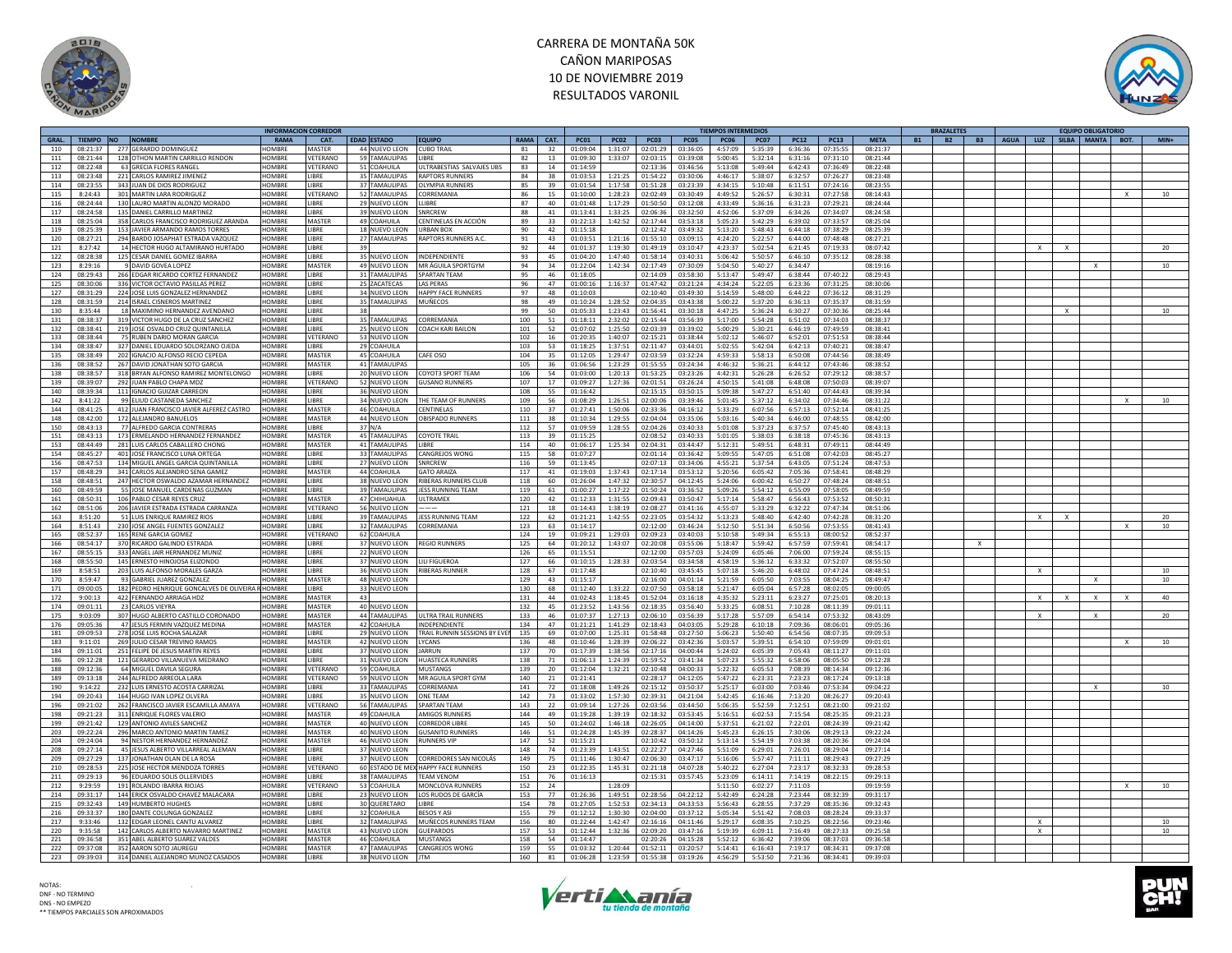



|       |           |                                          |               | INFORMACION CORREDOR |                      |                                     |      |            |             |             |                  |             | TIEMPOS INTERMEDIOS |             |             |             |                |           | <b>BRAZALETES</b>      |                                   | <b>EQUIPO OBLIGATORIO</b> |              |                 |
|-------|-----------|------------------------------------------|---------------|----------------------|----------------------|-------------------------------------|------|------------|-------------|-------------|------------------|-------------|---------------------|-------------|-------------|-------------|----------------|-----------|------------------------|-----------------------------------|---------------------------|--------------|-----------------|
| GRAL. | TIEMPO NO | <b>NOMBRE</b>                            | RAMA          | CAT.                 | EDAD ESTADO          | <b>EQUIPO</b>                       | RAMA | CAT.       | <b>PC01</b> | <b>PC02</b> | <b>PC03</b>      | <b>PC05</b> | <b>PC06</b>         | <b>PC07</b> | <b>PC12</b> | <b>PC13</b> | <b>META</b>    | <b>B1</b> | <b>B2</b><br><b>B3</b> | AGUA   LUZ   SILBA   MANTA   BOT. |                           |              | $MIN+$          |
| 110   | 08:21:37  | 277 GERARDO DOMINGUEZ                    | <b>IOMRRE</b> | MASTER               | 44 NUEVO LEON        | <b>CURO TRAIL</b>                   | 81   | 32         | 01:09:04    | 1:31:07     | 02:01:29         | 03:36:05    | 4:57:09             | 5:35:39     | 6:36:36     | 07:35:55    | 08:21:37       |           |                        |                                   |                           |              |                 |
| 111   | 08:21:44  | 128 OTHON MARTIN CARRILLO RENDON         | <b>IOMBRE</b> | VETERANO             | 59 TAMAULIPAS        | <b>IBRF</b>                         | 82   | 13         | 01:09:30    | :33:07      | 02:03:15         | 03:39:08    | 5:00:45             | 5:32:14     | 6:31:16     | 07:31:10    | 08:21:44       |           |                        |                                   |                           |              |                 |
| 112   | 08:22:48  | 63 GRECIA FLORES RANGEL                  | HOMBRE        | VETERANO             | 51 COAHUILA          | ULTRABESTIAS SALVAJES UBS           | 83   | 14         | 01:14:59    |             | 02:13:36         | 03:46:56    | 5:13:08             | 5:49:44     | 6:42:43     | 07:36:49    | 08:22:48       |           |                        |                                   |                           |              |                 |
|       | 08:23:48  | 221 CARLOS RAMIREZ IIMENEZ               | <b>HOMBRE</b> |                      | 35 TAMAULIPAS        | <b>RAPTORS RUNNERS</b>              | 84   | 38         |             |             | 01:54:22         | 03:30:06    |                     | 5:38:07     |             | 07:26:27    | 08:23:48       |           |                        |                                   |                           |              |                 |
| 113   |           |                                          |               | LIBRE                |                      |                                     |      |            | 01:03:53    | 1:21:25     |                  |             | 4:46:17             |             | 6:32:57     |             |                |           |                        |                                   |                           |              |                 |
| 114   | 08:23:55  | 343 JUAN DE DIOS RODRIGUEZ               | <b>OMBRE</b>  | <b>IBRF</b>          | 37 TAMAULIPAS        | OI YMPIA RUNNERS                    | 85   | 39         | 01:01:54    | 1:17:58     | 01:51:28         | 03:23:39    | 4:34:15             | 5:10:48     | 6:11:51     | 07:24:16    | 08:23:55       |           |                        |                                   |                           |              |                 |
| 115   | 8:24:43   | 301 MARTIN LARA RODRIGUEZ                | HOMBRE        | VETERANO             | 52 TAMAULIPAS        | CORREMANIA                          | 86   | 15         | 01:10:00    | 1:28:23     | 02:02:49         | 03:30:49    | 4:49:52             | 5:26:57     | 6:30:31     | 07:27:58    | 08:14:43       |           |                        |                                   |                           |              | 10              |
| 116   | 08:24:44  | 130 LAURO MARTIN ALONZO MORADO           | <b>OMBRE</b>  | <b>IRRF</b>          | 29 NUEVO LEON        | <b>I IBRF</b>                       | 87   | 40         | 01:01:48    | 1:17:29     | 01:50:50         | 03:12:08    | 4:33:49             | 5:36:16     | 6:31:23     | 07:29:21    | 08:24:44       |           |                        |                                   |                           |              |                 |
| 117   | 08:24:58  | 135 DANIEL CARRILLO MARTINEZ             | <b>OMBRE</b>  | <b>IBRF</b>          | 39 NUEVO LEON        | <b>SNRCREW</b>                      | 88   | 41         | 01:13:41    | 1:33:25     | 02:06:36         | 03:32:50    | 4:52:06             | 5:37:09     | 6:34:26     | 07:34:07    | 08:24:58       |           |                        |                                   |                           |              |                 |
| 118   | 08:25:04  | 358 CARLOS FRANCISCO RODRIGUEZ ARANDA    | HOMBRE        | MASTER               | 49 COAHUILA          | CENTINELAS EN ACCIÓN                | 89   | 33         | 01:22:13    | 1:42:52     | 02:17:44         | 03:53:18    | 5:05:23             | 5:42:29     | 6:39:02     | 07:33:57    | 08:25:04       |           |                        |                                   |                           |              |                 |
| 119   | 08:25:39  | 153 IAVIER ARMANDO RAMOS TORRES          | <b>IOMBRE</b> | <b>IRRF</b>          | 18 NUEVO LEON        |                                     | 90   | 42         | 01:15:18    |             |                  | 03:49:32    | 5:13:20             | 5:48:43     | 6:44:18     | 07:38:29    | 08:25:39       |           |                        |                                   |                           |              |                 |
|       |           |                                          |               |                      |                      | <b>URBAN BOX</b>                    |      |            |             |             | 02:12:42         |             |                     |             |             |             |                |           |                        |                                   |                           |              |                 |
| 120   | 08:27:21  | 294 BARDO JOSAPHAT ESTRADA VAZQUEZ       | <b>COMBRI</b> | <b>IBRF</b>          | 27 TAMAULIPAS        | RAPTORS RUNNERS A.C.                | 91   | 43         | 01:03:51    | 1:21:16     | 01:55:10         | 03:09:15    | 4:24:20             | 5:22:57     | 6:44:00     | 07:48:48    | 08:27:21       |           |                        |                                   |                           |              |                 |
| 121   | 8:27:42   | 14 HECTOR HUGO ALTAMIRANO HURTADO        | HOMBRE        | LIBRE<br>39          |                      |                                     | 92   | 44         | 01:01:37    | 1:19:30     | 01:49:19         | 03:10:47    | 4:23:37             | 5:02:54     | 6:21:45     | 07:19:33    | 08:07:42       |           |                        | X                                 |                           |              | 20              |
| 122   | 08:28:38  | 125 CESAR DANIEL GOMEZ IBARRA            | <b>IOMRRE</b> | <b>IRRF</b>          | 35 NUEVO LEON        | <b>INDEPENDIENTE</b>                | 93   | 45         | 01:04:20    | 1:47:40     | 01:58:14         | 03:40:31    | 5:06:42             | 5:50:57     | 6:46:10     | 07:35:12    | 08:28:38       |           |                        |                                   |                           |              |                 |
| 123   | 8:29:16   | 9 DAVID GOVEA LOPEZ                      | <b>OMBRE</b>  | MASTER               | 49 NUEVO LEON        | MR ÁGUILA SPORTGYM                  | 94   | 34         | 01:22:04    | 1:42:34     | 02:17:49         | 07:30:09    | 5:04:50             | 5:40:27     | 6:34:47     |             | 08:19:16       |           |                        |                                   |                           |              | 10              |
| 124   | 08:29:43  | 266 EDGAR RICARDO CORTEZ FERNANDEZ       | HOMBRE        | LIBRE                | 31 TAMAULIPAS        | SPARTAN TEAM                        | 95   | 46         | 01:18:05    |             | 02:14:09         | 03:58:30    | 5:13:47             | 5:49:47     | 6:38:44     | 07:40:22    | 08:29:43       |           |                        |                                   |                           |              |                 |
|       | 08.30.06  |                                          | HOMRRE        | LIBRE                | 25 ZACATECAS         | <b>I AS PERAS</b>                   | 96   | $\Delta$ 7 |             |             | 01:47:42         |             | $A - 3A - 2A$       |             |             |             | $0.08 - 20.06$ |           |                        |                                   |                           |              |                 |
| 125   |           | 336 VICTOR OCTAVIO PASILLAS PEREZ        |               |                      |                      |                                     |      |            | 01:00:16    | 1:16:37     |                  | 03:21:24    |                     | 5:22:05     | 6:23:36     | 07:31:25    |                |           |                        |                                   |                           |              |                 |
| 127   | 08:31:29  | 224 JOSE LUIS GONZALEZ HERNANDEZ         | HOMBRI        | <b>IBRF</b>          | 34 NUEVO LEON        | HAPPY FACE RUNNERS                  | 97   | 48         | 01:10:03    |             | 02:10:40         | 03:49:30    | 5:14:59             | 5:48:00     | 6:44:22     | 07:36:12    | 08:31:29       |           |                        |                                   |                           |              |                 |
| 128   | 08:31:59  | 214 ISRAEL CISNEROS MARTINEZ             | HOMBRE        | LIBRE                | 35 TAMAULIPAS        | <b>MUÑECOS</b>                      | 98   | 49         | 01:10:24    | 1:28:52     | 02:04:35         | 03:43:38    | 5:00:22             | 5:37:20     | 6:36:13     | 07:35:37    | 08:31:59       |           |                        |                                   |                           |              |                 |
| 130   | 8:35:44   | 18 MAXIMINO HERNANDEZ AVENDANO           | HOMBRE        | <b>IRRF</b><br>38    |                      |                                     | 99   | 50         | 01:05:33    | 1:23:43     | 01:56:41         | 03:30:18    | 4:47:25             | 5:36:24     | 6:30:27     | 07:30:36    | 08:25:44       |           |                        |                                   |                           |              | 10              |
| 131   | 08:38:37  | 319 VICTOR HUGO DE LA CRUZ SANCHEZ       | <b>OMBRE</b>  | <b>IBRE</b>          | 35 TAMAULIPAS        | ORREMANIA                           | 100  | 51         | 01:18:11    | 2:32:02     | 02:15:44         | 03:56:39    | 5:17:00             | 5:54:28     | 6:51:02     | 07:34:03    | 08:38:37       |           |                        |                                   |                           |              |                 |
| 132   | 08:38:41  | 219 JOSE OSVALDO CRUZ QUINTANILLA        | HOMBRE        | <b>I IRRF</b>        | 25 NUEVO LEON        | <b>COACH KARI BAILON</b>            | 101  | 52         | 01:07:02    | 1:25:50     | 02:03:39         | 03:39:02    | 5:00:29             | 5:30:21     | 6:46:19     | 07:49:59    | 08:38:41       |           |                        |                                   |                           |              |                 |
| 133   | 08:38:44  | 75 RUBEN DARIO MORAN GARCIA              | HOMBRE        | VETERANO             | 53 NUEVO LEON        |                                     | 102  | 16         | 01:20:35    | 1:40:07     | 02:15:21         | 03:38:44    | 5:02:12             | 5:46:07     | 6:52:01     | 07:51:53    | 08:38:44       |           |                        |                                   |                           |              |                 |
| 134   | 08:38:47  | 327 DANIEL EDUARDO SOLORZANO OJEDA       | HOMBRE        | <b>IBRF</b>          | 29 COAHUILA          |                                     | 103  | 53         | 01:18:25    | 1:37:51     | 02:11:47         | 03:44:01    | 5:02:55             | 5:42:04     | 6:42:13     | 07:40:21    | 08:38:47       |           |                        |                                   |                           |              |                 |
|       |           |                                          |               |                      |                      |                                     |      |            |             |             |                  |             |                     |             |             |             |                |           |                        |                                   |                           |              |                 |
| 135   | 08:38:49  | 202 IGNACIO ALFONSO RECIO CEPEDA         | <b>OMBRI</b>  | MASTER               | 45 COAHUILA          | CAFE OSO                            | 104  | 35         | 01:12:05    | 1:29:47     | 02:03:59         | 03:32:24    | 4:59:33             | 5:58:13     | 6:50:08     | 07:44:56    | 08:38:49       |           |                        |                                   |                           |              |                 |
| 136   | 08:38:52  | 267 DAVID JONATHAN SOTO GARCIA           | HOMBRE        | MASTER               | 41 TAMAULIPAS        |                                     | 105  | 36         | 01:06:56    | 1:23:29     | 01:55:55         | 03:24:34    | 4:46:32             | 5:36:21     | 6:44:12     | 07:43:46    | 08:38:52       |           |                        |                                   |                           |              |                 |
| 138   | 08:38:57  | 318 BRYAN ALFONSO RAMIREZ MONTELONGO     | HOMBRE        | <b>IBRE</b>          | 20 NUEVO LEON        | COYOT3 SPORT TEAM                   | 106  | 54         | 01:03:00    | 1:20:13     | 01:53:25         | 03:23:26    | 4:42:31             | 5:26:28     | 6:26:52     | 07:29:12    | 08:38:57       |           |                        |                                   |                           |              |                 |
| 139   | 08:39:07  | 292 JUAN PABLO CHAPA MDZ                 | <b>IOMBRE</b> | VETERANO             | 52 NUEVO LEON        | <b>GUSANO RUNNERS</b>               | 107  | 17         | 01:09:27    | 1:27:36     | 02:01:51         | 03:26:24    | 4:50:15             | 5:41:08     | 6:48:08     | 07:50:03    | 08:39:07       |           |                        |                                   |                           |              |                 |
| 140   | 08:39:34  | 111 IGNACIO GUIZAR CARREON               | <b>HOMBRE</b> | <b>IRRF</b>          | 36 NUEVO LEON        |                                     | 108  | 55         | 01:16:42    |             | 02:15:15         | 03:50:15    | 5:09:38             | 5:47:27     | 6:51:40     | 07:44:43    | 08:39:34       |           |                        |                                   |                           |              |                 |
| 142   | 8:41:22   | 99 ELIUD CASTANEDA SANCHEZ               | HOMBRE        | <b>IBRF</b>          | 34 NUEVO LEON        | THE TEAM OF RUNNERS                 | 109  | 56         | 01:08:29    | 1:26:51     | 02:00:06         | 03:39:46    | 5:01:45             | 5:37:12     | 6:34:02     | 07:34:46    | 08:31:22       |           |                        |                                   |                           |              | 10 <sup>1</sup> |
|       |           |                                          | <b>HOMBRE</b> | MASTER               |                      |                                     |      |            |             |             |                  |             |                     |             |             |             |                |           |                        |                                   |                           |              |                 |
| 144   | 08:41:25  | 412 JUAN FRANCISCO JAVIER ALFEREZ CASTRO |               |                      | 46 COAHUILA          | CENTINELAS                          | 110  | 37         | 01:27:41    | 1:50:06     | 02:33:36         | 04:16:12    | 5:33:29             | 6:07:56     | 6:57:13     | 07:52:14    | 08:41:25       |           |                        |                                   |                           |              |                 |
| 148   | 08:42:00  | 172 ALFIANDRO BANUELOS                   | <b>IOMBRE</b> | <b>MASTER</b>        | 44 NUEVO LEON        | OBISPADO RUNNERS                    | 111  | 38         | 01:10:34    | 1:29:55     | 02:04:04         | 03:35:06    | 5:03:16             | 5:40:34     | 6:46:00     | 07:48:55    | 08:42:00       |           |                        |                                   |                           |              |                 |
| 150   | 08:43:13  | 77 ALFREDO GARCIA CONTRERAS              | <b>OMBRE</b>  | <b>IBRF</b>          | 37 N/A               |                                     | 112  | 57         | 01:09:59    | 1:28:55     | 02:04:26         | 03:40:33    | 5:01:08             | 5:37:23     | 6:37:57     | 07:45:40    | 08:43:13       |           |                        |                                   |                           |              |                 |
| 151   | 08:43:13  | 173 ERMELANDO HERNANDEZ FERNANDEZ        | HOMBRE        | MASTER               | 45 TAMAULIPAS        | <b>COYOTE TRAIL</b>                 | 113  | 39         | 01:15:25    |             | 02:08:52         | 03:40:33    | 5:01:05             | 5:38:03     | 6:38:18     | 07:45:36    | 08:43:13       |           |                        |                                   |                           |              |                 |
| 153   | 08:44:49  | 281 LUIS CARLOS CABALLERO CHONG          | HOMBRE        | <b>MASTER</b>        | 41 TAMAULIPAS        | <b>IIBRF</b>                        | 114  | 40         | 01:06:17    |             | 1:25:34 02:04:31 | 03:44:47    | 5:12:31             | 5:49:51     | 6:48:31     | 07:49:11    | 08:44:49       |           |                        |                                   |                           |              |                 |
| 154   | 08:45:27  | 401 JOSE FRANCISCO LUNA ORTEGA           | <b>OMBRE</b>  | <b>IBRE</b>          | 33 TAMAULIPAS        | CANGREJOS WONG                      | 115  | 58         | 01:07:27    |             | 02:01:14         | 03:36:42    | 5:09:55             | 5:47:05     | 6:51:08     | 07:42:03    | 08:45:27       |           |                        |                                   |                           |              |                 |
| 156   | 08:47:53  | 134 MIGUEL ANGEL GARCIA QUINTANILLA      | <b>HOMBRE</b> | LIBRE                | 27 NUEVO LEON        | SNRCREW                             | 116  | 59         | 01:13:45    |             | 02:07:13         | 03:34:06    | 4:55:21             | 5:37:54     | 6:43:05     | 07:51:24    | 08:47:53       |           |                        |                                   |                           |              |                 |
|       |           |                                          |               |                      |                      |                                     |      |            |             |             |                  |             |                     |             |             |             |                |           |                        |                                   |                           |              |                 |
| 157   | 08:48:29  | 341 CARLOS ALEJANDRO SENA GAMEZ          | HOMBRE        | MASTER               | 44 COAHUILA          | <b>GATO ARAIZA</b>                  | 117  | 41         | 01:19:03    | 1:37:43     | 02:17:14         | 03:53:12    | 5:20:56             | 6:05:42     | 7:05:36     | 07:58:41    | 08:48:29       |           |                        |                                   |                           |              |                 |
| 158   | 08:48:51  | 247 HECTOR OSWALDO AZAMAR HERNANDEZ      | HOMBRE        | <b>IBRE</b>          | 38 NUEVO LEON        | RIBERAS RUNNERS CLUB                | 118  | 60         | 01:26:04    | 1:47:32     | 02:30:57         | 04:12:45    | 5:24:06             | 6:00:42     | 6:50:27     | 07:48:24    | 08:48:51       |           |                        |                                   |                           |              |                 |
| 160   | 08:49:59  | 55 JOSE MANUEL CARDENAS GUZMAN           | <b>IOMBRE</b> | <b>IBRE</b>          | <b>39 TAMAULIPAS</b> | <b>JESS RUNNING TEAM</b>            | 119  | 61         | 01:00:27    | 1:17:22     | 01:50:24         | 03:36:52    | 5:09:26             | 5:54:12     | 6:55:09     | 07:58:05    | 08:49:59       |           |                        |                                   |                           |              |                 |
| 161   | 08:50:31  | 106 PABLO CESAR REYES CRUZ               | <b>HOMBRE</b> | MASTER               | 47 CHIHUAHUA         | <b>UITRAMEX</b>                     | 120  | 42         | 01:12:33    | 1:31:55     | 02:09:43         | 03:50:47    | 5:17:14             | 5:58:47     | 6:56:43     | 07:53:52    | 08:50:31       |           |                        |                                   |                           |              |                 |
| 162   | 08:51:06  | 206 JAVIER ESTRADA ESTRADA CARRANZA      | HOMBRE        | VETERANO             | 56 NUEVO LEON        |                                     | 121  | 18         | 01:14:43    | 1:38:19     | 02:08:27         | 03:41:16    | 4:55:07             | 5:33:29     | 6:32:22     | 07:47:34    | 08:51:06       |           |                        |                                   |                           |              |                 |
| 163   | 8:51:20   | 51 LUIS ENRIQUE RAMIREZ RIOS             | HOMBRE        | LIBRE                | <b>39 TAMAULIPAS</b> | <b>JESS RUNNING TEAM</b>            | 122  | 62         | 01:21:21    | 1:42:55     | 02:23:05         | 03:54:32    | 5:13:23             | 5:48:40     | 6:42:40     | 07:42:28    | 08:31:20       |           |                        |                                   |                           |              | 20              |
|       |           |                                          | HOMBRE        | <b>IRRF</b>          |                      | CORREMANIA                          |      |            |             |             |                  |             |                     |             | 6:50:56     | 07:53:55    |                |           |                        |                                   |                           |              |                 |
| 164   | 8:51:43   | 230 JOSE ANGEL FUENTES GONZALEZ          |               |                      | 32 TAMAULIPAS        |                                     | 123  | 63         | 01:14:17    |             | 02:12:00         | 03:46:24    | 5:12:50             | 5:51:34     |             |             | 08:41:43       |           |                        |                                   |                           | $\mathsf{x}$ | 10              |
| 165   | 08:52:37  | 165 RENE GARCIA GOMEZ                    | <b>OMBRE</b>  | /ETERANO             | 62 COAHUILA          |                                     | 124  | 19         | 01:09:21    | 1:29:03     | 02:09:23         | 03:40:03    | 5:10:58             | 5:49:34     | 6:55:13     | 08:00:52    | 08:52:37       |           |                        |                                   |                           |              |                 |
| 166   | 08:54:17  | 370 RICARDO GALINDO ESTRADA              | HOMBRE        | LIBRE                | 37 NUEVO LEON        | <b>REGIO RUNNERS</b>                | 125  | 64         | 01:20:12    | 1:43:07     | 02:20:08         | 03:55:06    | 5:18:47             | 5:59:42     | 6:57:59     | 07:59:41    | 08:54:17       |           |                        |                                   |                           |              |                 |
| 167   | 08:55:15  | 333 ANGEL JAIR HERNANDEZ MUNIZ           | HOMBRE        | <b>IBRE</b>          | 22 NUEVO LEON        |                                     | 126  | 65         | 01:15:51    |             | 02:12:00         | 03:57:03    | 5:24:09             | 6:05:46     | 7:06:00     | 07:59:24    | 08:55:15       |           |                        |                                   |                           |              |                 |
| 168   | 08:55:50  | 145 ERNESTO HINOJOSA ELIZONDO            | HOMBRE        | <b>IBRF</b>          | 37 NUEVO LEON        | LILI FIGUEROA                       | 127  | 66         | 01:10:15    | 1:28:33     | 02:03:54         | 03:34:58    | 4:58:19             | 5:36:12     | 6:33:32     | 07:52:07    | 08:55:50       |           |                        |                                   |                           |              |                 |
| 169   | 8:58:51   | 203 LUIS ALFONSO MORALES GARZA           | HOMBRE        | <b>IRRF</b>          | 36 NUEVO LEON        | <b>RIBERAS RUNNER</b>               | 128  | 67         | 01:17:48    |             | 02:10:40         | 03:45:45    | 5:07:18             | 5:46:20     | 6:48:02     | 07:47:24    | 08:48:51       |           |                        |                                   |                           |              | 10              |
| 170   | 8:59:47   | 93 GABRIEL JUAREZ GONZALEZ               | <b>IOMBRE</b> | MASTER               | 48 NUEVO LEON        |                                     | 129  | 43         | 01:15:17    |             | 02:16:00         | 04:01:14    | 5:21:59             | 6:05:50     | 7:03:55     | 08:04:25    | 08:49:47       |           |                        |                                   |                           |              | 10              |
|       | 09:00:05  | 182 PEDRO HENRIQUE GONCALVES DE OLIVEIRA | <b>HOMBRI</b> | <b>IBRE</b>          | 33 NUEVO LEON        |                                     | 130  |            |             |             |                  | 03:58:18    |                     | 6:05:04     | 6:57:28     | 08:02:05    | 09:00:05       |           |                        |                                   |                           |              |                 |
| 171   |           |                                          |               |                      |                      |                                     |      | 68         | 01:12:40    | 1:33:22     | 02:07:50         |             | 5:21:47             |             |             |             |                |           |                        |                                   |                           |              |                 |
| 172   | 9:00:13   | 422 FERNANDO ARRIAGA HDZ                 | HOMBRE        | MASTER<br>43         |                      |                                     | 131  | 44         | 01:02:43    | 1:18:45     | 01:52:04         | 03:16:18    | 4:35:32             | 5:23:11     | 6:23:27     | 07:25:01    | 08:20:13       |           |                        |                                   |                           |              | 40              |
| 174   | 09:01:11  | 23 CARLOS VIEYRA                         | HOMRRE        | MASTER               | 40 NUEVO LEON        |                                     | 132  | 45         | 01:23:52    | 1:43:56     | 02:18:35         | 03:56:40    | 5:33:25             | 6:08:51     | 7:10:28     | 08:11:39    | 09:01:11       |           |                        |                                   |                           |              |                 |
| 175   | 9:03:09   | 307 HUGO ALBERTO CASTILLO CORONADO       | HOMBRE        | <b>MASTER</b>        | 44 TAMAULIPAS        | ULTRA TRAIL RUNNERS                 | 133  | 46         | 01:07:37    | 1:27:13     | 02:06:10         | 03:56:39    | 5:17:28             | 5:57:09     | 6:54:14     | 07:53:32    | 08:43:09       |           |                        | $\mathbf{x}$                      |                           |              | 20              |
| 176   | 09:05:36  | 47 JESUS FERMIN VAZQUEZ MEDINA           | HOMBRE        | MASTER               | 42 COAHUILA          | INDEPENDIENTE                       | 134  | 47         | 01:21:21    | 1:41:29     | 02:18:43         | 04:03:05    | 5:29:28             | 6:10:18     | 7:09:36     | 08:06:01    | 09:05:36       |           |                        |                                   |                           |              |                 |
| 181   | 09:09:53  | 278 JOSE LUIS ROCHA SALAZAR              | HOMRRE        | <b>IRRF</b>          | 29 NUEVO LEON        | TRAIL RUNNIN SESSIONS BY EVEN       | 135  | 69         | 01:07:00    | 1:25:31     | 01:58:48         | 03:27:50    | 5:06:23             | 5:50:40     | 6:54:56     | 08:07:35    | 09:09:53       |           |                        |                                   |                           |              |                 |
| 183   | 9:11:01   | 269 JULIO CESAR TREVINO RAMO:            | <b>OMBRI</b>  | MASTER               | 42 NUEVO LEON        | <b>YCANS</b>                        | 136  | 48         | 01:10:46    | 1:28:39     | 02:06:22         | 03:42:36    | 5:03:57             | 5:39:51     | 6:54:10     | 07:59:09    | 09:01:01       |           |                        |                                   |                           |              | 10              |
| 184   | 09:11:01  |                                          | <b>OMBRE</b>  | <b>IBRE</b>          | 37 NUEVO LEON        | ARRUN                               | 137  | 70         | 01:17:39    | :38:56      | 02:17:16         | 04:00:44    | 5:24:02             | 6:05:39     | 7:05:43     | 08:11:27    | 09:11:01       |           |                        |                                   |                           |              |                 |
|       |           | 251 FELIPE DE JESUS MARTIN REYES         |               |                      |                      |                                     |      |            |             |             |                  |             |                     |             |             |             |                |           |                        |                                   |                           |              |                 |
| 186   | 09:12:28  | 121 GERARDO VILLANUEVA MEDRANO           | HOMRRE        | LIBRE                | 31 NUEVO LEON        | <b>HUASTECA RUNNERS</b>             | 138  | 71         | 01:06:13    | 1:24:39     | 01:59:52         | 03:41:34    | 5:07:23             | 5:55:32     | 6:58:06     | 08:05:50    | 09:12:28       |           |                        |                                   |                           |              |                 |
| 188   | 09:12:36  | 64 MIGUEL DAVILA SEGURA                  | HOMBRE        | VETERANO             | 59 COAHUILA          | MUSTANGS                            | 139  | 20         | 01:12:04    | 1:32:21     | 02:10:48         | 04:00:33    | 5:22:32             | 6:05:53     | 7:08:39     | 08:14:34    | 09:12:36       |           |                        |                                   |                           |              |                 |
| 189   | 09:13:18  | 244 ALFREDO ARREOLA LARA                 | <b>OMBRI</b>  | VETERANO             | 59 NUEVO LEON        | MR AGUILA SPORT GYM                 | 140  | 21         | 01:21:41    |             | 02:28:17         | 04:12:05    | 5:47:22             | 6:23:31     | 7:23:23     | 08:17:24    | 09:13:18       |           |                        |                                   |                           |              |                 |
| 190   | 9:14:22   | 232 LUIS ERNESTO ACOSTA CARRIZAL         | HOMRRE        | <b>IRRF</b>          | 33 TAMAULIPAS        | CORREMANIA                          | 141  | 72         | 01:18:08    | 1:49:26     | 02:15:12         | 03:50:37    | 5:25:17             | 6:03:00     | 7:03:46     | 07:53:34    | 09:04:22       |           |                        |                                   | $\times$                  |              | 10              |
| 194   | 09:20:43  | 164 HUGO IVAN LOPEZ OLVERA               | <b>COMBRI</b> | <b>IBRF</b>          | 35 NUEVO LEON        | ONE TEAM                            | 142  | 73         | 01:33:02    | 1:57:30     | 02:39:31         | 04:21:04    | 5:42:45             | 6:16:46     | 7:13:20     | 08:26:27    | 09:20:43       |           |                        |                                   |                           |              |                 |
| 196   | 09:21:02  | 262 FRANCISCO JAVIER ESCAMILLA AMAYA     | <b>OMBRE</b>  | <b>/ETERANO</b>      | 56 TAMAULIPAS        | <b>SPARTAN TEAM</b>                 | 143  | 22         | 01:09:14    | 1:27:26     | 02:03:56         | 03:44:50    | 5:06:35             | 5:52:59     | 7:12:51     | 08:21:00    | 09:21:02       |           |                        |                                   |                           |              |                 |
| 198   | 09:21:23  | 311 ENRIQUE FLORES VALERIO               | <b>HOMBRE</b> | <b>MASTER</b>        | 49 COAHUILA          | AMIGOS RUNNER                       | 144  | 49         | 01:19:28    | 1:39:19     | 02:18:32         | 03:53:45    | 5:16:51             | 6:02:53     | 7:15:54     |             | 09:21:23       |           |                        |                                   |                           |              |                 |
|       |           |                                          |               |                      |                      |                                     |      | 50         |             |             |                  |             |                     |             |             | 08:25:35    |                |           |                        |                                   |                           |              |                 |
| 199   | 09:21:42  | 129 ANTONIO AVILES SANCHEZ               | HOMBRE        | MASTER               | 40 NUEVO LEON        | <b>CORREDOR LIBRE</b>               | 145  |            | 01:24:02    | 1:46:18     | 02:26:05         | 04:14:00    | 5:37:51             | 6:21:02     | 7:22:01     | 08:24:39    | 09:21:42       |           |                        |                                   |                           |              |                 |
| 203   | 09:22:24  | 296 MARCO ANTONIO MARTIN TAMEZ           | HOMBRE        | MASTER               | 40 NUEVO LEON        | <b>GUSANITO RUNNERS</b>             | 146  | 51         | 01:24:28    | 1:45:39     | 02:28:37         | 04:14:26    | 5:45:23             | 6:26:15     | 7:30:06     | 08:29:13    | 09:22:24       |           |                        |                                   |                           |              |                 |
| 204   | 09:24:04  | 94 NESTOR HERNANDEZ HERNANDEZ            | HOMRRE        | <b>MASTER</b>        | 46 NUEVO LEON        | <b>RUNNERS VIP</b>                  | 147  | 52         | 01:15:21    |             | 02:10:42         | 03:50:12    | 5:13:14             | 5:54:19     | 7:03:38     | 08:20:36    | 09:24:04       |           |                        |                                   |                           |              |                 |
| 208   | 09:27:14  | 45 JESUS ALBERTO VILLARREAL ALEMAN       | HOMBRI        | <b>IBRF</b>          | 37 NUEVO LEON        |                                     | 148  | 74         | 01:23:39    | 1:43:51     | 02:22:27         | 04:27:46    | 5:51:09             | 6:29:01     | 7:26:01     | 08:29:04    | 09:27:14       |           |                        |                                   |                           |              |                 |
| 209   | 09:27:29  | 137 JONATHAN OLAN DE LA ROSA             | HOMBRE        | <b>IBRE</b>          | 37 NUEVO LEON        | CORREDORES SAN NICOLÁS              | 149  | 75         | 01:11:46    | 1:30:47     | 02:06:30         | 03:47:17    | 5:16:06             | 5:57:47     | 7:11:11     | 08:29:43    | 09:27:29       |           |                        |                                   |                           |              |                 |
| 210   | 09:28:53  | 225 JOSE HECTOR MENDOZA TORRES           | HOMRRE        | VETERANO             |                      | 60 ESTADO DE MEX HAPPY FACE RUNNERS | 150  | 23         | 01:22:35    |             | 1:45:31 02:21:18 | 04:07:28    | 5:40:22             | 6:27:04     | 7:23:17     | 08:32:33    | 09:28:53       |           |                        |                                   |                           |              |                 |
| 211   | 09:29:13  | 96 EDUARDO SOLIS OLLERVIDES              | HOMBRI        | <b>IBRF</b>          | 38 TAMAULIPAS        | <b>TFAM VFNON</b>                   | 151  | 76         |             |             | 02:15:31         | 03:57:45    | 5:23:09             | 6:14:11     | 7:14:19     |             | 09:29:13       |           |                        |                                   |                           |              |                 |
|       |           |                                          |               |                      |                      |                                     |      |            | 01:16:13    |             |                  |             |                     |             |             | 08:22:15    |                |           |                        |                                   |                           |              |                 |
| 212   | 9:29:59   | 191 ROLANDO IBARRA RIOJAS                | HOMBRE        | VETERANO             | 53 COAHUILA          | MONCLOVA RUNNERS                    | 152  | 24         |             | 1:28:09     |                  |             | 5:11:50             | 6:02:27     | 7:11:03     |             | 09:19:59       |           |                        |                                   |                           | X            | 10              |
| 214   | 09:31:17  | 144 ERICK OSVALDO CHAVEZ MALACARA        | <b>IOMBRE</b> | <b>IBRF</b>          | 23 NUEVO LEON        | LOS RUDOS DE GARCÍA                 | 153  | 77         | 01:26:36    | 1:49:51     | 02:28:56         | 04:22:12    | 5:42:49             | 6:24:28     | 7:23:44     | 08:32:39    | 09:31:17       |           |                        |                                   |                           |              |                 |
| 215   | 09:32:43  | 149 HUMBERTO HUGHES                      | <b>OMBRE</b>  | <b>IBRF</b>          | 30 OUFRETARO         | <b>I IBRF</b>                       | 154  | 78         | 01:27:05    | 1:52:53     | 02:34:13         | 04:33:53    | 5:56:43             | 6:28:55     | 7:37:29     | 08:35:36    | 09:32:43       |           |                        |                                   |                           |              |                 |
| 216   | 09:33:37  | 180 DANTE COLUNGA GONZALE                | <b>IOMBRE</b> | <b>IBRE</b>          | 32 COAHUILA          | <b>BESOS Y ASI</b>                  | 155  | 79         | 01:12:12    | 1:30:30     | 02:04:00         | 03:37:12    | 5:05:34             | 5:51:42     | 7:08:03     | 08:28:24    | 09:33:37       |           |                        |                                   |                           |              |                 |
| 217   | 9:33:46   | 132 EDGAR LEONEL CANTU ALVAREZ           | HOMBRE        | <b>IRRF</b>          | 32 TAMAULIPAS        | MUÑECOS RUNNERS TEAM                | 156  | 80         | 01:22:44    | 1:42:47     | 02:16:16         | 04:11:46    | 5:29:17             | 6:08:35     | 7:10:25     | 08:22:56    | 09:23:46       |           |                        | $\times$                          |                           |              | 10              |
| 220   | 9:35:58   | 142 CARLOS ALBERTO NAVARRO MARTINEZ      | <b>HOMBRE</b> | MASTER               | 43 NUEVO LEON        | GUEPARDOS                           | 157  | 53         | 01:12:44    | 1:32:36     | 02:09:20         | 03:47:16    | 5:19:39             | 6:09:11     | 7:16:49     | 08:27:33    | 09:25:58       |           |                        | $\mathbf{x}$                      |                           |              | 10 <sup>1</sup> |
| 221   | 09:36:58  | 351 ABEL ALBERTO SUAREZ VALDES           | HOMBRE        | MASTER               | 46 COAHUILA          | <b>MUSTANGS</b>                     | 158  | 54         | 01:14:47    |             | 02:20:26         | 04:15:28    | 5:52:12             | 6:36:42     | 7:39:06     | 08:37:03    | 09:36:58       |           |                        |                                   |                           |              |                 |
| 222   | 09:37:08  | 352 AARON SOTO JAUREGU                   | HOMBRE        | <b>MASTER</b>        | <b>47 TAMAULIPAS</b> | CANGREJOS WONG                      | 159  | 55         | 01:03:32    | 1:20:44     | 01:52:11         | 03:20:57    | 5:14:41             | 6:16:43     | 7:19:17     | 08:34:31    | 09:37:08       |           |                        |                                   |                           |              |                 |
|       |           |                                          |               |                      |                      |                                     |      |            |             |             |                  |             |                     |             |             |             |                |           |                        |                                   |                           |              |                 |
| 223   | 09:39:03  | 314 DANIEL ALEIANDRO MUNOZ CASADOS       | <b>HOMBRE</b> | <b>IBRF</b>          | 38 NUEVO LEON        | <b>ITM</b>                          | 160  | 81         | 01:06:28    | 1:23:59     | 01:55:38         | 03:19:26    | 4:56:29             | 5:53:50     | 7:21:36     | 08:34:41    | 09:39:03       |           |                        |                                   |                           |              |                 |





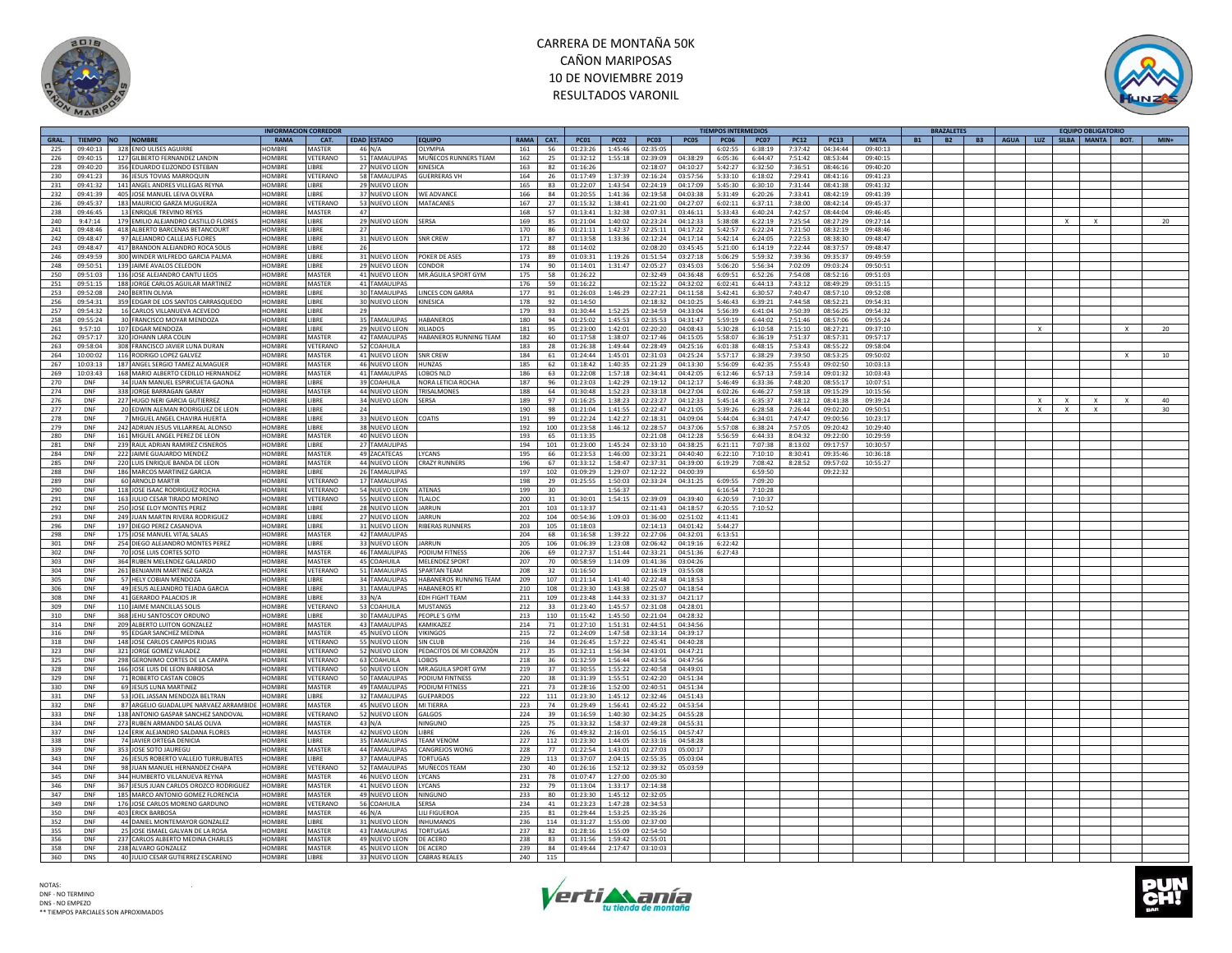



|       |            |                                        | <b>INFORMACION CORREDOR</b> |               |    |                          |                         |             |      |             |             |             |             | <b>TIEMPOS INTERMEDIOS</b> |             |             |             |             | <b>BRAZALETES</b>      |           |      |          |                           | <b>EQUIPO OBLIGATORIO</b> |              |        |
|-------|------------|----------------------------------------|-----------------------------|---------------|----|--------------------------|-------------------------|-------------|------|-------------|-------------|-------------|-------------|----------------------------|-------------|-------------|-------------|-------------|------------------------|-----------|------|----------|---------------------------|---------------------------|--------------|--------|
| GRAL. | TIEMPO NO  | <b>NOMBRE</b>                          | <b>RAMA</b>                 | CAT.          |    | <b>EDAD ESTADO</b>       | <b>EQUIPO</b>           | <b>RAMA</b> | CAT. | <b>PC01</b> | <b>PC02</b> | <b>PC03</b> | <b>PC05</b> | <b>PC06</b>                | <b>PC07</b> | <b>PC12</b> | <b>PC13</b> | <b>META</b> | <b>B1</b><br><b>B2</b> | <b>B3</b> | AGUA |          |                           | LUZ SILBA MANTA           | BOT.         | $MIN+$ |
| 225   |            | 09:40:13 328 ENIO ULISES AGUIRRE       | HOMRRE                      | <b>MASTER</b> |    | 46 N/A                   | OLYMPIA                 | 161         | 56   | 01:23:26    | 1:45:46     | 02:35:05    |             | 6:02:55                    | 6:38:19     | 7:37:42     | 04:34:44    | 09:40:13    |                        |           |      |          |                           |                           |              |        |
|       |            |                                        | HOMBRE                      | VETERANO      |    | 51 TAMAULIPAS            |                         | 162         |      |             |             | 02:39:09    | 04:38:29    | 6:05:36                    | 6:44:47     | 7:51:42     |             | 09:40:15    |                        |           |      |          |                           |                           |              |        |
| 226   | 09:40:15   | 127 GILBERTO FERNANDEZ LANDIN          |                             |               |    |                          | MUÑECOS RUNNERS TEAM    |             | 25   | 01:32:12    | 1:55:18     |             |             |                            |             |             | 08:53:44    |             |                        |           |      |          |                           |                           |              |        |
| 228   | 09:40:20   | 356 EDUARDO ELIZONDO ESTEBAN           | HOMBRE                      | LIBRE         |    | 27 NUEVO LEON            | KINESICA                | 163         | 82   | 01:16:26    |             | 02:18:07    | 04:10:27    | 5:42:27                    | 6:32:50     | 7:36:51     | 08:46:16    | 09:40:20    |                        |           |      |          |                           |                           |              |        |
| 230   | 09:41:23   | 36 JESUS TOVIAS MARROQUIN              | HOMRRE                      | VETERANO      |    | 58 TAMAULIPAS            | <b>GUFRRERAS VH</b>     | 164         | 26   | 01:17:49    | 1:37:39     | 02:16:24    | 03:57:56    | 5:33:10                    | 6:18:02     | 7:29:41     | 08:41:16    | 09:41:23    |                        |           |      |          |                           |                           |              |        |
| 231   | 09:41:32   | 141 ANGEL ANDRES VILLEGAS REYNA        | <b>HOMBRF</b>               | <b>IBRF</b>   |    | 29 NUEVO LEON            |                         | 165         | 83   | 01:22:07    | 1:43:54     | 02:24:19    | 04:17:09    | 5:45:30                    | 6:30:10     | 7:31:44     | 08:41:38    | 09:41:32    |                        |           |      |          |                           |                           |              |        |
|       |            |                                        |                             |               |    |                          |                         |             |      |             |             |             |             |                            |             |             |             |             |                        |           |      |          |                           |                           |              |        |
| 232   | 09:41:39   | 405 JOSE MANUEL LEIVA OLVERA           | HOMBRE                      | LIBRE         |    | 37 NUEVO LEON WE ADVANCE |                         | 166         | 84   | 01:20:55    | 1:41:36     | 02:19:58    | 04:03:38    | 5:31:49                    | 6:20:26     | 7:33:41     | 08:42:19    | 09:41:39    |                        |           |      |          |                           |                           |              |        |
| 236   | 09:45:37   | 183 MAURICIO GARZA MUGUERZA            | HOMRRE                      | VETERANO      |    | 53 NUEVO LEON MATACANES  |                         | 167         | 27   | 01:15:32    | 1:38:41     | 02:21:00    | 04:27:07    | 6:02:11                    | 6:37:11     | 7:38:00     | 08:42:14    | 09:45:37    |                        |           |      |          |                           |                           |              |        |
| 238   | 09:46:45   | 13 ENRIQUE TREVINO REYES               | HOMBRE                      | <b>MASTER</b> | 47 |                          |                         | 168         | 57   | 01:13:41    | 1:32:38     | 02:07:31    | 03:46:11    | 5:33:43                    | 6:40:24     | 7:42:57     | 08:44:04    | 09:46:45    |                        |           |      |          |                           |                           |              |        |
| 240   | 9:47:14    | 179 EMILIO ALEJANDRO CASTILLO FLORES   | HOMBRE                      | LIBRE         |    | 29 NUEVO LEON            | <b>SERSA</b>            | 169         | 85   | 01:21:04    | 1:40:02     | 02:23:24    | 04:12:33    | 5:38:08                    | 6:22:19     | 7:25:54     | 08:27:29    | 09:27:14    |                        |           |      |          |                           |                           |              | 20     |
|       |            |                                        |                             |               |    |                          |                         |             |      |             |             |             |             |                            |             |             |             |             |                        |           |      |          |                           | x                         |              |        |
| 241   | 09:48:46   | 418 ALBERTO BARCENAS BETANCOURT        | HOMBRE                      | LIBRE         | 27 |                          |                         | 170         | 86   | 01:21:11    | 1:42:37     | 02:25:11    | 04:17:22    | 5:42:57                    | 6:22:24     | 7:21:50     | 08:32:19    | 09:48:46    |                        |           |      |          |                           |                           |              |        |
| 242   | 09:48:47   | 97 ALEIANDRO CALLEJAS FLORES           | HOMBRE                      | <b>IBRF</b>   |    | 31 NUEVO LEON            | SNR CREW                | 171         | 87   | 01:13:58    | 1:33:36     | 02:12:24    | 04:17:14    | 5:42:14                    | 6:24:05     | 7:22:53     | 08:38:30    | 09:48:47    |                        |           |      |          |                           |                           |              |        |
| 243   | 09:48:47   | 417 BRANDON ALEJANDRO ROCA SOLIS       | HOMBRE                      | LIBRE         |    | 26                       |                         | 172         | 88   | 01:14:02    |             | 02:08:20    | 03:45:45    | 5:21:00                    | 6:14:19     | 7:22:44     | 08:37:57    | 09:48:47    |                        |           |      |          |                           |                           |              |        |
|       |            |                                        |                             |               |    |                          |                         |             |      |             |             |             |             |                            |             |             |             |             |                        |           |      |          |                           |                           |              |        |
| 246   | 09:49:59   | 300 WINDER WILFREDO GARCIA PALMA       | HOMBRE                      | LIBRE         |    | 31 NUEVO LEON            | POKER DE ASES           | 173         | 89   | 01:03:31    | 1:19:26     | 01:51:54    | 03:27:18    | 5:06:29                    | 5:59:32     | 7:39:36     | 09:35:37    | 09:49:59    |                        |           |      |          |                           |                           |              |        |
| 248   | 09:50:51   | 139 IAIME AVALOS CELEDON               | HOMBRE                      | <b>IBRF</b>   |    | 29 NUEVO LEON            | CONDOR                  | 174         | 90   | 01:14:01    | 1:31:47     | 02:05:27    | 03:45:03    | 5:06:20                    | 5:56:34     | 7:02:09     | 09:03:24    | 09:50:51    |                        |           |      |          |                           |                           |              |        |
| 250   | 09:51:03   | 136 JOSE ALEJANDRO CANTU LEOS          | HOMBRE                      | MASTER        |    | 41 NUEVO LEON            | MR.ÁGUILA SPORT GYM     | 175         | 58   | 01:26:22    |             | 02:32:49    | 04:36:48    | 6:09:51                    | 6:52:26     | 7:54:08     | 08:52:16    | 09:51:03    |                        |           |      |          |                           |                           |              |        |
| 251   | 09:51:15   | 188 JORGE CARLOS AGUILAR MARTINEZ      | HOMBRE                      | MASTER        |    | 41 TAMAULIPAS            |                         | 176         | 59   | 01:16:22    |             | 02:15:22    | 04:32:02    | 6:02:41                    | 6:44:13     | 7:43:12     | 08:49:29    | 09:51:15    |                        |           |      |          |                           |                           |              |        |
|       |            |                                        |                             |               |    |                          |                         |             |      |             |             |             |             |                            |             |             |             |             |                        |           |      |          |                           |                           |              |        |
| 253   | 09:52:08   | 240 BERTIN OLIVIA                      | HOMBRE                      | <b>IBRF</b>   |    | 30 TAMAULIPAS            | <b>LINCES CON GARRA</b> | 177         | 91   | 01:26:03    | 1:46:29     | 02:27:21    | 04:11:58    | 5:42:41                    | 6:30:57     | 7:40:47     | 08:57:10    | 09:52:08    |                        |           |      |          |                           |                           |              |        |
| 256   | 09:54:31   | 359 EDGAR DE LOS SANTOS CARRASQUEDO    | HOMBRE                      | LIBRE         |    | 30 NUEVO LEON            | <b>KINESICA</b>         | 178         | 92   | 01:14:50    |             | 02:18:32    | 04:10:25    | 5:46:43                    | 6:39:21     | 7:44:58     | 08:52:21    | 09:54:31    |                        |           |      |          |                           |                           |              |        |
| 257   | 09:54:32   | 16 CARLOS VILLANUEVA ACEVEDO           | HOMBRE                      | LIBRE         |    | 29                       |                         | 179         | 93   | 01:30:44    | 1:52:25     | 02:34:59    | 04:33:04    | 5:56:39                    | 6:41:04     | 7:50:39     | 08:56:25    | 09:54:32    |                        |           |      |          |                           |                           |              |        |
|       |            | 30 FRANCISCO MOYAR MENDOZA             | HOMBRE                      | LIBRE         |    | 35 TAMAULIPAS            | <b>HABANEROS</b>        | 180         |      | 01:25:02    |             | 02:35:53    | 04:31:47    | 5:59:19                    | 6:44:02     | 7:51:46     |             |             |                        |           |      |          |                           |                           |              |        |
| 258   | 09:55:24   |                                        |                             |               |    |                          |                         |             | 94   |             | 1:45:53     |             |             |                            |             |             | 08:57:06    | 09:55:24    |                        |           |      |          |                           |                           |              |        |
| 261   | 9:57:10    | 107 EDGAR MENDOZA                      | HOMBRE                      | LIBRE         |    | 29 NUEVO LEON            | <b>XILIADOS</b>         | 181         | 95   | 01:23:00    | 1:42:01     | 02:20:20    | 04:08:43    | 5:30:28                    | 6:10:58     | 7:15:10     | 08:27:21    | 09:37:10    |                        |           |      |          |                           |                           |              | 20     |
| 262   | 09:57:17   | 320 JOHANN LARA COLIN                  | HOMBRE                      | MASTER        |    | 42 TAMAULIPAS            | HABANEROS RUNNING TEAM  | 182         | 60   | 01:17:58    | 1:38:07     | 02:17:46    | 04:15:05    | 5:58:07                    | 6:36:19     | 7:51:37     | 08:57:31    | 09:57:17    |                        |           |      |          |                           |                           |              |        |
| 263   | 09:58:04   | 308 FRANCISCO JAVIER LUNA DURAN        | <b>HOMBRE</b>               | VETERANO      |    | 52 COAHUILA              |                         | 183         | 28   | 01:26:38    | 1:49:44     | 02:28:49    | 04:25:16    | 6:01:38                    | 6:48:15     | 7:53:43     | 08:55:22    | 09:58:04    |                        |           |      |          |                           |                           |              |        |
|       |            |                                        |                             |               |    |                          |                         |             |      |             |             |             |             |                            |             |             |             |             |                        |           |      |          |                           |                           |              |        |
| 264   | 10:00:02   | 116 RODRIGO LOPEZ GALVEZ               | HOMBRE                      | MASTER        |    | 41 NUEVO LEON            | SNR CREW                | 184         | 61   | 01:24:44    | 1:45:01     | 02:31:03    | 04:25:24    | 5:57:17                    | 6:38:29     | 7:39:50     | 08:53:25    | 09:50:02    |                        |           |      |          |                           |                           |              | 10     |
| 267   | 10:03:13   | 187 ANGEL SERGIO TAMEZ ALMAGUER        | HOMBRE                      | MASTER        |    | 46 NUEVO LEON            | <b>HUNZAS</b>           | 185         | 62   | 01:18:42    | 1:40:35     | 02:21:29    | 04:13:30    | 5:56:09                    | 6:42:35     | 7:55:43     | 09:02:50    | 10:03:13    |                        |           |      |          |                           |                           |              |        |
| 269   | 10:03:43   | 168 MARIO ALBERTO CEDILLO HERNANDEZ    | HOMBRE                      | <b>MASTER</b> |    | 41 TAMAULIPAS            | LOBOS NLD               | 186         | 63   | 01:22:08    | 1:57:18     | 02:34:41    | 04:42:05    | 6:12:46                    | 6:57:13     | 7:59:14     | 09:01:32    | 10:03:43    |                        |           |      |          |                           |                           |              |        |
| 270   | DNF        | 34 JUAN MANUEL ESPIRICUETA GAONA       | HOMBRE                      | <b>IBRF</b>   |    | 39 COAHUILA              | NORA I FTICIA ROCHA     | 187         | 96   | 01:23:03    | 1:42:29     | 02:19:12    | 04:12:17    | 5:46:49                    | 6:33:36     | 7:48:20     | 08:55:17    | 10:07:51    |                        |           |      |          |                           |                           |              |        |
|       |            |                                        |                             |               |    |                          |                         |             |      |             |             |             |             |                            |             |             |             |             |                        |           |      |          |                           |                           |              |        |
| 274   | <b>DNF</b> | 338 JORGE BARRAGAN GARAY               | HOMBRE                      | MASTER        |    | 44 NUEVO LEON            | TRISALMONES             | 188         | 64   | 01:30:48    | 1:52:23     | 02:33:18    | 04:27:04    | 6:02:26                    | 6:46:27     | 7:59:18     | 09:15:29    | 10:15:56    |                        |           |      |          |                           |                           |              |        |
| 276   | DNF        | 227 HUGO NERI GARCIA GUTIERREZ         | HOMBRE                      | LIBRE         |    | 34 NUEVO LEON            | <b>SERSA</b>            | 189         | 97   | 01:16:25    | 1:38:23     | 02:23:27    | 04:12:33    | 5:45:14                    | 6:35:37     | 7:48:12     | 08:41:38    | 09:39:24    |                        |           |      | $\times$ | $\times$                  |                           | $\mathsf{x}$ | 40     |
| 277   | DNF        | 20 EDWIN ALEMAN RODRIGUEZ DE LEON      | HOMBRE                      | LIBRE         |    | 24                       |                         | 190         | 98   | 01:21:04    | 1:41:55     | 02:22:47    | 04:21:05    | 5:39:26                    | 6:28:58     | 7:26:44     | 09:02:20    | 09:50:51    |                        |           |      | $\times$ | $\boldsymbol{\mathsf{x}}$ |                           |              | 30     |
|       | <b>DNE</b> |                                        | HOMRRE                      | <b>IRRF</b>   |    |                          |                         |             |      |             | 1:42:27     | 02:18:31    | 04:09:04    | 5:44:04                    |             | 7:47:47     |             |             |                        |           |      |          |                           |                           |              |        |
| 278   |            | 7 MIGUEL ANGEL CHAVIRA HUERTA          |                             |               |    | 33 NUEVO LEON COATIS     |                         | 191         | 99   | 01:22:24    |             |             |             |                            | 6:34:01     |             | 09:00:56    | 10:23:17    |                        |           |      |          |                           |                           |              |        |
| 279   | DNF        | 242 ADRIAN JESUS VILLARREAL ALONSO     | HOMBRE                      | LIBRE         |    | 38 NUEVO LEON            |                         | 192         | 100  | 01:23:58    | 1:46:12     | 02:28:57    | 04:37:06    | 5:57:08                    | 6:38:24     | 7:57:05     | 09:20:42    | 10:29:40    |                        |           |      |          |                           |                           |              |        |
| 280   | DNF        | 161 MIGUEL ANGEL PEREZ DE LEON         | HOMBRE                      | <b>MASTER</b> |    | 40 NUEVO LEON            |                         | 193         | 65   | 01:13:35    |             | 02:21:08    | 04:12:28    | 5:56:59                    | 6:44:33     | 8:04:32     | 09:22:00    | 10:29:59    |                        |           |      |          |                           |                           |              |        |
| 281   | <b>DNF</b> | 239 RAUL ADRIAN RAMIREZ CISNEROS       | HOMBRE                      | <b>IRRF</b>   |    | 27 TAMAULIPAS            |                         | 194         | 101  | 01:23:00    | 1:45:24     | 02:33:10    | 04:38:25    | 6:21:11                    | 7:07:38     | 8:13:02     | 09:17:57    | 10:30:57    |                        |           |      |          |                           |                           |              |        |
|       |            |                                        |                             |               |    |                          |                         |             |      |             |             |             |             |                            |             |             |             |             |                        |           |      |          |                           |                           |              |        |
| 284   | DNF        | 222 JAIME GUAJARDO MENDEZ              | HOMBRE                      | <b>MASTER</b> |    | 49 ZACATECAS             | <b>IYCANS</b>           | 195         | 66   | 01:23:53    | 1:46:00     | 02:33:21    | 04:40:40    | 6:22:10                    | 7:10:10     | 8:30:41     | 09:35:46    | 10:36:18    |                        |           |      |          |                           |                           |              |        |
| 285   | DNF        | 220 LUIS ENRIQUE BANDA DE LEON         | HOMBRE                      | <b>MASTER</b> |    | 44 NUEVO LEON            | <b>CRAZY RUNNERS</b>    | 196         | 67   | 01:33:12    | 1:58:47     | 02:37:31    | 04:39:00    | 6:19:29                    | 7:08:42     | 8:28:52     | 09:57:02    | 10:55:27    |                        |           |      |          |                           |                           |              |        |
| 288   | <b>DNF</b> | 186 MARCOS MARTINEZ GARCIA             | HOMRRE                      | <b>IRRF</b>   |    | 26 TAMAULIPAS            |                         | 197         | 102  | 01:09:29    | 1:29:07     | 02:12:22    | 04:00:39    |                            | 6:59:50     |             | 09:22:32    |             |                        |           |      |          |                           |                           |              |        |
| 289   | DNF        | 60 ARNOLD MARTIR                       | HOMBRE                      | VETERANO      |    | 17 TAMAULIPAS            |                         | 198         | 29   |             | 1:50:03     | 02:33:24    |             |                            | 7:09:20     |             |             |             |                        |           |      |          |                           |                           |              |        |
|       |            |                                        |                             |               |    |                          |                         |             |      | 01:25:55    |             |             | 04:31:25    | 6:09:55                    |             |             |             |             |                        |           |      |          |                           |                           |              |        |
| 290   | DNF        | 118 JOSE ISAAC RODRIGUEZ ROCHA         | HOMBRE                      | VETERANO      |    | 54 NUEVO LEON            | <b>ATENAS</b>           | 199         | 30   |             | 1:56:37     |             |             | 6:16:54                    | 7:10:28     |             |             |             |                        |           |      |          |                           |                           |              |        |
| 291   | DNF        | 163 JULIO CESAR TIRADO MORENO          | <b>HOMBRE</b>               | VETERANO      |    | 55 NUEVO LEON            | TLALOC                  | 200         | 31   | 01:30:01    | 1:54:15     | 02:39:09    | 04:39:40    | 6:20:59                    | 7:10:37     |             |             |             |                        |           |      |          |                           |                           |              |        |
| 292   | DNF        | 250 JOSE ELOY MONTES PEREZ             | HOMBRE                      | <b>IBRF</b>   |    | 28 NUEVO LEON            | <b>IARRUN</b>           | 201         | 103  | 01:13:37    |             | 02:11:43    | 04:18:57    | 6:20:55                    | 7:10:52     |             |             |             |                        |           |      |          |                           |                           |              |        |
| 293   | DNF        | 249 JUAN MARTIN RIVERA RODRIGUEZ       | HOMBRE                      | LIBRE         |    | 27 NUEVO LEON            | <b>JARRUN</b>           | 202         | 104  | 00:54:36    | 1:09:03     | 01:36:00    | 02:51:02    | 4:11:41                    |             |             |             |             |                        |           |      |          |                           |                           |              |        |
|       |            |                                        |                             |               |    |                          |                         |             |      |             |             |             |             |                            |             |             |             |             |                        |           |      |          |                           |                           |              |        |
| 296   | DNF        | 197 DIEGO PEREZ CASANOVA               | HOMBRE                      | <b>IBRF</b>   |    | 31 NUEVO LEON            | <b>RIBERAS RUNNERS</b>  | 203         | 105  | 01:18:03    |             | 02:14:13    | 04:01:42    | 5:44:27                    |             |             |             |             |                        |           |      |          |                           |                           |              |        |
| 298   | DNF        | 175 JOSE MANUEL VITAL SALAS            | HOMBRE                      | <b>MASTER</b> |    | 42 TAMAULIPAS            |                         | 204         | 68   | 01:16:58    | 1:39:22     | 02:27:06    | 04:32:01    | 6:13:51                    |             |             |             |             |                        |           |      |          |                           |                           |              |        |
| 301   | DNF        | 254 DIEGO ALEJANDRO MONTES PEREZ       | HOMBRE                      | LIBRE         |    | 33 NUEVO LEON            | <b>JARRUN</b>           | 205         | 106  | 01:06:39    | 1:23:08     | 02:06:42    | 04:19:16    | 6:22:42                    |             |             |             |             |                        |           |      |          |                           |                           |              |        |
|       |            |                                        |                             |               |    |                          |                         |             |      |             |             |             |             |                            |             |             |             |             |                        |           |      |          |                           |                           |              |        |
| 302   | DNF        | 70 JOSE LUIS CORTES SOTO               | HOMBRE                      | MASTER        |    | 46 TAMAULIPAS            | PODIUM FITNESS          | 206         | 69   | 01:27:37    | 1:51:44     | 02:33:21    | 04:51:36    | 6:27:43                    |             |             |             |             |                        |           |      |          |                           |                           |              |        |
| 303   | DNF        | 364 RUBEN MELENDEZ GALLARDO            | <b>HOMBRF</b>               | <b>MASTER</b> |    | 45 COAHUILA              | MELENDEZ SPORT          | 207         | 70   | 00:58:59    | 1:14:09     | 01:41:36    | 03:04:26    |                            |             |             |             |             |                        |           |      |          |                           |                           |              |        |
| 304   | <b>DNF</b> | 261 BENJAMIN MARTINEZ GARZA            | HOMBRE                      | VETERANO      |    | 51 TAMAULIPAS            | <b>SPARTAN TEAM</b>     | 208         | 32   | 01:16:50    |             | 02:16:19    | 03:55:08    |                            |             |             |             |             |                        |           |      |          |                           |                           |              |        |
| 305   | DNF        | 57 HELY COBIAN MENDOZA                 | HOMBRE                      | <b>IBRF</b>   |    | 34 TAMAULIPAS            | HABANEROS RUNNING TEAM  | 209         | 107  | 01:21:14    | 1:41:40     | 02:22:48    | 04:18:53    |                            |             |             |             |             |                        |           |      |          |                           |                           |              |        |
|       |            |                                        |                             |               |    |                          |                         |             |      |             |             |             |             |                            |             |             |             |             |                        |           |      |          |                           |                           |              |        |
| 306   | DNF        | 49 IFSUS ALEIANDRO TEIADA GARCIA       | HOMBRE                      | <b>IBRF</b>   |    | 31 TAMAULIPAS            | <b>HABANFROS RT</b>     | 210         | 108  | 01:23:30    | 1:43:38     | 02:25:07    | 04:18:54    |                            |             |             |             |             |                        |           |      |          |                           |                           |              |        |
| 308   | DNF        | 41 GERARDO PALACIOS JR                 | HOMBRE                      | LIBRE         |    | $33$ N/A                 | <b>EDH FIGHT TEAM</b>   | 211         | 109  | 01:23:48    | 1:44:33     | 02:31:37    | 04:21:17    |                            |             |             |             |             |                        |           |      |          |                           |                           |              |        |
| 309   | DNF        | 110 JAIME MANCILLAS SOLIS              | HOMBRE                      | VETERANO      |    | 53 COAHUILA              | <b>MUSTANGS</b>         | 212         | 33   | 01:23:40    | 1:45:57     | 02:31:08    | 04:28:01    |                            |             |             |             |             |                        |           |      |          |                           |                           |              |        |
| 310   | DNF        | 368 JEHU SANTOSCOY ORDUNC              | <b>HOMBRE</b>               | LIBRE         |    | 30 TAMAULIPAS            | PEOPLE'S GYN            | 213         | 110  | 01:15:42    | 1:45:50     | 02:21:04    | 04:28:32    |                            |             |             |             |             |                        |           |      |          |                           |                           |              |        |
|       |            |                                        | HOMBRE                      |               |    |                          |                         |             |      |             |             |             |             |                            |             |             |             |             |                        |           |      |          |                           |                           |              |        |
| 314   | <b>DNF</b> | 209 ALBERTO LUITON GONZALEZ            |                             | MASTER        |    | 43 TAMAULIPAS            | KAMIKAZEZ               | 214         | 71   | 01:27:10    | 1:51:31     | 02:44:51    | 04:34:56    |                            |             |             |             |             |                        |           |      |          |                           |                           |              |        |
| 316   | <b>DNF</b> | 95 EDGAR SANCHEZ MEDINA                | HOMRRE                      | <b>MASTER</b> |    | 45 NUEVO LEON            | <b>VIKINGOS</b>         | 215         | 72   | 01:24:09    | 1:47:58     | 02:33:14    | 04:39:17    |                            |             |             |             |             |                        |           |      |          |                           |                           |              |        |
| 318   | DNF        | 148 JOSE CARLOS CAMPOS RIOJAS          | HOMBRE                      | VETERANO      |    | 55 NUEVO LEON            | SIN CLUB                | 216         | 34   | 01:26:45    | 1:57:22     | 02:45:41    | 04:40:28    |                            |             |             |             |             |                        |           |      |          |                           |                           |              |        |
| 323   | DNF        | 321 JORGE GOMEZ VALADEZ                | HOMBRE                      | VETERANO      |    | 52 NUEVO LEON            | PEDACITOS DE MI CORAZÓN | 217         | 35   | 01:32:11    | 1:56:34     | 02:43:01    | 04:47:21    |                            |             |             |             |             |                        |           |      |          |                           |                           |              |        |
|       |            |                                        |                             |               |    |                          |                         |             |      |             |             |             |             |                            |             |             |             |             |                        |           |      |          |                           |                           |              |        |
| 325   | <b>DNF</b> | 298 GERONIMO CORTES DE LA CAMPA        | <b>HOMBRE</b>               | VETERANO      |    | 63 COAHUILA              | LOBOS                   | 218         | 36   | 01:32:59    | 1:56:44     | 02:43:56    | 04:47:56    |                            |             |             |             |             |                        |           |      |          |                           |                           |              |        |
| 328   | <b>DNF</b> | 166 JOSE LUIS DE LEON BARBOSA          | HOMBRE                      | VETERANO      |    | 50 NUEVO LEON            | MR.AGUILA SPORT GYM     | 219         | 37   | 01:30:55    | 1:55:22     | 02:40:58    | 04:49:01    |                            |             |             |             |             |                        |           |      |          |                           |                           |              |        |
| 329   | DNF        | 71 ROBERTO CASTAN COBOS                | HOMBRE                      | VETERANO      |    | 50 TAMAULIPAS            | PODIUM FINTNESS         | 220         | 38   | 01:31:39    | 1:55:51     | 02:42:20    | 04:51:34    |                            |             |             |             |             |                        |           |      |          |                           |                           |              |        |
| 330   | <b>DNF</b> | 69 JESUS LUNA MARTINEZ                 | HOMBRE                      | MASTER        |    | 49 TAMAULIPAS            | <b>PODIUM FITNESS</b>   | 221         | 73   | 01:28:16    | 1:52:00     | 02:40:51    | 04:51:34    |                            |             |             |             |             |                        |           |      |          |                           |                           |              |        |
|       |            |                                        |                             |               |    |                          |                         |             |      |             |             |             |             |                            |             |             |             |             |                        |           |      |          |                           |                           |              |        |
| 331   | DNF        | 53 JOEL JASSAN MENDOZA BELTRAN         | HOMBRE                      | LIBRE         |    | 32 TAMAULIPAS            | <b>GUEPARDOS</b>        | 222         | 111  | 01:23:30    | 1:45:12     | 02:32:46    | 04:51:43    |                            |             |             |             |             |                        |           |      |          |                           |                           |              |        |
| 332   | DNF        | 87 ARGELIO GUADALUPE NARVAEZ ARRAMBID  | HOMBRE                      | <b>MASTER</b> |    | 45 NUEVO LEON            | MI TIERRA               | 223         | 74   | 01:29:49    | 1:56:41     | 02:45:22    | 04:53:54    |                            |             |             |             |             |                        |           |      |          |                           |                           |              |        |
| 333   | DNF        | 138 ANTONIO GASPAR SANCHEZ SANDOVAL    | <b>HOMBRE</b>               | VETERANO      |    | 52 NUEVO LEON            | <b>GALGOS</b>           | 224         | 39   | 01:16:59    | 1:40:30     | 02:34:25    | 04:55:28    |                            |             |             |             |             |                        |           |      |          |                           |                           |              |        |
| 334   | DNF        | 273 RUBEN ARMANDO SALAS OLIVA          | HOMBRE                      | MASTER        |    | $43$ N/A                 | NINGUNC                 | 225         | 75   | 01:33:32    | 1:58:37     | 02:49:28    | 04:55:31    |                            |             |             |             |             |                        |           |      |          |                           |                           |              |        |
|       |            |                                        |                             |               |    |                          |                         |             |      |             |             |             |             |                            |             |             |             |             |                        |           |      |          |                           |                           |              |        |
| 337   | DNF        | 124 ERIK ALEJANDRO SALDANA FLORE:      | HOMBRE                      | <b>MASTER</b> |    | 42 NUEVO LEON            | LIBRE                   | 226         | 76   | 01:49:32    | 2:16:01     | 02:56:15    | 04:57:47    |                            |             |             |             |             |                        |           |      |          |                           |                           |              |        |
| 338   | <b>DNF</b> | 74 JAVIER ORTEGA DENICIA               | HOMRRE                      | LIBRE         |    | 35 TAMAULIPAS            | <b>TFAM VFNOM</b>       | 227         | 112  | 01:23:30    | 1:44:05     | 02:33:16    | 04:58:28    |                            |             |             |             |             |                        |           |      |          |                           |                           |              |        |
| 339   | DNF        | 353 JOSE SOTO JAUREGU                  | HOMBRE                      | MASTER        |    | <b>44 TAMAULIPAS</b>     | <b>ANGREIOS WONG</b>    | 228         | 77   | 01:22:54    | 1:43:01     | 02:27:03    | 05:00:17    |                            |             |             |             |             |                        |           |      |          |                           |                           |              |        |
| 343   | DNF        |                                        | HOMBRE                      | LIBRE         |    | 37 TAMAULIPAS            | <b>TORTUGAS</b>         | 229         |      | 01:37:07    | 2:04:15     | 02:55:35    | 05:03:04    |                            |             |             |             |             |                        |           |      |          |                           |                           |              |        |
|       |            | 26 JESUS ROBERTO VALLEJO TURRUBIATES   |                             |               |    |                          |                         |             | 113  |             |             |             |             |                            |             |             |             |             |                        |           |      |          |                           |                           |              |        |
| 344   | DNF        | 98 JUAN MANUEL HERNANDEZ CHAPA         | HOMBRE                      | VFTFRANO      |    | 52 TAMAULIPAS            | <b>MUÑECOS TEAM</b>     | 230         | 40   | 01:26:16    | 1:52:12     | 02:39:32    | 05:03:59    |                            |             |             |             |             |                        |           |      |          |                           |                           |              |        |
| 345   | DNF        | 344 HUMBERTO VILLANUEVA REYNA          | HOMBRE                      | MASTER        |    | 46 NUEVO LEON            | LYCANS                  | 231         | 78   | 01:07:47    | 1:27:00     | 02:05:30    |             |                            |             |             |             |             |                        |           |      |          |                           |                           |              |        |
| 346   | DNF        | 367 JESUS JUAN CARLOS OROZCO RODRIGUEZ | <b>HOMBRE</b>               | <b>MASTER</b> |    | 41 NUEVO LEON            | <b>LYCANS</b>           | 232         | 79   | 01:13:04    | 1:33:17     | 02:14:38    |             |                            |             |             |             |             |                        |           |      |          |                           |                           |              |        |
| 347   | <b>DNF</b> |                                        | HOMRRE                      | <b>MASTER</b> |    |                          |                         | 233         | 80   |             | 1:45:12     | 02:32:05    |             |                            |             |             |             |             |                        |           |      |          |                           |                           |              |        |
|       |            | 185 MARCO ANTONIO GOMEZ FLORENCIA      |                             |               |    | 49 NUEVO LEON NINGUNC    |                         |             |      | 01:23:30    |             |             |             |                            |             |             |             |             |                        |           |      |          |                           |                           |              |        |
| 349   | DNF        | 176 JOSE CARLOS MORENO GARDUNO         | HOMBRE                      | VFTFRANO      |    | 56 COAHUILA              | SERSA                   | 234         | 41   | 01:23:23    | 1:47:28     | 02:34:53    |             |                            |             |             |             |             |                        |           |      |          |                           |                           |              |        |
| 350   | DNF        | 403 ERICK BARBOSA                      | HOMBRE                      | <b>MASTER</b> |    | 46 N/A                   | LILI FIGUEROA           | 235         | 81   | 01:29:44    | 1:53:25     | 02:35:26    |             |                            |             |             |             |             |                        |           |      |          |                           |                           |              |        |
| 352   | <b>DNF</b> | 44 DANIEL MONTEMAYOR GONZALEZ          | HOMBRE                      | <b>IRRF</b>   |    | 31 NUEVO LEON            | <b>INHUMANOS</b>        | 236         | 114  | 01:31:27    | 1:55:00     | 02:37:00    |             |                            |             |             |             |             |                        |           |      |          |                           |                           |              |        |
|       |            |                                        |                             |               |    |                          |                         |             |      |             |             |             |             |                            |             |             |             |             |                        |           |      |          |                           |                           |              |        |
| 355   | DNF        | 25 JOSE ISMAEL GALVAN DE LA ROSA       | HOMBRE                      | MASTER        |    | 43 TAMAULIPAS            | <b>TORTUGAS</b>         | 237         | 82   | 01:28:16    | 1:55:09     | 02:54:50    |             |                            |             |             |             |             |                        |           |      |          |                           |                           |              |        |
| 356   | <b>DNF</b> | 237 CARLOS ALBERTO MEDINA CHARLES      | HOMBRE                      | MASTER        |    | 49 NUEVO LEON DE ACERO   |                         | 238         | 83   | 01:31:56    | 1:59:42     | 02:55:01    |             |                            |             |             |             |             |                        |           |      |          |                           |                           |              |        |
| 358   | <b>DNF</b> | 238 ALVARO GONZALEZ                    | HOMBRE                      | <b>MASTER</b> |    | 45 NUEVO LEON DE ACERC   |                         | 239         | 84   | 01:49:44    | 2:17:47     | 03:10:03    |             |                            |             |             |             |             |                        |           |      |          |                           |                           |              |        |
|       | <b>DNS</b> | 40 IUI IO CESAR GUTIERREZ ESCARENO     | HOMBRE                      | LIBRE         |    | 33 NUEVO LEON            | <b>CABRAS REALES</b>    | 240         | 115  |             |             |             |             |                            |             |             |             |             |                        |           |      |          |                           |                           |              |        |
| 360   |            |                                        |                             |               |    |                          |                         |             |      |             |             |             |             |                            |             |             |             |             |                        |           |      |          |                           |                           |              |        |



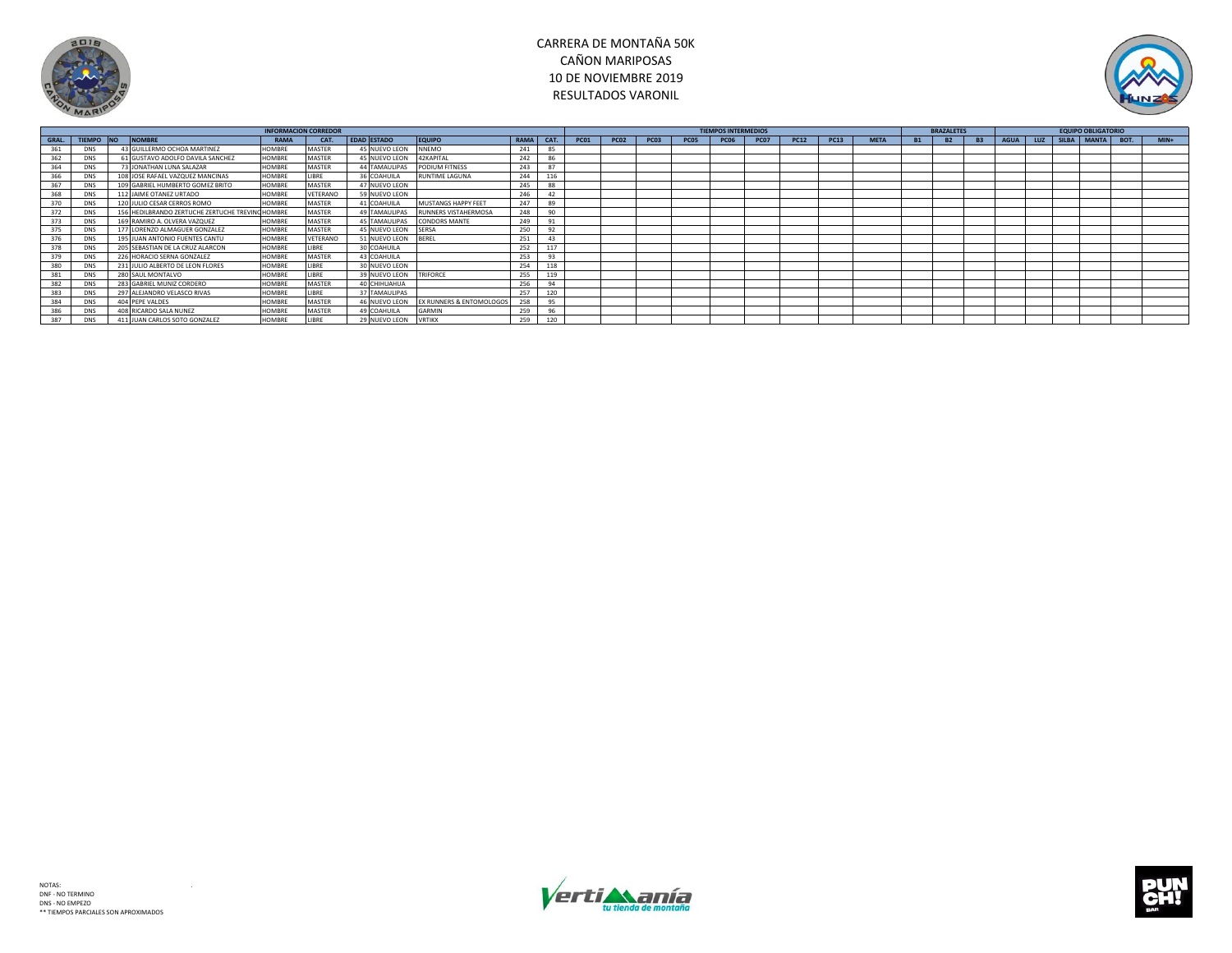



|       |            |                                                  |               | <b>INFORMACION CORREDOR</b> |                    |                          |                   |      |             |      |             |             | <b>TIEMPOS INTERMEDIOS</b> |             |             |      |             |           | <b>BRAZALETES</b> |           |             |  | <b>EQUIPO OBLIGATORIO</b> |         |
|-------|------------|--------------------------------------------------|---------------|-----------------------------|--------------------|--------------------------|-------------------|------|-------------|------|-------------|-------------|----------------------------|-------------|-------------|------|-------------|-----------|-------------------|-----------|-------------|--|---------------------------|---------|
| GRAL. |            | TIEMPO NO NOMBRE                                 | RAMA          | CAT.                        | <b>EDAD ESTADO</b> | <b>EQUIPO</b>            | RAMA <sup>I</sup> | CAT. | <b>PC01</b> | PCO2 | <b>PC03</b> | <b>PC05</b> | <b>PC06</b>                | <b>PC07</b> | <b>PC12</b> | PC13 | <b>META</b> | <b>B1</b> | <b>B2</b>         | <b>B3</b> | <b>AGUA</b> |  | LUZ SILBA MANTA BOT.      | $MIN +$ |
| 361   | <b>DNS</b> | 43 GUILLERMO OCHOA MARTINEZ                      | <b>HOMBRE</b> | MASTER                      | 45 NUEVO LEON      | <b>NNEMO</b>             | 241               | 85   |             |      |             |             |                            |             |             |      |             |           |                   |           |             |  |                           |         |
| 362   | <b>DNS</b> | 61 GUSTAVO ADOLFO DAVILA SANCHEZ                 | <b>HOMBRE</b> | MASTER                      | 45 NUEVO LEON      | 42KAPITAL                | 242               | 86   |             |      |             |             |                            |             |             |      |             |           |                   |           |             |  |                           |         |
| 364   | <b>DNS</b> | 73 JONATHAN LUNA SALAZAR                         | <b>HOMBRE</b> | <b>MASTER</b>               | 44 TAMAULIPAS      | PODIUM FITNESS           | 243               | 87   |             |      |             |             |                            |             |             |      |             |           |                   |           |             |  |                           |         |
| 366   | <b>DNS</b> | 108 JOSE RAFAEL VAZQUEZ MANCINAS                 | <b>HOMBRE</b> | LIBRE                       | 36 COAHUILA        | <b>RUNTIME LAGUNA</b>    | 244               | 116  |             |      |             |             |                            |             |             |      |             |           |                   |           |             |  |                           |         |
| 367   | <b>DNS</b> | 109 GABRIEL HUMBERTO GOMEZ BRITO                 | <b>HOMBRE</b> | MASTER                      | 47 NUEVO LEON      |                          | 245               | 88   |             |      |             |             |                            |             |             |      |             |           |                   |           |             |  |                           |         |
| 368   | <b>DNS</b> | 112 JAIME OTANEZ URTADO                          | <b>HOMBRE</b> | VETERANO                    | 59 NUEVO LEON      |                          | 246               | 42   |             |      |             |             |                            |             |             |      |             |           |                   |           |             |  |                           |         |
| 370   | <b>DNS</b> | 120 JULIO CESAR CERROS ROMO                      | <b>HOMBRE</b> | MASTER                      | 41 COAHUILA        | MUSTANGS HAPPY FEET      | 247               | 89   |             |      |             |             |                            |             |             |      |             |           |                   |           |             |  |                           |         |
|       | <b>DNS</b> | 156 HEDILBRANDO ZERTUCHE ZERTUCHE TREVING HOMBRE |               | MASTER                      | 49 TAMAULIPAS      | RUNNERS VISTAHERMOSA     | 248               | 90   |             |      |             |             |                            |             |             |      |             |           |                   |           |             |  |                           |         |
| 373   | <b>DNS</b> | 169 RAMIRO A. OLVERA VAZQUEZ                     | <b>HOMBRE</b> | MASTER                      | 45 TAMAULIPAS      | CONDORS MANTE            | 249               | 91   |             |      |             |             |                            |             |             |      |             |           |                   |           |             |  |                           |         |
| 375   | <b>DNS</b> | 177 LORENZO ALMAGUER GONZALEZ                    | <b>HOMBRE</b> | <b>MASTER</b>               | 45 NUEVO LEON      | <b>SERSA</b>             | 250               | 92   |             |      |             |             |                            |             |             |      |             |           |                   |           |             |  |                           |         |
|       | <b>DNS</b> | 195 JUAN ANTONIO FUENTES CANTU                   | <b>HOMBRI</b> | VETERANO                    | 51 NUEVO LEON      | BEREL                    | 251               | 43   |             |      |             |             |                            |             |             |      |             |           |                   |           |             |  |                           |         |
| 378   | <b>DNS</b> | 205 SEBASTIAN DE LA CRUZ ALARCON                 | <b>HOMBRE</b> | LIBRE                       | 30 COAHUILA        |                          | 252               | 117  |             |      |             |             |                            |             |             |      |             |           |                   |           |             |  |                           |         |
|       | <b>DNS</b> | 226 HORACIO SERNA GONZALEZ                       | <b>HOMBRE</b> | <b>MASTER</b>               | 43 COAHUILA        |                          | 253               | 93   |             |      |             |             |                            |             |             |      |             |           |                   |           |             |  |                           |         |
| 380   | <b>DNS</b> | 231 JULIO ALBERTO DE LEON FLORES                 | <b>HOMBRE</b> | LIBRE                       | 30 NUEVO LEON      |                          | 254               |      |             |      |             |             |                            |             |             |      |             |           |                   |           |             |  |                           |         |
|       | <b>DNS</b> | 280 SAUL MONTALVO                                | <b>HOMBRE</b> | LIBRE                       | 39 NUEVO LEON      | TRIFORCE                 | 255               | 119  |             |      |             |             |                            |             |             |      |             |           |                   |           |             |  |                           |         |
| 382   | <b>DNS</b> | 283 GABRIEL MUNIZ CORDERO                        | <b>HOMBRE</b> | <b>MASTER</b>               | 40 CHIHUAHUA       |                          | 256               | 94   |             |      |             |             |                            |             |             |      |             |           |                   |           |             |  |                           |         |
|       | <b>DNS</b> | 297 ALEJANDRO VELASCO RIVAS                      | <b>HOMBRE</b> | LIBRE                       | 37 TAMAULIPAS      |                          | 257               | 120  |             |      |             |             |                            |             |             |      |             |           |                   |           |             |  |                           |         |
| 384   | <b>DNS</b> | 404 PEPE VALDES                                  | <b>HOMBRE</b> | MASTER                      | 46 NUEVO LEON      | EX RUNNERS & ENTOMOLOGOS |                   | 95   |             |      |             |             |                            |             |             |      |             |           |                   |           |             |  |                           |         |
| 386   | <b>DNS</b> | 408 RICARDO SALA NUNEZ                           | <b>HOMBRE</b> | <b>MASTER</b>               | 49 COAHUILA        | GARMIN                   | 259               | 96   |             |      |             |             |                            |             |             |      |             |           |                   |           |             |  |                           |         |
|       | <b>DNS</b> | 411 JUAN CARLOS SOTO GONZALEZ                    | <b>HOMBRE</b> | LIBRE                       | 29 NUEVO LEON      | <b>VRTIKX</b>            | 259               | 120  |             |      |             |             |                            |             |             |      |             |           |                   |           |             |  |                           |         |



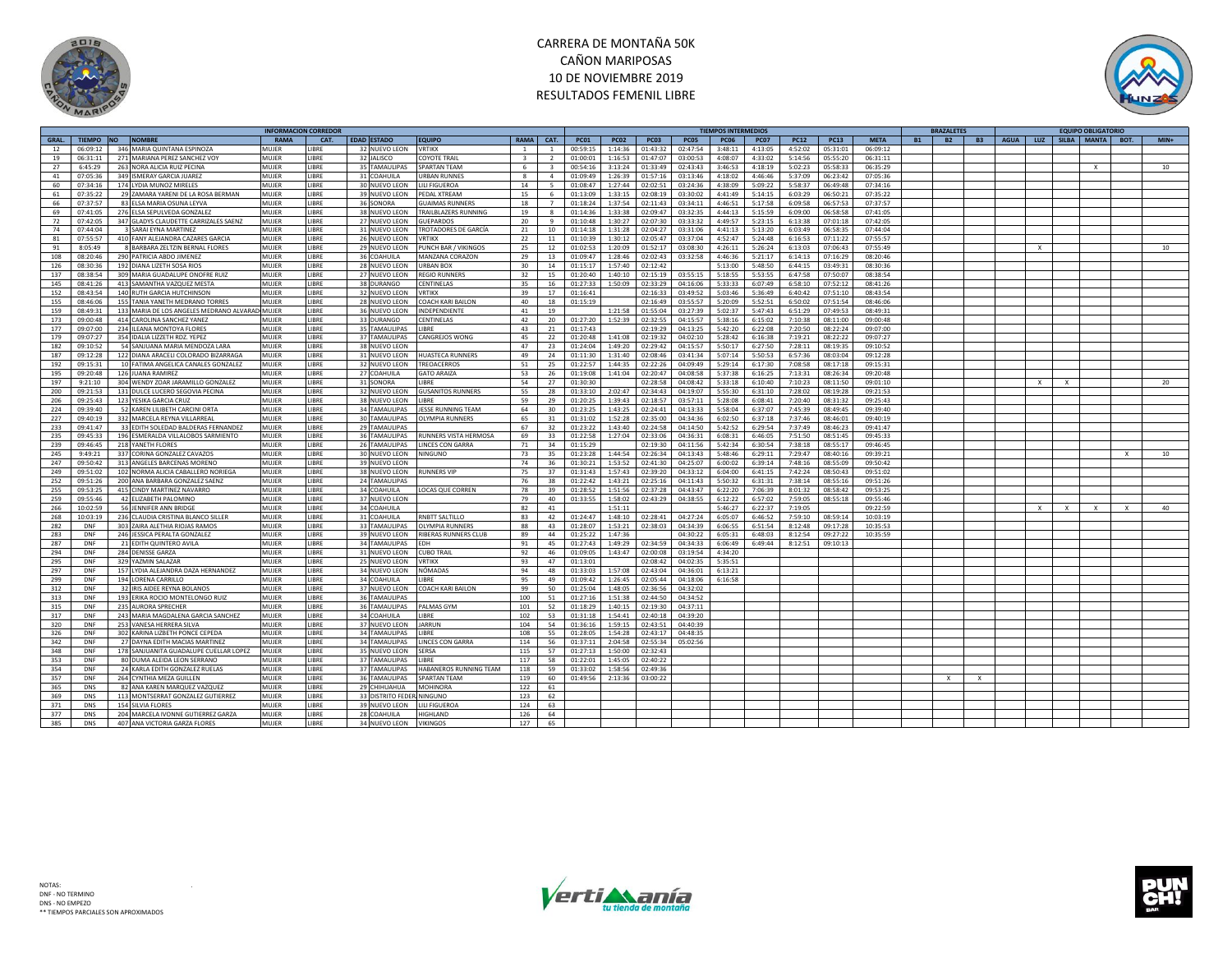



|             |               |            |                                                 | INFORMACION CORREDOI |             |                    |                          |                |                          |             |             |             |                  | <b>FIEMPOS INTERMEDIOS</b> |             |             |             |             | RA7ΔI FTF!             |           |                    |              | <b>EQUIPO OBLIGATORIC</b> |                    |
|-------------|---------------|------------|-------------------------------------------------|----------------------|-------------|--------------------|--------------------------|----------------|--------------------------|-------------|-------------|-------------|------------------|----------------------------|-------------|-------------|-------------|-------------|------------------------|-----------|--------------------|--------------|---------------------------|--------------------|
| <b>GRAL</b> | <b>TIEMPO</b> | <b>INO</b> | <b>NOMBRE</b>                                   | <b>RAMA</b>          | CAT.        | <b>EDAD ESTADO</b> | <b>EQUIPO</b>            | <b>RAMA</b>    | CAT.                     | <b>PC01</b> | <b>PC02</b> | <b>PC03</b> | PC <sub>05</sub> | <b>PC06</b>                | <b>PC07</b> | <b>PC12</b> | <b>PC13</b> | <b>META</b> | <b>B2</b><br><b>B1</b> | <b>B3</b> | <b>AGUA</b><br>LUZ | <b>SILBA</b> | <b>MANTA</b>              | $MIN+$<br>BOT.     |
| 12          | 06:09:12      |            | 346 MARIA QUINTANA ESPINOZA                     | MUJER                | <b>IBRE</b> | 32 NUEVO LEON      | <b>VRTIKX</b>            | $\overline{1}$ | $\mathbf{1}$             | 00:59:15    | 1:14:36     | 01:43:32    | 02:47:54         | 3:48:11                    | 4:13:05     | 4:52:02     | 05:31:01    | 06:09:12    |                        |           |                    |              |                           |                    |
|             |               |            |                                                 |                      |             |                    |                          |                |                          |             |             |             |                  |                            |             |             |             |             |                        |           |                    |              |                           |                    |
| 19          | 06:31:11      |            | 271 MARIANA PEREZ SANCHEZ VOY                   | MUJER                | <b>IBRE</b> | 32 JALISCO         | <b>COYOTE TRAIL</b>      | $\mathbf{3}$   | $\overline{\phantom{a}}$ | 01:00:01    | 1:16:53     | 01:47:07    | 03:00:53         | 4:08:07                    | 4:33:02     | 5:14:56     | 05:55:20    | 06:31:11    |                        |           |                    |              |                           |                    |
| 27          | 6:45:29       |            | 263 NORA ALICIA RUIZ PECINA                     | MUJER                | <b>IBRE</b> | 35 TAMAULIPAS      | SPARTAN TEAM             | 6              |                          | 00:54:16    | 3:13:24     | 01:33:49    | 02:43:43         | 3:46:53                    | 4:18:19     | 5:02:23     | 05:58:33    | 06:35:29    |                        |           |                    |              | $\mathbf{x}$              | 10                 |
| 41          | 07:05:36      |            | 349 ISMERAY GARCIA JUAREZ                       | MUJER                | <b>IBRE</b> | 31 COAHUILA        | <b>URBAN RUNNES</b>      | -8             | $\overline{a}$           | 01:09:49    | 1:26:39     | 01:57:16    | 03:13:46         | 4:18:02                    | 4:46:46     | 5:37:09     | 06:23:42    | 07:05:36    |                        |           |                    |              |                           |                    |
| 60          | 07:34:16      |            | 174 LYDIA MUNOZ MIRELES                         | MUJER                | <b>IBRE</b> | 30 NUEVO LEON      | LILI FIGUEROA            | 14             | 5                        | 01:08:47    | 1:27:44     | 02:02:51    | 03:24:36         | 4:38:09                    | 5:09:22     | 5:58:37     | 06:49:48    | 07:34:16    |                        |           |                    |              |                           |                    |
|             |               |            |                                                 |                      | <b>IRRF</b> |                    |                          |                |                          |             |             |             |                  |                            |             |             |             |             |                        |           |                    |              |                           |                    |
| 61          | 07:35:22      |            | 29 ZAMARA YARENI DE LA ROSA BERMAN              | MUJER                |             | 39 NUEVO LEON      | PEDAI XTREAM             | 15             | - 6                      | 01:13:09    | 1:33:15     | 02:08:19    | 03:30:02         | 4:41:49                    | 5:14:15     | 6:03:29     | 06:50:21    | 07:35:22    |                        |           |                    |              |                           |                    |
| 66          | 07:37:57      |            | 83 ELSA MARIA OSUNA LEYVA                       | MUIFF                | <b>IBRF</b> | 36 SONORA          | <b>GUAIMAS RUNNERS</b>   | 18             | $\overline{7}$           | 01:18:24    | 1:37:54     | 02:11:43    | 03:34:11         | 4:46:51                    | 5:17:58     | 6:09:58     | 06:57:53    | 07:37:57    |                        |           |                    |              |                           |                    |
| 69          | 07:41:05      |            | 276 ELSA SEPULVEDA GONZALEZ                     | MUJER                | <b>IBRE</b> | 38 NUEVO LEON      | TRAILBLAZERS RUNNING     | 19             | 8                        | 01:14:36    | 1:33:38     | 02:09:47    | 03:32:35         | 4:44:13                    | 5:15:59     | 6:09:00     | 06:58:58    | 07:41:05    |                        |           |                    |              |                           |                    |
| 72          | 07:42:05      |            | 347 GLADYS CLAUDETTE CARRIZALES SAENZ           | MUJER                | <b>IBRE</b> | 27 NUEVO LEON      | <b>GUEPARDOS</b>         | 20             | 9                        | 01:10:48    | 1:30:27     | 02:07:30    | 03:33:32         | 4:49:57                    | 5:23:15     | 6:13:38     | 07:01:18    | 07:42:05    |                        |           |                    |              |                           |                    |
|             |               |            |                                                 |                      |             |                    |                          |                |                          |             |             |             |                  |                            |             |             |             |             |                        |           |                    |              |                           |                    |
| 74          | 07:44:04      |            | 3 SARAI EYNA MARTINEZ                           | MUJER                | <b>IRRF</b> | 31 NUEVO LEON      | TROTADORES DE GARCÍA     | 21             | 10                       | 01:14:18    | 1:31:28     | 02:04:27    | 03:31:06         | 4:41:13                    | 5:13:20     | 6:03:49     | 06:58:35    | 07:44:04    |                        |           |                    |              |                           |                    |
| 81          | 07:55:57      |            | 410 FANY ALEJANDRA CAZARES GARCIA               | MUJER                | <b>IBRE</b> | 26 NUEVO LEON      | VRTIKX                   | 22             | 11                       | 01:10:39    | 1:30:12     | 02:05:47    | 03:37:04         | 4:52:47                    | 5:24:48     | 6:16:53     | 07:11:22    | 07:55:57    |                        |           |                    |              |                           |                    |
| 91          | 8:05:49       |            | 8 BARBARA ZELTZIN BERNAL FLORES                 | MUJER                | <b>IBRF</b> | 29 NUEVO LEON      | PUNCH BAR / VIKINGOS     | 25             | 12                       | 01:02:53    | 1:20:09     | 01:52:17    | 03:08:30         | 4:26:11                    | 5:26:24     | 6:13:03     | 07:06:43    | 07:55:49    |                        |           | $\mathbf{x}$       |              |                           | 10                 |
|             |               |            |                                                 |                      | <b>IRRF</b> |                    |                          |                |                          |             |             |             | 03:32:58         |                            |             |             |             |             |                        |           |                    |              |                           |                    |
| 108         | 08:20:46      |            | 290 PATRICIA ABDO JIMENEZ                       | MUJER                |             | 36 COAHUILA        | MANZANA CORAZON          | 29             | 13                       | 01:09:47    | 1:28:46     | 02:02:43    |                  | 4:46:36                    | 5:21:17     | 6:14:13     | 07:16:29    | 08:20:46    |                        |           |                    |              |                           |                    |
| 126         | 08:30:36      |            | 192 DIANA LIZETH SOSA RIOS                      | MUJER                | <b>IBRF</b> | 28 NUEVO LEON      | URBAN BOX                | 30             | 14                       | 01:15:17    | 1:57:40     | 02:12:42    |                  | 5:13:00                    | 5:48:50     | 6:44:15     | 03:49:31    | 08:30:36    |                        |           |                    |              |                           |                    |
| 137         | 08:38:54      |            | 309 MARIA GUADALUPE ONOFRE RUIZ                 | MUJER                | <b>IBRE</b> | 27 NUEVO LEON      | <b>REGIO RUNNERS</b>     | 32             | 15                       | 01:20:40    | 1:40:10     | 02:15:19    | 03:55:15         | 5:18:55                    | 5:53:55     | 6:47:58     | 07:50:07    | 08:38:54    |                        |           |                    |              |                           |                    |
| 145         | 08:41:26      |            | 413 SAMANTHA VAZQUEZ MESTA                      | MUJER                | <b>IBRE</b> | 38 DURANGO         | CENTINELAS               | 35             | 16                       | 01:27:33    | 1:50:09     | 02:33:29    | 04:16:06         | 5:33:33                    | 6:07:49     | 6:58:10     | 07:52:12    | 08:41:26    |                        |           |                    |              |                           |                    |
|             |               |            |                                                 |                      |             |                    |                          |                |                          |             |             |             |                  |                            |             |             |             |             |                        |           |                    |              |                           |                    |
| 152         | 08:43:54      |            | 140 RUTH GARCIA HUTCHINSON                      | MUJER                | <b>IBRE</b> | 32 NUEVO LEON      | VRTIKX                   | 39             | 17                       | 01:16:41    |             | 02:16:33    | 03:49:52         | 5:03:46                    | 5:36:49     | 6:40:42     | 07:51:10    | 08:43:54    |                        |           |                    |              |                           |                    |
| 155         | 08:46:06      |            | 155 TANJA YANETH MEDRANO TORRES                 | MUJER                | <b>IBRE</b> | 28 NUEVO LEON      | COACH KARI BAILON        | 40             | 18                       | 01:15:19    |             | 02:16:49    | 03:55:57         | 5:20:09                    | 5:52:51     | 6:50:02     | 07:51:54    | 08:46:06    |                        |           |                    |              |                           |                    |
| 159         | 08:49:31      |            | 133 MARIA DE LOS ANGELES MEDRANO ALVARADI MUJER |                      | <b>IBRE</b> | 36 NUEVO LEON      | NDEPENDIENT              | 41             | 19                       |             | 1:21:58     | 01:55:04    | 03:27:39         | 5:02:37                    | 5:47:43     | 6:51:29     | 07:49:53    | 08:49:31    |                        |           |                    |              |                           |                    |
| 173         | 09:00:48      |            | 414 CAROLINA SANCHEZ YANEZ                      | MUIFR                | <b>IBRF</b> | 33 DURANGO         | CENTINELAS               | 42             | 20                       | 01:27:20    | 1:52:39     | 02:32:55    | 04:15:57         | 5:38:16                    | 6:15:02     | 7:10:38     | 08:11:00    | 09:00:48    |                        |           |                    |              |                           |                    |
|             |               |            |                                                 |                      |             |                    |                          |                |                          |             |             |             |                  |                            |             |             |             |             |                        |           |                    |              |                           |                    |
| 177         | 09:07:00      |            | 234 ILEANA MONTOYA FLORES                       | MUIFR                | <b>IBRE</b> | 35 TAMAULIPAS      | <b>IRRF</b>              | 43             | 21                       | 01:17:43    |             | 02:19:29    | 04:13:25         | 5:42:20                    | 6:22:08     | 7:20:50     | 08:22:24    | 09:07:00    |                        |           |                    |              |                           |                    |
| 179         | 09:07:27      |            | 354 IDALIA LIZZETH RDZ. YEPEZ                   | MUJER                | <b>IBRF</b> | 37 TAMAULIPAS      | CANGREJOS WONG           | 45             | 22                       | 01:20:48    | 1:41:08     | 02:19:32    | 04:02:10         | 5:28:42                    | 6:16:38     | 7:19:21     | 08:22:22    | 09:07:27    |                        |           |                    |              |                           |                    |
| 182         | 09:10:52      |            | 54 SANJUANA MARIA MENDOZA LARA                  | MUIFR                | <b>IBRE</b> | 38 NUEVO LEON      |                          | 47             | 23                       | 01:24:04    | 1:49:20     | 02:29:42    | 04:15:57         | 5:50:17                    | 6:27:50     | 7:28:11     | 08:19:35    | 09:10:52    |                        |           |                    |              |                           |                    |
|             |               |            |                                                 |                      |             |                    |                          |                |                          |             |             |             |                  |                            |             |             |             |             |                        |           |                    |              |                           |                    |
| 187         | 09:12:28      |            | 122 DIANA ARACELI COLORADO BIZARRAGA            | MUJER                | <b>IBRE</b> | 31 NUEVO LEON      | <b>HUASTECA RUNNERS</b>  | 49             | 24                       | 01:11:30    | 1:31:40     | 02:08:46    | 03:41:34         | 5:07:14                    | 5:50:53     | 6:57:36     | 08:03:04    | 09:12:28    |                        |           |                    |              |                           |                    |
| 192         | 09:15:31      |            | 10 FATIMA ANGELICA CANALES GONZALEZ             | MUJER                | <b>IBRE</b> | 32 NUEVO LEON      | <b>TREOACERROS</b>       | 51             | 25                       | 01:22:57    | 1:44:35     | 02:22:26    | 04:09:49         | 5:29:14                    | 6:17:30     | 7:08:58     | 08:17:18    | 09:15:31    |                        |           |                    |              |                           |                    |
| 195         | 09:20:48      |            | 126 JUANA RAMIREZ                               | MUJER                | <b>IBRE</b> | 27 COAHUILA        | <b>GATO ARAIZA</b>       | 53             | 26                       | 01:19:08    | 1:41:04     | 02:20:47    | 04:08:58         | 5:37:38                    | 6:16:25     | 7:13:31     | 08:26:34    | 09:20:48    |                        |           |                    |              |                           |                    |
| 197         | 9:21:10       |            | 304 WENDY ZOAR JARAMILLO GONZALEZ               | MUJER                | <b>IBRE</b> | 31 SONORA          | <b>IBRF</b>              | 54             | 27                       | 01:30:30    |             | 02:28:58    | 04:08:42         | 5:33:18                    | 6:10:40     | 7:10:23     | 08:11:50    | 09:01:10    |                        |           | $\times$           | $\mathbf{x}$ |                           | 20                 |
|             |               |            |                                                 |                      |             |                    |                          |                |                          |             |             |             |                  |                            |             |             |             |             |                        |           |                    |              |                           |                    |
| 200         | 09:21:53      |            | 131 DULCE LUCERO SEGOVIA PECINA                 | MUJER                | <b>IBRE</b> | 32 NUEVO LEON      | <b>GUSANITOS RUNNERS</b> | 55             | 28                       | 01:33:10    | 2:02:47     | 02:34:43    | 04:19:07         | 5:55:30                    | 6:31:10     | 7:28:02     | 08:19:28    | 09:21:53    |                        |           |                    |              |                           |                    |
| 206         | 09:25:43      |            | 123 YESIKA GARCIA CRUZ                          | MUJER                | <b>IBRE</b> | 38 NUEVO LEON      | <b>IBRF</b>              | 59             | 29                       | 01:20:25    | 1:39:43     | 02:18:57    | 03:57:11         | 5:28:08                    | 6:08:41     | 7:20:40     | 08:31:32    | 09:25:43    |                        |           |                    |              |                           |                    |
| 224         | 09:39:40      |            | 52 KAREN LILIBETH CARCINI ORTA                  | MUJER                | <b>IBRE</b> | 34 TAMAULIPAS      | JESSE RUNNING TEAM       | 64             | 30                       | 01:23:25    | 1:43:25     | 02:24:41    | 04:13:33         | 5:58:04                    | 6:37:07     | 7:45:39     | 08:49:45    | 09:39:40    |                        |           |                    |              |                           |                    |
| 227         | 09:40:19      |            | 332 MARCELA REYNA VILLARREAL                    | MUJER                | <b>IBRF</b> | 30 TAMAULIPAS      | <b>OLYMPIA RUNNERS</b>   | 65             |                          | 01:31:02    | 1:52:28     | 02:35:00    | 04:34:36         | 6:02:50                    | 6:37:18     | 7:37:46     | 08:46:01    | 09:40:19    |                        |           |                    |              |                           |                    |
|             |               |            |                                                 |                      |             |                    |                          |                | 31                       |             |             |             |                  |                            |             |             |             |             |                        |           |                    |              |                           |                    |
| 233         | 09:41:47      |            | 33 EDITH SOLEDAD BALDERAS FERNANDEZ             | MUJER                | <b>IBRE</b> | 29 TAMAULIPAS      |                          | 67             | 32                       | 01:23:22    | 1:43:40     | 02:24:58    | 04:14:50         | 5:42:52                    | 6:29:54     | 7:37:49     | 08:46:23    | 09:41:47    |                        |           |                    |              |                           |                    |
| 235         | 09:45:33      |            | 196 ESMERALDA VILLALOBOS SARMIENTO              | MUJER                | <b>IBRE</b> | 36 TAMAULIPAS      | RUNNERS VISTA HERMOSA    | 69             | 33                       | 01:22:58    | 1:27:04     | 02:33:06    | 04:36:31         | 6:08:31                    | 6:46:05     | 7:51:50     | 08:51:45    | 09:45:33    |                        |           |                    |              |                           |                    |
| 239         | 09:46:45      |            | 218 YANETH FLORES                               | MUJER                | <b>IBRE</b> | 26 TAMAULIPAS      | LINCES CON GARRA         | 71             | 34                       | 01:15:29    |             | 02:19:30    | 04:11:56         | 5:42:34                    | 6:30:54     | 7:38:18     | 08:55:17    | 09:46:45    |                        |           |                    |              |                           |                    |
|             |               |            |                                                 |                      |             |                    |                          |                |                          |             |             |             |                  |                            |             |             |             |             |                        |           |                    |              |                           |                    |
| 245         | 9:49:21       |            | 337 CORINA GONZALEZ CAVAZOS                     | MUJER                | <b>IBRE</b> | 30 NUEVO LEON      | NINGUNO                  | 73             | 35                       | 01:23:28    | 1:44:54     | 02:26:34    | 04:13:43         | 5:48:46                    | 6:29:11     | 7:29:47     | 08:40:16    | 09:39:21    |                        |           |                    |              |                           | 10<br>$\mathbf{x}$ |
| 247         | 09:50:42      |            | 313 ANGELES BARCENAS MORENO                     | MUJER                | <b>IBRF</b> | 39 NUEVO LEON      |                          | 74             | 36                       | 01:30:21    | 1:53:52     | 02:41:30    | 04:25:07         | 6:00:02                    | 6:39:14     | 7:48:16     | 08:55:09    | 09:50:42    |                        |           |                    |              |                           |                    |
| 249         | 09:51:02      |            | 102 NORMA ALICIA CABALLERO NORIEGA              | MUJER                | <b>IBRF</b> | 38 NUEVO LEON      | <b>RUNNERS VIP</b>       | 75             | 37                       | 01:31:43    | 1:57:43     | 02:39:20    | 04:33:12         | 6:04:00                    | 6:41:15     | 7:42:24     | 08:50:43    | 09:51:02    |                        |           |                    |              |                           |                    |
| 252         | 09:51:26      |            | 200 ANA BARBARA GONZALEZ SAENZ                  | MUJER                | <b>IBRE</b> | 24 TAMAULIPAS      |                          | 76             | 38                       | 01:22:42    | 1:43:21     | 02:25:16    | 04:11:43         | 5:50:32                    | 6:31:31     | 7:38:14     | 08:55:16    | 09:51:26    |                        |           |                    |              |                           |                    |
|             |               |            |                                                 |                      |             |                    |                          |                |                          |             |             |             |                  |                            |             |             |             |             |                        |           |                    |              |                           |                    |
| 255         | 09:53:25      |            | 415 CINDY MARTINEZ NAVARRO                      | MUJER                | <b>IBRE</b> | 34 COAHUILA        | LOCAS QUE CORREN         | 78             | 39                       | 01:28:52    | 1:51:56     | 02:37:28    | 04:43:47         | 6:22:20                    | 7:06:39     | 8:01:32     | 08:58:42    | 09:53:25    |                        |           |                    |              |                           |                    |
| 259         | 09:55:46      |            | 42 ELIZABETH PALOMINO                           | MUJER                | <b>IBRE</b> | 37 NUEVO LEON      |                          | 79             | 40                       | 01:33:55    | 1:58:02     | 02:43:29    | 04:38:55         | 6:12:22                    | 6:57:02     | 7:59:05     | 08:55:18    | 09:55:46    |                        |           |                    |              |                           |                    |
| 266         | 10:02:59      |            | 56 JENNIFER ANN BRIDGE                          | MUJER                | <b>IBRE</b> | 34 COAHUILA        |                          | 82             | 41                       |             | 1:51:11     |             |                  | 5:46:27                    | 6:22:37     | 7:19:05     |             | 09:22:59    |                        |           | $\times$           | $\mathbf{x}$ |                           | 40                 |
|             | 10:03:19      |            |                                                 | MUJER                | <b>IBRE</b> |                    | RNBTT SALTILLO           |                | 42                       | 01:24:47    |             |             | 04:27:24         |                            | 6:46:52     |             | 08:59:14    | 10:03:19    |                        |           |                    |              |                           |                    |
| 268         |               |            | 236 CLAUDIA CRISTINA BLANCO SILLER              |                      |             | 31 COAHUILA        |                          | 83             |                          |             | 1:48:10     | 02:28:41    |                  | 6:05:07                    |             | 7:59:10     |             |             |                        |           |                    |              |                           |                    |
| 282         | DNF           |            | 303 ZAIRA ALETHIA RIOJAS RAMOS                  | MUJER                | <b>IBRE</b> | 33 TAMAULIPAS      | <b>OLYMPIA RUNNERS</b>   | 88             | 43                       | 01:28:07    | 1:53:21     | 02:38:03    | 04:34:39         | 6:06:55                    | 6:51:54     | 8:12:48     | 09:17:28    | 10:35:53    |                        |           |                    |              |                           |                    |
| 283         | DNF           |            | 246 JESSICA PERALTA GONZALEZ                    | MUJER                | <b>IBRE</b> | 39 NUEVO LEON      | RIBERAS RUNNERS CLUI     | 89             | 44                       | 01:25:22    | 1:47:36     |             | 04:30:22         | 6:05:31                    | 6:48:03     | 8:12:54     | 09:27:22    | 10:35:59    |                        |           |                    |              |                           |                    |
| 287         | DNF           |            | 21 EDITH QUINTERO AVILA                         | MUJER                | <b>IBRE</b> | 34 TAMAULIPAS      | FDH                      | 91             | 45                       | 01:27:43    | 1:49:29     | 02:34:59    | 04:34:33         | 6:06:49                    | 6:49:44     | 8:12:51     | 09:10:13    |             |                        |           |                    |              |                           |                    |
|             |               |            |                                                 |                      |             |                    |                          |                |                          |             |             |             |                  |                            |             |             |             |             |                        |           |                    |              |                           |                    |
| 294         | DNF           |            | 284 DENISSE GARZA                               | MUJER                | <b>IBRE</b> | 31 NUEVO LEON      | CUBO TRAIL               | 92             | 46                       | 01:09:05    | 1:43:47     | 02:00:08    | 03:19:54         | 4:34:20                    |             |             |             |             |                        |           |                    |              |                           |                    |
| 295         | DNF           |            | 329 YAZMIN SALAZAR                              | MUJER                | <b>IBRE</b> | 25 NUEVO LEON      | <b>VRTIKX</b>            | 93             | 47                       | 01:13:01    |             | 02:08:42    | 04:02:35         | 5:35:51                    |             |             |             |             |                        |           |                    |              |                           |                    |
| 297         | DNF           |            | 157 LYDIA ALEJANDRA DAZA HERNANDEZ              | MUJER                | <b>IBRE</b> | 34 NUEVO LEON      | NÓMADAS                  | 94             | 48                       | 01:33:03    | 1:57:08     | 02:43:04    | 04:36:01         | 6:13:21                    |             |             |             |             |                        |           |                    |              |                           |                    |
| 299         | DNF           |            | 194 LORENA CARRILLO                             | MUJER                | <b>IBRE</b> | 34 COAHUILA        | <b>IBRF</b>              | 95             | 49                       | 01:09:42    | 1:26:45     | 02:05:44    | 04:18:06         | 6:16:58                    |             |             |             |             |                        |           |                    |              |                           |                    |
|             |               |            |                                                 |                      |             |                    |                          |                |                          |             |             |             |                  |                            |             |             |             |             |                        |           |                    |              |                           |                    |
| 312         | DNF           |            | 32 IRIS AIDEE REYNA BOLANOS                     | MUJER                | <b>IBRE</b> | 37 NUEVO LEON      | COACH KARI BAILON        | 99             | 50                       | 01:25:04    | 1:48:05     | 02:36:56    | 04:32:02         |                            |             |             |             |             |                        |           |                    |              |                           |                    |
| 313         | <b>DNF</b>    |            | 193 ERIKA ROCIO MONTELONGO RUIZ                 | MUJER                | <b>IBRE</b> | 36 TAMAULIPAS      |                          | 100            | 51                       | 01:27:16    | 1:51:38     | 02:44:50    | 04:34:52         |                            |             |             |             |             |                        |           |                    |              |                           |                    |
| 315         | DNF           |            | 235 AURORA SPRECHER                             | MUJER                | <b>IBRE</b> | 36 TAMAULIPAS      | PALMAS GYM               | 101            | 52                       | 01:18:29    | 1:40:15     | 02:19:30    | 04:37:11         |                            |             |             |             |             |                        |           |                    |              |                           |                    |
| 317         | DNF           |            | 243 MARIA MAGDALENA GARCIA SANCHEZ              | MUJER                | <b>IBRE</b> | 34 COAHUILA        | LIBRE                    |                | 53                       | 01:31:18    | 1:54:41     | 02:40:18    | 04:39:20         |                            |             |             |             |             |                        |           |                    |              |                           |                    |
|             |               |            |                                                 |                      |             |                    |                          | 102            |                          |             |             |             |                  |                            |             |             |             |             |                        |           |                    |              |                           |                    |
| 320         | DNF           |            | 253 VANESA HERRERA SILVA                        | MUJER                | <b>IBRE</b> | 37 NUEVO LEON      | <b>IARRUN</b>            | 104            | 54                       | 01:36:16    | 1:59:15     | 02:43:51    | 04:40:39         |                            |             |             |             |             |                        |           |                    |              |                           |                    |
| 326         | DNF           |            | 302 KARINA LIZBETH PONCE CEPEDA                 | MUJER                | <b>IBRE</b> | 34 TAMAULIPAS      | <b>IRRF</b>              | 108            | 55                       | 01:28:05    | 1:54:28     | 02:43:17    | 04:48:35         |                            |             |             |             |             |                        |           |                    |              |                           |                    |
| 342         | DNF           |            | 27 DAYNA EDITH MACIAS MARTINEZ                  | MUJER                | <b>IBRE</b> | 34 TAMAULIPAS      | LINCES CON GARRA         | 114            | 56                       | 01:37:11    | 2:04:58     | 02:55:34    | 05:02:56         |                            |             |             |             |             |                        |           |                    |              |                           |                    |
|             |               |            |                                                 |                      |             |                    |                          |                |                          |             |             |             |                  |                            |             |             |             |             |                        |           |                    |              |                           |                    |
| 348         | DNF           |            | 178 SANJUANITA GUADALUPE CUELLAR LOPEZ          | MUJER                | <b>IBRE</b> | 35 NUEVO LEON      | SERSA                    | 115            | 57                       | 01:27:13    | 1:50:00     | 02:32:43    |                  |                            |             |             |             |             |                        |           |                    |              |                           |                    |
| 353         | DNF           |            | 80 DUMA ALEIDA LEON SERRANO                     | MUJER                | <b>IBRE</b> | 37 TAMAULIPAS      | <b>IBRF</b>              | 117            | 58                       | 01:22:01    | 1:45:05     | 02:40:22    |                  |                            |             |             |             |             |                        |           |                    |              |                           |                    |
| 354         | DNF           |            | 24 KARLA EDITH GONZALEZ RUELAS                  | MUJER                | <b>IBRE</b> | 37 TAMAULIPAS      | HABANEROS RUNNING TEAM   | 118            | 59                       | 01:33:02    | 1:58:56     | 02:49:36    |                  |                            |             |             |             |             |                        |           |                    |              |                           |                    |
| 357         | DNF           |            | 264 CYNTHIA MEZA GUILLEN                        | MUJER                | <b>IBRE</b> | 36 TAMAULIPAS      | SPARTAN TEAM             | 119            | 60                       | 01:49:56    | 2:13:36     | 03:00:22    |                  |                            |             |             |             |             | x                      |           |                    |              |                           |                    |
|             |               |            |                                                 |                      |             |                    |                          |                |                          |             |             |             |                  |                            |             |             |             |             |                        |           |                    |              |                           |                    |
| 365         | DNS           |            | 82 ANA KAREN MARQUEZ VAZQUEZ                    | MUIFR                | <b>IBRF</b> | 29 CHIHUAHUA       | MOHINORA                 | 122            | 61                       |             |             |             |                  |                            |             |             |             |             |                        |           |                    |              |                           |                    |
| 369         | <b>DNS</b>    |            | 113 MONTSERRAT GONZALEZ GUTIERREZ               | MUJER                | <b>IRRF</b> | 33 DISTRITO FEDE   | <b>NINGUNO</b>           | 123            | 62                       |             |             |             |                  |                            |             |             |             |             |                        |           |                    |              |                           |                    |
| 371         | <b>DNS</b>    |            | <b>154 SILVIA FLORES</b>                        | MUJER                | <b>IBRF</b> | 39 NUEVO LEON      | LILI FIGUEROA            | 124            | 63                       |             |             |             |                  |                            |             |             |             |             |                        |           |                    |              |                           |                    |
| 377         | <b>DNS</b>    |            |                                                 | MUJER                | <b>IRRF</b> | 28 COAHUILA        | <b>HIGHI AND</b>         | 126            |                          |             |             |             |                  |                            |             |             |             |             |                        |           |                    |              |                           |                    |
|             |               |            | 204 MARCELA IVONNE GUTIERREZ GARZA              |                      |             |                    |                          |                | 64                       |             |             |             |                  |                            |             |             |             |             |                        |           |                    |              |                           |                    |
| 385         | <b>DNS</b>    |            | 407 ANA VICTORIA GARZA FLORES                   | MUJER                | <b>IBRE</b> | 34 NUEVO LEON      | <b>VIKINGOS</b>          | 127            | 65                       |             |             |             |                  |                            |             |             |             |             |                        |           |                    |              |                           |                    |



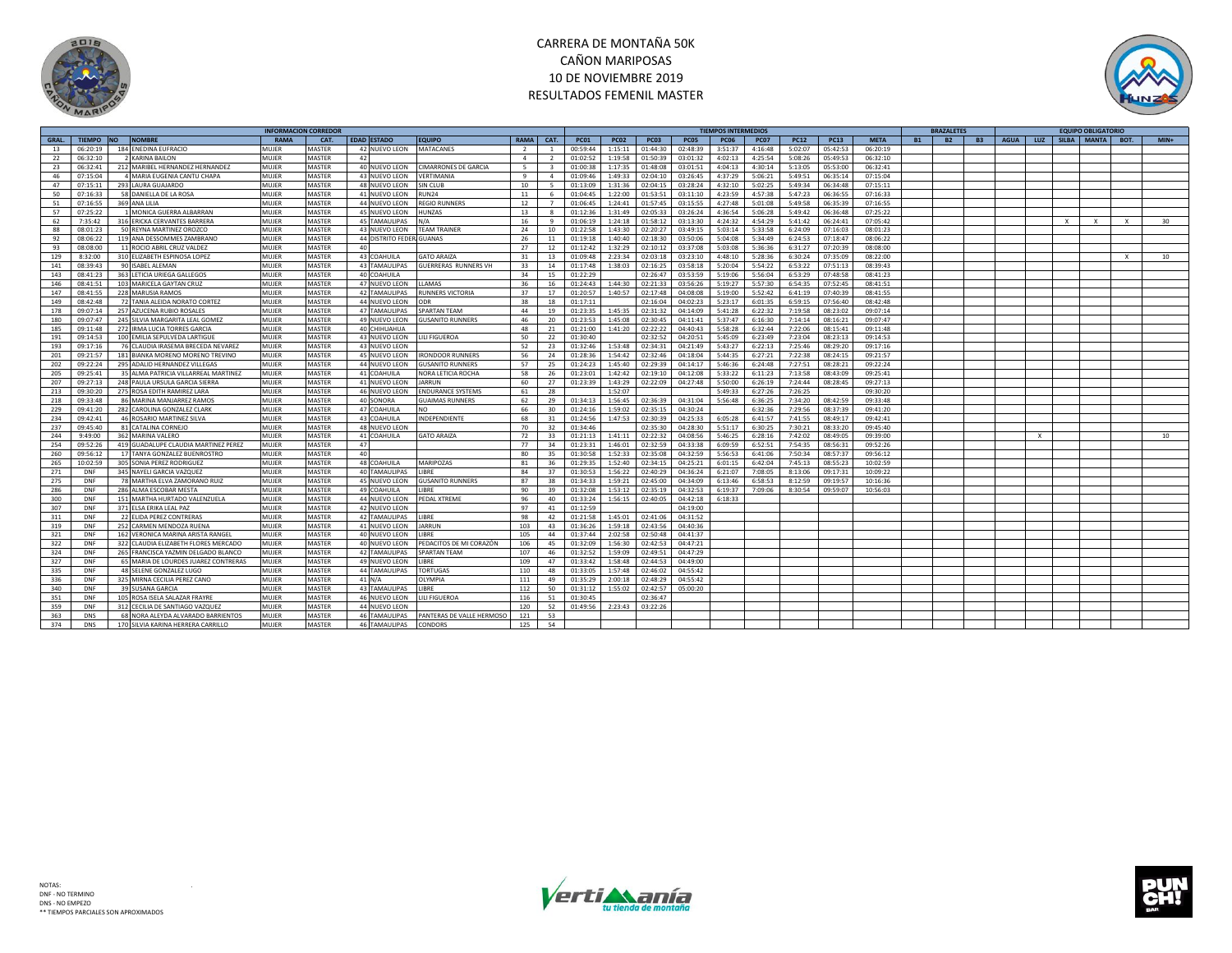



|             |                             |                                                  | <b>INFORMACION CORREDOR</b> |                         |                                     |                             |                |                |                      |                    |                      |                      | <b>TIEMPOS INTERMEDIOS</b> |                    |                    |                      |                      |           | <b>BRAZALETES</b> |           |             |          |              | <b>FOUIPO OBLIGATORIO</b> |              |        |
|-------------|-----------------------------|--------------------------------------------------|-----------------------------|-------------------------|-------------------------------------|-----------------------------|----------------|----------------|----------------------|--------------------|----------------------|----------------------|----------------------------|--------------------|--------------------|----------------------|----------------------|-----------|-------------------|-----------|-------------|----------|--------------|---------------------------|--------------|--------|
| <b>GRAL</b> | <b>TIEMPO</b><br><b>INO</b> | <b>NOMBRE</b>                                    | <b>PAMA</b>                 | CAT.                    | <b>EDAD ESTADO</b>                  | <b>FOUIPO</b>               | RAMA           | CAT.           | <b>PC01</b>          | <b>PC02</b>        | <b>PC03</b>          | <b>PC05</b>          | <b>PC06</b>                | <b>PC07</b>        | <b>PC12</b>        | <b>PC13</b>          | <b>META</b>          | <b>B1</b> | <b>B2</b>         | <b>B3</b> | <b>AGUA</b> | LUZ      |              | SILBA MANTA               | BOT.         | $MIN+$ |
| 13          | 06:20:19                    | 184 ENEDINA EUFRACIO                             | MUJER                       | <b>MASTER</b>           | 42 NUEVO LEON                       | MATACANES                   | $\overline{2}$ | $\overline{1}$ | 00:59:44             | 1:15:11            | 01:44:30             | 02:48:39             | 3:51:37                    | 4:16:48            | 5:02:07            | 05:42:53             | 06:20:19             |           |                   |           |             |          |              |                           |              |        |
| 22          | 06:32:10                    | 2 KARINA BAILON                                  | MUJER                       | MASTER                  | 42                                  |                             | $\mathbf{A}$   | $\overline{2}$ | 01:02:52             | 1:19:58            | 01:50:39             | 03:01:32             | 4:02:13                    | 4:25:54            | 5:08:26            | 05:49:53             | 06:32:10             |           |                   |           |             |          |              |                           |              |        |
| 23          | 06:32:41                    | 212 MARIBEL HERNANDEZ HERNANDEZ                  | MUJER                       | <b>MASTER</b>           | 40 NUEVO LEON                       | <b>CIMARRONES DE GARCIA</b> | 5              | $\mathbf{R}$   | 01:00:38             | 1:17:35            | 01:48:08             | 03:01:51             | 4:04:13                    | 4:30:14            | 5:13:05            | 05:53:00             | 06:32:41             |           |                   |           |             |          |              |                           |              |        |
| 46          | 07:15:04                    | 4 MARIA EUGENIA CANTU CHAPA                      | MUJER                       | <b>MASTER</b>           | 43 NUEVO LEON                       | <b>VERTIMANIA</b>           | 9              | $\overline{a}$ | 01:09:46             | 1:49:33            | 02:04:10             | 03:26:45             | 4:37:29                    | 5:06:21            | 5:49:51            | 06:35:14             | 07:15:04             |           |                   |           |             |          |              |                           |              |        |
| 47          | 07:15:11                    | 293 LAURA GUAJARDO                               | MUJER                       | <b>MASTER</b>           | 48 NUEVO LEON                       | SIN CLUB                    | 10             | -5             | 01:13:09             | 1:31:36            | 02:04:15             | 03:28:24             | 4:32:10                    | 5:02:25            | 5:49:34            | 06:34:48             | 07:15:11             |           |                   |           |             |          |              |                           |              |        |
| 50          | 07:16:33                    | 58 DANIELLA DE LA ROSA                           | MUJER                       | <b>MASTER</b>           | 41 NUEVO LEON                       | RUN24                       | 11             | -6             | 01:04:45             | 1:22:00            | 01:53:51             | 03:11:10             | 4:23:59                    | 4:57:38            | 5:47:23            | 06:36:55             | 07:16:33             |           |                   |           |             |          |              |                           |              |        |
| 51          | 07:16:55                    | 369 ANA LILIA                                    | MUJER                       | <b>MASTER</b>           | 44 NUEVO LEON                       | REGIO RUNNERS               | 12             | $\overline{7}$ | 01:06:45             | 1:24:41            | 01:57:45             | 03:15:55             | 4:27:48                    | 5:01:08            | 5:49:58            | 06:35:39             | 07:16:55             |           |                   |           |             |          |              |                           |              |        |
| 57          | 07:25:22                    | 1 MONICA GUERRA ALBARRAN                         | MUJER                       | <b>MASTER</b>           | 45 NUEVO LEON                       | <b>HUNZAS</b>               | 13             | $\mathbf{R}$   | 01:12:36             | 1:31:49            | 02:05:33             | 03:26:24             | 4:36:54                    | 5:06:28            | 5:49:42            | 06:36:48             | 07:25:22             |           |                   |           |             |          |              |                           |              |        |
| 62          | 7:35:42                     | 316 ERICKA CERVANTES BARRER/                     | MUJER                       | <b>MASTER</b>           | 45 TAMAULIPAS                       | N/A                         | 16             | $\alpha$       | 01:06:19             | 1:24:18            | 01:58:12             | 03:13:30             | 4:24:32                    | 4:54:29            | 5:41:42            | 06:24:41             | 07:05:42             |           |                   |           |             |          | $\mathsf{X}$ | $\mathsf{x}$              | $\mathsf{x}$ | 30     |
| 88          | 08:01:23                    | 50 REYNA MARTINEZ OROZCC                         | MUJER                       | <b>MASTER</b>           | 43 NUEVO LEON                       | <b>TEAM TRAINEI</b>         | 24             | 10             | 01:22:58             | 1:43:30            | 02:20:27             | 03:49:15             | 5:03:14                    | 5:33:58            | 6:24:09            | 07:16:03             | 08:01:23             |           |                   |           |             |          |              |                           |              |        |
| 92          | 08:06:22                    | 119 ANA DESSOMMES ZAMBRANO                       | MUJER                       | <b>MASTER</b>           | 44 DISTRITO FEDERI GUANAS           |                             | 26             | 11             | 01:19:18             | 1:40:40            | 02:18:30             | 03:50:06             | 5:04:08                    | 5:34:49            | 6:24:53            | 07:18:47             | 08:06:22             |           |                   |           |             |          |              |                           |              |        |
| 93          | 08:08:00                    | 11 ROCIO ABRIL CRUZ VALDEZ                       | MUIFR                       | <b>MASTER</b>           | 40                                  |                             | 27             | 12             | 01:12:42             | 1:32:29            | 02:10:12             | 03:37:08             | 5:03:08                    | 5:36:36            | 6:31:27            | 07:20:39             | 08:08:00             |           |                   |           |             |          |              |                           |              |        |
|             |                             |                                                  | MUJER                       |                         |                                     | <b>GATO ARAIZA</b>          |                | 13             |                      |                    |                      |                      |                            |                    |                    |                      |                      |           |                   |           |             |          |              |                           | $\mathbf{v}$ |        |
| 129<br>141  | 8:32:00<br>08:39:43         | 310 ELIZABETH ESPINOSA LOPEZ<br>90 ISABEL ALEMAN | MUJER                       | MASTER<br><b>MASTER</b> | 43 COAHUILA<br><b>43 TAMAULIPAS</b> | <b>GUERRERAS RUNNERS VH</b> | 31<br>33       | 14             | 01:09:48<br>01:17:48 | 2:23:34<br>1:38:03 | 02:03:18<br>02:16:25 | 03:23:10<br>03:58:18 | 4:48:10                    | 5:28:36<br>5:54:22 | 6:30:24<br>6:53:22 | 07:35:09             | 08:22:00<br>08:39:43 |           |                   |           |             |          |              |                           |              | 10     |
| 143         | 08:41:23                    | 363 LETICIA URIEGA GALLEGOS                      | MUJER                       | <b>MASTER</b>           | 40 COAHUILA                         |                             | 34             | 15             | 01:22:29             |                    | 02:26:47             | 03:53:59             | 5:20:04<br>5:19:06         | 5:56:04            | 6:53:29            | 07:51:13<br>07:48:58 | 08:41:23             |           |                   |           |             |          |              |                           |              |        |
|             |                             |                                                  |                             |                         |                                     |                             |                |                |                      |                    |                      |                      |                            |                    |                    |                      |                      |           |                   |           |             |          |              |                           |              |        |
| 146         | 08:41:51                    | 103 MARICELA GAYTAN CRUZ                         | MUIFR                       | <b>MASTER</b>           | 47 NUEVO LEON                       | <b>LAMAS</b>                | 36             | 16             | 01:24:43             | 1:44:30            | 02:21:33             | 03:56:26             | 5:19:27                    | 5:57:30            | 6:54:35            | 07:52:45             | 08:41:51             |           |                   |           |             |          |              |                           |              |        |
| 147         | 08:41:55                    | 228 MARUSIA RAMOS                                | MUJER                       | <b>MASTER</b>           | <b>42 TAMAULIPAS</b>                | RUNNERS VICTORIA            | 37             | 17             | 01:20:57             | 1:40:57            | 02:17:48             | 04:08:08             | 5:19:00                    | 5:52:42            | 6:41:19            | 07:40:39             | 08:41:55             |           |                   |           |             |          |              |                           |              |        |
| 149         | 08:42:48                    | 72 TANIA ALEIDA NORATO CORTEZ                    | MUJER                       | <b>MASTER</b>           | 44 NUEVO LEON                       | ODR                         | 38             | 18             | 01:17:11             |                    | 02:16:04             | 04:02:23             | 5:23:17                    | 6:01:35            | 6:59:15            | 07:56:40             | 08:42:48             |           |                   |           |             |          |              |                           |              |        |
| 178         | 09:07:14                    | 257 AZUCENA RUBIO ROSALES                        | MUJER                       | <b>MASTER</b>           | 47 TAMAULIPAS                       | <b>SPARTAN TEAM</b>         | 44             | 19             | 01:23:35             | 1:45:35            | 02:31:32             | 04:14:09             | 5:41:28                    | 6:22:32            | 7:19:58            | 08:23:02             | 09:07:14             |           |                   |           |             |          |              |                           |              |        |
| 180         | 09:07:47                    | 245 SILVIA MARGARITA LEAL GOMEZ                  | MUJER                       | <b>MASTER</b>           | 49 NUEVO LEON                       | <b>GUSANITO RUNNERS</b>     | 46             | 20             | 01:23:53             | 1:45:08            | 02:30:45             | 04:11:41             | 5:37:47                    | 6:16:30            | 7:14:14            | 08:16:21             | 09:07:47             |           |                   |           |             |          |              |                           |              |        |
| 185         | 09:11:48                    | 272 IRMA LUCIA TORRES GARCIA                     | MUJER                       | <b>MASTER</b>           | 40 CHIHUAHUA                        |                             | 48             | 21             | 01:21:00             | 1:41:20            | 02:22:22             | 04:40:43             | 5:58:28                    | 6:32:44            | 7:22:06            | 08:15:41             | 09:11:48             |           |                   |           |             |          |              |                           |              |        |
| 191         | 09:14:53                    | 100 EMILIA SEPULVEDA LARTIGU                     | MUJER                       | <b>MASTER</b>           | 43 NUEVO LEON                       | LILI FIGUEROA               | 50             | 22             | 01:30:40             |                    | 02:32:52             | 04:20:51             | 5:45:09                    | 6:23:49            | 7:23:04            | 08:23:13             | 09:14:53             |           |                   |           |             |          |              |                           |              |        |
| 193         | 09:17:16                    | 76 CLAUDIA IRASEMA BRECEDA NEVAREZ               | MUJER                       | <b>MASTER</b>           | 43 NUEVO LEON                       |                             | 52             | 23             | 01:32:46             | 1:53:48            | 02:34:31             | 04:21:49             | 5:43:27                    | 6:22:13            | 7:25:46            | 08:29:20             | 09:17:16             |           |                   |           |             |          |              |                           |              |        |
| 201         | 09:21:57                    | 181 BIANKA MORENO MORENO TREVINC                 | MUJER                       | <b>MASTER</b>           | 45 NUEVO LEON                       | <b>IRONDOOR RUNNERS</b>     | 56             | 24             | 01:28:36             | 1:54:42            | 02:32:46             | 04:18:04             | 5:44:35                    | 6:27:21            | 7:22:38            | 08:24:15             | 09:21:57             |           |                   |           |             |          |              |                           |              |        |
| 202         | 09:22:24                    | 295 ADALID HERNANDEZ VILLEGAS                    | MUJER                       | <b>MASTER</b>           | 44 NUEVO LEON                       | <b>GUSANITO RUNNERS</b>     | 57             | 25             | 01:24:23             | 1:45:40            | 02:29:39             | 04:14:17             | 5:46:36                    | 6:24:48            | 7:27:51            | 08:28:21             | 09:22:24             |           |                   |           |             |          |              |                           |              |        |
| 205         | 09:25:41                    | 35 ALMA PATRICIA VILLARREAL MARTINEZ             | MUIFR                       | <b>MASTER</b>           | 41 COAHUILA                         | NORA LETICIA ROCHA          | 58             | 26             | 01:23:01             | 1:42:42            | 02:19:10             | 04:12:08             | 5:33:22                    | 6:11:23            | 7:13:58            | 08:43:09             | 09:25:41             |           |                   |           |             |          |              |                           |              |        |
| 207         | 09:27:13                    | 248 PAULA URSULA GARCIA SIERRA                   | MUJER                       | <b>MASTER</b>           | 41 NUEVO LEON                       | <b>IARRUN</b>               | 60             | 27             | 01:23:39             | 1:43:29            | 02:22:09             | 04:27:48             | 5:50:00                    | 6:26:19            | 7:24:44            | 08:28:45             | 09:27:13             |           |                   |           |             |          |              |                           |              |        |
| 213         | 09:30:20                    | 275 ROSA EDITH RAMIREZ LARA                      | MUJER                       | <b>MASTER</b>           | 46 NUEVO LEON                       | <b>ENDURANCE SYSTEMS</b>    | 61             | 28             |                      | 1:52:07            |                      |                      | 5:49:33                    | 6:27:26            | 7:26:25            |                      | 09:30:20             |           |                   |           |             |          |              |                           |              |        |
| 218         | 09:33:48                    | 86 MARINA MANJARREZ RAMOS                        | MUJER                       | <b>MASTER</b>           | 40 SONORA                           | <b>GUAIMAS RUNNERS</b>      | 62             | 29             | 01:34:13             | 1:56:45            | 02:36:39             | 04:31:04             | 5:56:48                    | 6:36:25            | 7:34:20            | 08:42:59             | 09:33:48             |           |                   |           |             |          |              |                           |              |        |
| 229         | 09:41:20                    | 282 CAROLINA GONZALEZ CLARK                      | MUJER                       | MASTER                  | 47 COAHUILA                         | NO                          | 66             | 30             | 01:24:16             | 1:59:02            | 02:35:15             | 04:30:24             |                            | 6:32:36            | 7:29:56            | 08:37:39             | 09:41:20             |           |                   |           |             |          |              |                           |              |        |
| 234         | 09:42:41                    | 46 ROSARIO MARTINEZ SILVA                        | MUJER                       | <b>MASTER</b>           | 43 COAHUILA                         | INDEPENDIENTI               | 68             | 31             | 01:24:56             | 1:47:53            | 02:30:39             | 04:25:33             | 6:05:28                    | 6:41:57            | 7:41:55            | 08:49:17             | 09:42:41             |           |                   |           |             |          |              |                           |              |        |
| 237         | 09:45:40                    | 81 CATALINA CORNEJO                              | MUJER                       | <b>MASTER</b>           | 48 NUEVO LEON                       |                             | 70             | 32             | 01:34:46             |                    | 02:35:30             | 04:28:30             | 5:51:17                    | 6:30:25            | 7:30:21            | 08:33:20             | 09:45:40             |           |                   |           |             |          |              |                           |              |        |
| 244         | 9:49:00                     | 362 MARINA VALERO                                | MUJER                       | <b>MASTER</b>           | 41 COAHUILA                         | <b>GATO ARAIZA</b>          | 72             | 33             | 01:21:13             | 1:41:11            | 02:22:32             | 04:08:56             | 5:46:25                    | 6:28:16            | 7:42:02            | 08:49:05             | 09:39:00             |           |                   |           |             | $\times$ |              |                           |              | 10     |
| 254         | 09:52:26                    | 419 GUADALUPE CLAUDIA MARTINEZ PEREZ             | MUJER                       | <b>MASTER</b>           | 47                                  |                             | 77             | 34             | 01:23:31             | 1:46:01            | 02:32:59             | 04:33:38             | 6:09:59                    | 6:52:51            | 7:54:35            | 08:56:31             | 09:52:26             |           |                   |           |             |          |              |                           |              |        |
| 260         | 09:56:12                    | 17 TANYA GONZALEZ BUENROSTRO                     | MUJER                       | <b>MASTER</b>           | 40                                  |                             | 80             | 35             | 01:30:58             | 1:52:33            | 02:35:08             | 04:32:59             | 5:56:53                    | 6:41:06            | 7:50:34            | 08:57:37             | 09:56:12             |           |                   |           |             |          |              |                           |              |        |
| 265         | 10:02:59                    | 305 SONIA PEREZ RODRIGUEZ                        | MUJER                       | <b>MASTER</b>           | 48 COAHUILA                         | MARIPOZAS                   | 81             | 36             | 01:29:35             | 1:52:40            | 02:34:15             | 04:25:21             | 6:01:15                    | 6:42:04            | 7:45:13            | 08:55:23             | 10:02:59             |           |                   |           |             |          |              |                           |              |        |
| 271         | DNF                         | 345 NAYELI GARCIA VAZQUEZ                        | MUJER                       | <b>MASTER</b>           | 40 TAMAULIPAS                       | LIBRE                       | 84             | 37             | 01:30:53             | 1:56:22            | 02:40:29             | 04:36:24             | 6:21:07                    | 7:08:05            | 8:13:06            | 09:17:31             | 10:09:22             |           |                   |           |             |          |              |                           |              |        |
| 275         | DNF                         | 78 MARTHA ELVA ZAMORANO RUIZ                     | MUJER                       | <b>MASTER</b>           | 45 NUEVO LEON                       | <b>GUSANITO RUNNERS</b>     | 87             | 38             | 01:34:33             | 1:59:21            | 02:45:00             | 04:34:09             | 6:13:46                    | 6:58:53            | 8:12:59            | 09:19:57             | 10:16:36             |           |                   |           |             |          |              |                           |              |        |
| 286         | DNF                         | 286 ALMA ESCOBAR MESTA                           | MUJER                       | <b>MASTER</b>           | 49 COAHUILA                         | LIBRE                       | 90             | 39             | 01:32:08             | 1:53:12            | 02:35:19             | 04:32:53             | 6:19:37                    | 7:09:06            | 8:30:54            | 09:59:07             | 10:56:03             |           |                   |           |             |          |              |                           |              |        |
| 300         | DNF                         | 151 MARTHA HURTADO VALENZUELA                    | MUIFR                       | <b>MASTER</b>           | 44 NUEVO LEON                       | PEDAL XTREME                | 96             | 40             | 01:33:24             | 1:56:15            | 02:40:05             | 04:42:18             | 6:18:33                    |                    |                    |                      |                      |           |                   |           |             |          |              |                           |              |        |
| 307         | DNF                         | 371 ELSA ERIKA LEAL PAZ                          | MUJER                       | <b>MASTER</b>           | 42 NUEVO LEON                       |                             | 97             | 41             | 01:12:59             |                    |                      | 04:19:00             |                            |                    |                    |                      |                      |           |                   |           |             |          |              |                           |              |        |
| 311         | DNF                         | 22 ELIDA PEREZ CONTRERAS                         | MUJER                       | <b>MASTER</b>           | <b>42 TAMAULIPAS</b>                | LIBRE                       | 98             | 42             | 01:21:58             | 1:45:01            | 02:41:06             | 04:31:52             |                            |                    |                    |                      |                      |           |                   |           |             |          |              |                           |              |        |
| 319         | DNF                         | 252 CARMEN MENDOZA RUENA                         | MUIFR                       | <b>MASTER</b>           | 41 NUEVO LEON                       | <b>JARRUN</b>               | 103            | 43             | 01:36:26             | 1:59:18            | 02:43:56             | 04:40:36             |                            |                    |                    |                      |                      |           |                   |           |             |          |              |                           |              |        |
| 321         | DNF                         | 162 VERONICA MARINA ARISTA RANGEL                | MUJER                       | <b>MASTER</b>           | 40 NUEVO LEON                       | <b>IBRE</b>                 | 105            | 44             | 01:37:44             | 2:02:58            | 02:50:48             | 04:41:37             |                            |                    |                    |                      |                      |           |                   |           |             |          |              |                           |              |        |
| 322         | DNF                         | 322 CLAUDIA ELIZABETH FLORES MERCADO             | MUJER                       | MASTER                  | 40 NUEVO LEON                       | PEDACITOS DE MI CORAZÓN     | 106            | 45             | 01:32:09             | 1:56:30            | 02:42:53             | 04:47:21             |                            |                    |                    |                      |                      |           |                   |           |             |          |              |                           |              |        |
| 324         | DNF                         | 265 FRANCISCA YAZMIN DELGADO BLANCO              | MUIFR                       | <b>MASTER</b>           | 42 TAMAULIPAS                       | <b>SPARTAN TEAM</b>         | 107            | 46             | 01:32:52             | 1:59:09            | 02:49:51             | 04:47:29             |                            |                    |                    |                      |                      |           |                   |           |             |          |              |                           |              |        |
| 327         | DNF                         | 65 MARIA DE LOURDES JUAREZ CONTRERAS             | MUJER                       | <b>MASTER</b>           | 49 NUEVO LEON                       | LIBRE                       | 109            | 47             | 01:33:42             | 1:58:48            | 02:44:53             | 04:49:00             |                            |                    |                    |                      |                      |           |                   |           |             |          |              |                           |              |        |
|             |                             | 48 SELENE GONZALEZ LUGO                          | MUJER                       | <b>MASTER</b>           | <b>44 TAMAULIPAS</b>                | <b>TORTUGAS</b>             | 110            |                | 01:33:05             | 1:57:48            | 02:46:02             | 04:55:42             |                            |                    |                    |                      |                      |           |                   |           |             |          |              |                           |              |        |
| 335         | DNF                         |                                                  |                             |                         |                                     |                             |                | 48             |                      |                    |                      |                      |                            |                    |                    |                      |                      |           |                   |           |             |          |              |                           |              |        |
| 336         | <b>DNF</b>                  | 325 MIRNA CECILIA PEREZ CANO                     | MUJER                       | <b>MASTER</b>           | $41$ N/A                            | <b>OLYMPIA</b>              | 111            | 49             | 01:35:29             | 2:00:18            | 02:48:29             | 04:55:42             |                            |                    |                    |                      |                      |           |                   |           |             |          |              |                           |              |        |
| 340         | DNF                         | 39 SUSANA GARCIA                                 | MUJER                       | <b>MASTER</b>           | 43 TAMAULIPAS                       | LIBRE                       | 112            | 50             | 01:31:12             | 1:55:02            | 02:42:57             | 05:00:20             |                            |                    |                    |                      |                      |           |                   |           |             |          |              |                           |              |        |
| 351         | DNF                         | 105 ROSA ISELA SALAZAR FRAYRE                    | MUJER                       | <b>MASTER</b>           | 46 NUEVO LEON                       | LILI FIGUEROA               | 116            | 51             | 01:30:45             |                    | 02:36:47             |                      |                            |                    |                    |                      |                      |           |                   |           |             |          |              |                           |              |        |
| 359         | DNF                         | 312 CECILIA DE SANTIAGO VAZQUEZ                  | MUIFR                       | <b>MASTER</b>           | 44 NUEVO LEON                       |                             | 120            | 52             | 01:49:56             | 2:23:43            | 03:22:26             |                      |                            |                    |                    |                      |                      |           |                   |           |             |          |              |                           |              |        |
| 363         | <b>DNS</b>                  | 68 NORA ALEYDA ALVARADO BARRIENTOS               | MUJER                       | <b>MASTER</b>           | <b>46 TAMAULIPAS</b>                | PANTERAS DE VALLE HERMOSO   | 121            | 53             |                      |                    |                      |                      |                            |                    |                    |                      |                      |           |                   |           |             |          |              |                           |              |        |
| 374         | <b>DNS</b>                  | 170 SII VIA KARINA HERRERA CARRILLO              | MUIFR                       | <b>MASTER</b>           | 46 TAMAULIPAS                       | CONDORS                     | 125            | 54             |                      |                    |                      |                      |                            |                    |                    |                      |                      |           |                   |           |             |          |              |                           |              |        |



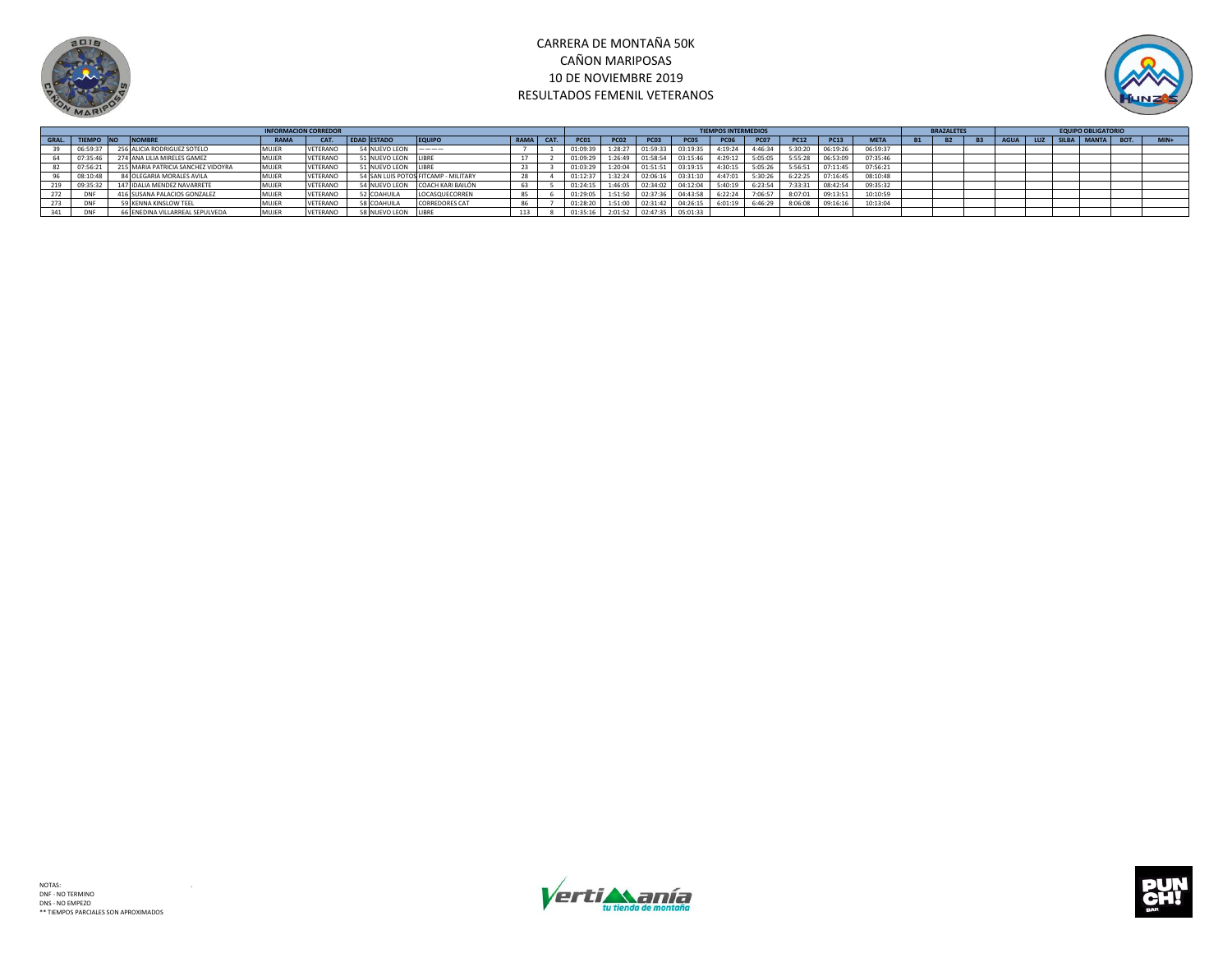



|       |            |                                    | <b>INFORMACION CORREDOR</b> |          |                    |                                      |           |             |             |                  |             | <b>TIEMPOS INTERMEDIOS</b> |             |             |          |             | <b>BRAZALETES</b> |             |             | <b>EQUIPO OBLIGATORIO</b> |      |        |
|-------|------------|------------------------------------|-----------------------------|----------|--------------------|--------------------------------------|-----------|-------------|-------------|------------------|-------------|----------------------------|-------------|-------------|----------|-------------|-------------------|-------------|-------------|---------------------------|------|--------|
| GRAL. |            | <b>NOMBRI</b><br><b>NO</b>         | <b>RAMA</b>                 | CAT.     | <b>EDAD ESTADO</b> | <b>EQUIPI</b>                        | RAMA CAT. | <b>PC01</b> | <b>PC02</b> | <b>PC03</b>      | <b>PC05</b> | <b>PC06</b>                | <b>PC07</b> | <b>PC12</b> | PC13     | <b>META</b> |                   | <b>AGUA</b> | LUZ   SILBA | MANTA                     | BOT. | $MIN+$ |
|       | 06:59:37   | 256 ALICIA RODRIGUEZ SOTELO        | MUJER                       | VETERANO | 54 NUEVO LEON      | ____                                 |           | 01:09:39    | 1:28:27     | 01:59:33         | 03:19:35    | 4:19:24                    | 4:46:34     | 5:30:20     | 06:19:26 | 06:59:37    |                   |             |             |                           |      |        |
|       | 07:35:46   | 274 ANA LILIA MIRELES GAMEZ        | MUJER                       | VETERANO | 51 NUEVO LEON      | LIBRE                                |           | 01:09:29    |             | 1:26:49 01:58:54 | 03:15:46    | 4:29:12                    | 5:05:05     | 5:55:28     | 06:53:09 | 07:35:46    |                   |             |             |                           |      |        |
|       | 07:56:2    | 215 MARIA PATRICIA SANCHEZ VIDOYRA | MUJER                       | VETERANO | 51 NUEVO LEON      |                                      |           | 01:03:29    | 1:20:04     | 01:51:51         | 03:19:15    | 4:30:15                    | 5:05:26     | 5:56:51     | 07:11:45 | 07:56:21    |                   |             |             |                           |      |        |
|       | 08:10:4    | 84 OLEGARIA MORALES AVILA          | MUJER                       | VETERANO |                    | 54 SAN LUIS POTOS FITCAMP - MILITARY |           | 01:12:37    | 1:32:24     | 02:06:16         | 03:31:10    | 4:47:01                    | 5:30:26     | 6:22:25     | 07:16:45 | 08:10:48    |                   |             |             |                           |      |        |
|       | 09:35:32   | 147 IDALIA MENDEZ NAVARRETE        | MUJER                       | VETERANO | 54 NUEVO LEON      | COACH KARI BAILÓN                    | 63        | 01:24:15    | 1:46:05     | 02:34:02         | 04:12:04    | 5:40:19                    | 6:23:54     | 7:33:31     | 08:42:54 | 09:35:32    |                   |             |             |                           |      |        |
|       | <b>DNF</b> | 416 SUSANA PALACIOS GONZALEZ       | MUJER                       | VETERANO | 52 COAHUILA        | LOCASQUECORREN                       |           | 01:29:05    | 1:51:50     | 02:37:36         | 04:43:58    | 6:22:24                    | 7:06:57     | 8:07:01     | 09:13:51 | 10:10:59    |                   |             |             |                           |      |        |
|       | <b>DNF</b> | 9 KENNA KINSLOW TEEL               | MUJER                       | VETERANO | 58 COAHUILA        | <b>CORREDORES CAT</b>                |           | 01:28:20    | 1:51:00     | 02:31:42         | 04:26:1     | 6:01:19                    | 6:46:29     | 8:06:08     | 09:16:16 | 10:13:04    |                   |             |             |                           |      |        |
|       |            | 66 ENEDINA VILLARREAL SEPULVEDA    | MUJEF                       | VETERANO | 58 NUEVO LEON      |                                      | 113       | 01:35:16    | 2:01:52     | 02:47:35         | 05:01:33    |                            |             |             |          |             |                   |             |             |                           |      |        |



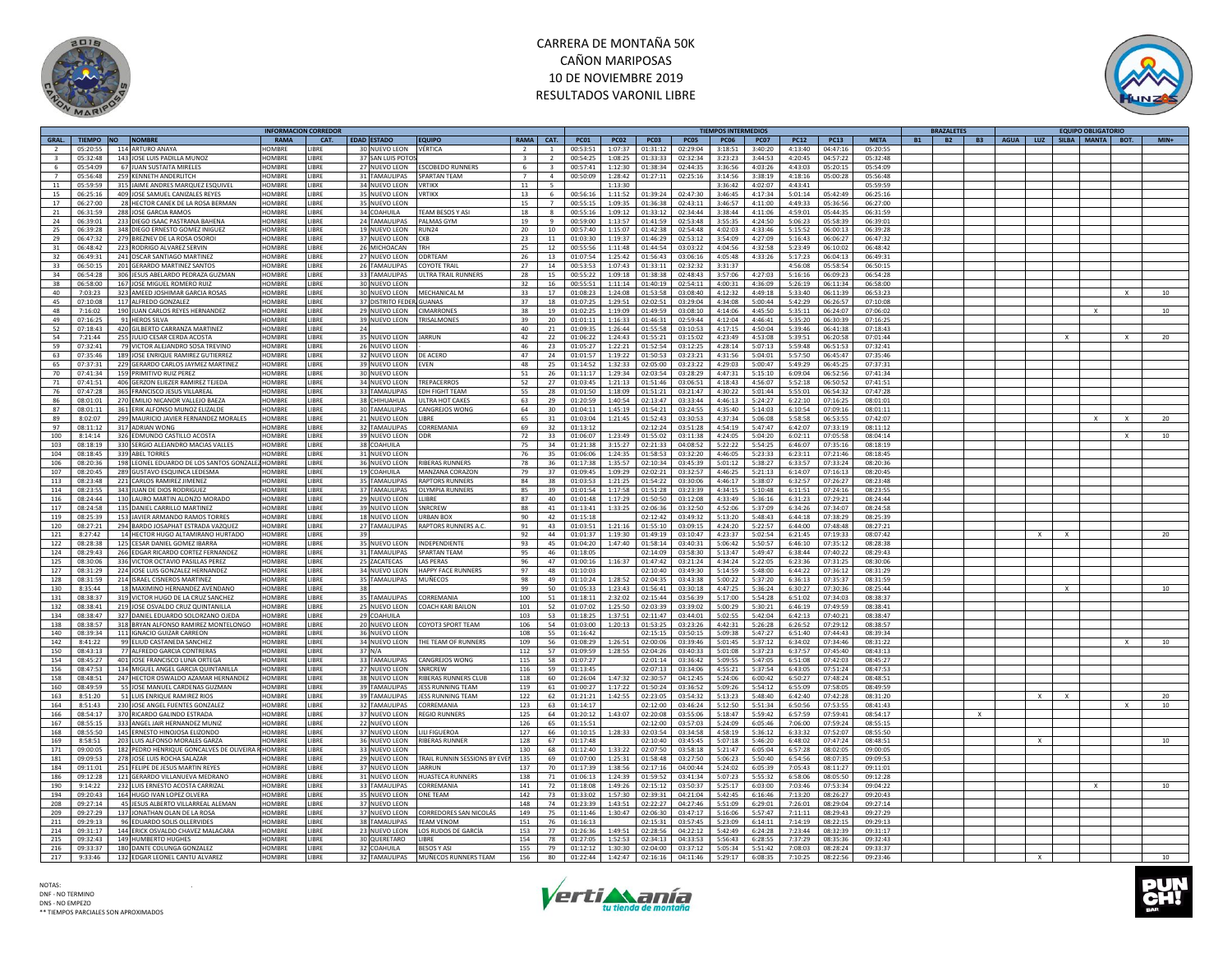



|                |                 |                                                  |               | INFORMACION CORREDOR |                                |                              |                |                          |             |             |             |             | TIEMPOS INTERMEDIOS |             |             |             |             | <b>BRAZALETES</b>      |              |                                        |   |              | <b>EQUIPO OBLIGATORIO</b> |              |        |
|----------------|-----------------|--------------------------------------------------|---------------|----------------------|--------------------------------|------------------------------|----------------|--------------------------|-------------|-------------|-------------|-------------|---------------------|-------------|-------------|-------------|-------------|------------------------|--------------|----------------------------------------|---|--------------|---------------------------|--------------|--------|
|                | GRAL. TIEMPO NO | <b>NOMBRE</b>                                    | RAMA          | CAT.                 | <b>EDAD ESTADO</b>             | <b>EQUIPO</b>                | RAMA CAT.      |                          | <b>PC01</b> | <b>PC02</b> | <b>PC03</b> | <b>PC05</b> | <b>PC06</b>         | <b>PC07</b> | <b>PC12</b> | <b>PC13</b> | <b>META</b> | <b>B2</b><br><b>B1</b> |              | B3   AGUA   LUZ   SILBA   MANTA   BOT. |   |              |                           |              | $MIN+$ |
|                | 05:20:55        | 114 ARTURO ANAYA                                 | <b>IOMBRE</b> | <b>IBRF</b>          | 30 NUEVO LEON                  | VÉRTICA                      | $\overline{2}$ | $\mathbf{1}$             | 00:53:51    | 1:07:37     | 01:31:12    | 02:29:04    | 3:18:51             | 3:40:20     | 4:13:40     | 04:47:16    | 05:20:55    |                        |              |                                        |   |              |                           |              |        |
|                | 05:32:48        | 143 JOSE LUIS PADILLA MUNOZ                      | <b>OMBRE</b>  | <b>IBRE</b>          | 37 SAN LUIS POTO               |                              |                |                          | 00:54:25    | 1:08:25     | 01:33:33    | 02:32:34    | 3:23:23             | 3:44:53     | 4:20:45     | 04:57:22    | 05:32:48    |                        |              |                                        |   |              |                           |              |        |
| 6              | 05:54:09        | 67 JUAN SUSTAITA MIRELES                         | HOMBRE        | LIBRE                | 27 NUEVO LEON                  | <b>ESCOBEDO RUNNERS</b>      | -6             | $\overline{\mathbf{3}}$  | 00:57:41    | 1:12:30     | 01:38:34    | 02:44:35    | 3:36:56             | 4:03:26     | 4:43:03     | 05:20:15    | 05:54:09    |                        |              |                                        |   |              |                           |              |        |
| $\overline{7}$ | 05:56:48        | 259 KENNETH ANDERLITCH                           | <b>HOMBRE</b> | LIBRE                | 31 TAMAULIPAS                  | SPARTAN TEAM                 | $\overline{7}$ | $\overline{a}$           | 00:50:09    | 1:28:42     | 01:27:11    | 02:25:16    | 3:14:56             | 3:38:19     | 4:18:16     | 05:00:28    | 05:56:48    |                        |              |                                        |   |              |                           |              |        |
|                |                 |                                                  |               |                      |                                |                              |                |                          |             |             |             |             |                     |             |             |             |             |                        |              |                                        |   |              |                           |              |        |
| 11             | 05:59:59        | 315 JAIME ANDRES MARQUEZ ESQUIVEL                | HOMBRE        | <b>IRRF</b>          | 34 NUEVO LEON                  | <b>VRTIKX</b>                | 11             | $\overline{\phantom{a}}$ |             | 1:13:30     |             |             | 3:36:42             | 4:02:07     | 4:43:41     |             | 05:59:59    |                        |              |                                        |   |              |                           |              |        |
| 15             | 06:25:16        | 409 JOSE SAMUEL CANIZALES REYES                  | HOMBRE        | LIBRE                | 35 NUEVO LEON                  | <b>VRTIKX</b>                | 13             | 6                        | 00:56:16    | 1:11:52     | 01:39:24    | 02:47:30    | 3:46:45             | 4:17:34     | 5:01:14     | 05:42:49    | 06:25:16    |                        |              |                                        |   |              |                           |              |        |
| 17             | 06:27:00        | 28 HECTOR CANEK DE LA ROSA BERMAN                | HOMBRE        | <b>IRRF</b>          | 35 NUEVO LEON                  |                              | 15             | $\overline{7}$           | 00:55:15    | 1:09:35     | 01:36:38    | 02:43:11    | 3:46:57             | 4:11:00     | 4:49:33     | 05:36:56    | 06:27:00    |                        |              |                                        |   |              |                           |              |        |
| 21             | 06:31:59        | 288 JOSE GARCIA RAMOS                            | <b>OMBRE</b>  | <b>IBRF</b>          | 34 COAHUILA                    | <b>TEAM BESOS Y ASI</b>      | 18             | $\mathbf{R}$             | 00:55:16    | 1:09:12     | 01:33:12    | 02:34:44    | 3:38:44             | 4:11:06     | 4:59:01     | 05:44:35    | 06:31:59    |                        |              |                                        |   |              |                           |              |        |
| 24             | 06:39:01        | 233 DIEGO ISAAC PASTRANA BAHENA                  | HOMBRE        | LIBRE                | 24 TAMAULIPAS                  | PALMAS GYM                   | 19             | $\ddot{q}$               | 00:59:00    | 1:13:57     | 01:41:59    | 02:53:48    | 3:55:35             | 4:24:50     | 5:06:23     | 05:58:39    | 06:39:01    |                        |              |                                        |   |              |                           |              |        |
| 25             | 06:39:28        | 348 DIEGO ERNESTO GOMEZ INIGUEZ                  | <b>HOMBRE</b> | LIBRE                | 19 NUEVO LEON                  | RUN <sub>24</sub>            | 20             | 10                       | 00:57:40    | 1:15:07     | 01:42:38    | 02:54:48    | 4:02:03             | 4:33:46     | 5:15:52     | 06:00:13    | 06:39:28    |                        |              |                                        |   |              |                           |              |        |
| 29             | 06:47:32        | 279 BREZNEV DE LA ROSA OSORO                     | HOMBRI        | <b>IBRF</b>          | 37 NUEVO LEON                  | CKR                          | 23             | 11                       | 01:03:30    | 1:19:37     | 01:46:29    | 02:53:12    | 3:54:09             | 4:27:09     | 5:16:43     | 06:06:27    | 06:47:32    |                        |              |                                        |   |              |                           |              |        |
|                |                 |                                                  |               |                      |                                |                              |                |                          |             |             |             |             |                     |             |             |             |             |                        |              |                                        |   |              |                           |              |        |
| 31             | 06:48:42        | 223 RODRIGO ALVAREZ SERVIN                       | HOMBRE        | LIBRE                | 26 MICHOACAN                   | TRH                          | 25             | 12                       | 00:55:56    | 1:11:48     | 01:44:54    | 03:03:22    | 4:04:56             | 4:32:58     | 5:23:49     | 06:10:02    | 06:48:42    |                        |              |                                        |   |              |                           |              |        |
| 32             | 06:49:31        | 241 OSCAR SANTIAGO MARTINEZ                      | <b>IOMRRE</b> | <b>IRRF</b>          | 27 NUEVO LEON                  | ODRTFAM                      | 26             | 13                       | 01:07:54    | 1:25:42     | 01:56:43    | 03:06:16    | 4:05:48             | 4:33:26     | 5:17:23     | 06:04:13    | 06:49:31    |                        |              |                                        |   |              |                           |              |        |
| 33             | 06:50:15        | 201 GERARDO MARTINEZ SANTOS                      | <b>OMBRE</b>  | <b>IBRE</b>          | 26 TAMAULIPAS                  | <b>COYOTE TRAIL</b>          | 27             | 14                       | 00:53:53    | 1:07:43     | 01:33:11    | 02:32:32    | 3:31:37             |             | 4:56:08     | 05:58:54    | 06:50:15    |                        |              |                                        |   |              |                           |              |        |
| 34             | 06:54:28        | 306 JESUS ABELARDO PEDRAZA GUZMAN                | HOMBRE        | LIBRE                | 33 TAMAULIPAS                  | ULTRA TRAIL RUNNERS          | 28             | 15                       | 00:55:22    | 1:09:18     | 01:38:38    | 02:48:43    | 3:57:06             | 4:27:03     | 5:16:16     | 06:09:23    | 06:54:28    |                        |              |                                        |   |              |                           |              |        |
| 38             | 06.58.00        | 167 JOSE MIGUEL ROMERO RUIZ                      | HOMRRE        | LIBRE                | 30 NUEVO LEON                  |                              | 32             | 16                       | 00.55.51    | 1:11:14     | 01:40:19    | 02:54:11    | 4:00:31             | 4.36.09     | 5:26:19     | 06:11:34    | 06:58:00    |                        |              |                                        |   |              |                           |              |        |
| 40             | 7:03:23         | 323 AMEED JOSHIMAR GARCIA ROSAS                  | <b>HOMBRE</b> | <b>IBRF</b>          | 30 NUEVO LEON                  | MFCHANICAL M                 | 33             | 17                       | 01:08:23    | 1:24:08     | 01:53:58    | 03:08:40    | 4:12:32             | 4:49:18     | 5:33:40     | 06:11:39    | 06:53:23    |                        |              |                                        |   |              |                           |              | 10     |
| 45             | 07:10:08        | 117 ALFREDO GONZALEZ                             | HOMBRE        | LIBRE                | 37 DISTRITO FEDER GUANAS       |                              | 37             | 18                       | 01:07:25    | 1:29:51     | 02:02:51    | 03:29:04    | 4:34:08             | 5:00:44     | 5:42:29     | 06:26:57    | 07:10:08    |                        |              |                                        |   |              |                           |              |        |
| 48             | 7:16:02         | 190 JUAN CARLOS REYES HERNANDEZ                  | <b>HOMBRE</b> | <b>IRRF</b>          | 29 NUEVO LEON                  | <b>CIMARRONES</b>            | 38             | 19                       | 01:02:25    | 1:19:09     | 01:49:59    | 03:08:10    | 4:14:06             | 4:45:50     | 5:35:11     | 06:24:07    | 07:06:02    |                        |              |                                        |   |              | $\times$                  |              | 10     |
| 49             | 07:16:25        | 91 HEROS SILVA                                   | <b>OMBRE</b>  | <b>IBRE</b>          | 39 NUEVO LEON                  | TRISALMONES                  | 39             | 20                       | 01:01:11    | 1:16:33     | 01:46:31    | 02:59:44    | 4:12:04             | 4:46:41     | 5:35:20     | 06:30:39    | 07:16:25    |                        |              |                                        |   |              |                           |              |        |
| 52             | 07:18:43        |                                                  | <b>HOMBRE</b> | <b>IRRF</b><br>24    |                                |                              | 40             |                          |             |             |             |             |                     | 4:50:04     | 5:39:46     |             |             |                        |              |                                        |   |              |                           |              |        |
|                |                 | 420 GILBERTO CARRANZA MARTINEZ                   |               |                      |                                |                              |                | 21                       | 01:09:35    | 1:26:44     | 01:55:58    | 03:10:53    | 4:17:15             |             |             | 06:41:38    | 07:18:43    |                        |              |                                        |   |              |                           |              |        |
| 54             | 7:21:44         | 255 JULIO CESAR CERDA ACOSTA                     | <b>HOMBRE</b> | <b>IRRF</b>          | 35 NUEVO LEON                  | <b>JARRUN</b>                | 42             | 22                       | 01:06:22    | 1:24:43     | 01:55:21    | 03:15:02    | 4:23:49             | 4:53:08     | 5:39:51     | 06:20:58    | 07:01:44    |                        |              |                                        |   | $\mathbf{x}$ |                           | $\mathsf{x}$ | 20     |
| 59             | 07:32:41        | 79 VICTOR ALEJANDRO SOSA TREVINO                 | HOMBRE        | <b>IBRF</b>          | 26 NUEVO LEON                  |                              | 46             | 23                       | 01:05:27    | 1:22:21     | 01:52:54    | 03:12:25    | 4:28:14             | 5:07:13     | 5:59:48     | 06:51:53    | 07:32:41    |                        |              |                                        |   |              |                           |              |        |
| 63             | 07:35:46        | 189 JOSE ENRIQUE RAMIREZ GUTIERREZ               | <b>OMBRI</b>  | <b>IBRE</b>          | 32 NUEVO LEON                  | DE ACERO                     | 47             | 24                       | 01:01:57    | 1:19:22     | 01:50:53    | 03:23:21    | 4:31:56             | 5:04:01     | 5:57:50     | 06:45:47    | 07:35:46    |                        |              |                                        |   |              |                           |              |        |
| 65             | 07:37:31        | 229 GERARDO CARLOS JAYMEZ MARTINEZ               | <b>HOMBRE</b> | <b>IBRF</b>          | 39 NUEVO LEON                  | <b>EVEN</b>                  | 48             | 25                       | 01:14:52    | 1:32:33     | 02:05:00    | 03:23:22    | 4:29:03             | 5:00:47     | 5:49:29     | 06:45:25    | 07:37:31    |                        |              |                                        |   |              |                           |              |        |
| 70             | 07:41:34        | 159 PRIMITIVO RUIZ PEREZ                         | <b>OMBRE</b>  | <b>IBRE</b>          | 30 NUEVO LEON                  |                              | 51             | 26                       | 01:11:17    | 1:29:34     | 02:03:54    | 03:28:29    | 4:47:31             | 5:15:10     | 6:09:04     | 06:52:56    | 07:41:34    |                        |              |                                        |   |              |                           |              |        |
| 71             | 07:41:51        | 406 GERZON ELIEZER RAMIREZ TEJEDA                | HOMBRE        | <b>IBRE</b>          | 34 NUEVO LEON                  | TREPACERROS                  | 52             | 27                       | 01:03:45    | 1:21:13     | 01:51:46    | 03:06:51    | 4:18:43             | 4:56:07     | 5:52:18     | 06:50:52    | 07:41:51    |                        |              |                                        |   |              |                           |              |        |
| 76             | 07:47:28        | 365 FRANCISCO JESUS VILLAREAL                    | <b>HOMBRE</b> | <b>IRRF</b>          | 33 TAMAULIPAS                  | <b>FDH FIGHT TFAM</b>        | 55             | 28                       | 01:01:50    | 1:18:09     | 01:51:21    | 03:21:47    | 4:30:22             | 5:01:44     | 5:55:01     | 06:54:32    | 07:47:28    |                        |              |                                        |   |              |                           |              |        |
| 86             | 08:01:01        | 270 EMILIO NICANOR VALLEJO BAEZA                 | <b>HOMBRE</b> | <b>IBRF</b>          | 38 CHIHUAHUA                   | ULTRA HOT CAKES              | 63             | 29                       | 01:20:59    | 1:40:54     | 02:13:47    | 03:33:44    | 4:46:13             | 5:24:27     | 6:22:10     | 07:16:25    | 08:01:01    |                        |              |                                        |   |              |                           |              |        |
| 87             | 08:01:11        | 361 ERIK ALFONSO MUNOZ ELIZALDE                  | HOMBRE        | <b>IRRF</b>          | 30 TAMAULIPAS                  | <b>CANGREJOS WONG</b>        | 64             | 30                       | 01:04:11    | 1:45:19     | 01:54:21    | 03:24:55    | 4:35:40             | 5:14:03     | 6:10:54     | 07:09:16    | 08:01:11    |                        |              |                                        |   |              |                           |              |        |
|                |                 |                                                  |               |                      |                                |                              |                |                          |             |             |             |             |                     |             |             |             |             |                        |              |                                        |   |              |                           |              |        |
| 89             | 8:02:07         | 299 MAURICIO JAVIER FERNANDEZ MORALES            | <b>HOMBRE</b> | <b>IBRF</b>          | 21 NUEVO LEON                  | <b>I IRRF</b>                | 65             | 31                       | 01:03:04    | 1:21:45     | 01:52:43    | 03:30:53    | 4:37:34             | 5:06:08     | 5:58:58     | 06:53:55    | 07:42:07    |                        |              |                                        |   |              | $\times$                  | $\times$     | 20     |
| 97             | 08:11:12        | 317 ADRIAN WONG                                  | <b>OMBRE</b>  | <b>IRRF</b>          | 32 TAMAULIPAS                  | CORREMANIA                   | 69             | 32                       | 01:13:12    |             | 02:12:24    | 03:51:28    | 4:54:19             | 5:47:47     | 6:42:07     | 07:33:19    | 08:11:12    |                        |              |                                        |   |              |                           |              |        |
| 100            | 8:14:14         | 326 EDMUNDO CASTILLO ACOSTA                      | HOMBRE        | <b>IBRE</b>          | 39 NUEVO LEON                  |                              | 72             | 33                       | 01:06:07    | 1:23:49     | 01:55:02    | 03:11:38    | 4:24:05             | 5:04:20     | 6:02:11     | 07:05:58    | 08:04:14    |                        |              |                                        |   |              |                           |              | 10     |
| 103            | 08:18:19        | 330 SERGIO ALEJANDRO MACIAS VALLES               | HOMBRE        | <b>IRRF</b>          | 38 COAHUILA                    |                              | 75             | 34                       | 01:21:38    | 3:15:27     | 02:21:33    | 04:08:52    | 5:22:22             | 5:54:25     | 6:46:07     | 07:35:16    | 08:18:19    |                        |              |                                        |   |              |                           |              |        |
| 104            | 08:18:45        | 339 ABEL TORRES                                  | HOMBRE        | <b>IBRE</b>          | 31 NUEVO LEON                  |                              | 76             | 35                       | 01:06:06    | 1:24:35     | 01:58:53    | 03:32:20    | 4:46:05             | 5:23:33     | 6:23:11     | 07:21:46    | 08:18:45    |                        |              |                                        |   |              |                           |              |        |
| 106            | 08:20:36        | 198 LEONEL EDUARDO DE LOS SANTOS GONZALEZ HOMBRE |               | <b>IBRE</b>          | 36 NUEVO LEON                  | RIBERAS RUNNERS              | 78             | 36                       | 01:17:38    | 1:35:57     | 02:10:34    | 03:45:39    | 5:01:12             | 5:38:27     | 6:33:57     | 07:33:24    | 08:20:36    |                        |              |                                        |   |              |                           |              |        |
| 107            | 08:20:45        | 289 GUSTAVO ESQUINCA LEDESMA                     | HOMBRE        | <b>IRRF</b>          | 19 COAHUILA                    | MANZANA CORAZON              | 79             | 37                       | 01:09:45    | 1:09:29     | 02:02:21    | 03:32:57    | 4:46:25             | 5:21:13     | 6:14:07     | 07:16:13    | 08:20:45    |                        |              |                                        |   |              |                           |              |        |
|                |                 | 221 CARLOS RAMIREZ JIMENEZ                       | <b>OMBRE</b>  | <b>IBRE</b>          | 35 TAMAULIPAS                  | <b>RAPTORS RUNNERS</b>       | 84             |                          |             |             |             |             |                     |             | 6:32:57     | 07:26:27    |             |                        |              |                                        |   |              |                           |              |        |
| 113            | 08:23:48        |                                                  |               |                      |                                |                              |                | 38                       | 01:03:53    | 1:21:25     | 01:54:22    | 03:30:06    | 4:46:17             | 5:38:07     |             |             | 08:23:48    |                        |              |                                        |   |              |                           |              |        |
| 114            | 08:23:55        | 343 JUAN DE DIOS RODRIGUEZ                       | HOMBRE        | <b>IBRE</b>          | 37 TAMAULIPAS                  | <b>OLYMPIA RUNNERS</b>       | 85             | 39                       | 01:01:54    | 1:17:58     | 01:51:28    | 03:23:39    | 4:34:15             | 5:10:48     | 6:11:51     | 07:24:16    | 08:23:55    |                        |              |                                        |   |              |                           |              |        |
| 116            | 08:24:44        | 130 LAURO MARTIN ALONZO MORADO                   | <b>HOMBRE</b> | <b>IIBRF</b>         | 29 NUEVO LEON                  | <b>IIIRRF</b>                | 87             | 40                       | 01:01:48    | 1:17:29     | 01:50:50    | 03:12:08    | 4:33:49             | 5:36:16     | 6:31:23     | 07:29:21    | 08:24:44    |                        |              |                                        |   |              |                           |              |        |
| 117            | 08:24:58        | 135 DANIEL CARRILLO MARTINEZ                     | HOMBRE        | <b>IRRF</b>          | 39 NUEVO LEON                  | SNRCRFW                      | 88             | 41                       | 01:13:41    | 1:33:25     | 02:06:36    | 03:32:50    | 4:52:06             | 5:37:09     | 6:34:26     | 07:34:07    | 08:24:58    |                        |              |                                        |   |              |                           |              |        |
| 119            | 08:25:39        | 153 JAVIER ARMANDO RAMOS TORRES                  | <b>HOMBRE</b> | LIBRE                | 18 NUEVO LEON                  | <b>URBAN BOX</b>             | 90             | 42                       | 01:15:18    |             | 02:12:42    | 03:49:32    | 5:13:20             | 5:48:43     | 6:44:18     | 07:38:29    | 08:25:39    |                        |              |                                        |   |              |                           |              |        |
| 120            | 08:27:21        | 294 BARDO JOSAPHAT ESTRADA VAZQUEZ               | HOMBRE        | <b>IRRF</b>          | 27 TAMAULIPAS                  | <b>RAPTORS RUNNERS A.C.</b>  | 91             | 43                       | 01:03:51    | 1:21:16     | 01:55:10    | 03:09:15    | 4:24:20             | 5:22:57     | 6:44:00     | 07:48:48    | 08:27:21    |                        |              |                                        |   |              |                           |              |        |
| 121            | 8:27:42         | 14 HECTOR HUGO ALTAMIRANO HURTADO                | HOMBRE        | <b>IBRE</b><br>39    |                                |                              | 92             | 44                       | 01:01:37    | 1:19:30     | 01:49:19    | 03:10:47    | 4:23:37             | 5:02:54     | 6:21:45     | 07:19:33    | 08:07:42    |                        |              |                                        | X | $\mathsf{x}$ |                           |              | 20     |
| 122            | 08:28:38        | 125 CESAR DANIEL GOMEZ IBARRA                    | HOMBRE        | LIBRE                | 35 NUEVO LEON                  | INDEPENDIENTE                | 93             | 45                       | 01:04:20    | 1:47:40     | 01:58:14    | 03:40:31    | 5:06:42             | 5:50:57     | 6:46:10     | 07:35:12    | 08:28:38    |                        |              |                                        |   |              |                           |              |        |
|                |                 |                                                  |               |                      |                                |                              |                |                          |             |             |             |             |                     |             |             |             |             |                        |              |                                        |   |              |                           |              |        |
| 124            | 08:29:43        | 266 EDGAR RICARDO CORTEZ FERNANDEZ               | HOMBRE        | <b>IBRE</b>          | 31 TAMAULIPAS                  | <b>SPARTAN TEAM</b>          | 95             | 46<br>47                 | 01:18:05    |             | 02:14:09    | 03:58:30    | 5:13:47             | 5:49:47     | 6:38:44     | 07:40:22    | 08:29:43    |                        |              |                                        |   |              |                           |              |        |
| 125            | 08:30:06        | 336 VICTOR OCTAVIO PASILLAS PEREZ                | HOMBRE        | <b>IRRF</b>          | 25 ZACATECAS                   | <b>LAS PERAS</b>             | 96             |                          | 01:00:16    | 1:16:37     | 01:47:42    | 03:21:24    | 4:34:24             | 5:22:05     | 6:23:36     | 07:31:25    | 08:30:06    |                        |              |                                        |   |              |                           |              |        |
| 127            | 08:31:29        | 224 JOSE LUIS GONZALEZ HERNANDEZ                 | HOMBRE        | <b>IBRF</b>          | 34 NUEVO LEON                  | <b>HAPPY FACE RUNNERS</b>    | 97             | 48                       | 01:10:03    |             | 02:10:40    | 03:49:30    | 5:14:59             | 5:48:00     | 6:44:22     | 07:36:12    | 08:31:29    |                        |              |                                        |   |              |                           |              |        |
| 128            | 08:31:59        | 214 ISRAEL CISNEROS MARTINEZ                     | <b>IOMBRE</b> | <b>IBRE</b>          | 35 TAMAULIPAS                  | <b>MUÑECOS</b>               | 98             | 49                       | 01:10:24    | 1:28:52     | 02:04:35    | 03:43:38    | 5:00:22             | 5:37:20     | 6:36:13     | 07:35:37    | 08:31:59    |                        |              |                                        |   |              |                           |              |        |
| 130            | 8:35:44         | 18 MAXIMINO HERNANDEZ AVENDANO                   | <b>OMBRE</b>  | <b>IBRE</b><br>-38   |                                |                              | 99             | 50                       | 01:05:33    | 1:23:43     | 01:56:41    | 03:30:18    | 4:47:25             | 5:36:24     | 6:30:27     | 07:30:36    | 08:25:44    |                        |              |                                        |   |              |                           |              | 10     |
| 131            | 08:38:37        | 319 VICTOR HUGO DE LA CRUZ SANCHEZ               | <b>HOMBRE</b> | <b>IBRE</b>          | 35 TAMAULIPAS                  | CORREMANIA                   | 100            | 51                       | 01:18:11    | 2:32:02     | 02:15:44    | 03:56:39    | 5:17:00             | 5:54:28     | 6:51:02     | 07:34:03    | 08:38:37    |                        |              |                                        |   |              |                           |              |        |
| 132            | 08:38:41        | 219 JOSE OSVALDO CRUZ QUINTANILLA                | <b>HOMBRE</b> | LIBRE                | 25 NUEVO LEON                  | COACH KARI BAILON            | 101            | 52                       | 01:07:02    | 1:25:50     | 02:03:39    | 03:39:02    | 5:00:29             | 5:30:21     | 6:46:19     | 07:49:59    | 08:38:41    |                        |              |                                        |   |              |                           |              |        |
| 134            | 08:38:47        | 327 DANIEL EDUARDO SOLORZANO OJEDA               | HOMBRE        | LIBRE                | 29 COAHUILA                    |                              | 103            | 53                       | 01:18:25    | 1:37:51     | 02:11:47    | 03:44:01    | 5:02:55             | 5:42:04     | 6:42:13     | 07:40:21    | 08:38:47    |                        |              |                                        |   |              |                           |              |        |
| 138            | 08:38:57        | 318 BRYAN ALFONSO RAMIREZ MONTELONGO             | <b>HOMBRE</b> | LIBRE                | 20 NUEVO LEON                  | COYOT3 SPORT TEAM            | 106            | 54                       | 01:03:00    | 1:20:13     | 01:53:25    | 03:23:26    | 4:42:31             | 5:26:28     | 6:26:52     | 07:29:12    | 08:38:57    |                        |              |                                        |   |              |                           |              |        |
| 140            | 08:39:34        | 111 IGNACIO GUIZAR CARREON                       | HOMRRE        | <b>IRRF</b>          | 36 NUEVO LEON                  |                              | 108            | 55                       | 01:16:42    |             | 02:15:15    | 03:50:15    | 5:09:38             | 5:47:27     | 6:51:40     | 07:44:43    | 08:39:34    |                        |              |                                        |   |              |                           |              |        |
|                |                 |                                                  | <b>HOMBRE</b> |                      |                                | THE TEAM OF RUNNERS          |                |                          |             |             |             |             |                     |             |             | 07:34:46    |             |                        |              |                                        |   |              |                           |              | 10     |
| 142            | 8:41:22         | 99 ELIUD CASTANEDA SANCHEZ                       |               | <b>IBRE</b>          | 34 NUEVO LEON                  |                              | 109            | 56                       | 01:08:29    | 1:26:51     | 02:00:06    | 03:39:46    | 5:01:45             | 5:37:12     | 6:34:02     |             | 08:31:22    |                        |              |                                        |   |              |                           | X            |        |
| 150            | 08:43:13        | 77 ALFREDO GARCIA CONTRERAS                      | <b>OMBRI</b>  | <b>IBRE</b>          | 37 N/A                         |                              | 112            | 57                       | 01:09:59    | 1:28:55     | 02:04:26    | 03:40:33    | 5:01:08             | 5:37:23     | 6:37:57     | 07:45:40    | 08:43:13    |                        |              |                                        |   |              |                           |              |        |
| 154            | 08:45:27        | 401 JOSE FRANCISCO LUNA ORTEGA                   | <b>HOMBRE</b> | LIBRE                | 33 TAMAULIPAS                  | <b>CANGREIOS WONG</b>        | 115            | 58                       | 01:07:27    |             | 02:01:14    | 03:36:42    | 5:09:55             | 5:47:05     | 6:51:08     | 07:42:03    | 08:45:27    |                        |              |                                        |   |              |                           |              |        |
| 156            | 08:47:53        | 134 MIGUEL ANGEL GARCIA QUINTANILLA              | <b>HOMBRE</b> | <b>IBRF</b>          | 27 NUEVO LEON                  | SNRCRFW                      | 116            | 59                       | 01:13:45    |             | 02:07:13    | 03:34:06    | 4:55:21             | 5:37:54     | 6:43:05     | 07:51:24    | 08:47:53    |                        |              |                                        |   |              |                           |              |        |
| 158            | 08:48:51        | 247 HECTOR OSWALDO AZAMAR HERNANDEZ              | <b>HOMBRI</b> | <b>IBRE</b>          | 38 NUEVO LEON                  | <b>RIBERAS RUNNERS CLUI</b>  | 118            | 60                       | 01:26:04    | 1:47:32     | 02:30:57    | 04:12:45    | 5:24:06             | 6:00:42     | 6:50:27     | 07:48:24    | 08:48:51    |                        |              |                                        |   |              |                           |              |        |
| 160            | 08:49:59        | 55 JOSE MANUEL CARDENAS GUZMAN                   | HOMBRE        | <b>IBRF</b>          | 39 TAMAULIPAS                  | <b>JESS RUNNING TEAM</b>     | 119            | 61                       | 01:00:27    | 1:17:22     | 01:50:24    | 03:36:52    | 5:09:26             | 5:54:12     | 6:55:09     | 07:58:05    | 08:49:59    |                        |              |                                        |   |              |                           |              |        |
| 163            | 8:51:20         | 51 LUIS ENRIQUE RAMIREZ RIOS                     | <b>OMBRE</b>  | <b>IBRE</b>          | 39 TAMAULIPAS                  | JESS RUNNING TEAM            | 122            | 62                       | 01:21:21    | 1:42:55     | 02:23:05    | 03:54:32    | 5:13:23             | 5:48:40     | 6:42:40     | 07:42:28    | 08:31:20    |                        |              |                                        | X |              |                           |              | 20     |
| 164            | 8:51:43         | 230 JOSE ANGEL FUENTES GONZALEZ                  | <b>OMBRE</b>  | <b>IBRE</b>          | 32 TAMAULIPAS                  | CORREMANIA                   | 123            | 63                       | 01:14:17    |             | 02:12:00    | 03:46:24    | 5:12:50             | 5:51:34     | 6:50:56     | 07:53:55    | 08:41:43    |                        |              |                                        |   |              |                           |              | 10     |
| 166            | 08:54:17        | 370 RICARDO GALINDO ESTRADA                      | <b>HOMBRE</b> | <b>IBRF</b>          |                                | <b>REGIO RUNNERS</b>         | 125            | 64                       | 01:20:12    | 1:43:07     | 02:20:08    | 03:55:06    | 5:18:47             | 5:59:42     | 6:57:59     | 07:59:41    | 08:54:17    |                        | $\mathbf{x}$ |                                        |   |              |                           |              |        |
| 167            | 08:55:15        | 333 ANGEL JAIR HERNANDEZ MUNIZ                   | HOMBRE        | <b>IBRE</b>          | 37 NUEVO LEON<br>22 NUEVO LEON |                              | 126            | 65                       | 01:15:51    |             | 02:12:00    | 03:57:03    | 5:24:09             | 6:05:46     | 7:06:00     | 07:59:24    | 08:55:15    |                        |              |                                        |   |              |                           |              |        |
|                |                 |                                                  |               |                      |                                |                              |                |                          |             |             |             |             |                     |             |             |             |             |                        |              |                                        |   |              |                           |              |        |
| 168            | 08:55:50        | 145 ERNESTO HINOJOSA ELIZONDO                    | HOMBRE        | <b>IBRE</b>          | 37 NUEVO LEON                  | LILI FIGUEROA                | 127            | 66                       | 01:10:15    | 1:28:33     | 02:03:54    | 03:34:58    | 4:58:19             | 5:36:12     | 6:33:32     | 07:52:07    | 08:55:50    |                        |              |                                        |   |              |                           |              |        |
| 169            | 8:58:51         | 203 LUIS ALFONSO MORALES GARZA                   | HOMRRE        | <b>IBRF</b>          | 36 NUEVO LEON                  | <b>RIBERAS RUNNER</b>        | 128            | 67                       | 01:17:48    |             | 02:10:40    | 03:45:45    | 5:07:18             | 5:46:20     | 6:48:02     | 07:47:24    | 08:48:51    |                        |              |                                        | X |              |                           |              | 10     |
| 171            | 09:00:05        | 182 PEDRO HENRIQUE GONCALVES DE OLIVEIRA I       | HOMBRI        | <b>IRRF</b>          | 33 NUEVO LEON                  |                              | 130            | 68                       | 01:12:40    | 1:33:22     | 02:07:50    | 03:58:18    | 5:21:47             | 6:05:04     | 6:57:28     | 08:02:05    | 09:00:05    |                        |              |                                        |   |              |                           |              |        |
| 181            | 09:09:53        | 278 JOSE LUIS ROCHA SALAZAR                      | HOMBRE        | <b>IBRE</b>          | 29 NUEVO LEON                  | TRAIL RUNNIN SESSIONS BY EVE | 135            | 69                       | 01:07:00    | 1:25:31     | 01:58:48    | 03:27:50    | 5:06:23             | 5:50:40     | 6:54:56     | 08:07:35    | 09:09:53    |                        |              |                                        |   |              |                           |              |        |
| 184            | 09:11:01        | 251 FELIPE DE JESUS MARTIN REYES                 | HOMRRE        | LIBRE                | 37 NUEVO LEON                  | <b>IARRIIN</b>               | 137            | 70                       | 01:17:39    | 1:38:56     | 02:17:16    | 04:00:44    | 5:24:02             | 6:05:39     | 7:05:43     | 08:11:27    | 09:11:01    |                        |              |                                        |   |              |                           |              |        |
| 186            | 09:12:28        | 121 GERARDO VILLANUEVA MEDRANO                   | HOMBRE        | <b>IBRF</b>          | 31 NUEVO LEON                  | <b>HUASTECA RUNNERS</b>      | 138            | 71                       | 01:06:13    | 1:24:39     | 01:59:52    | 03:41:34    | 5:07:23             | 5:55:32     | 6:58:06     | 08:05:50    | 09:12:28    |                        |              |                                        |   |              |                           |              |        |
| 190            | 9:14:22         | 232 LUIS ERNESTO ACOSTA CARRIZAL                 | HOMBRE        | LIBRE                | 33 TAMAULIPAS                  | CORREMANIA                   | 141            | 72                       | 01:18:08    | 1:49:26     | 02:15:12    | 03:50:37    | 5:25:17             | 6:03:00     | 7:03:46     | 07:53:34    | 09:04:22    |                        |              |                                        |   |              |                           |              | 10     |
| 194            | 09:20:43        | 164 HUGO IVAN LOPEZ OLVERA                       | HOMBRE        | <b>IBRF</b>          | 35 NUEVO LEON                  | ONE TEAM                     | 142            | 73                       | 01:33:02    | 1:57:30     | 02:39:31    | 04:21:04    | 5:42:45             | 6:16:46     | 7:13:20     | 08:26:27    | 09:20:43    |                        |              |                                        |   |              |                           |              |        |
| 208            | 09:27:14        | 45 IFSUS ALBERTO VILLARREAL ALEMAN               | HOMBRE        | <b>IBRF</b>          | 37 NUEVO LEON                  |                              | 148            | 74                       | 01:23:39    | 1:43:51     | 02:22:27    | 04:27:46    | 5:51:09             | 6:29:01     | 7:26:01     | 08:29:04    | 09:27:14    |                        |              |                                        |   |              |                           |              |        |
|                |                 |                                                  |               |                      |                                |                              |                |                          |             |             |             |             |                     |             |             |             |             |                        |              |                                        |   |              |                           |              |        |
| 209            | 09:27:29        | 137 JONATHAN OLAN DE LA ROSA                     | <b>IOMBRE</b> | <b>IBRE</b>          | 37 NUEVO LEON                  | CORREDORES SAN NICOLÁS       | 149            | 75                       | 01:11:46    | 1:30:47     | 02:06:30    | 03:47:17    | 5:16:06             | 5:57:47     | 7:11:11     | 08:29:43    | 09:27:29    |                        |              |                                        |   |              |                           |              |        |
| 211            | 09:29:13        | 96 EDUARDO SOLIS OLLERVIDES                      | <b>HOMBRE</b> | LIBRE                | <b>38 TAMAULIPAS</b>           | <b>TEAM VENOM</b>            | 151            | 76                       | 01:16:13    |             | 02:15:31    | 03:57:45    | 5:23:09             | 6:14:11     | 7:14:19     | 08:22:15    | 09:29:13    |                        |              |                                        |   |              |                           |              |        |
| 214            | 09:31:17        | 144 FRICK OSVALDO CHAVEZ MALACARA                | <b>HOMBRE</b> | <b>IRRF</b>          | 23 NUEVO LEON                  | LOS RUDOS DE GARCÍA          | 153            | 77                       | 01:26:36    | 1:49:51     | 02:28:56    | 04:22:12    | 5:42:49             | 6:24:28     | 7:23:44     | 08:32:39    | 09:31:17    |                        |              |                                        |   |              |                           |              |        |
| 215            | 09:32:43        | 149 HUMBERTO HUGHES                              | <b>HOMBRE</b> | LIBRE                | 30 QUERETARO                   | LIBRE                        | 154            | 78                       | 01:27:05    | 1:52:53     | 02:34:13    | 04:33:53    | 5:56:43             | 6:28:55     | 7:37:29     | 08:35:36    | 09:32:43    |                        |              |                                        |   |              |                           |              |        |
| 216            | 09:33:37        | 180 DANTE COLUNGA GONZALEZ                       | <b>HOMBRE</b> | <b>IBRF</b>          | 32 COAHUILA                    | <b>BESOS Y ASI</b>           | 155            | 79                       | 01:12:12    | 1:30:30     | 02:04:00    | 03:37:12    | 5:05:34             | 5:51:42     | 7:08:03     | 08:28:24    | 09:33:37    |                        |              |                                        |   |              |                           |              |        |
| 217            | 9:33:46         | 132 FDGAR LEONEL CANTU ALVAREZ                   | HOMBRE        | <b>IBRF</b>          | 32 TAMAULIPAS                  | MUÑECOS RUNNERS TEAM         | 156            | 80                       | 01:22:44    | 1:42:47     | 02:16:16    | 04:11:46    | 5:29:17             | 6:08:35     | 7:10:25     | 08:22:56    | 09:23:46    |                        |              |                                        |   |              |                           |              | 10     |





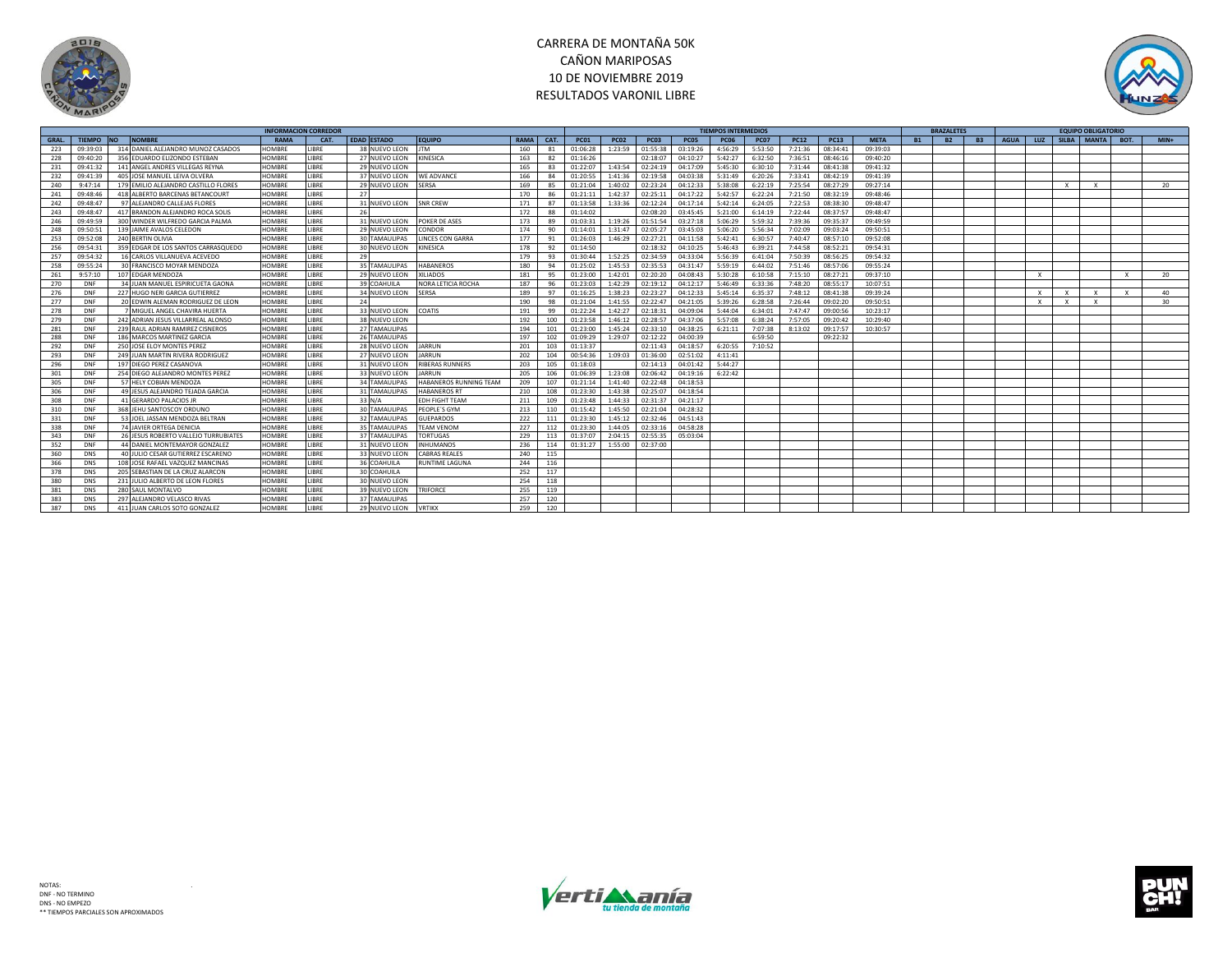



|             |               |           |                                      | <b>INFORMACION CORREDOR</b> |             |                      |                         |             |      |             |                  |             |             | <b>TIEMPOS INTERMEDIOS</b> |             |             |             |             |           | <b>BRAZALETES</b> |           |             |              |                           | <b>EQUIPO OBLIGATORIO</b> |              |        |
|-------------|---------------|-----------|--------------------------------------|-----------------------------|-------------|----------------------|-------------------------|-------------|------|-------------|------------------|-------------|-------------|----------------------------|-------------|-------------|-------------|-------------|-----------|-------------------|-----------|-------------|--------------|---------------------------|---------------------------|--------------|--------|
| <b>GRAL</b> | <b>TIEMPO</b> | <b>NO</b> | <b>NOMBRI</b>                        | <b>RAMA</b>                 | CAT.        | <b>EDAD ESTADO</b>   | <b>EQUIPO</b>           | <b>RAMA</b> | CAT. | <b>PC01</b> | PC <sub>02</sub> | <b>PC03</b> | <b>PC05</b> | <b>PC06</b>                | <b>PC07</b> | <b>PC12</b> | <b>PC13</b> | <b>META</b> | <b>B1</b> | B2                | <b>B3</b> | <b>AGUA</b> | LUZ          |                           | SILBA MANTA               | <b>BOT</b>   | $MIN+$ |
| 223         | 09:39:03      |           | 314 DANIEL ALEJANDRO MUNOZ CASADOS   | HOMBRE                      | LIBRE       | 38 NUEVO LEON        | <b>JTM</b>              | 160         | 81   | 01:06:28    | 1:23:59          | 01:55:38    | 03:19:26    | 4:56:29                    | 5:53:50     | 7:21:36     | 08:34:41    | 09:39:03    |           |                   |           |             |              |                           |                           |              |        |
| 228         | 09:40:20      |           | 356 EDUARDO ELIZONDO ESTEBAN         | HOMBRE                      | LIBRE       | 27 NUEVO LEON        | <b>KINESICA</b>         | 163         | 82   | 01:16:26    |                  | 02:18:07    | 04:10:27    | 5:42:27                    | 6:32:50     | 7:36:51     | 08:46:16    | 09:40:20    |           |                   |           |             |              |                           |                           |              |        |
| 231         | 09:41:32      |           | 141 ANGEL ANDRES VILLEGAS REYNA      | HOMBRE                      | LIBRE       | 29 NUEVO LEON        |                         | 165         | 83   | 01:22:07    | 1:43:54          | 02:24:19    | 04:17:09    | 5:45:30                    | 6:30:10     | 7:31:44     | 08:41:38    | 09:41:32    |           |                   |           |             |              |                           |                           |              |        |
| 232         | 09:41:39      |           | 405 JOSE MANUEL LEIVA OLVERA         | HOMBRE                      | LIBRE       | 37 NUEVO LEON        | <b>WE ADVANCE</b>       | 166         | 84   | 01:20:55    | 1:41:36          | 02:19:58    | 04:03:38    | 5:31:49                    | 6:20:26     | 7:33:41     | 08:42:19    | 09:41:39    |           |                   |           |             |              |                           |                           |              |        |
| 240         | 9:47:14       |           | 179 EMILIO ALEJANDRO CASTILLO FLORE  | HOMBRE                      | LIBRE       | 29 NUEVO LEON        | <b>SERSA</b>            | 169         | 85   | 01:21:04    | 1:40:02          | 02:23:24    | 04:12:33    | 5:38:08                    | 6:22:19     | 7:25:54     | 08:27:29    | 09:27:14    |           |                   |           |             |              | $\boldsymbol{\mathsf{x}}$ |                           |              | 20     |
| 241         | 09:48:46      |           | 418 ALBERTO BARCENAS BETANCOURT      | <b>HOMBRE</b>               | LIBRE       | 27                   |                         | 170         | 86   | 01:21:11    | 1:42:37          | 02:25:11    | 04:17:22    | 5:42:57                    | 6:22:24     | 7:21:50     | 08:32:19    | 09:48:46    |           |                   |           |             |              |                           |                           |              |        |
| 242         | 09:48:4       |           | 97 ALEJANDRO CALLEJAS FLORES         | HOMBRE                      | LIBRE       | 31 NUEVO LEON        | <b>SNR CREW</b>         | 171         | 87   | 01:13:58    | 1:33:36          | 02:12:24    | 04:17:14    | 5:42:14                    | 6:24:05     | 7:22:53     | 08:38:30    | 09:48:47    |           |                   |           |             |              |                           |                           |              |        |
| 243         | 09:48:47      |           | 417 BRANDON ALEJANDRO ROCA SOLIS     | HOMBRE                      | LIBRE       | 26                   |                         | 172         | 88   | 01:14:02    |                  | 02:08:20    | 03:45:45    | 5:21:00                    | 6:14:19     | 7:22:44     | 08:37:57    | 09:48:47    |           |                   |           |             |              |                           |                           |              |        |
| 246         | 09:49:59      |           | 300 WINDER WILFREDO GARCIA PALMA     | HOMBRE                      | LIBRE       | 31 NUEVO LEON        | POKER DE ASES           | 173         | 89   | 01:03:31    | 1:19:26          | 01:51:54    | 03:27:18    | 5:06:29                    | 5:59:32     | 7:39:36     | 09:35:37    | 09:49:59    |           |                   |           |             |              |                           |                           |              |        |
| 248         | 09:50:51      |           | 139 JAIME AVALOS CELEDON             | HOMBRE                      | LIBRE       | 29 NUEVO LEON        | CONDOR                  | 174         | 90   | 01:14:01    | 1:31:47          | 02:05:27    | 03:45:03    | 5:06:20                    | 5:56:34     | 7:02:09     | 09:03:24    | 09:50:51    |           |                   |           |             |              |                           |                           |              |        |
| 253         | 09:52:08      |           | 240 BERTIN OLIVIA                    | HOMBRE                      | LIBRE       | 30 TAMAULIPAS        | <b>LINCES CON GARRA</b> | 177         | 91   | 01:26:03    | 1:46:29          | 02:27:21    | 04:11:58    | 5:42:41                    | 6:30:57     | 7:40:47     | 08:57:10    | 09:52:08    |           |                   |           |             |              |                           |                           |              |        |
| 256         | 09:54:31      |           | 359 EDGAR DE LOS SANTOS CARRASQUEDO  | HOMBRE                      | LIBRE       | 30 NUEVO LEON        | <b>KINESICA</b>         | 178         | 92   | 01:14:50    |                  | 02:18:32    | 04:10:25    | 5:46:43                    | 6:39:21     | 7:44:58     | 08:52:21    | 09:54:31    |           |                   |           |             |              |                           |                           |              |        |
| 257         | 09:54:32      |           | 16 CARLOS VILLANUEVA ACEVEDO         | HOMBRE                      | LIBRE       | 29                   |                         | 179         | 93   | 01:30:44    | 1:52:25          | 02:34:59    | 04:33:04    | 5:56:39                    | 6:41:04     | 7:50:39     | 08:56:25    | 09:54:32    |           |                   |           |             |              |                           |                           |              |        |
| 258         | 09:55:24      |           | 30 FRANCISCO MOYAR MENDOZA           | HOMBRE                      | LIBRE       | 35 TAMAULIPAS        | <b>HABANEROS</b>        | 180         | 94   | 01:25:02    | 1:45:53          | 02:35:53    | 04:31:47    | 5:59:19                    | 6:44:02     | 7:51:46     | 08:57:06    | 09:55:24    |           |                   |           |             |              |                           |                           |              |        |
| 261         | 9:57:10       |           | 107 EDGAR MENDOZA                    | HOMBRE                      | LIBRE       | 29 NUEVO LEON        | <b>XILIADOS</b>         | 181         | 95   | 01:23:00    | 1:42:01          | 02:20:20    | 04:08:43    | 5:30:28                    | 6:10:58     | 7:15:10     | 08:27:21    | 09:37:10    |           |                   |           |             | $\mathsf{X}$ |                           |                           | $\times$     | 20     |
| 270         | DNF           |           | 34 JUAN MANUEL ESPIRICUETA GAONA     | HOMBRE                      | LIBRE       | 39 COAHUILA          | NORA LETICIA ROCHA      | 187         | 96   | 01:23:03    | 1:42:29          | 02:19:12    | 04:12:17    | 5:46:49                    | 6:33:36     | 7:48:20     | 08:55:17    | 10:07:51    |           |                   |           |             |              |                           |                           |              |        |
| 276         | DNF           |           | 227 HUGO NERI GARCIA GUTIERREZ       | HOMBRE                      | LIBRE       | 34 NUEVO LEON        | <b>SERSA</b>            | 189         | 97   | 01:16:25    | 1:38:23          | 02:23:27    | 04:12:33    | 5:45:14                    | 6:35:37     | 7:48:12     | 08:41:38    | 09:39:24    |           |                   |           |             |              |                           |                           | $\mathbf{x}$ | 40     |
| 277         | DNF           |           | 20 EDWIN ALEMAN RODRIGUEZ DE LEON    | HOMBRE                      | LIBRE       | 24                   |                         | 190         | 98   | 01:21:04    | 1:41:55          | 02:22:47    | 04:21:05    | 5:39:26                    | 6:28:58     | 7:26:44     | 09:02:20    | 09:50:51    |           |                   |           |             | $\mathsf{X}$ | $\mathbf{x}$              | $\times$                  |              | 30     |
| 278         | DNF           |           | 7 MIGUEL ANGEL CHAVIRA HUERTA        | HOMBRE                      | LIBRE       | 33 NUEVO LEON        | COATIS                  | 191         | 99   | 01:22:24    | 1:42:27          | 02:18:31    | 04:09:04    | 5:44:04                    | 6:34:01     | 7:47:47     | 09:00:56    | 10:23:17    |           |                   |           |             |              |                           |                           |              |        |
| 279         | DN            |           | 242 ADRIAN JESUS VILLARREAL ALONSO   | HOMBRE                      | LIBRE       | 38 NUEVO LEON        |                         | 192         | 100  | 01:23:58    | 1:46:12          | 02:28:57    | 04:37:06    | 5:57:08                    | 6:38:24     | 7:57:05     | 09:20:42    | 10:29:40    |           |                   |           |             |              |                           |                           |              |        |
| 281         | DNF           |           | 239 RAUL ADRIAN RAMIREZ CISNEROS     | HOMBRE                      | LIBRE       | 27 TAMAULIPAS        |                         | 194         | 101  | 01:23:00    | 1:45:24          | 02:33:10    | 04:38:25    | 6:21:11                    | 7:07:38     | 8:13:02     | 09:17:57    | 10:30:57    |           |                   |           |             |              |                           |                           |              |        |
| 288         | DNI           |           | 186 MARCOS MARTINEZ GARCIA           | HOMBRE                      | <b>IBRF</b> | 26 TAMAULIPAS        |                         | 197         | 102  | 01:09:29    | 1:29:07          | 02:12:22    | 04:00:39    |                            | 6:59:50     |             | 09:22:32    |             |           |                   |           |             |              |                           |                           |              |        |
| 292         | DNF           |           | 250 JOSE ELOY MONTES PEREZ           | HOMBRE                      | LIBRE       | 28 NUEVO LEON        | <b>JARRUN</b>           | 201         | 103  | 01:13:37    |                  | 02:11:43    | 04:18:57    | 6:20:55                    | 7:10:52     |             |             |             |           |                   |           |             |              |                           |                           |              |        |
| 293         | DNF           |           | 249 JUAN MARTIN RIVERA RODRIGUEZ     | HOMBRE                      | LIBRE       | 27 NUEVO LEON        | JARRUN                  | 202         | 104  | 00:54:36    | 1:09:03          | 01:36:00    | 02:51:02    | 4:11:41                    |             |             |             |             |           |                   |           |             |              |                           |                           |              |        |
| 296         | DNF           |           | 197 DIEGO PEREZ CASANOVA             | HOMBRE                      | LIBRE       | 31 NUEVO LEON        | <b>RIBERAS RUNNERS</b>  | 203         | 105  | 01:18:03    |                  | 02:14:13    | 04:01:42    | 5:44:27                    |             |             |             |             |           |                   |           |             |              |                           |                           |              |        |
| 301         | DNF           |           | 254 DIEGO ALEJANDRO MONTES PEREZ     | HOMBRE                      | LIBRE       | 33 NUEVO LEON        | <b>JARRUN</b>           | 205         | 106  | 01:06:39    | 1:23:08          | 02:06:42    | 04:19:16    | 6:22:42                    |             |             |             |             |           |                   |           |             |              |                           |                           |              |        |
| 305         | DNF           |           | 57 HELY COBIAN MENDOZA               | HOMBRE                      | LIBRE       | 34 TAMAULIPAS        | HABANEROS RUNNING TEAM  | 209         | 107  | 01:21:14    | 1:41:40          | 02:22:48    | 04:18:53    |                            |             |             |             |             |           |                   |           |             |              |                           |                           |              |        |
| 306         | DNF           |           | 49 JESUS ALEJANDRO TEJADA GARCIA     | HOMBRE                      | LIBRE       | 31 TAMAULIPAS        | <b>HARANEROS RT</b>     | 210         | 108  | 01:23:30    | 1:43:38          | 02:25:07    | 04:18:54    |                            |             |             |             |             |           |                   |           |             |              |                           |                           |              |        |
| 308         | DNF           |           | 41 GERARDO PALACIOS JP               | HOMBRE                      | LIBRE       | 33 N/A               | <b>EDH FIGHT TEAM</b>   | 211         | 109  | 01:23:48    | 1:44:33          | 02:31:37    | 04:21:17    |                            |             |             |             |             |           |                   |           |             |              |                           |                           |              |        |
| 310         | DNI           |           | 368 JEHU SANTOSCOY ORDUNO            | HOMBRE                      | LIBRE       | <b>30 TAMAULIPAS</b> | PEOPLE'S GYM            | 213         | 110  | 01:15:42    | 1:45:50          | 02:21:04    | 04:28:32    |                            |             |             |             |             |           |                   |           |             |              |                           |                           |              |        |
| 331         | DNF           |           | 53 JOEL JASSAN MENDOZA BELTRAN       | HOMBRE                      | LIBRE       | 32 TAMAULIPAS        | <b>GUEPARDOS</b>        | 222         | 111  | 01:23:30    | 1:45:12          | 02:32:46    | 04:51:43    |                            |             |             |             |             |           |                   |           |             |              |                           |                           |              |        |
| 338         | DNF           |           | 74 JAVIER ORTEGA DENICIA             | HOMBRE                      | LIBRE       | 35 TAMAULIPAS        | <b>TEAM VENOM</b>       | 227         | 112  | 01:23:30    | 1:44:05          | 02:33:16    | 04:58:28    |                            |             |             |             |             |           |                   |           |             |              |                           |                           |              |        |
| 343         | DNF           |           | 26 JESUS ROBERTO VALLEJO TURRUBIATES | HOMBRE                      | <b>IBRF</b> | 37 TAMAULIPAS        | <b>TORTUGAS</b>         | 229         | 113  | 01:37:07    | 2:04:15          | 02:55:35    | 05:03:04    |                            |             |             |             |             |           |                   |           |             |              |                           |                           |              |        |
| 352         | DNF           |           | 44 DANIEL MONTEMAYOR GONZALEZ        | HOMBRE                      | <b>IBRF</b> | 31 NUEVO LEON        | <b>INHUMANOS</b>        | 236         | 114  | 01:31:27    | 1:55:00          | 02:37:00    |             |                            |             |             |             |             |           |                   |           |             |              |                           |                           |              |        |
| 360         | <b>DNS</b>    |           | 40 IUI IO CESAR GUTIFRREZ ESCARENO   | HOMBRE                      | <b>IBRF</b> | 33 NUEVO LEON        | <b>CABRAS REALES</b>    | 240         | 115  |             |                  |             |             |                            |             |             |             |             |           |                   |           |             |              |                           |                           |              |        |
| 366         | <b>DNS</b>    |           | 108 JOSE RAFAEL VAZQUEZ MANCINAS     | HOMBRE                      | LIBRE       | 36 COAHUILA          | <b>RUNTIME LAGUNA</b>   | 244         | 116  |             |                  |             |             |                            |             |             |             |             |           |                   |           |             |              |                           |                           |              |        |
| 378         | DNS           |           | 205 SEBASTIAN DE LA CRUZ ALARCON     | HOMBRE                      | LIBRE       | 30 COAHUILA          |                         | 252         | 117  |             |                  |             |             |                            |             |             |             |             |           |                   |           |             |              |                           |                           |              |        |
| 380         | DNS           |           | 231 JULIO ALBERTO DE LEON FLORES     | HOMBRE                      | LIBRE       | 30 NUEVO LEON        |                         | 254         | 118  |             |                  |             |             |                            |             |             |             |             |           |                   |           |             |              |                           |                           |              |        |
| 381         | <b>DNS</b>    |           | 280 SAUL MONTALVO                    | HOMBRE                      | LIBRE       | 39 NUEVO LEON        | <b>TRIFORCE</b>         | 255         | 119  |             |                  |             |             |                            |             |             |             |             |           |                   |           |             |              |                           |                           |              |        |
| 383         | <b>DNS</b>    |           | 297 ALEJANDRO VELASCO RIVAS          | HOMBRE                      | LIBRE       | 37 TAMAULIPAS        |                         | 257         | 120  |             |                  |             |             |                            |             |             |             |             |           |                   |           |             |              |                           |                           |              |        |
| 387         | <b>DNS</b>    |           | 411 JUAN CARLOS SOTO GONZALEZ        | HOMBRE                      | <b>IBRF</b> | 29 NUEVO LEON        | <b>VRTIKX</b>           | 259         | 120  |             |                  |             |             |                            |             |             |             |             |           |                   |           |             |              |                           |                           |              |        |



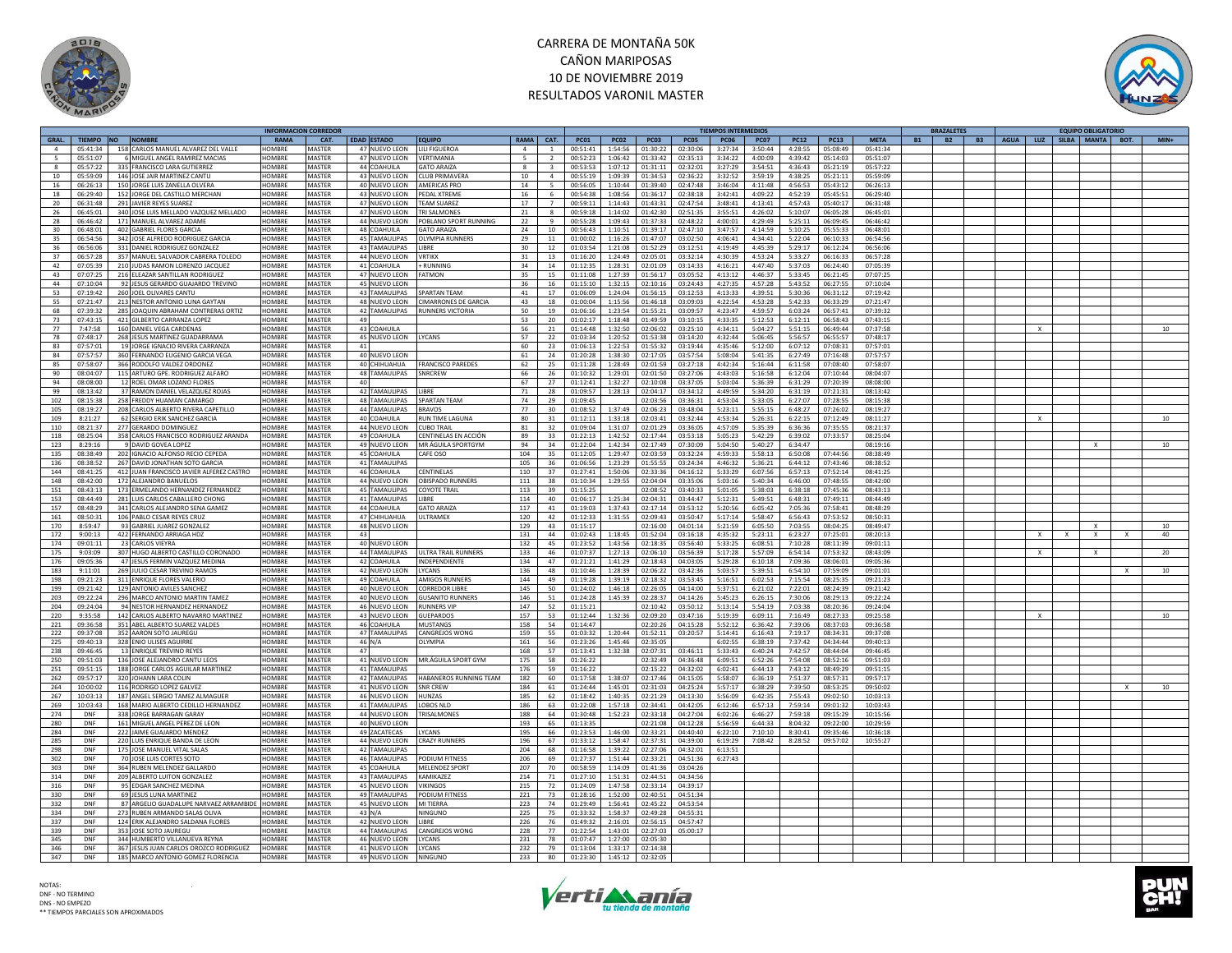



|                 |            |                                          | INFORMACION CORREDOR |               |    |                        |                             |                 |                          |             |             |             |          | <b>FIEMPOS INTERMEDIOS</b> |             |             |             |             | <b>BRAZALETES</b>      |                                        |              | <b>EQUIPO OBLIGATORIO</b> |              |        |
|-----------------|------------|------------------------------------------|----------------------|---------------|----|------------------------|-----------------------------|-----------------|--------------------------|-------------|-------------|-------------|----------|----------------------------|-------------|-------------|-------------|-------------|------------------------|----------------------------------------|--------------|---------------------------|--------------|--------|
| GRAL.           | TIEMPO NO  | <b>NOMBRE</b>                            | RAMA                 | CAT.          |    | <b>EDAD ESTADO</b>     | <b>EQUIPO</b>               | RAMA CAT.       |                          | <b>PC01</b> | <b>PC02</b> | <b>PC03</b> | PC05     | <b>PC06</b>                | <b>PC07</b> | <b>PC12</b> | <b>PC13</b> | <b>META</b> | <b>B2</b><br><b>B1</b> | B3   AGUA   LUZ   SILBA   MANTA   BOT. |              |                           |              | $MIN+$ |
| $\overline{a}$  | 05:41:34   | 158 CARLOS MANUEL ALVAREZ DEL VALLE      | HOMBRE               | <b>MASTER</b> |    | 47 NUEVO LEON          | <b>IIII FIGUEROA</b>        | $\overline{a}$  | $\overline{1}$           | 00:51:41    | 1:54:56     | 01:30:22    | 02:30:06 | 3:27:34                    | 3:50:44     | 4:28:55     | 05:08:49    | 05:41:34    |                        |                                        |              |                           |              |        |
|                 | 05:51:07   | 6 MIGUEL ANGEL RAMIREZ MACIAS            | HOMBRE               | MASTER        |    | 47 NUEVO LEON          | VERTIMANIA                  |                 |                          | 00:52:23    | 1:06:42     | 01:33:42    | 02:35:13 | 3:34:22                    | 4:00:09     | 4:39:42     | 05:14:03    | 05:51:07    |                        |                                        |              |                           |              |        |
|                 | 05:57:22   | 335 FRANCISCO LARA GUTIERREZ             | HOMBRE               | <b>MASTER</b> |    | 44 COAHUILA            | <b>GATO ARAIZA</b>          | $\mathbf{R}$    | $\mathbf{3}$             | 00:53:53    | 1:07:12     | 01:31:11    | 02:32:01 | 3:27:29                    | 3:54:51     | 4:36:43     | 05:21:19    | 05:57:22    |                        |                                        |              |                           |              |        |
| 10              | 05:59:09   | 146 IOSE JAIR MARTINEZ CANTU             | <b>HOMBRF</b>        | MASTER        |    | 43 NUEVO LEON          | CLUB PRIMAVER               | 10              | $\overline{a}$           | 00:55:19    | 1:09:39     | 01:34:53    | 02:36:22 | 3:32:52                    | 3:59:19     | 4:38:25     | 05:21:11    | 05:59:09    |                        |                                        |              |                           |              |        |
| 16              | 06:26:13   |                                          | HOMBRE               |               |    |                        | AMFRICAS PRO                | 14              | $\overline{\phantom{a}}$ | 00:56:05    | 1:10:44     | 01:39:40    | 02:47:48 | 3:46:04                    | 4:11:48     | 4:56:53     |             |             |                        |                                        |              |                           |              |        |
|                 |            | 150 JORGE LUIS ZANELLA OLVERA            |                      | MASTER        |    | 40 NUEVO LEON          |                             |                 |                          |             |             |             |          |                            |             |             | 05:43:12    | 06:26:13    |                        |                                        |              |                           |              |        |
| 18              | 06:29:40   | 152 JORGE DEL CASTILLO MERCHAN           | HOMBRE               | <b>MASTER</b> |    | 43 NUEVO LEON          | PEDAL XTREME                | 16              | 6                        | 00:54:38    | 1:08:56     | 01:36:17    | 02:38:18 | 3:42:41                    | 4:09:22     | 4:52:19     | 05:45:51    | 06:29:40    |                        |                                        |              |                           |              |        |
| 20 <sup>2</sup> | 06:31:48   | 291 HAVIER REYES SUAREZ                  | HOMBRE               | MASTER        |    | 47 NUEVO LEON          | <b>TFAM SUAREZ</b>          | 17              | $\overline{7}$           | 00:59:11    | 1:14:43     | 01:43:31    | 02:47:54 | 3:48:41                    | 4:13:41     | 4:57:43     | 05:40:17    | 06:31:48    |                        |                                        |              |                           |              |        |
| 26              | 06:45:01   | 340 JOSE LUIS MELLADO VAZQUEZ MELLADO    | HOMBRE               | MASTER        |    | 47 NUEVO LEON          | <b>TRI SAI MONES</b>        | 21              | $\mathbf{R}$             | 00:59:18    | 1:14:02     | 01:42:30    | 02:51:35 | 3:55:51                    | 4:26:02     | 5:10:07     | 06:05:28    | 06:45:01    |                        |                                        |              |                           |              |        |
| 28              | 06:46:42   | 171 MANUEL ALVAREZ ADAME                 | HOMBRE               | <b>MASTER</b> |    | 44 NUEVO LEON          | POBLANO SPORT RUNNING       | 22              | $\mathbf{q}$             | 00:55:28    | 1:09:43     | 01:37:33    | 02:48:22 | 4:00:01                    | 4:29:49     | 5:25:11     | 06:09:45    | 06:46:42    |                        |                                        |              |                           |              |        |
| 30              | 06:48:01   | 402 GABRIEL ELORES GARCIA                | HOMBRE               | MASTER        |    | 48 COAHUILA            | <b>GATO ARAIZA</b>          | 24              | 10                       | 00:56:43    | 1:10:51     | 01:39:17    | 02:47:10 | 3:47:57                    | 4:14:59     | 5:10:25     | 05:55:33    | 06:48:01    |                        |                                        |              |                           |              |        |
| 35              | 06:54:56   | 342 JOSE ALFREDO RODRIGUEZ GARCIA        | HOMBRI               | MASTER        |    | 45 TAMAULIPAS          | <b>OLYMPIA RUNNERS</b>      | 29              | 11                       | 01:00:02    | 1:16:26     | 01:47:07    | 03:02:50 | 4:06:41                    | 4:34:41     | 5:22:04     | 06:10:33    | 06:54:56    |                        |                                        |              |                           |              |        |
|                 |            |                                          |                      |               |    |                        |                             |                 |                          |             |             |             |          |                            |             |             |             |             |                        |                                        |              |                           |              |        |
| 36              | 06:56:06   | 331 DANIEL RODRIGUEZ GONZALEZ            | HOMBRE               | MASTER        |    | 43 TAMAULIPAS          | LIBRE                       | 30 <sup>2</sup> | 12                       | 01:03:54    | 1:21:08     | 01:52:29    | 03:12:51 | 4:19:49                    | 4:45:39     | 5:29:17     | 06:12:24    | 06:56:06    |                        |                                        |              |                           |              |        |
| 37              | 06:57:28   | 357 MANUEL SALVADOR CABRERA TOLEDO       | HOMBRI               | MASTER        |    | 44 NUEVO LEON          | <b>VRTIKY</b>               | 31              | 13                       | 01:16:20    | 1:24:49     | 02:05:01    | 03:32:14 | 4:30:39                    | 4:53:24     | 5:33:27     | 06:16:33    | 06:57:28    |                        |                                        |              |                           |              |        |
| 42              | 07:05:39   | 210 JUDAS RAMON LORENZO JACQUEZ          | HOMBRE               | <b>MASTER</b> |    | 41 COAHUILA            | + RUNNING                   | 34              | 14                       | 01:12:35    | 1:28:31     | 02:01:09    | 03:14:33 | 4:16:21                    | 4:47:40     | 5:37:03     | 06:24:40    | 07:05:39    |                        |                                        |              |                           |              |        |
| 43              | 07:07:25   | 216 ELEAZAR SANTILLAN RODRIGUEZ          | <b>HOMBRE</b>        | <b>MASTER</b> |    | 47 NUEVO LEON          | <b>FATMON</b>               | 35              | 15                       | 01:11:08    | 1:27:39     | 01:56:17    | 03:05:52 | 4:13:12                    | 4:46:37     | 5:33:45     | 06:21:45    | 07:07:25    |                        |                                        |              |                           |              |        |
| AA              | 07.10:04   | 92 JESUS GERARDO GUAJARDO TREVINO        | HOMRRE               | MASTER        |    | 45 NUEVO LEON          |                             | 36              | 16                       | 01.15.10    | 1.32.15     | 02:10:16    | 03:24:43 | 4.27.35                    | 4.57.28     | 5.43.52     | 06:27:55    | 07:10:04    |                        |                                        |              |                           |              |        |
| 53              | 07:19:42   | 260 JOEL OLIVARES CANTU                  | HOMBRE               | MASTER        |    | 43 TAMAULIPAS          | <b>SPARTAN TFAM</b>         | 41              | 17                       | 01:06:09    | 1:24:04     | 01:56:15    | 03:12:53 | 4:13:33                    | 4:39:51     | 5:30:36     | 06:31:12    | 07:19:42    |                        |                                        |              |                           |              |        |
| 55              | 07:21:47   | 213 NESTOR ANTONIO LUNA GAYTAN           | HOMBRE               | <b>MASTER</b> |    | 48 NUEVO LEON          | <b>CIMARRONES DE GARCIA</b> | 43              | 18                       | 01:00:04    | 1:15:56     | 01:46:18    | 03:09:03 | 4:22:54                    | 4:53:28     | 5:42:33     | 06:33:29    | 07:21:47    |                        |                                        |              |                           |              |        |
|                 |            |                                          |                      |               |    |                        |                             |                 |                          |             |             |             |          |                            |             |             |             |             |                        |                                        |              |                           |              |        |
| 68              | 07:39:32   | 285 JOAQUIN ABRAHAM CONTRERAS ORTIZ      | <b>HOMBRF</b>        | MASTER        |    | 42 TAMAULIPAS          | <b>RUNNERS VICTORIA</b>     | 50              | 19                       | 01:06:16    | 1:23:54     | 01:55:21    | 03:09:57 | 4:23:47                    | 4:59:57     | 6:03:24     | 06:57:41    | 07:39:32    |                        |                                        |              |                           |              |        |
| 73              | 07:43:15   | 421 GILBERTO CARRANZA LOPEZ              | HOMBRE               | MASTER        | 49 |                        |                             | 53              | 20                       | 01:02:17    | 1:18:48     | 01:49:59    | 03:10:15 | 4:33:35                    | 5:12:53     | 6:12:11     | 06:58:43    | 07:43:15    |                        |                                        |              |                           |              |        |
| 77              | 7:47:58    | 160 DANIEL VEGA CARDENAS                 | HOMBRE               | <b>MASTER</b> |    | 43 COAHUILA            |                             | 56              | 21                       | 01:14:48    | 1:32:50     | 02:06:02    | 03:25:10 | 4:34:11                    | 5:04:27     | 5:51:15     | 06:49:44    | 07:37:58    |                        | $\mathbf{x}$                           |              |                           |              | 10     |
| 78              | 07:48:17   | 268 JESUS MARTINEZ GUADARRAMA            | <b>HOMBRF</b>        | MASTER        |    | 45 NUEVO LEON          | LYCANS                      | 57              | 22                       | 01:03:34    | 1:20:52     | 01:53:38    | 03:14:20 | 4:32:44                    | 5:06:45     | 5:56:57     | 06:55:57    | 07:48:17    |                        |                                        |              |                           |              |        |
| 83              | 07:57:01   | 19 JORGE IGNACIO RIVERA CARRANZA         | HOMBRE               | MASTER        | 41 |                        |                             | 60              | 23                       | 01:06:13    | 1:22:53     | 01:55:32    | 03:19:44 | 4:35:46                    | 5:12:00     | 6:07:12     | 07:08:31    | 07:57:01    |                        |                                        |              |                           |              |        |
| 84              | 07:57:57   | 360 FERNANDO EUGENIO GARCIA VEGA         | <b>HOMBRI</b>        | <b>MASTER</b> |    | 40 NUEVO LEON          |                             | 61              | 24                       | 01:20:28    | 1:38:30     | 02:17:05    | 03:57:54 | 5:08:04                    | 5:41:35     | 6:27:49     | 07:16:48    | 07:57:57    |                        |                                        |              |                           |              |        |
| 85              | 07:58:07   | 366 RODOLFO VALDEZ ORDONEZ               | HOMBRE               | MASTER        |    | 40 CHIHUAHUA           | <b>FRANCISCO PAREDES</b>    | 62              | 25                       | 01:11:28    | 1:28:49     | 02:01:59    | 03:27:18 | 4:42:34                    | 5:16:44     | 6:11:58     | 07:08:40    | 07:58:07    |                        |                                        |              |                           |              |        |
|                 |            |                                          | <b>IOMBRE</b>        |               |    |                        |                             | 66              | 26                       |             |             |             |          |                            |             |             |             |             |                        |                                        |              |                           |              |        |
| 90              | 08:04:07   | 115 ARTURO GPE. RODRIGUEZ ALFARO         |                      | MASTER        |    | 48 TAMAULIPAS          | SNRCREW                     |                 |                          | 01:10:32    | 1:29:01     | 02:01:50    | 03:27:06 | 4:43:03                    | 5:16:58     | 6:12:04     | 07:10:44    | 08:04:07    |                        |                                        |              |                           |              |        |
| 94              | 08:08:00   | 12 ROEL OMAR LOZANO FLORES               | <b>HOMBRI</b>        | <b>MASTER</b> |    |                        |                             | 67              | 27                       | 01:12:41    | 1:32:27     | 02:10:08    | 03:37:05 | 5:03:04                    | 5:36:39     | 6:31:29     | 07:20:39    | 08:08:00    |                        |                                        |              |                           |              |        |
| 99              | 08:13:42   | 37 RAMON DANIEL VELAZQUEZ ROJAS          | <b>HOMBRF</b>        | <b>MASTER</b> |    | 42 TAMAULIPAS          | <b>I IRRF</b>               | 71              | 28                       | 01:09:57    | 1:28:13     | 02:04:17    | 03:34:12 | 4:49:59                    | 5:34:20     | 6:31:19     | 07:21:31    | 08:13:42    |                        |                                        |              |                           |              |        |
| 102             | 08:15:38   | 258 FREDDY HUAMAN CAMARGO                | HOMBRE               | MASTER        |    | <b>48 TAMAULIPAS</b>   | <b>SPARTAN TFAM</b>         | 74              | 29                       | 01:09:45    |             | 02:03:56    | 03:36:31 | 4:53:04                    | 5:33:05     | 6:27:07     | 07:28:55    | 08:15:38    |                        |                                        |              |                           |              |        |
| 105             | 08:19:27   | 208 CARLOS ALBERTO RIVERA CAPETILLO      | HOMBRE               | <b>MASTER</b> |    | 44 TAMAULIPAS          | <b>BRAVOS</b>               | 77              | 30                       | 01:08:52    | 1:37:49     | 02:06:23    | 03:48:04 | 5:23:11                    | 5:55:15     | 6:48:27     | 07:26:02    | 08:19:27    |                        |                                        |              |                           |              |        |
| 109             | 8:21:27    | 62 SERGIO ERIK SANCHEZ GARCIA            | HOMBRE               | <b>MASTER</b> |    | 40 COAHUILA            | <b>RUN TIME LAGUNA</b>      | 80              | 31                       | 01:12:11    | 1:33:18     | 02:03:41    | 03:32:44 | 4:53:34                    | 5:26:31     | 6:22:15     | 07:12:49    | 08:11:27    |                        | $\times$                               |              |                           |              | 10     |
| 110             | 08:21:37   | 277 GERARDO DOMINGUEZ                    | <b>OMBRI</b>         | MASTER        |    | 44 NUEVO LEON          | <b>CURO TRAIL</b>           | 81              | 32                       | 01:09:04    | 1:31:07     | 02:01:29    | 03:36:05 | 4:57:09                    | 5:35:39     | 6:36:36     | 07:35:55    | 08:21:37    |                        |                                        |              |                           |              |        |
| 118             | 08:25:04   | 358 CARLOS FRANCISCO RODRIGUEZ ARANDA    | <b>HOMBRE</b>        | <b>MASTER</b> |    | 49 COAHUILA            | CENTINELAS EN ACCIÓN        | 89              | 33                       | 01:22:13    | 1:42:52     | 02:17:44    | 03:53:18 | 5:05:23                    | 5:42:29     | 6:39:02     | 07:33:57    | 08:25:04    |                        |                                        |              |                           |              |        |
| 123             | 8:29:16    | 9 DAVID GOVEA LOPEZ                      | HOMBRE               | MASTER        |    | 49 NUEVO LEON          | MR ÁGUILA SPORTGYM          | 94              | 34                       | 01:22:04    | 1:42:34     | 02:17:49    | 07:30:09 | 5:04:50                    | 5:40:27     | 6:34:47     |             | 08:19:16    |                        |                                        |              | $\mathbf{x}$              |              | 10     |
|                 |            |                                          |                      |               |    |                        |                             |                 |                          |             |             |             |          |                            |             |             |             |             |                        |                                        |              |                           |              |        |
| 135             | 08:38:49   | 202 IGNACIO ALFONSO RECIO CEPEDA         | HOMBRE               | <b>MASTER</b> |    | 45 COAHUILA            | CAFE OSO                    | 104             | 35                       | 01:12:05    | 1:29:47     | 02:03:59    | 03:32:24 | 4:59:33                    | 5:58:13     | 6:50:08     | 07:44:56    | 08:38:49    |                        |                                        |              |                           |              |        |
| 136             | 08:38:52   | 267 DAVID JONATHAN SOTO GARCIA           | HOMBRE               | <b>MASTER</b> |    | 41 TAMAULIPAS          |                             | 105             | 36                       | 01:06:56    | 1:23:29     | 01:55:55    | 03:24:34 | 4:46:32                    | 5:36:21     | 6:44:12     | 07:43:46    | 08:38:52    |                        |                                        |              |                           |              |        |
| 144             | 08:41:25   | 412 JUAN FRANCISCO JAVIER ALFEREZ CASTRO | <b>HOMBRF</b>        | MASTER        |    | 46 COAHUILA            | <b>CENTINELAS</b>           | 110             | 37                       | 01:27:41    | 1:50:06     | 02:33:36    | 04:16:12 | 5:33:29                    | 6:07:56     | 6:57:13     | 07:52:14    | 08:41:25    |                        |                                        |              |                           |              |        |
| 148             | 08:42:00   | 172 ALEJANDRO BANUELOS                   | HOMBRE               | <b>MASTER</b> |    | 44 NUEVO LEON          | <b>OBISPADO RUNNERS</b>     | 111             | 38                       | 01:10:34    | 1:29:55     | 02:04:04    | 03:35:06 | 5:03:16                    | 5:40:34     | 6:46:00     | 07:48:55    | 08:42:00    |                        |                                        |              |                           |              |        |
| 151             | 08:43:13   | 173 ERMELANDO HERNANDEZ FERNANDEZ        | <b>HOMBRE</b>        | <b>MASTER</b> |    | 45 TAMAULIPAS          | <b>COYOTE TRAIL</b>         | 113             | 39                       | 01:15:25    |             | 02:08:52    | 03:40:33 | 5:01:05                    | 5:38:03     | 6:38:18     | 07:45:36    | 08:43:13    |                        |                                        |              |                           |              |        |
| 153             | 08:44:49   | 281 LUIS CARLOS CABALLERO CHONG          | <b>HOMBRE</b>        | <b>MASTER</b> |    | 41 TAMAULIPAS          | <b>LIBRE</b>                | 114             | 40                       | 01:06:17    | 1:25:34     | 02:04:31    | 03:44:47 | 5:12:31                    | 5:49:51     | 6:48:31     | 07:49:11    | 08:44:49    |                        |                                        |              |                           |              |        |
| 157             | 08:48:29   | 341 CARLOS ALEJANDRO SENA GAMEZ          | HOMBRE               | MASTER        |    | 44 COAHUILA            | <b>GATO ARAIZA</b>          | 117             | 41                       | 01:19:03    | 1:37:43     | 02:17:14    | 03:53:12 | 5:20:56                    | 6:05:42     | 7:05:36     | 07:58:41    | 08:48:29    |                        |                                        |              |                           |              |        |
|                 |            |                                          | HOMBRE               |               |    |                        |                             |                 |                          |             |             |             |          |                            |             |             |             |             |                        |                                        |              |                           |              |        |
| 161             | 08:50:31   | 106 PABLO CESAR REYES CRUZ               |                      | MASTER        |    | 47 CHIHUAHUA           | <b>UITRAMEX</b>             | 120             | 42                       | 01:12:33    | 1:31:55     | 02:09:43    | 03:50:47 | 5:17:14                    | 5:58:47     | 6:56:43     | 07:53:52    | 08:50:31    |                        |                                        |              |                           |              |        |
| 170             | 8:59:47    | 93 GABRIEL JUAREZ GONZALEZ               | HOMBRE               | <b>MASTER</b> |    | 48 NUEVO LEON          |                             | 129             | 43                       | 01:15:17    |             | 02:16:00    | 04:01:14 | 5:21:59                    | 6:05:50     | 7:03:55     | 08:04:25    | 08:49:47    |                        |                                        |              |                           |              | 10     |
| 172             | 9:00:13    | 422 FERNANDO ARRIAGA HDZ                 | <b>IOMBRE</b>        | <b>MASTER</b> | 43 |                        |                             | 131             | 44                       | 01:02:43    | 1:18:45     | 01:52:04    | 03:16:18 | 4:35:32                    | 5:23:11     | 6:23:27     | 07:25:01    | 08:20:13    |                        | $\times$                               | $\mathsf{x}$ | $\times$                  | X            | 40     |
| 174             | 09:01:11   | 23 CARLOS VIEYRA                         | HOMBRE               | <b>MASTER</b> |    | 40 NUEVO LEON          |                             | 132             | 45                       | 01:23:52    | 1:43:56     | 02:18:35    | 03:56:40 | 5:33:25                    | 6:08:51     | 7:10:28     | 08:11:39    | 09:01:11    |                        |                                        |              |                           |              |        |
| 175             | 9:03:09    | 307 HUGO ALBERTO CASTILLO CORONADO       | HOMBRE               | <b>MASTER</b> |    | 44 TAMAULIPAS          | ULTRA TRAIL RUNNERS         | 133             | 46                       | 01:07:37    | 1:27:13     | 02:06:10    | 03:56:39 | 5:17:28                    | 5:57:09     | 6:54:14     | 07:53:32    | 08:43:09    |                        | $\mathsf{x}$                           |              | $\mathsf{x}$              |              | 20     |
| 176             | 09:05:36   | 47 JESUS FERMIN VAZQUEZ MEDINA           | HOMBRE               | <b>MASTER</b> |    | 42 COAHUILA            | INDEPENDIENTE               | 134             | 47                       | 01:21:21    | 1:41:29     | 02:18:43    | 04:03:05 | 5:29:28                    | 6:10:18     | 7:09:36     | 08:06:01    | 09:05:36    |                        |                                        |              |                           |              |        |
| 183             | 9:11:01    | 269 JULIO CESAR TREVINO RAMOS            | HOMBRE               | <b>MASTER</b> |    | 42 NUEVO LEON          | <b>LYCANS</b>               | 136             | 48                       | 01:10:46    | 1:28:39     | 02:06:22    | 03:42:36 | 5:03:57                    | 5:39:51     | 6:54:10     | 07:59:09    | 09:01:01    |                        |                                        |              |                           | $\mathsf{x}$ | 10     |
| 198             | 09:21:23   | 311 ENRIQUE FLORES VALERIO               | HOMBRI               | <b>MASTER</b> |    | 49 COAHUILA            | <b>AMIGOS RUNNERS</b>       | 144             | 49                       | 01:19:28    | 1:39:19     | 02:18:32    | 03:53:45 | 5:16:51                    | 6:02:53     | 7:15:54     | 08:25:35    | 09:21:23    |                        |                                        |              |                           |              |        |
| 199             | 09:21:42   | 129 ANTONIO AVILES SANCHEZ               | <b>IOMBRE</b>        | <b>MASTER</b> |    | 40 NUEVO LEON          | <b>CORREDOR LIBRE</b>       | 145             | 50                       | 01:24:02    | 1:46:18     | 02:26:05    | 04:14:00 | 5:37:51                    | 6:21:02     | 7:22:01     | 08:24:39    | 09:21:42    |                        |                                        |              |                           |              |        |
| 203             | 09:22:24   | 296 MARCO ANTONIO MARTIN TAME:           | HOMBRE               | MASTER        |    | 40 NUEVO LEON          | <b>GUSANITO RUNNER</b>      | 146             | 51                       | 01:24:28    | 1:45:39     | 02:28:37    | 04:14:26 | 5:45:23                    | 6:26:15     | 7:30:06     | 08:29:13    | 09:22:24    |                        |                                        |              |                           |              |        |
|                 |            |                                          | HOMBRE               | MASTER        |    |                        |                             | 147             |                          |             |             |             |          |                            | 5:54:19     |             |             |             |                        |                                        |              |                           |              |        |
| 204             | 09:24:04   | 94 NESTOR HERNANDEZ HERNANDEZ            |                      |               |    | 46 NUEVO LEON          | <b>RUNNERS VIF</b>          |                 | 52                       | 01:15:21    |             | 02:10:42    | 03:50:12 | 5:13:14                    |             | 7:03:38     | 08:20:36    | 09:24:04    |                        | $\mathbf{x}$                           |              |                           |              |        |
| 220             | 9:35:58    | 142 CARLOS ALBERTO NAVARRO MARTINEZ      | <b>HOMBRE</b>        | <b>MASTER</b> |    | 43 NUEVO LEON          | <b>GUEPARDOS</b>            | 157             | 53                       | 01:12:44    | 1:32:36     | 02:09:20    | 03:47:16 | 5:19:39                    | 6:09:11     | 7:16:49     | 08:27:33    | 09:25:58    |                        |                                        |              |                           |              | 10     |
| 221             | 09:36:58   | 351 ABEL ALBERTO SUAREZ VALDES           | <b>HOMBRE</b>        | MASTER        |    | 46 COAHUILA            | <b>MUSTANGS</b>             | 158             | 54                       | 01:14:47    |             | 02:20:26    | 04:15:28 | 5:52:12                    | 6:36:42     | 7:39:06     | 08:37:03    | 09:36:58    |                        |                                        |              |                           |              |        |
| 222             | 09:37:08   | 352 AARON SOTO JAUREGU                   | HOMBRE               | MASTER        |    | <b>47 TAMAULIPAS</b>   | <b>CANGREJOS WONG</b>       | 159             | 55                       | 01:03:32    | 1:20:44     | 01:52:11    | 03:20:57 | 5:14:41                    | 6:16:43     | 7:19:17     | 08:34:31    | 09:37:08    |                        |                                        |              |                           |              |        |
| 225             | 09:40:13   | 328 ENIO ULISES AGUIRRE                  | <b>IOMBRE</b>        | <b>MASTER</b> |    | 46 N/A                 | OLYMPIA                     | 161             | 56                       | 01:23:26    | 1:45:46     | 02:35:05    |          | 6:02:55                    | 6:38:19     | 7:37:42     | 04:34:44    | 09:40:13    |                        |                                        |              |                           |              |        |
| 238             | 09:46:45   | 13 ENRIQUE TREVINO REYES                 | <b>HOMBRI</b>        | <b>MASTER</b> | 47 |                        |                             | 168             | 57                       | 01:13:41    | 1:32:38     | 02:07:31    | 03:46:11 | 5:33:43                    | 6:40:24     | 7:42:57     | 08:44:04    | 09:46:45    |                        |                                        |              |                           |              |        |
| 250             | 09:51:03   | 136 JOSE ALEJANDRO CANTU LEOS            | HOMRRE               | <b>MASTER</b> |    | 41 NUEVO LEON          | MR ÁGUILA SPORT GYM         | 175             | 58                       | 01:26:22    |             | 02:32:49    | 04:36:48 | 6:09:51                    | 6:52:26     | 7:54:08     | 08:52:16    | 09:51:03    |                        |                                        |              |                           |              |        |
| 251             | 09:51:15   | 188 JORGE CARLOS AGUILAR MARTINEZ        | HOMBRE               | MASTER        |    | 41 TAMAULIPAS          |                             | 176             | 59                       | 01:16:22    |             | 02:15:22    | 04:32:02 | 6:02:41                    | 6:44:13     | 7:43:12     | 08:49:29    | 09:51:15    |                        |                                        |              |                           |              |        |
|                 |            |                                          |                      |               |    |                        |                             |                 |                          |             |             |             |          |                            |             |             |             |             |                        |                                        |              |                           |              |        |
| 262             | 09:57:17   | 320 JOHANN LARA COLIN                    | <b>HOMBRI</b>        | MASTER        |    | 42 TAMAULIPAS          | HABANEROS RUNNING TEAM      | 182             | 60                       | 01:17:58    | 1:38:07     | 02:17:46    | 04:15:05 | 5:58:07                    | 6:36:19     | 7:51:37     | 08:57:31    | 09:57:17    |                        |                                        |              |                           |              |        |
| 264             | 10:00:02   | 116 RODRIGO LOPEZ GALVEZ                 | HOMRRE               | <b>MASTER</b> |    | 41 NUEVO LEON SNR CREW |                             | 184             | 61                       | 01:24:44    | 1:45:01     | 02:31:03    | 04:25:24 | 5:57:17                    | 6:38:29     | 7:39:50     | 08:53:25    | 09:50:02    |                        |                                        |              |                           | $\times$     | 10     |
| 267             | 10:03:13   | 187 ANGEL SERGIO TAMEZ ALMAGUER          | <b>IOMBRE</b>        | <b>MASTER</b> |    | 46 NUEVO LEON          | <b>HUNZAS</b>               | 185             | 62                       | 01:18:42    | 1:40:35     | 02:21:29    | 04:13:30 | 5:56:09                    | 6:42:35     | 7:55:43     | 09:02:50    | 10:03:13    |                        |                                        |              |                           |              |        |
| 269             | 10:03:43   | 168 MARIO ALBERTO CEDILLO HERNANDEZ      | HOMBRE               | <b>MASTER</b> |    | 41 TAMAULIPAS          | LOBOS NLE                   | 186             | 63                       | 01:22:08    | 1:57:18     | 02:34:41    | 04:42:05 | 6:12:46                    | 6:57:13     | 7:59:14     | 09:01:32    | 10:03:43    |                        |                                        |              |                           |              |        |
| 274             | <b>DNE</b> | 338 JORGE BARRAGAN GARAY                 | HOMRRE               | <b>MASTER</b> |    | 44 NUEVO LEON          | <b>TRISALMONES</b>          | 188             | 64                       | 01:30:48    | 1:52:23     | 02:33:18    | 04:27:04 | 6:02:26                    | 6:46:27     | 7:59:18     | 09:15:29    | 10:15:56    |                        |                                        |              |                           |              |        |
| 280             | DNF        | 161 MIGUEL ANGEL PEREZ DE LEON           | HOMBRE               | MASTER        |    | 40 NUEVO LEON          |                             | 193             | 65                       | 01:13:35    |             | 02:21:08    | 04:12:28 | 5:56:59                    | 6:44:33     | 8:04:32     | 09:22:00    | 10:29:59    |                        |                                        |              |                           |              |        |
| 284             | DNF        | 222 JAIME GUAJARDO MENDEZ                | HOMBRE               | <b>MASTER</b> |    | 49 ZACATECAS           | LYCANS                      | 195             | 66                       | 01:23:53    | 1:46:00     | 02:33:21    | 04:40:40 | 6:22:10                    | 7:10:10     | 8:30:41     | 09:35:46    | 10:36:18    |                        |                                        |              |                           |              |        |
| 285             | DNE        | 220 LUIS ENRIQUE BANDA DE LEON           | HOMRRE               | <b>MASTER</b> |    | 44 NUEVO LEON          | <b>CRAZY RUNNERS</b>        | 196             | 67                       | 01:33:12    | 1:58:47     | 02:37:31    | 04:39:00 | 6:19:29                    | 7:08:42     | 8:28:52     | 09:57:02    | 10:55:27    |                        |                                        |              |                           |              |        |
| 298             | DNF        | 175 JOSE MANUEL VITAL SALAS              | <b>IOMBRE</b>        | MASTER        |    | 42 TAMAULIPAS          |                             | 204             | 68                       | 01:16:58    | 1:39:22     | 02:27:06    | 04:32:01 | 6:13:51                    |             |             |             |             |                        |                                        |              |                           |              |        |
| 302             | DNF        | 70 JOSE LUIS CORTES SOTO                 | HOMBRE               | <b>MASTER</b> |    | 46 TAMAULIPAS          | <b>PODIUM FITNESS</b>       | 206             | 69                       | 01:27:37    | 1:51:44     | 02:33:21    | 04:51:36 | 6:27:43                    |             |             |             |             |                        |                                        |              |                           |              |        |
|                 | DNE        |                                          | HOMRRE               | MASTER        |    |                        |                             |                 |                          |             |             |             |          |                            |             |             |             |             |                        |                                        |              |                           |              |        |
| 303             |            | 364 RUBEN MELENDEZ GALLARDO              |                      |               |    | 45 COAHUILA            | <b>MELENDEZ SPORT</b>       | 207             | 70                       | 00:58:59    | 1:14:09     | 01:41:36    | 03:04:26 |                            |             |             |             |             |                        |                                        |              |                           |              |        |
| 314             | DNF        | 209 ALBERTO LUITON GONZALEZ              | HOMBRE               | MASTER        |    | 43 TAMAULIPAS          | KAMIKA7F7                   | 214             | 71                       | 01:27:10    | 1:51:31     | 02:44:51    | 04:34:56 |                            |             |             |             |             |                        |                                        |              |                           |              |        |
| 316             | DNF        | 95 EDGAR SANCHEZ MEDINA                  | HOMBRE               | <b>MASTER</b> |    | 45 NUEVO LEON          | <b>VIKINGOS</b>             | 215             | 72                       | 01:24:09    | 1:47:58     | 02:33:14    | 04:39:17 |                            |             |             |             |             |                        |                                        |              |                           |              |        |
| 330             | <b>DNF</b> | 69 JESUS LUNA MARTINEZ                   | HOMBRE               | MASTER        |    | 49 TAMAULIPAS          | <b>PODIUM FITNESS</b>       | 221             | 73                       | 01:28:16    | 1:52:00     | 02:40:51    | 04:51:34 |                            |             |             |             |             |                        |                                        |              |                           |              |        |
| 332             | DNF        | 87 ARGELIO GUADALUPE NARVAEZ ARRAMBIDE   | <b>HOMBRE</b>        | MASTER        |    | 45 NUEVO LEON          | MI TIFRRA                   | 223             | 74                       | 01:29:49    | 1:56:41     | 02:45:22    | 04:53:54 |                            |             |             |             |             |                        |                                        |              |                           |              |        |
| 334             | DNF        | 273 RUBEN ARMANDO SALAS OLIVA            | HOMBRE               | <b>MASTER</b> |    | $43$ N/A               | NINGUNC                     | 225             | 75                       | 01:33:32    | 1:58:37     | 02:49:28    | 04:55:31 |                            |             |             |             |             |                        |                                        |              |                           |              |        |
| 337             | DNF        | 124 ERIK ALEJANDRO SALDANA FLORES        | HOMBRE               | <b>MASTER</b> |    | 42 NUEVO LEON          | LIBRE                       | 226             | 76                       | 01:49:32    | 2:16:01     | 02:56:15    | 04:57:47 |                            |             |             |             |             |                        |                                        |              |                           |              |        |
| 339             | DNE        | 353 JOSE SOTO JAUREGL                    | HOMBRE               | MASTER        |    | <b>44 TAMAULIPAS</b>   | <b>CANGREIOS WONG</b>       | 228             | 77                       | 01:22:54    | 1:43:01     | 02:27:03    | 05:00:17 |                            |             |             |             |             |                        |                                        |              |                           |              |        |
| 345             | <b>DNF</b> | 344 HUMBERTO VILLANUEVA REYNA            | <b>HOMBRE</b>        | <b>MASTER</b> |    | 46 NUEVO LEON          | <b>LYCANS</b>               | 231             | 78                       | 01:07:47    | 1:27:00     | 02:05:30    |          |                            |             |             |             |             |                        |                                        |              |                           |              |        |
| 346             | DNF        | 367 JESUS JUAN CARLOS OROZCO RODRIGUEZ   | <b>HOMBRE</b>        | MASTER        |    | 41 NUEVO LEON          | LYCANS                      | 232             | 79                       | 01:13:04    | 1:33:17     | 02:14:38    |          |                            |             |             |             |             |                        |                                        |              |                           |              |        |
|                 |            |                                          |                      |               |    |                        |                             |                 |                          |             |             |             |          |                            |             |             |             |             |                        |                                        |              |                           |              |        |
| 347             | DNF        | 185 MARCO ANTONIO GOMEZ ELORENCIA        | HOMRRE               | MASTER        |    | 49 NUEVO LEON          | <b>NINGUNC</b>              | 233             | 80                       | 01:23:30    | 1:45:12     | 02:32:05    |          |                            |             |             |             |             |                        |                                        |              |                           |              |        |





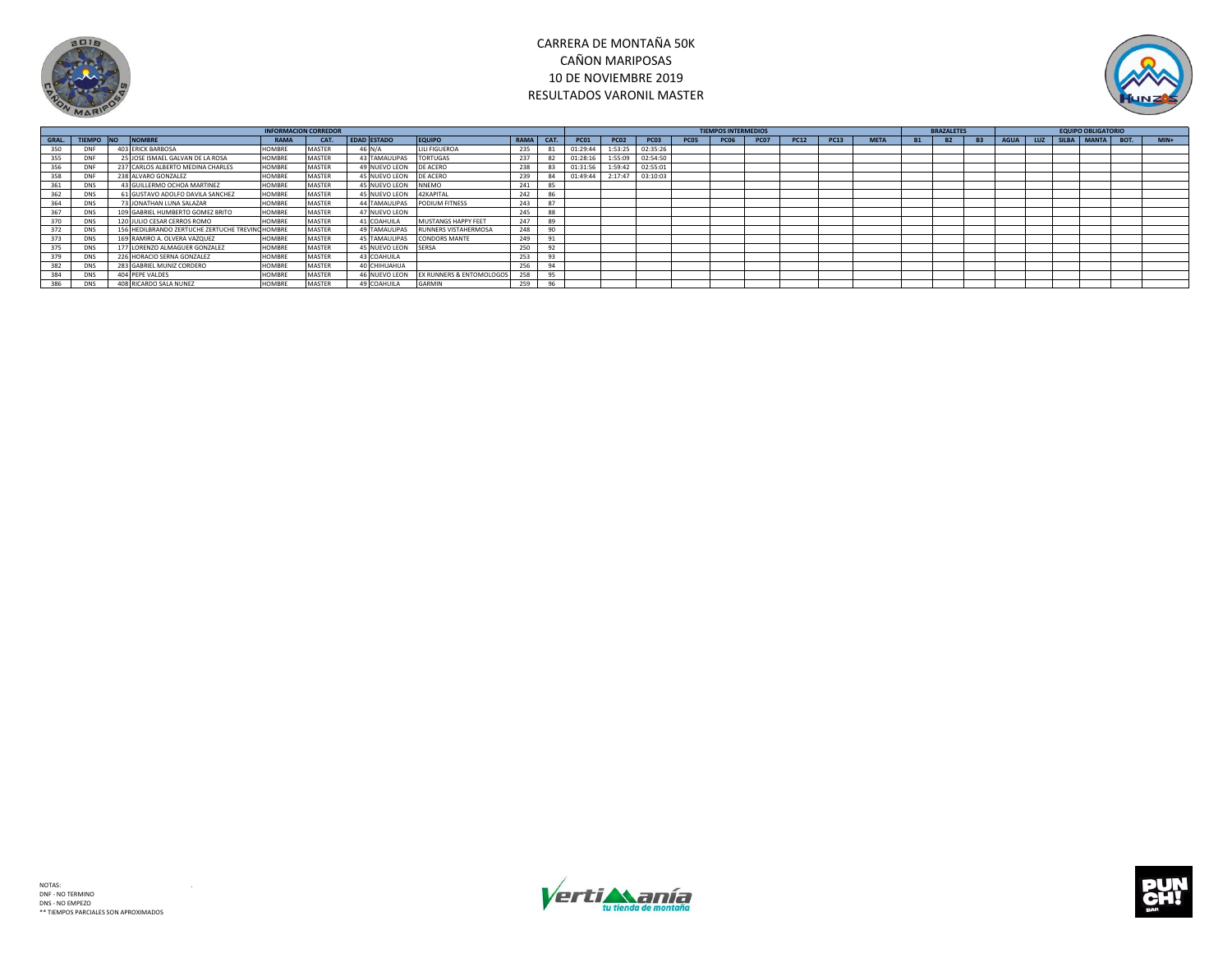



|       |                  |                                                  | <b>INFORMACION CORREDOR</b> |               |                     |                                     |             |      |             |             | <b>TIEMPOS INTERMEDIOS</b> |             |             |             |             |             | <b>BRAZALETES</b> |           |           |           | <b>EQUIPO OBLIGATORIO</b> |  |                      |        |
|-------|------------------|--------------------------------------------------|-----------------------------|---------------|---------------------|-------------------------------------|-------------|------|-------------|-------------|----------------------------|-------------|-------------|-------------|-------------|-------------|-------------------|-----------|-----------|-----------|---------------------------|--|----------------------|--------|
| GRAL. | TIEMPO NO NOMBRE |                                                  | <b>RAMA</b>                 | CAT.          | <b>EDAD ESTADO</b>  | <b>EQUIPO</b>                       | <b>RAMA</b> | CAT. | <b>PC01</b> | <b>PC02</b> | <b>PC03</b>                | <b>PC05</b> | <b>PC06</b> | <b>PC07</b> | <b>PC12</b> | <b>PC13</b> | <b>META</b>       | <b>B1</b> | <b>B2</b> | <b>B3</b> | AGUA                      |  | LUZ SILBA MANTA BOT. | $MIN+$ |
|       | <b>DNF</b>       | 403 ERICK BARBOSA                                | HOMBRE                      | <b>MASTER</b> | 46 N/A              | <b>LILI FIGUEROA</b>                | 235         |      | 01:29:44    | 1:53:25     | 02:35:26                   |             |             |             |             |             |                   |           |           |           |                           |  |                      |        |
|       | DNF              | 25 JOSE ISMAEL GALVAN DE LA ROSA                 | HOMBRE                      | <b>MASTER</b> | 43 TAMAULIPAS       | <b>TORTUGAS</b>                     | 237         | 82   | 01:28:16    | 1:55:09     | 02:54:50                   |             |             |             |             |             |                   |           |           |           |                           |  |                      |        |
|       | DNF              | 237 CARLOS ALBERTO MEDINA CHARLES                | <b>HOMBRE</b>               | <b>MASTER</b> | 49 NUEVO LEON       | <b>DE ACERO</b>                     | 238         |      | 01:31:56    | 1:59:42     | 02:55:01                   |             |             |             |             |             |                   |           |           |           |                           |  |                      |        |
|       | DNF              | 238 ALVARO GONZALEZ                              | HOMBRE                      | <b>MASTER</b> | 45 NUEVO LEON       | <b>DE ACERO</b>                     | 239         | 84   | 01:49:44    | 2:17:47     | 03:10:03                   |             |             |             |             |             |                   |           |           |           |                           |  |                      |        |
|       | <b>DNS</b>       | 43 GUILLERMO OCHOA MARTINEZ                      | HOMBRE                      | <b>MASTER</b> | 45 NUEVO LEON       | <b>NNEMO</b>                        | 241         |      |             |             |                            |             |             |             |             |             |                   |           |           |           |                           |  |                      |        |
|       | DNS              | 61 GUSTAVO ADOLFO DAVILA SANCHEZ                 | HOMBRE                      | <b>MASTER</b> | 45 NUEVO LEON       | 42KAPITAL                           | 242         | 86   |             |             |                            |             |             |             |             |             |                   |           |           |           |                           |  |                      |        |
|       | DNS              | 73 JONATHAN LUNA SALAZAR                         | HOMBRE                      | <b>MASTER</b> | 44 TAMAULIPAS       | PODIUM FITNESS                      | 243         |      |             |             |                            |             |             |             |             |             |                   |           |           |           |                           |  |                      |        |
|       | <b>DNS</b>       | 109 GABRIEL HUMBERTO GOMEZ BRITO                 | HOMBRE                      | <b>MASTER</b> | 47 NUEVO LEON       |                                     | 245         | 88   |             |             |                            |             |             |             |             |             |                   |           |           |           |                           |  |                      |        |
|       | DNS              | 120 JULIO CESAR CERROS ROMO                      | HOMBRE                      | <b>MASTER</b> | 41 COAHUILA         | MUSTANGS HAPPY FEET                 | 247         | 89   |             |             |                            |             |             |             |             |             |                   |           |           |           |                           |  |                      |        |
|       | DNS              | 156 HEDILBRANDO ZERTUCHE ZERTUCHE TREVINO HOMBRE |                             | <b>MASTER</b> | 49 TAMAULIPAS       | RUNNERS VISTAHERMOSA                | 248         | 90   |             |             |                            |             |             |             |             |             |                   |           |           |           |                           |  |                      |        |
|       | <b>DNS</b>       | 169 RAMIRO A. OLVERA VAZQUEZ                     | <b>HOMBRE</b>               | <b>MASTER</b> | 45 TAMAULIPAS       | <b>CONDORS MANTE</b>                | 249         |      |             |             |                            |             |             |             |             |             |                   |           |           |           |                           |  |                      |        |
|       | <b>DNS</b>       | 177 LORENZO ALMAGUER GONZALEZ                    | HOMBRE                      | <b>MASTER</b> | 45 NUEVO LEON SERSA |                                     | 250         | 92   |             |             |                            |             |             |             |             |             |                   |           |           |           |                           |  |                      |        |
|       | <b>DNS</b>       | 226 HORACIO SERNA GONZALEZ                       | <b>HOMBRE</b>               | <b>MASTER</b> | 43 COAHUILA         |                                     | 253         | 93   |             |             |                            |             |             |             |             |             |                   |           |           |           |                           |  |                      |        |
|       | <b>DNS</b>       | 283 GABRIEL MUNIZ CORDERO                        | <b>HOMBRE</b>               | <b>MASTER</b> | 40 CHIHUAHUA        |                                     | 256         | 94   |             |             |                            |             |             |             |             |             |                   |           |           |           |                           |  |                      |        |
|       | <b>DNS</b>       | 404 PEPE VALDES                                  | HOMBRE                      | <b>MASTER</b> | 46 NUEVO LEON       | <b>EX RUNNERS &amp; ENTOMOLOGOS</b> | 259         | 95   |             |             |                            |             |             |             |             |             |                   |           |           |           |                           |  |                      |        |
| 386   | <b>DNS</b>       | 408 RICARDO SALA NUNEZ                           | <b>HOMBRE</b>               | <b>MASTER</b> | 49 COAHUILA         | GARMIN                              | 259         | 96   |             |             |                            |             |             |             |             |             |                   |           |           |           |                           |  |                      |        |